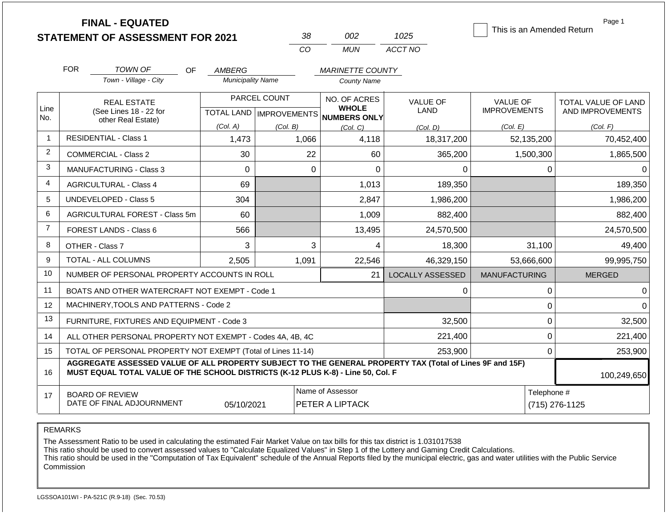| <b>FINAL - EQUATED</b>                  |  |
|-----------------------------------------|--|
| <b>STATEMENT OF ASSESSMENT FOR 2021</b> |  |

| -38 | nn2 | 1025    |
|-----|-----|---------|
| CO. | MUN | ACCT NO |

This is an Amended Return

Page 1

|                                                                                                                                                                                                                   | AMBERG                                                                                                    |                                                                                                           | <b>MARINETTE COUNTY</b>                                                                                                                                                                                                                                            |                                                                                                  |                               |                                                                 |
|-------------------------------------------------------------------------------------------------------------------------------------------------------------------------------------------------------------------|-----------------------------------------------------------------------------------------------------------|-----------------------------------------------------------------------------------------------------------|--------------------------------------------------------------------------------------------------------------------------------------------------------------------------------------------------------------------------------------------------------------------|--------------------------------------------------------------------------------------------------|-------------------------------|-----------------------------------------------------------------|
| Town - Village - City                                                                                                                                                                                             | <b>Municipality Name</b>                                                                                  |                                                                                                           | <b>County Name</b>                                                                                                                                                                                                                                                 |                                                                                                  |                               |                                                                 |
| <b>REAL ESTATE</b>                                                                                                                                                                                                |                                                                                                           |                                                                                                           | NO. OF ACRES                                                                                                                                                                                                                                                       | <b>VALUE OF</b>                                                                                  | <b>VALUE OF</b>               | TOTAL VALUE OF LAND                                             |
|                                                                                                                                                                                                                   |                                                                                                           |                                                                                                           | NUMBERS ONLY                                                                                                                                                                                                                                                       |                                                                                                  |                               | AND IMPROVEMENTS                                                |
|                                                                                                                                                                                                                   |                                                                                                           | (Col. B)                                                                                                  | (Col. C)                                                                                                                                                                                                                                                           | (Col. D)                                                                                         | (Col. E)                      | (Col. F)                                                        |
|                                                                                                                                                                                                                   |                                                                                                           |                                                                                                           |                                                                                                                                                                                                                                                                    |                                                                                                  |                               | 70,452,400                                                      |
| <b>COMMERCIAL - Class 2</b>                                                                                                                                                                                       | 30                                                                                                        | 22                                                                                                        | 60                                                                                                                                                                                                                                                                 | 365,200                                                                                          | 1,500,300                     | 1,865,500                                                       |
| <b>MANUFACTURING - Class 3</b>                                                                                                                                                                                    | $\Omega$                                                                                                  | $\Omega$                                                                                                  | $\Omega$                                                                                                                                                                                                                                                           | $\Omega$                                                                                         | $\Omega$                      | 0                                                               |
| <b>AGRICULTURAL - Class 4</b>                                                                                                                                                                                     | 69                                                                                                        |                                                                                                           | 1,013                                                                                                                                                                                                                                                              | 189,350                                                                                          |                               | 189,350                                                         |
| <b>UNDEVELOPED - Class 5</b>                                                                                                                                                                                      | 304                                                                                                       |                                                                                                           | 2,847                                                                                                                                                                                                                                                              | 1,986,200                                                                                        |                               | 1,986,200                                                       |
| AGRICULTURAL FOREST - Class 5m                                                                                                                                                                                    | 60                                                                                                        |                                                                                                           | 1,009                                                                                                                                                                                                                                                              | 882,400                                                                                          |                               | 882,400                                                         |
| FOREST LANDS - Class 6                                                                                                                                                                                            | 566                                                                                                       |                                                                                                           | 13,495                                                                                                                                                                                                                                                             | 24,570,500                                                                                       |                               | 24,570,500                                                      |
| OTHER - Class 7                                                                                                                                                                                                   | 3                                                                                                         | 3                                                                                                         | 4                                                                                                                                                                                                                                                                  | 18,300                                                                                           | 31,100                        | 49,400                                                          |
| TOTAL - ALL COLUMNS                                                                                                                                                                                               | 2,505                                                                                                     | 1,091                                                                                                     | 22,546                                                                                                                                                                                                                                                             | 46,329,150                                                                                       | 53,666,600                    | 99,995,750                                                      |
|                                                                                                                                                                                                                   |                                                                                                           |                                                                                                           | 21                                                                                                                                                                                                                                                                 | <b>LOCALLY ASSESSED</b>                                                                          | <b>MANUFACTURING</b>          | <b>MERGED</b>                                                   |
|                                                                                                                                                                                                                   |                                                                                                           |                                                                                                           |                                                                                                                                                                                                                                                                    | 0                                                                                                | 0                             | 0                                                               |
|                                                                                                                                                                                                                   |                                                                                                           |                                                                                                           |                                                                                                                                                                                                                                                                    |                                                                                                  | 0                             | 0                                                               |
|                                                                                                                                                                                                                   |                                                                                                           |                                                                                                           |                                                                                                                                                                                                                                                                    | 32,500                                                                                           | $\Omega$                      | 32,500                                                          |
|                                                                                                                                                                                                                   |                                                                                                           |                                                                                                           |                                                                                                                                                                                                                                                                    | 221,400                                                                                          | $\Omega$                      | 221,400                                                         |
|                                                                                                                                                                                                                   | 253,900                                                                                                   |                                                                                                           |                                                                                                                                                                                                                                                                    |                                                                                                  |                               |                                                                 |
| AGGREGATE ASSESSED VALUE OF ALL PROPERTY SUBJECT TO THE GENERAL PROPERTY TAX (Total of Lines 9F and 15F)<br>MUST EQUAL TOTAL VALUE OF THE SCHOOL DISTRICTS (K-12 PLUS K-8) - Line 50, Col. F<br>16<br>100,249,650 |                                                                                                           |                                                                                                           |                                                                                                                                                                                                                                                                    |                                                                                                  |                               |                                                                 |
| <b>BOARD OF REVIEW</b>                                                                                                                                                                                            |                                                                                                           |                                                                                                           |                                                                                                                                                                                                                                                                    |                                                                                                  | Telephone #                   |                                                                 |
|                                                                                                                                                                                                                   | (See Lines 18 - 22 for<br>other Real Estate)<br><b>RESIDENTIAL - Class 1</b><br>DATE OF FINAL ADJOURNMENT | (Col. A)<br>1,473<br>MACHINERY, TOOLS AND PATTERNS - Code 2<br>FURNITURE, FIXTURES AND EQUIPMENT - Code 3 | PARCEL COUNT<br>1,066<br>NUMBER OF PERSONAL PROPERTY ACCOUNTS IN ROLL<br>BOATS AND OTHER WATERCRAFT NOT EXEMPT - Code 1<br>ALL OTHER PERSONAL PROPERTY NOT EXEMPT - Codes 4A, 4B, 4C<br>TOTAL OF PERSONAL PROPERTY NOT EXEMPT (Total of Lines 11-14)<br>05/10/2021 | <b>WHOLE</b><br><b>TOTAL LAND   IMPROVEMENTS</b><br>4,118<br>Name of Assessor<br>PETER A LIPTACK | LAND<br>18,317,200<br>253,900 | <b>IMPROVEMENTS</b><br>52,135,200<br>$\Omega$<br>(715) 276-1125 |

REMARKS

The Assessment Ratio to be used in calculating the estimated Fair Market Value on tax bills for this tax district is 1.031017538

This ratio should be used to convert assessed values to "Calculate Equalized Values" in Step 1 of the Lottery and Gaming Credit Calculations.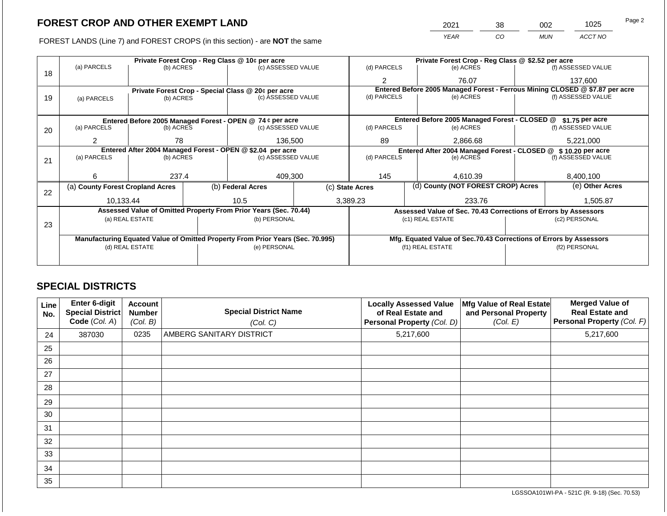FOREST LANDS (Line 7) and FOREST CROPS (in this section) - are NOT the same

| 2021 | 38 | 002        | 1025    | Page 2 |
|------|----|------------|---------|--------|
| YEAR | CO | <b>MUN</b> | ACCT NO |        |

|    | Private Forest Crop - Reg Class @ 10¢ per acre                                 |                 |  |                                                                  |  |                                                               | Private Forest Crop - Reg Class @ \$2.52 per acre                            |  |                    |  |
|----|--------------------------------------------------------------------------------|-----------------|--|------------------------------------------------------------------|--|---------------------------------------------------------------|------------------------------------------------------------------------------|--|--------------------|--|
|    | (a) PARCELS                                                                    | (b) ACRES       |  | (c) ASSESSED VALUE                                               |  | (d) PARCELS                                                   | (e) ACRES                                                                    |  | (f) ASSESSED VALUE |  |
| 18 |                                                                                |                 |  |                                                                  |  | 2                                                             | 76.07                                                                        |  | 137,600            |  |
|    |                                                                                |                 |  | Private Forest Crop - Special Class @ 20¢ per acre               |  |                                                               | Entered Before 2005 Managed Forest - Ferrous Mining CLOSED @ \$7.87 per acre |  |                    |  |
| 19 | (a) PARCELS                                                                    | (b) ACRES       |  | (c) ASSESSED VALUE                                               |  | (d) PARCELS                                                   | (e) ACRES                                                                    |  | (f) ASSESSED VALUE |  |
|    |                                                                                |                 |  |                                                                  |  |                                                               |                                                                              |  |                    |  |
|    |                                                                                |                 |  | Entered Before 2005 Managed Forest - OPEN @ 74 ¢ per acre        |  |                                                               | Entered Before 2005 Managed Forest - CLOSED @                                |  | \$1.75 per acre    |  |
| 20 | (a) PARCELS                                                                    | (b) ACRES       |  | (c) ASSESSED VALUE                                               |  | (d) PARCELS                                                   | (e) ACRES                                                                    |  | (f) ASSESSED VALUE |  |
|    |                                                                                |                 |  |                                                                  |  |                                                               |                                                                              |  |                    |  |
|    | 2                                                                              | 78              |  | 136,500                                                          |  | 89                                                            | 2.866.68                                                                     |  | 5,221,000          |  |
|    | Entered After 2004 Managed Forest - OPEN @ \$2.04 per acre                     |                 |  |                                                                  |  | Entered After 2004 Managed Forest - CLOSED @ \$10.20 per acre |                                                                              |  |                    |  |
| 21 | (a) PARCELS                                                                    | (b) ACRES       |  | (c) ASSESSED VALUE                                               |  | (d) PARCELS                                                   | (e) ACRES                                                                    |  | (f) ASSESSED VALUE |  |
|    |                                                                                |                 |  |                                                                  |  |                                                               |                                                                              |  |                    |  |
|    | 6                                                                              | 237.4           |  | 409,300                                                          |  | 145                                                           | 4,610.39                                                                     |  | 8,400,100          |  |
|    | (a) County Forest Cropland Acres                                               |                 |  | (b) Federal Acres                                                |  | (d) County (NOT FOREST CROP) Acres<br>(c) State Acres         |                                                                              |  | (e) Other Acres    |  |
| 22 |                                                                                |                 |  |                                                                  |  |                                                               |                                                                              |  |                    |  |
|    | 10,133.44                                                                      |                 |  | 10.5                                                             |  | 3,389.23                                                      | 233.76                                                                       |  | 1,505.87           |  |
|    |                                                                                |                 |  | Assessed Value of Omitted Property From Prior Years (Sec. 70.44) |  |                                                               | Assessed Value of Sec. 70.43 Corrections of Errors by Assessors              |  |                    |  |
|    |                                                                                | (a) REAL ESTATE |  | (b) PERSONAL                                                     |  |                                                               | (c1) REAL ESTATE                                                             |  | (c2) PERSONAL      |  |
| 23 |                                                                                |                 |  |                                                                  |  |                                                               |                                                                              |  |                    |  |
|    | Manufacturing Equated Value of Omitted Property From Prior Years (Sec. 70.995) |                 |  |                                                                  |  |                                                               | Mfg. Equated Value of Sec.70.43 Corrections of Errors by Assessors           |  |                    |  |
|    |                                                                                | (d) REAL ESTATE |  | (e) PERSONAL                                                     |  |                                                               | (f1) REAL ESTATE                                                             |  | (f2) PERSONAL      |  |
|    |                                                                                |                 |  |                                                                  |  |                                                               |                                                                              |  |                    |  |
|    |                                                                                |                 |  |                                                                  |  |                                                               |                                                                              |  |                    |  |

### **SPECIAL DISTRICTS**

| Line<br>No. | <b>Enter 6-digit</b><br>Special District<br>Code (Col. A) | <b>Account</b><br><b>Number</b><br>(Col. B) | <b>Special District Name</b><br>(Col. C) | <b>Locally Assessed Value</b><br>of Real Estate and<br>Personal Property (Col. D) | Mfg Value of Real Estate<br>and Personal Property<br>(Col. E) | <b>Merged Value of</b><br><b>Real Estate and</b><br>Personal Property (Col. F) |
|-------------|-----------------------------------------------------------|---------------------------------------------|------------------------------------------|-----------------------------------------------------------------------------------|---------------------------------------------------------------|--------------------------------------------------------------------------------|
| 24          | 387030                                                    | 0235                                        | AMBERG SANITARY DISTRICT                 | 5,217,600                                                                         |                                                               | 5,217,600                                                                      |
| 25          |                                                           |                                             |                                          |                                                                                   |                                                               |                                                                                |
| 26          |                                                           |                                             |                                          |                                                                                   |                                                               |                                                                                |
| 27          |                                                           |                                             |                                          |                                                                                   |                                                               |                                                                                |
| 28          |                                                           |                                             |                                          |                                                                                   |                                                               |                                                                                |
| 29          |                                                           |                                             |                                          |                                                                                   |                                                               |                                                                                |
| 30          |                                                           |                                             |                                          |                                                                                   |                                                               |                                                                                |
| 31          |                                                           |                                             |                                          |                                                                                   |                                                               |                                                                                |
| 32          |                                                           |                                             |                                          |                                                                                   |                                                               |                                                                                |
| 33          |                                                           |                                             |                                          |                                                                                   |                                                               |                                                                                |
| 34          |                                                           |                                             |                                          |                                                                                   |                                                               |                                                                                |
| 35          |                                                           |                                             |                                          |                                                                                   |                                                               |                                                                                |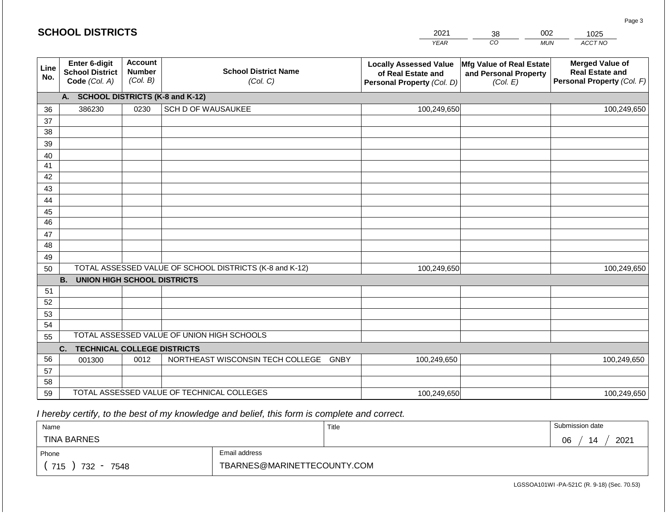|             | <b>SCHOOL DISTRICTS</b>                                         |                                             |                                                         | 2021                                                                              | 002<br>38<br>1025                                                    |            |                                                                                |  |
|-------------|-----------------------------------------------------------------|---------------------------------------------|---------------------------------------------------------|-----------------------------------------------------------------------------------|----------------------------------------------------------------------|------------|--------------------------------------------------------------------------------|--|
|             |                                                                 |                                             |                                                         | <b>YEAR</b>                                                                       | CO                                                                   | <b>MUN</b> | ACCT NO                                                                        |  |
| Line<br>No. | <b>Enter 6-digit</b><br><b>School District</b><br>Code (Col. A) | <b>Account</b><br><b>Number</b><br>(Col. B) | <b>School District Name</b><br>(Col. C)                 | <b>Locally Assessed Value</b><br>of Real Estate and<br>Personal Property (Col. D) | <b>Mfg Value of Real Estate</b><br>and Personal Property<br>(Col. E) |            | <b>Merged Value of</b><br><b>Real Estate and</b><br>Personal Property (Col. F) |  |
|             | A.                                                              |                                             | <b>SCHOOL DISTRICTS (K-8 and K-12)</b>                  |                                                                                   |                                                                      |            |                                                                                |  |
| 36          | 386230                                                          | 0230                                        | SCH D OF WAUSAUKEE                                      | 100,249,650                                                                       |                                                                      |            | 100,249,650                                                                    |  |
| 37          |                                                                 |                                             |                                                         |                                                                                   |                                                                      |            |                                                                                |  |
| 38          |                                                                 |                                             |                                                         |                                                                                   |                                                                      |            |                                                                                |  |
| 39          |                                                                 |                                             |                                                         |                                                                                   |                                                                      |            |                                                                                |  |
| 40          |                                                                 |                                             |                                                         |                                                                                   |                                                                      |            |                                                                                |  |
| 41<br>42    |                                                                 |                                             |                                                         |                                                                                   |                                                                      |            |                                                                                |  |
| 43          |                                                                 |                                             |                                                         |                                                                                   |                                                                      |            |                                                                                |  |
| 44          |                                                                 |                                             |                                                         |                                                                                   |                                                                      |            |                                                                                |  |
| 45          |                                                                 |                                             |                                                         |                                                                                   |                                                                      |            |                                                                                |  |
| 46          |                                                                 |                                             |                                                         |                                                                                   |                                                                      |            |                                                                                |  |
| 47          |                                                                 |                                             |                                                         |                                                                                   |                                                                      |            |                                                                                |  |
| 48          |                                                                 |                                             |                                                         |                                                                                   |                                                                      |            |                                                                                |  |
| 49          |                                                                 |                                             |                                                         |                                                                                   |                                                                      |            |                                                                                |  |
| 50          |                                                                 |                                             | TOTAL ASSESSED VALUE OF SCHOOL DISTRICTS (K-8 and K-12) | 100,249,650                                                                       |                                                                      |            | 100,249,650                                                                    |  |
|             | <b>B. UNION HIGH SCHOOL DISTRICTS</b>                           |                                             |                                                         |                                                                                   |                                                                      |            |                                                                                |  |
| 51          |                                                                 |                                             |                                                         |                                                                                   |                                                                      |            |                                                                                |  |
| 52          |                                                                 |                                             |                                                         |                                                                                   |                                                                      |            |                                                                                |  |
| 53          |                                                                 |                                             |                                                         |                                                                                   |                                                                      |            |                                                                                |  |
| 54          |                                                                 |                                             | TOTAL ASSESSED VALUE OF UNION HIGH SCHOOLS              |                                                                                   |                                                                      |            |                                                                                |  |
| 55          |                                                                 |                                             |                                                         |                                                                                   |                                                                      |            |                                                                                |  |
|             | C.<br><b>TECHNICAL COLLEGE DISTRICTS</b>                        |                                             |                                                         |                                                                                   |                                                                      |            |                                                                                |  |
| 56          | 001300                                                          | 0012                                        | NORTHEAST WISCONSIN TECH COLLEGE GNBY                   | 100,249,650                                                                       |                                                                      |            | 100,249,650                                                                    |  |
| 57<br>58    |                                                                 |                                             |                                                         |                                                                                   |                                                                      |            |                                                                                |  |
| 59          |                                                                 |                                             | TOTAL ASSESSED VALUE OF TECHNICAL COLLEGES              | 100,249,650                                                                       |                                                                      |            | 100,249,650                                                                    |  |

| Name                                           |                             | Title | Submission date  |
|------------------------------------------------|-----------------------------|-------|------------------|
| <b>TINA BARNES</b>                             |                             |       | 2021<br>06<br>14 |
| Phone                                          | Email address               |       |                  |
| 715<br>732<br>7548<br>$\overline{\phantom{a}}$ | TBARNES@MARINETTECOUNTY.COM |       |                  |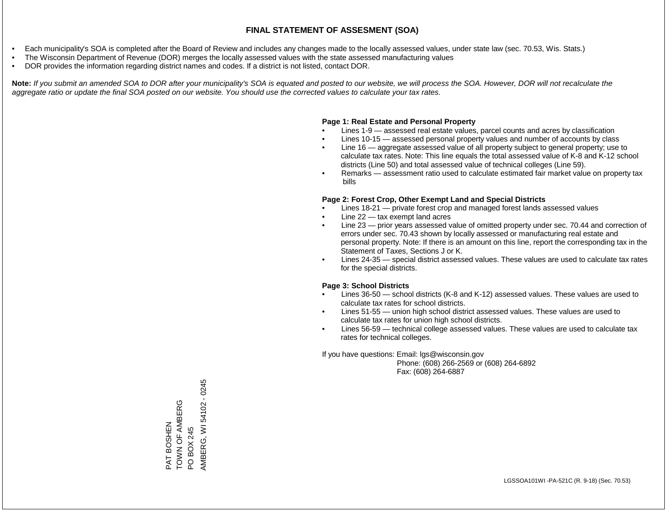- Each municipality's SOA is completed after the Board of Review and includes any changes made to the locally assessed values, under state law (sec. 70.53, Wis. Stats.)
- The Wisconsin Department of Revenue (DOR) merges the locally assessed values with the state assessed manufacturing values
- DOR provides the information regarding district names and codes. If a district is not listed, contact DOR.

Note: If you submit an amended SOA to DOR after your municipality's SOA is equated and posted to our website, we will process the SOA. However, DOR will not recalculate the *aggregate ratio or update the final SOA posted on our website. You should use the corrected values to calculate your tax rates.*

### **Page 1: Real Estate and Personal Property**

- Lines 1-9 assessed real estate values, parcel counts and acres by classification
- Lines 10-15 assessed personal property values and number of accounts by class
- Line 16 aggregate assessed value of all property subject to general property; use to calculate tax rates. Note: This line equals the total assessed value of K-8 and K-12 school districts (Line 50) and total assessed value of technical colleges (Line 59).
- Remarks assessment ratio used to calculate estimated fair market value on property tax bills

### **Page 2: Forest Crop, Other Exempt Land and Special Districts**

- Lines 18-21 private forest crop and managed forest lands assessed values
- Line  $22 -$  tax exempt land acres
- Line 23 prior years assessed value of omitted property under sec. 70.44 and correction of errors under sec. 70.43 shown by locally assessed or manufacturing real estate and personal property. Note: If there is an amount on this line, report the corresponding tax in the Statement of Taxes, Sections J or K.
- Lines 24-35 special district assessed values. These values are used to calculate tax rates for the special districts.

### **Page 3: School Districts**

- Lines 36-50 school districts (K-8 and K-12) assessed values. These values are used to calculate tax rates for school districts.
- Lines 51-55 union high school district assessed values. These values are used to calculate tax rates for union high school districts.
- Lines 56-59 technical college assessed values. These values are used to calculate tax rates for technical colleges.

If you have questions: Email: lgs@wisconsin.gov

 Phone: (608) 266-2569 or (608) 264-6892 Fax: (608) 264-6887

AMBERG, WI 54102 - 0245 AMBERG, WI 54102 - 0245TOWN OF AMBERG PAT BOSHEN<br>TOWN OF AMBERG PO BOX 245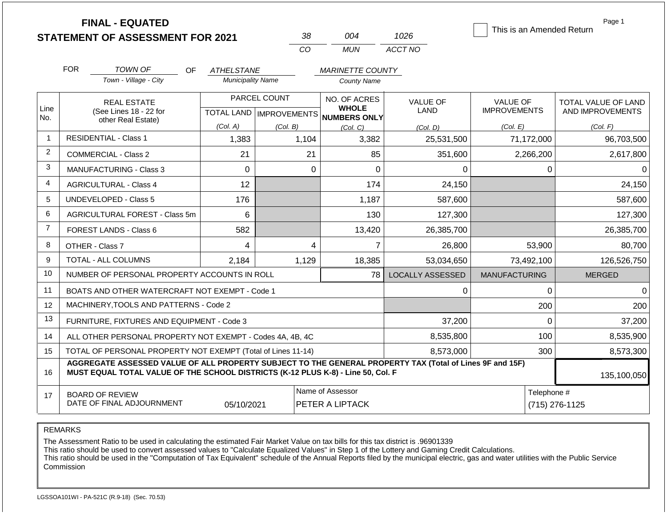|                | <b>FINAL - EQUATED</b><br><b>STATEMENT OF ASSESSMENT FOR 2021</b>                                                                                                                            |     |                          |                                           | 38              | 004                                          | 1026                    |                                        |                | Page 1<br>This is an Amended Return     |
|----------------|----------------------------------------------------------------------------------------------------------------------------------------------------------------------------------------------|-----|--------------------------|-------------------------------------------|-----------------|----------------------------------------------|-------------------------|----------------------------------------|----------------|-----------------------------------------|
|                |                                                                                                                                                                                              |     |                          |                                           | CO              | <b>MUN</b>                                   | ACCT NO                 |                                        |                |                                         |
|                | <b>FOR</b><br>TOWN OF                                                                                                                                                                        | OF. | <b>ATHELSTANE</b>        |                                           |                 | <b>MARINETTE COUNTY</b>                      |                         |                                        |                |                                         |
|                | Town - Village - City                                                                                                                                                                        |     | <b>Municipality Name</b> |                                           |                 | <b>County Name</b>                           |                         |                                        |                |                                         |
| Line<br>No.    | <b>REAL ESTATE</b><br>(See Lines 18 - 22 for                                                                                                                                                 |     |                          | PARCEL COUNT<br>TOTAL LAND   IMPROVEMENTS |                 | NO. OF ACRES<br><b>WHOLE</b><br>NUMBERS ONLY | <b>VALUE OF</b><br>LAND | <b>VALUE OF</b><br><b>IMPROVEMENTS</b> |                | TOTAL VALUE OF LAND<br>AND IMPROVEMENTS |
|                | other Real Estate)                                                                                                                                                                           |     | (Col. A)                 | (Col. B)                                  |                 | (Col, C)                                     | (Col, D)                | (Col. E)                               |                | (Col. F)                                |
| $\mathbf{1}$   | <b>RESIDENTIAL - Class 1</b>                                                                                                                                                                 |     | 1,383                    |                                           | 1,104           | 3,382                                        | 25,531,500              |                                        | 71,172,000     | 96,703,500                              |
| $\overline{2}$ | <b>COMMERCIAL - Class 2</b>                                                                                                                                                                  |     | 21                       |                                           | 21              | 85                                           | 351,600                 |                                        | 2,266,200      | 2,617,800                               |
| 3              | <b>MANUFACTURING - Class 3</b>                                                                                                                                                               |     | 0                        |                                           | $\Omega$        | $\Omega$                                     | 0                       |                                        | 0              | 0                                       |
| $\overline{4}$ | <b>AGRICULTURAL - Class 4</b>                                                                                                                                                                |     | 12                       |                                           |                 | 174                                          | 24,150                  |                                        |                | 24,150                                  |
| 5              | <b>UNDEVELOPED - Class 5</b>                                                                                                                                                                 |     | 176                      |                                           |                 | 1,187                                        | 587,600                 |                                        |                | 587,600                                 |
| 6              | AGRICULTURAL FOREST - Class 5m                                                                                                                                                               |     | 6                        |                                           |                 | 130                                          | 127,300                 |                                        |                | 127,300                                 |
| $\overline{7}$ | FOREST LANDS - Class 6                                                                                                                                                                       |     | 582                      |                                           |                 | 13,420                                       | 26,385,700              |                                        |                | 26,385,700                              |
| 8              | OTHER - Class 7                                                                                                                                                                              |     | 4                        |                                           | 4               | 7                                            | 26,800                  |                                        | 53,900         | 80,700                                  |
| 9              | <b>TOTAL - ALL COLUMNS</b>                                                                                                                                                                   |     | 2,184                    |                                           | 1,129           | 18,385                                       | 53,034,650              |                                        | 73,492,100     | 126,526,750                             |
| 10             | NUMBER OF PERSONAL PROPERTY ACCOUNTS IN ROLL                                                                                                                                                 |     |                          |                                           |                 | 78                                           | <b>LOCALLY ASSESSED</b> | <b>MANUFACTURING</b>                   |                | <b>MERGED</b>                           |
| 11             | BOATS AND OTHER WATERCRAFT NOT EXEMPT - Code 1                                                                                                                                               |     |                          |                                           |                 |                                              | 0                       |                                        | $\Omega$       | $\Omega$                                |
| 12             | MACHINERY, TOOLS AND PATTERNS - Code 2                                                                                                                                                       |     |                          |                                           |                 |                                              |                         |                                        | 200            | 200                                     |
| 13             | FURNITURE, FIXTURES AND EQUIPMENT - Code 3                                                                                                                                                   |     |                          |                                           |                 |                                              |                         |                                        | $\Omega$       | 37,200                                  |
| 14             | 8,535,800<br>ALL OTHER PERSONAL PROPERTY NOT EXEMPT - Codes 4A, 4B, 4C                                                                                                                       |     |                          |                                           |                 |                                              |                         |                                        | 100            | 8,535,900                               |
| 15             | TOTAL OF PERSONAL PROPERTY NOT EXEMPT (Total of Lines 11-14)<br>8,573,000                                                                                                                    |     |                          |                                           |                 |                                              | 300                     | 8,573,300                              |                |                                         |
| 16             | AGGREGATE ASSESSED VALUE OF ALL PROPERTY SUBJECT TO THE GENERAL PROPERTY TAX (Total of Lines 9F and 15F)<br>MUST EQUAL TOTAL VALUE OF THE SCHOOL DISTRICTS (K-12 PLUS K-8) - Line 50, Col. F |     |                          |                                           |                 |                                              |                         |                                        |                | 135,100,050                             |
| 17             | <b>BOARD OF REVIEW</b>                                                                                                                                                                       |     |                          |                                           |                 | Name of Assessor                             |                         |                                        | Telephone #    |                                         |
|                | DATE OF FINAL ADJOURNMENT                                                                                                                                                                    |     | 05/10/2021               |                                           | PETER A LIPTACK |                                              |                         |                                        | (715) 276-1125 |                                         |

REMARKS

The Assessment Ratio to be used in calculating the estimated Fair Market Value on tax bills for this tax district is .96901339

This ratio should be used to convert assessed values to "Calculate Equalized Values" in Step 1 of the Lottery and Gaming Credit Calculations.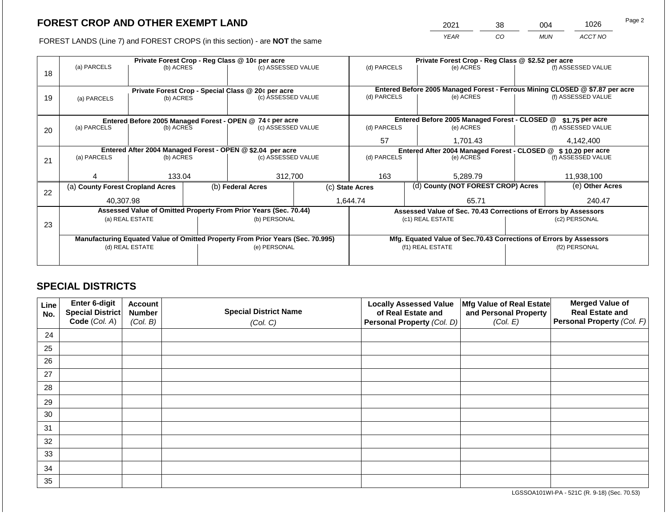2021 38 004 1026

FOREST LANDS (Line 7) and FOREST CROPS (in this section) - are **NOT** the same *YEAR CO MUN ACCT NO*

|    |                                                                                | Private Forest Crop - Reg Class @ 10¢ per acre |                   | Private Forest Crop - Reg Class @ \$2.52 per acre                |  |                                                                    |  |                                                                 |                 |                                                                              |
|----|--------------------------------------------------------------------------------|------------------------------------------------|-------------------|------------------------------------------------------------------|--|--------------------------------------------------------------------|--|-----------------------------------------------------------------|-----------------|------------------------------------------------------------------------------|
| 18 | (a) PARCELS                                                                    | (b) ACRES                                      |                   | (c) ASSESSED VALUE                                               |  | (d) PARCELS                                                        |  | (e) ACRES                                                       |                 | (f) ASSESSED VALUE                                                           |
|    |                                                                                |                                                |                   | Private Forest Crop - Special Class @ 20¢ per acre               |  |                                                                    |  |                                                                 |                 | Entered Before 2005 Managed Forest - Ferrous Mining CLOSED @ \$7.87 per acre |
| 19 | (a) PARCELS                                                                    | (b) ACRES                                      |                   | (c) ASSESSED VALUE                                               |  | (d) PARCELS                                                        |  | (e) ACRES                                                       |                 | (f) ASSESSED VALUE                                                           |
|    |                                                                                |                                                |                   |                                                                  |  |                                                                    |  |                                                                 |                 |                                                                              |
|    |                                                                                |                                                |                   | Entered Before 2005 Managed Forest - OPEN @ 74 ¢ per acre        |  |                                                                    |  | Entered Before 2005 Managed Forest - CLOSED @                   |                 | $$1.75$ per acre                                                             |
| 20 | (a) PARCELS                                                                    | (b) ACRES                                      |                   | (c) ASSESSED VALUE                                               |  | (d) PARCELS                                                        |  | (e) ACRES                                                       |                 | (f) ASSESSED VALUE                                                           |
|    |                                                                                |                                                |                   |                                                                  |  |                                                                    |  | 1,701.43                                                        |                 | 4,142,400                                                                    |
|    |                                                                                |                                                |                   | Entered After 2004 Managed Forest - OPEN @ \$2.04 per acre       |  | Entered After 2004 Managed Forest - CLOSED @ \$10.20 per acre      |  |                                                                 |                 |                                                                              |
| 21 |                                                                                | (a) PARCELS<br>(b) ACRES                       |                   | (c) ASSESSED VALUE                                               |  | (d) PARCELS                                                        |  | (e) ACRES                                                       |                 | (f) ASSESSED VALUE                                                           |
|    |                                                                                |                                                |                   |                                                                  |  |                                                                    |  |                                                                 |                 |                                                                              |
|    | 133.04                                                                         |                                                |                   | 312,700                                                          |  | 163                                                                |  | 5,289.79                                                        |                 | 11,938,100                                                                   |
| 22 | (a) County Forest Cropland Acres                                               |                                                | (b) Federal Acres |                                                                  |  | (d) County (NOT FOREST CROP) Acres<br>(c) State Acres              |  |                                                                 | (e) Other Acres |                                                                              |
|    | 40.307.98                                                                      |                                                |                   |                                                                  |  | 1.644.74                                                           |  | 65.71                                                           |                 | 240.47                                                                       |
|    |                                                                                |                                                |                   | Assessed Value of Omitted Property From Prior Years (Sec. 70.44) |  |                                                                    |  | Assessed Value of Sec. 70.43 Corrections of Errors by Assessors |                 |                                                                              |
| 23 |                                                                                | (a) REAL ESTATE                                |                   | (b) PERSONAL                                                     |  |                                                                    |  | (c1) REAL ESTATE                                                | (c2) PERSONAL   |                                                                              |
|    |                                                                                |                                                |                   |                                                                  |  |                                                                    |  |                                                                 |                 |                                                                              |
|    | Manufacturing Equated Value of Omitted Property From Prior Years (Sec. 70.995) |                                                |                   |                                                                  |  | Mfg. Equated Value of Sec.70.43 Corrections of Errors by Assessors |  |                                                                 |                 |                                                                              |
|    | (d) REAL ESTATE                                                                |                                                |                   | (e) PERSONAL                                                     |  | (f1) REAL ESTATE                                                   |  |                                                                 | (f2) PERSONAL   |                                                                              |
|    |                                                                                |                                                |                   |                                                                  |  |                                                                    |  |                                                                 |                 |                                                                              |
|    |                                                                                |                                                |                   |                                                                  |  |                                                                    |  |                                                                 |                 |                                                                              |

### **SPECIAL DISTRICTS**

| Line<br>No. | Enter 6-digit<br>Special District | <b>Account</b><br><b>Number</b> | <b>Special District Name</b> | <b>Locally Assessed Value</b><br>of Real Estate and | Mfg Value of Real Estate<br>and Personal Property | <b>Merged Value of</b><br><b>Real Estate and</b> |
|-------------|-----------------------------------|---------------------------------|------------------------------|-----------------------------------------------------|---------------------------------------------------|--------------------------------------------------|
|             | Code (Col. A)                     | (Col. B)                        | (Col. C)                     | Personal Property (Col. D)                          | (Col. E)                                          | Personal Property (Col. F)                       |
| 24          |                                   |                                 |                              |                                                     |                                                   |                                                  |
| 25          |                                   |                                 |                              |                                                     |                                                   |                                                  |
| 26          |                                   |                                 |                              |                                                     |                                                   |                                                  |
| 27          |                                   |                                 |                              |                                                     |                                                   |                                                  |
| 28          |                                   |                                 |                              |                                                     |                                                   |                                                  |
| 29          |                                   |                                 |                              |                                                     |                                                   |                                                  |
| 30          |                                   |                                 |                              |                                                     |                                                   |                                                  |
| 31          |                                   |                                 |                              |                                                     |                                                   |                                                  |
| 32          |                                   |                                 |                              |                                                     |                                                   |                                                  |
| 33          |                                   |                                 |                              |                                                     |                                                   |                                                  |
| 34          |                                   |                                 |                              |                                                     |                                                   |                                                  |
| 35          |                                   |                                 |                              |                                                     |                                                   |                                                  |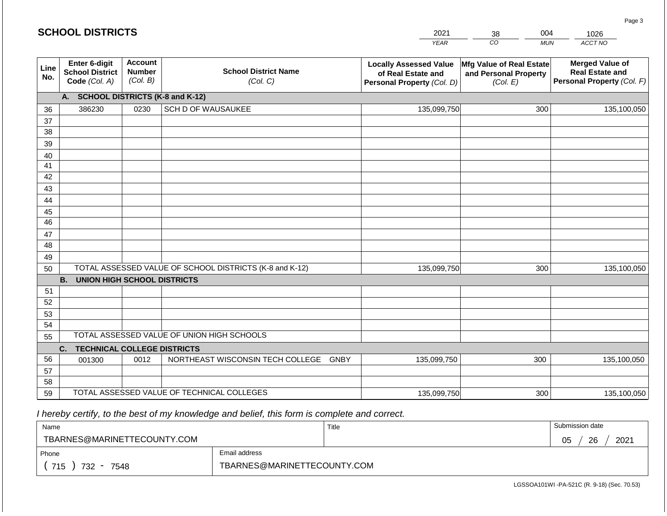#### *YEAR*  2021  $\overline{co}$ 38 *MUN*  004 *ACCT NO*  1026 **Line No. Enter 6-digit School District Code** *(Col. A)* **Account Number** *(Col. B)* **School District Name** *(Col. C)* **Locally Assessed Value of Real Estate and Personal Property** *(Col. D)* **Mfg Value of Real Estate and Personal Property** *(Col. E)* **Merged Value of Real Estate and Personal Property** *(Col. F)* **A. SCHOOL DISTRICTS (K-8 and K-12)** 36 37 38 39 40 41 42 43 44 45 46 47 48 49 50 TOTAL ASSESSED VALUE OF SCHOOL DISTRICTS (K-8 and K-12) **B. UNION HIGH SCHOOL DISTRICTS** 51 52 53 54 55 **C. TECHNICAL COLLEGE DISTRICTS** 56 57 58 59 TOTAL ASSESSED VALUE OF TECHNICAL COLLEGES TOTAL ASSESSED VALUE OF UNION HIGH SCHOOLS 386230 0230 SCH D OF WAUSAUKEE 135,099,750 135,099,750 001300 | 0012 | NORTHEAST WISCONSIN TECH COLLEGE GNBY 135,099,750 300 135,100,050 300 135,100,050 300 135,100,050 135,099,750 300 300 135,100,050

 *I hereby certify, to the best of my knowledge and belief, this form is complete and correct.*

| Name                        |                             | Title | Submission date  |  |  |
|-----------------------------|-----------------------------|-------|------------------|--|--|
| TBARNES@MARINETTECOUNTY.COM |                             |       | 26<br>2021<br>05 |  |  |
| Phone                       | Email address               |       |                  |  |  |
| 715<br>732<br>7548          | TBARNES@MARINETTECOUNTY.COM |       |                  |  |  |

| <b>SCHOOL DISTRICTS</b> |  |  |  |  |  |  |  |  |
|-------------------------|--|--|--|--|--|--|--|--|
|-------------------------|--|--|--|--|--|--|--|--|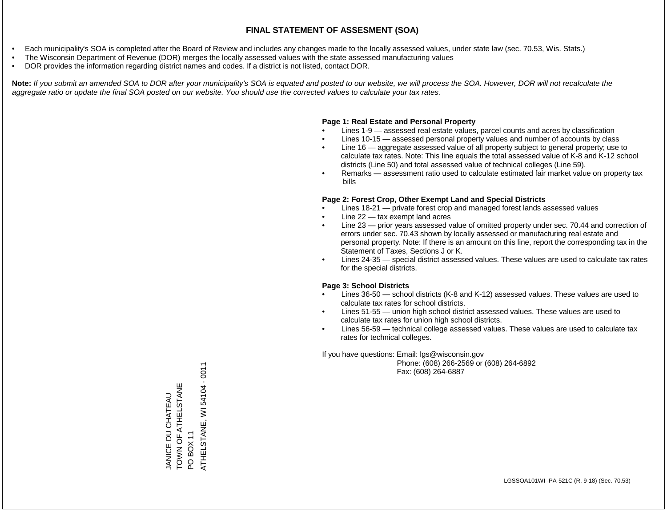- Each municipality's SOA is completed after the Board of Review and includes any changes made to the locally assessed values, under state law (sec. 70.53, Wis. Stats.)
- The Wisconsin Department of Revenue (DOR) merges the locally assessed values with the state assessed manufacturing values
- DOR provides the information regarding district names and codes. If a district is not listed, contact DOR.

Note: If you submit an amended SOA to DOR after your municipality's SOA is equated and posted to our website, we will process the SOA. However, DOR will not recalculate the *aggregate ratio or update the final SOA posted on our website. You should use the corrected values to calculate your tax rates.*

### **Page 1: Real Estate and Personal Property**

- Lines 1-9 assessed real estate values, parcel counts and acres by classification
- Lines 10-15 assessed personal property values and number of accounts by class
- Line 16 aggregate assessed value of all property subject to general property; use to calculate tax rates. Note: This line equals the total assessed value of K-8 and K-12 school districts (Line 50) and total assessed value of technical colleges (Line 59).
- Remarks assessment ratio used to calculate estimated fair market value on property tax bills

### **Page 2: Forest Crop, Other Exempt Land and Special Districts**

- Lines 18-21 private forest crop and managed forest lands assessed values
- Line  $22 -$  tax exempt land acres
- Line 23 prior years assessed value of omitted property under sec. 70.44 and correction of errors under sec. 70.43 shown by locally assessed or manufacturing real estate and personal property. Note: If there is an amount on this line, report the corresponding tax in the Statement of Taxes, Sections J or K.
- Lines 24-35 special district assessed values. These values are used to calculate tax rates for the special districts.

### **Page 3: School Districts**

- Lines 36-50 school districts (K-8 and K-12) assessed values. These values are used to calculate tax rates for school districts.
- Lines 51-55 union high school district assessed values. These values are used to calculate tax rates for union high school districts.
- Lines 56-59 technical college assessed values. These values are used to calculate tax rates for technical colleges.

If you have questions: Email: lgs@wisconsin.gov

 Phone: (608) 266-2569 or (608) 264-6892 Fax: (608) 264-6887

ATHELSTANE, WI 54104 - 0011 ATHELSTANE, WI 54104 - 0011TOWN OF ATHELY LOT AND TOWN OF ATHELSTANE JANICE DU CHATEAU JANICE DU CHATEAU PO BOX 11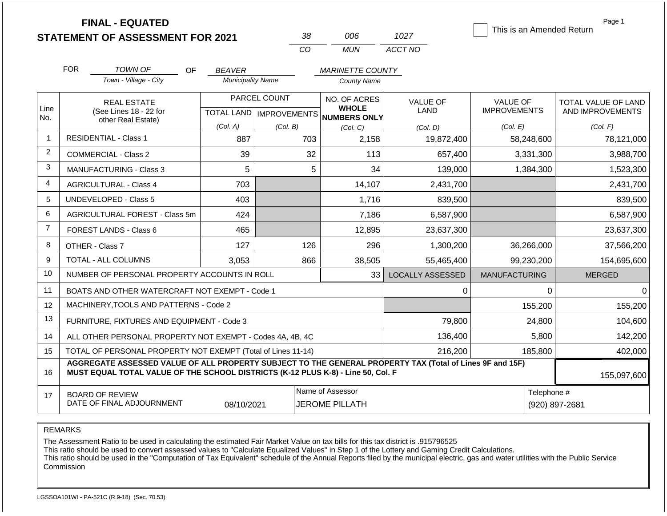**FINAL - EQUATED**

| 38          | MB    | 1027    |
|-------------|-------|---------|
| $($ . $($ ) | MI IN | ACCT NO |

This is an Amended Return

Page 1

| <b>FOR</b><br><b>TOWN OF</b><br>OF<br>Town - Village - City  | <b>BEAVER</b><br><b>Municipality Name</b>                                                                                                                                                                   |                                                  | <b>MARINETTE COUNTY</b><br><b>County Name</b>       |                         |                                        |                                         |  |  |  |
|--------------------------------------------------------------|-------------------------------------------------------------------------------------------------------------------------------------------------------------------------------------------------------------|--------------------------------------------------|-----------------------------------------------------|-------------------------|----------------------------------------|-----------------------------------------|--|--|--|
| <b>REAL ESTATE</b><br>(See Lines 18 - 22 for                 |                                                                                                                                                                                                             | PARCEL COUNT<br><b>TOTAL LAND   IMPROVEMENTS</b> | NO. OF ACRES<br><b>WHOLE</b><br><b>NUMBERS ONLY</b> | <b>VALUE OF</b><br>LAND | <b>VALUE OF</b><br><b>IMPROVEMENTS</b> | TOTAL VALUE OF LAND<br>AND IMPROVEMENTS |  |  |  |
| other Real Estate)                                           | (Col. A)                                                                                                                                                                                                    | (Col. B)                                         | (Col, C)                                            | (Col. D)                | (Col. E)                               | (Col. F)                                |  |  |  |
| <b>RESIDENTIAL - Class 1</b>                                 | 887                                                                                                                                                                                                         | 703                                              | 2,158                                               | 19,872,400              | 58,248,600                             | 78,121,000                              |  |  |  |
| <b>COMMERCIAL - Class 2</b>                                  | 39                                                                                                                                                                                                          | 32                                               | 113                                                 | 657,400                 | 3,331,300                              | 3,988,700                               |  |  |  |
| <b>MANUFACTURING - Class 3</b>                               | 5                                                                                                                                                                                                           | 5                                                | 34                                                  | 139,000                 | 1,384,300                              | 1,523,300                               |  |  |  |
| <b>AGRICULTURAL - Class 4</b>                                | 703                                                                                                                                                                                                         |                                                  | 14,107                                              | 2,431,700               |                                        | 2,431,700                               |  |  |  |
| <b>UNDEVELOPED - Class 5</b>                                 | 403                                                                                                                                                                                                         |                                                  | 1,716                                               | 839,500                 |                                        | 839,500                                 |  |  |  |
| AGRICULTURAL FOREST - Class 5m                               | 424                                                                                                                                                                                                         |                                                  | 7,186                                               | 6,587,900               |                                        | 6,587,900                               |  |  |  |
| FOREST LANDS - Class 6                                       | 465                                                                                                                                                                                                         |                                                  | 12,895                                              | 23,637,300              |                                        | 23,637,300                              |  |  |  |
| OTHER - Class 7                                              | 127                                                                                                                                                                                                         | 126                                              | 296                                                 | 1,300,200               | 36,266,000                             | 37,566,200                              |  |  |  |
| <b>TOTAL - ALL COLUMNS</b>                                   | 3,053                                                                                                                                                                                                       | 866                                              | 38,505                                              | 55,465,400              | 99,230,200                             | 154,695,600                             |  |  |  |
| NUMBER OF PERSONAL PROPERTY ACCOUNTS IN ROLL                 |                                                                                                                                                                                                             |                                                  | 33                                                  | <b>LOCALLY ASSESSED</b> | <b>MANUFACTURING</b>                   | <b>MERGED</b>                           |  |  |  |
| BOATS AND OTHER WATERCRAFT NOT EXEMPT - Code 1               |                                                                                                                                                                                                             |                                                  |                                                     | 0                       | 0                                      | $\Omega$                                |  |  |  |
| MACHINERY, TOOLS AND PATTERNS - Code 2                       |                                                                                                                                                                                                             |                                                  |                                                     |                         | 155,200                                | 155,200                                 |  |  |  |
| FURNITURE, FIXTURES AND EQUIPMENT - Code 3                   |                                                                                                                                                                                                             |                                                  |                                                     | 79,800                  | 24,800                                 | 104,600                                 |  |  |  |
| ALL OTHER PERSONAL PROPERTY NOT EXEMPT - Codes 4A, 4B, 4C    |                                                                                                                                                                                                             |                                                  |                                                     | 136,400                 | 5,800                                  | 142,200                                 |  |  |  |
| TOTAL OF PERSONAL PROPERTY NOT EXEMPT (Total of Lines 11-14) |                                                                                                                                                                                                             |                                                  |                                                     | 216,200                 | 185,800                                | 402,000                                 |  |  |  |
|                                                              | AGGREGATE ASSESSED VALUE OF ALL PROPERTY SUBJECT TO THE GENERAL PROPERTY TAX (Total of Lines 9F and 15F)<br>MUST EQUAL TOTAL VALUE OF THE SCHOOL DISTRICTS (K-12 PLUS K-8) - Line 50, Col. F<br>155,097,600 |                                                  |                                                     |                         |                                        |                                         |  |  |  |
| <b>BOARD OF REVIEW</b>                                       |                                                                                                                                                                                                             |                                                  | Name of Assessor                                    |                         | Telephone #                            |                                         |  |  |  |
| DATE OF FINAL ADJOURNMENT                                    | 08/10/2021                                                                                                                                                                                                  |                                                  | <b>JEROME PILLATH</b>                               |                         |                                        | (920) 897-2681                          |  |  |  |

REMARKS

Line No.

14 15

16

17

The Assessment Ratio to be used in calculating the estimated Fair Market Value on tax bills for this tax district is .915796525

This ratio should be used to convert assessed values to "Calculate Equalized Values" in Step 1 of the Lottery and Gaming Credit Calculations.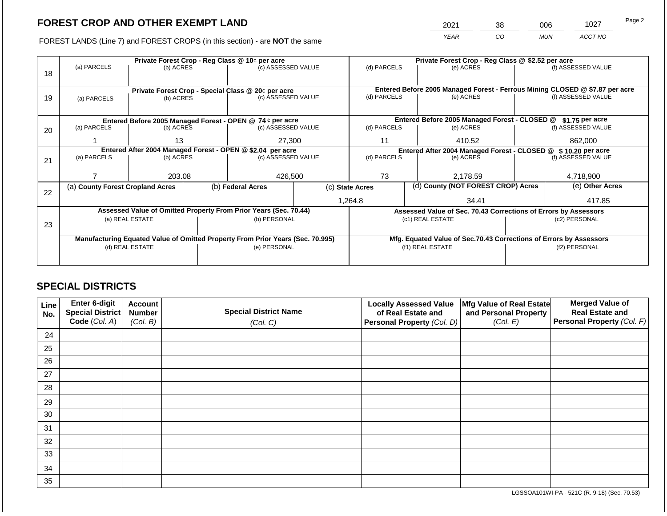2021 38 006 1027

FOREST LANDS (Line 7) and FOREST CROPS (in this section) - are **NOT** the same *YEAR CO MUN ACCT NO*

|    |                                                                                |                                                            |  | Private Forest Crop - Reg Class @ 10¢ per acre                   |                 | Private Forest Crop - Reg Class @ \$2.52 per acre                                           |                                    |                                                                    |  |                    |  |
|----|--------------------------------------------------------------------------------|------------------------------------------------------------|--|------------------------------------------------------------------|-----------------|---------------------------------------------------------------------------------------------|------------------------------------|--------------------------------------------------------------------|--|--------------------|--|
|    | (a) PARCELS                                                                    | (b) ACRES                                                  |  | (c) ASSESSED VALUE                                               |                 | (d) PARCELS                                                                                 |                                    | (e) ACRES                                                          |  | (f) ASSESSED VALUE |  |
| 18 |                                                                                |                                                            |  |                                                                  |                 |                                                                                             |                                    |                                                                    |  |                    |  |
|    |                                                                                |                                                            |  |                                                                  |                 |                                                                                             |                                    |                                                                    |  |                    |  |
|    |                                                                                |                                                            |  | Private Forest Crop - Special Class @ 20¢ per acre               |                 | Entered Before 2005 Managed Forest - Ferrous Mining CLOSED @ \$7.87 per acre<br>(d) PARCELS |                                    |                                                                    |  |                    |  |
| 19 | (a) PARCELS                                                                    | (b) ACRES                                                  |  | (c) ASSESSED VALUE                                               |                 |                                                                                             |                                    | (e) ACRES                                                          |  | (f) ASSESSED VALUE |  |
|    |                                                                                |                                                            |  |                                                                  |                 |                                                                                             |                                    |                                                                    |  |                    |  |
|    |                                                                                |                                                            |  | Entered Before 2005 Managed Forest - OPEN @ 74 ¢ per acre        |                 | Entered Before 2005 Managed Forest - CLOSED @<br>$$1.75$ per acre                           |                                    |                                                                    |  |                    |  |
| 20 | (a) PARCELS                                                                    | (b) ACRES                                                  |  | (c) ASSESSED VALUE                                               |                 | (d) PARCELS                                                                                 |                                    | (e) ACRES                                                          |  | (f) ASSESSED VALUE |  |
|    |                                                                                |                                                            |  |                                                                  |                 |                                                                                             |                                    |                                                                    |  |                    |  |
|    |                                                                                | 13                                                         |  | 27,300                                                           |                 | 11                                                                                          |                                    | 410.52                                                             |  | 862,000            |  |
|    |                                                                                | Entered After 2004 Managed Forest - OPEN @ \$2.04 per acre |  |                                                                  |                 | Entered After 2004 Managed Forest - CLOSED @ \$10.20 per acre                               |                                    |                                                                    |  |                    |  |
| 21 | (a) PARCELS                                                                    | (b) ACRES                                                  |  | (c) ASSESSED VALUE                                               |                 | (d) PARCELS                                                                                 |                                    | (e) ACRES                                                          |  | (f) ASSESSED VALUE |  |
|    |                                                                                |                                                            |  |                                                                  |                 |                                                                                             |                                    |                                                                    |  |                    |  |
|    |                                                                                | 203.08                                                     |  | 426,500                                                          |                 | 73                                                                                          |                                    | 2,178.59                                                           |  | 4,718,900          |  |
|    | (a) County Forest Cropland Acres                                               |                                                            |  | (b) Federal Acres                                                | (c) State Acres |                                                                                             | (d) County (NOT FOREST CROP) Acres |                                                                    |  | (e) Other Acres    |  |
| 22 |                                                                                |                                                            |  |                                                                  |                 |                                                                                             |                                    |                                                                    |  |                    |  |
|    |                                                                                |                                                            |  |                                                                  |                 | 1,264.8                                                                                     |                                    | 34.41                                                              |  | 417.85             |  |
|    |                                                                                |                                                            |  | Assessed Value of Omitted Property From Prior Years (Sec. 70.44) |                 |                                                                                             |                                    | Assessed Value of Sec. 70.43 Corrections of Errors by Assessors    |  |                    |  |
|    |                                                                                | (a) REAL ESTATE                                            |  | (b) PERSONAL                                                     |                 |                                                                                             |                                    | (c1) REAL ESTATE                                                   |  | (c2) PERSONAL      |  |
| 23 |                                                                                |                                                            |  |                                                                  |                 |                                                                                             |                                    |                                                                    |  |                    |  |
|    | Manufacturing Equated Value of Omitted Property From Prior Years (Sec. 70.995) |                                                            |  |                                                                  |                 |                                                                                             |                                    | Mfg. Equated Value of Sec.70.43 Corrections of Errors by Assessors |  |                    |  |
|    | (d) REAL ESTATE                                                                |                                                            |  | (e) PERSONAL                                                     |                 |                                                                                             |                                    | (f1) REAL ESTATE                                                   |  | (f2) PERSONAL      |  |
|    |                                                                                |                                                            |  |                                                                  |                 |                                                                                             |                                    |                                                                    |  |                    |  |
|    |                                                                                |                                                            |  |                                                                  |                 |                                                                                             |                                    |                                                                    |  |                    |  |

### **SPECIAL DISTRICTS**

| Line<br>No. | Enter 6-digit<br>Special District<br>Code (Col. A) | <b>Account</b><br><b>Number</b><br>(Col. B) | <b>Special District Name</b><br>(Col. C) | <b>Locally Assessed Value</b><br>of Real Estate and<br><b>Personal Property (Col. D)</b> | Mfg Value of Real Estate<br>and Personal Property<br>(Col. E) | <b>Merged Value of</b><br><b>Real Estate and</b><br>Personal Property (Col. F) |
|-------------|----------------------------------------------------|---------------------------------------------|------------------------------------------|------------------------------------------------------------------------------------------|---------------------------------------------------------------|--------------------------------------------------------------------------------|
| 24          |                                                    |                                             |                                          |                                                                                          |                                                               |                                                                                |
| 25          |                                                    |                                             |                                          |                                                                                          |                                                               |                                                                                |
| 26          |                                                    |                                             |                                          |                                                                                          |                                                               |                                                                                |
| 27          |                                                    |                                             |                                          |                                                                                          |                                                               |                                                                                |
| 28          |                                                    |                                             |                                          |                                                                                          |                                                               |                                                                                |
| 29          |                                                    |                                             |                                          |                                                                                          |                                                               |                                                                                |
| 30          |                                                    |                                             |                                          |                                                                                          |                                                               |                                                                                |
| 31          |                                                    |                                             |                                          |                                                                                          |                                                               |                                                                                |
| 32          |                                                    |                                             |                                          |                                                                                          |                                                               |                                                                                |
| 33          |                                                    |                                             |                                          |                                                                                          |                                                               |                                                                                |
| 34          |                                                    |                                             |                                          |                                                                                          |                                                               |                                                                                |
| 35          |                                                    |                                             |                                          |                                                                                          |                                                               |                                                                                |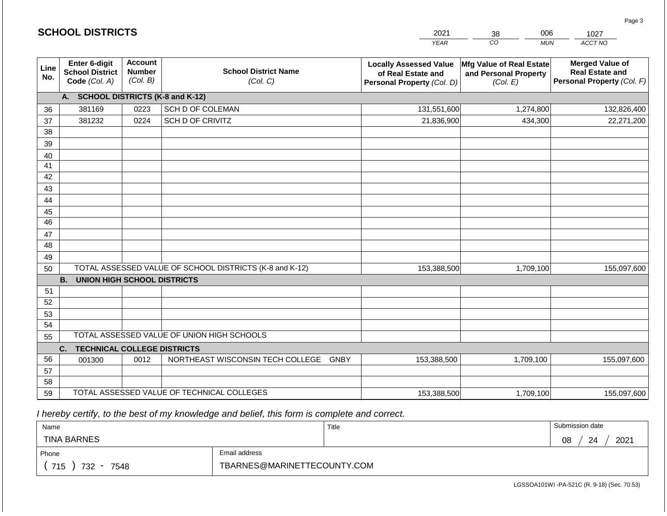|             | <b>SCHOOL DISTRICTS</b>                                  |                                             |                                                         | 2021                                                                              | 006<br>38                                                     | 1027                                                                           |
|-------------|----------------------------------------------------------|---------------------------------------------|---------------------------------------------------------|-----------------------------------------------------------------------------------|---------------------------------------------------------------|--------------------------------------------------------------------------------|
|             |                                                          |                                             |                                                         | <b>YEAR</b>                                                                       | CO<br><b>MUN</b>                                              | ACCT NO                                                                        |
| Line<br>No. | Enter 6-digit<br><b>School District</b><br>Code (Col. A) | <b>Account</b><br><b>Number</b><br>(Col. B) | <b>School District Name</b><br>(Col. C)                 | <b>Locally Assessed Value</b><br>of Real Estate and<br>Personal Property (Col. D) | Mfg Value of Real Estate<br>and Personal Property<br>(Col. E) | <b>Merged Value of</b><br><b>Real Estate and</b><br>Personal Property (Col. F) |
|             | A. SCHOOL DISTRICTS (K-8 and K-12)                       |                                             |                                                         |                                                                                   |                                                               |                                                                                |
| 36          | 381169                                                   | 0223                                        | SCH D OF COLEMAN                                        | 131,551,600                                                                       | 1,274,800                                                     | 132,826,400                                                                    |
| 37          | 381232                                                   | 0224                                        | SCH D OF CRIVITZ                                        | 21,836,900                                                                        | 434,300                                                       | 22,271,200                                                                     |
| 38          |                                                          |                                             |                                                         |                                                                                   |                                                               |                                                                                |
| 39          |                                                          |                                             |                                                         |                                                                                   |                                                               |                                                                                |
| 40          |                                                          |                                             |                                                         |                                                                                   |                                                               |                                                                                |
| 41          |                                                          |                                             |                                                         |                                                                                   |                                                               |                                                                                |
| 42          |                                                          |                                             |                                                         |                                                                                   |                                                               |                                                                                |
| 43          |                                                          |                                             |                                                         |                                                                                   |                                                               |                                                                                |
| 44<br>45    |                                                          |                                             |                                                         |                                                                                   |                                                               |                                                                                |
| 46          |                                                          |                                             |                                                         |                                                                                   |                                                               |                                                                                |
| 47          |                                                          |                                             |                                                         |                                                                                   |                                                               |                                                                                |
| 48          |                                                          |                                             |                                                         |                                                                                   |                                                               |                                                                                |
| 49          |                                                          |                                             |                                                         |                                                                                   |                                                               |                                                                                |
| 50          |                                                          |                                             | TOTAL ASSESSED VALUE OF SCHOOL DISTRICTS (K-8 and K-12) | 153,388,500                                                                       | 1,709,100                                                     | 155,097,600                                                                    |
|             | <b>B.</b><br><b>UNION HIGH SCHOOL DISTRICTS</b>          |                                             |                                                         |                                                                                   |                                                               |                                                                                |
| 51          |                                                          |                                             |                                                         |                                                                                   |                                                               |                                                                                |
| 52          |                                                          |                                             |                                                         |                                                                                   |                                                               |                                                                                |
| 53          |                                                          |                                             |                                                         |                                                                                   |                                                               |                                                                                |
| 54          |                                                          |                                             |                                                         |                                                                                   |                                                               |                                                                                |
| 55          |                                                          |                                             | TOTAL ASSESSED VALUE OF UNION HIGH SCHOOLS              |                                                                                   |                                                               |                                                                                |
|             | C.<br><b>TECHNICAL COLLEGE DISTRICTS</b>                 |                                             |                                                         |                                                                                   |                                                               |                                                                                |
| 56          | 001300                                                   | 0012                                        | NORTHEAST WISCONSIN TECH COLLEGE GNBY                   | 153,388,500                                                                       | 1,709,100                                                     | 155,097,600                                                                    |
| 57<br>58    |                                                          |                                             |                                                         |                                                                                   |                                                               |                                                                                |
| 59          |                                                          |                                             | TOTAL ASSESSED VALUE OF TECHNICAL COLLEGES              | 153,388,500                                                                       | 1,709,100                                                     | 155,097,600                                                                    |
|             |                                                          |                                             |                                                         |                                                                                   |                                                               |                                                                                |

**SCHOOL DISTRICTS**

| Name               |                             | Title | Submission date  |
|--------------------|-----------------------------|-------|------------------|
| <b>TINA BARNES</b> |                             |       | 2021<br>08<br>24 |
| Phone              | Email address               |       |                  |
| 715<br>732<br>7548 | TBARNES@MARINETTECOUNTY.COM |       |                  |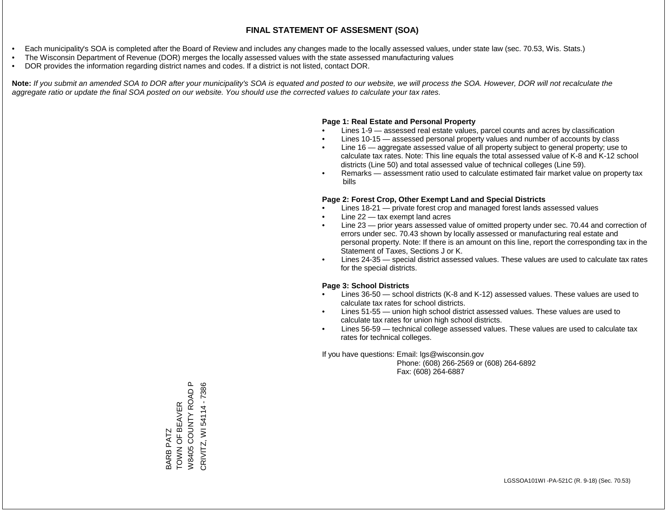- Each municipality's SOA is completed after the Board of Review and includes any changes made to the locally assessed values, under state law (sec. 70.53, Wis. Stats.)
- The Wisconsin Department of Revenue (DOR) merges the locally assessed values with the state assessed manufacturing values
- DOR provides the information regarding district names and codes. If a district is not listed, contact DOR.

Note: If you submit an amended SOA to DOR after your municipality's SOA is equated and posted to our website, we will process the SOA. However, DOR will not recalculate the *aggregate ratio or update the final SOA posted on our website. You should use the corrected values to calculate your tax rates.*

### **Page 1: Real Estate and Personal Property**

- Lines 1-9 assessed real estate values, parcel counts and acres by classification
- Lines 10-15 assessed personal property values and number of accounts by class
- Line 16 aggregate assessed value of all property subject to general property; use to calculate tax rates. Note: This line equals the total assessed value of K-8 and K-12 school districts (Line 50) and total assessed value of technical colleges (Line 59).
- Remarks assessment ratio used to calculate estimated fair market value on property tax bills

### **Page 2: Forest Crop, Other Exempt Land and Special Districts**

- Lines 18-21 private forest crop and managed forest lands assessed values
- Line  $22 -$  tax exempt land acres
- Line 23 prior years assessed value of omitted property under sec. 70.44 and correction of errors under sec. 70.43 shown by locally assessed or manufacturing real estate and personal property. Note: If there is an amount on this line, report the corresponding tax in the Statement of Taxes, Sections J or K.
- Lines 24-35 special district assessed values. These values are used to calculate tax rates for the special districts.

### **Page 3: School Districts**

- Lines 36-50 school districts (K-8 and K-12) assessed values. These values are used to calculate tax rates for school districts.
- Lines 51-55 union high school district assessed values. These values are used to calculate tax rates for union high school districts.
- Lines 56-59 technical college assessed values. These values are used to calculate tax rates for technical colleges.

If you have questions: Email: lgs@wisconsin.gov

 Phone: (608) 266-2569 or (608) 264-6892 Fax: (608) 264-6887

W8405 COUNTY ROAD P CRIVITZ, WI 54114 - 7386 W8405 COUNTY ROAD P CRIVITZ, WI 54114 - 7386TOWN OF BEAVER 3ARB PATZ<br>TOWN OF BEAVER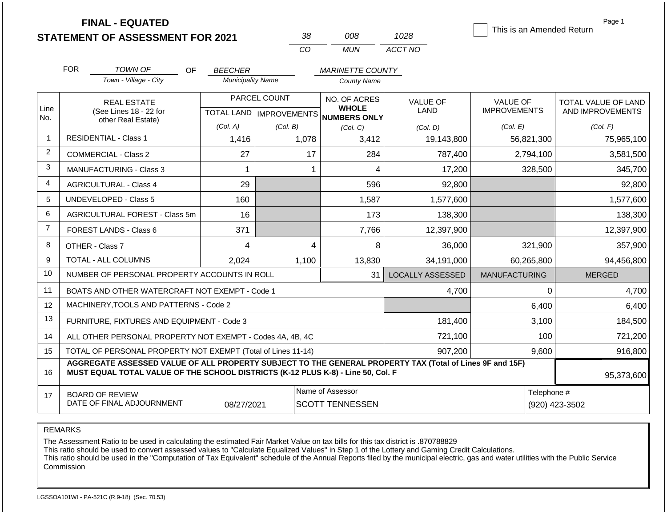|                | <b>FINAL - EQUATED</b><br><b>STATEMENT OF ASSESSMENT FOR 2021</b>                                                                                                                            |                          | 38                               | 008                          | 1028                    | This is an Amended Return | Page 1              |
|----------------|----------------------------------------------------------------------------------------------------------------------------------------------------------------------------------------------|--------------------------|----------------------------------|------------------------------|-------------------------|---------------------------|---------------------|
|                |                                                                                                                                                                                              |                          | CO                               | <b>MUN</b>                   | ACCT NO                 |                           |                     |
|                | <b>FOR</b><br>TOWN OF<br><b>OF</b>                                                                                                                                                           | <b>BEECHER</b>           |                                  | <b>MARINETTE COUNTY</b>      |                         |                           |                     |
|                | Town - Village - City                                                                                                                                                                        | <b>Municipality Name</b> |                                  | County Name                  |                         |                           |                     |
|                | <b>REAL ESTATE</b>                                                                                                                                                                           |                          | PARCEL COUNT                     | NO. OF ACRES                 | <b>VALUE OF</b>         | <b>VALUE OF</b>           | TOTAL VALUE OF LAND |
| Line<br>No.    | (See Lines 18 - 22 for<br>other Real Estate)                                                                                                                                                 |                          | <b>TOTAL LAND   IMPROVEMENTS</b> | <b>WHOLE</b><br>NUMBERS ONLY | LAND                    | <b>IMPROVEMENTS</b>       | AND IMPROVEMENTS    |
|                |                                                                                                                                                                                              | (Col. A)                 | (Col. B)                         | (Col, C)                     | (Col, D)                | (Col. E)                  | (Col. F)            |
| $\mathbf{1}$   | <b>RESIDENTIAL - Class 1</b>                                                                                                                                                                 | 1,416                    | 1,078                            | 3,412                        | 19,143,800              | 56,821,300                | 75,965,100          |
| $\overline{2}$ | <b>COMMERCIAL - Class 2</b>                                                                                                                                                                  | 27                       | 17                               | 284                          | 787,400                 | 2,794,100                 | 3,581,500           |
| 3              | <b>MANUFACTURING - Class 3</b>                                                                                                                                                               | 1                        | 1                                | 4                            | 17,200                  | 328,500                   | 345,700             |
| 4              | <b>AGRICULTURAL - Class 4</b>                                                                                                                                                                | 29                       |                                  | 596                          | 92,800                  |                           | 92,800              |
| 5              | <b>UNDEVELOPED - Class 5</b>                                                                                                                                                                 | 160                      |                                  | 1,587                        | 1,577,600               |                           | 1,577,600           |
| 6              | AGRICULTURAL FOREST - Class 5m                                                                                                                                                               | 16                       |                                  | 173                          | 138,300                 |                           | 138,300             |
| $\overline{7}$ | FOREST LANDS - Class 6                                                                                                                                                                       | 371                      |                                  | 7,766                        | 12,397,900              |                           | 12,397,900          |
| 8              | OTHER - Class 7                                                                                                                                                                              | 4                        | 4                                | 8                            | 36,000                  | 321,900                   | 357,900             |
| 9              | TOTAL - ALL COLUMNS                                                                                                                                                                          | 2,024                    | 1,100                            | 13,830                       | 34,191,000              | 60,265,800                | 94,456,800          |
| 10             | NUMBER OF PERSONAL PROPERTY ACCOUNTS IN ROLL                                                                                                                                                 |                          |                                  | 31                           | <b>LOCALLY ASSESSED</b> | <b>MANUFACTURING</b>      | <b>MERGED</b>       |
| 11             | BOATS AND OTHER WATERCRAFT NOT EXEMPT - Code 1                                                                                                                                               |                          |                                  |                              | 4,700                   | $\Omega$                  | 4,700               |
| 12             | MACHINERY, TOOLS AND PATTERNS - Code 2                                                                                                                                                       |                          |                                  |                              |                         | 6,400                     | 6,400               |
| 13             | FURNITURE, FIXTURES AND EQUIPMENT - Code 3                                                                                                                                                   |                          |                                  |                              | 181,400                 | 3,100                     | 184,500             |
| 14             | ALL OTHER PERSONAL PROPERTY NOT EXEMPT - Codes 4A, 4B, 4C                                                                                                                                    |                          |                                  |                              | 721,100                 | 100                       | 721,200             |
| 15             | TOTAL OF PERSONAL PROPERTY NOT EXEMPT (Total of Lines 11-14)                                                                                                                                 |                          |                                  |                              | 907,200                 | 9,600                     | 916,800             |
| 16             | AGGREGATE ASSESSED VALUE OF ALL PROPERTY SUBJECT TO THE GENERAL PROPERTY TAX (Total of Lines 9F and 15F)<br>MUST EQUAL TOTAL VALUE OF THE SCHOOL DISTRICTS (K-12 PLUS K-8) - Line 50, Col. F |                          |                                  |                              |                         |                           | 95,373,600          |
| 17             | <b>BOARD OF REVIEW</b>                                                                                                                                                                       |                          |                                  | Name of Assessor             |                         | Telephone #               |                     |
|                | DATE OF FINAL ADJOURNMENT                                                                                                                                                                    | 08/27/2021               |                                  | <b>SCOTT TENNESSEN</b>       |                         |                           | (920) 423-3502      |

REMARKS

The Assessment Ratio to be used in calculating the estimated Fair Market Value on tax bills for this tax district is .870788829

This ratio should be used to convert assessed values to "Calculate Equalized Values" in Step 1 of the Lottery and Gaming Credit Calculations.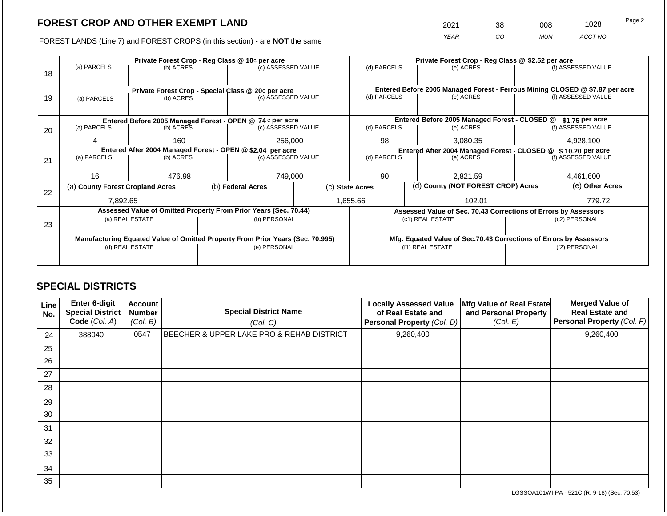2021 38 008 1028

FOREST LANDS (Line 7) and FOREST CROPS (in this section) - are **NOT** the same *YEAR CO MUN ACCT NO*

|    |                                                                                |                                                            |                                                           | Private Forest Crop - Reg Class @ 10¢ per acre                           |  | Private Forest Crop - Reg Class @ \$2.52 per acre                                                        |                                               |                                                                    |                    |                    |  |
|----|--------------------------------------------------------------------------------|------------------------------------------------------------|-----------------------------------------------------------|--------------------------------------------------------------------------|--|----------------------------------------------------------------------------------------------------------|-----------------------------------------------|--------------------------------------------------------------------|--------------------|--------------------|--|
|    | (a) PARCELS                                                                    | (b) ACRES                                                  |                                                           | (c) ASSESSED VALUE                                                       |  | (d) PARCELS                                                                                              |                                               | (e) ACRES                                                          |                    | (f) ASSESSED VALUE |  |
| 18 |                                                                                |                                                            |                                                           |                                                                          |  |                                                                                                          |                                               |                                                                    |                    |                    |  |
|    |                                                                                |                                                            |                                                           |                                                                          |  |                                                                                                          |                                               |                                                                    |                    |                    |  |
|    |                                                                                |                                                            |                                                           | Private Forest Crop - Special Class @ 20¢ per acre<br>(c) ASSESSED VALUE |  | Entered Before 2005 Managed Forest - Ferrous Mining CLOSED @ \$7.87 per acre<br>(d) PARCELS<br>(e) ACRES |                                               |                                                                    | (f) ASSESSED VALUE |                    |  |
| 19 | (a) PARCELS                                                                    | (b) ACRES                                                  |                                                           |                                                                          |  |                                                                                                          |                                               |                                                                    |                    |                    |  |
|    |                                                                                |                                                            |                                                           |                                                                          |  |                                                                                                          |                                               |                                                                    |                    |                    |  |
|    |                                                                                |                                                            | Entered Before 2005 Managed Forest - OPEN @ 74 ¢ per acre |                                                                          |  |                                                                                                          | Entered Before 2005 Managed Forest - CLOSED @ |                                                                    | \$1.75 per acre    |                    |  |
| 20 | (a) PARCELS                                                                    | (b) ACRES                                                  |                                                           | (c) ASSESSED VALUE                                                       |  | (d) PARCELS                                                                                              |                                               | (e) ACRES                                                          |                    | (f) ASSESSED VALUE |  |
|    |                                                                                |                                                            |                                                           |                                                                          |  |                                                                                                          |                                               |                                                                    |                    |                    |  |
|    | 4                                                                              |                                                            | 256,000<br>160                                            |                                                                          |  | 98<br>3,080.35                                                                                           |                                               | 4,928,100                                                          |                    |                    |  |
|    |                                                                                | Entered After 2004 Managed Forest - OPEN @ \$2.04 per acre |                                                           |                                                                          |  | Entered After 2004 Managed Forest - CLOSED @ \$10.20 per acre<br>(f) ASSESSED VALUE                      |                                               |                                                                    |                    |                    |  |
| 21 | (a) PARCELS                                                                    | (b) ACRES                                                  |                                                           | (c) ASSESSED VALUE                                                       |  | (d) PARCELS                                                                                              | (e) ACRES                                     |                                                                    |                    |                    |  |
|    |                                                                                |                                                            |                                                           |                                                                          |  |                                                                                                          |                                               |                                                                    |                    |                    |  |
|    | 16                                                                             | 476.98                                                     |                                                           | 749,000                                                                  |  | 90                                                                                                       |                                               | 2,821.59                                                           |                    | 4,461,600          |  |
|    | (a) County Forest Cropland Acres                                               |                                                            |                                                           | (b) Federal Acres                                                        |  | (d) County (NOT FOREST CROP) Acres<br>(c) State Acres                                                    |                                               |                                                                    |                    | (e) Other Acres    |  |
| 22 |                                                                                |                                                            |                                                           |                                                                          |  |                                                                                                          |                                               |                                                                    |                    |                    |  |
|    | 7,892.65                                                                       |                                                            |                                                           |                                                                          |  | 1,655.66                                                                                                 |                                               | 102.01                                                             |                    | 779.72             |  |
|    |                                                                                |                                                            |                                                           | Assessed Value of Omitted Property From Prior Years (Sec. 70.44)         |  |                                                                                                          |                                               | Assessed Value of Sec. 70.43 Corrections of Errors by Assessors    |                    |                    |  |
|    |                                                                                | (a) REAL ESTATE                                            |                                                           | (b) PERSONAL                                                             |  |                                                                                                          |                                               | (c1) REAL ESTATE                                                   |                    | (c2) PERSONAL      |  |
| 23 |                                                                                |                                                            |                                                           |                                                                          |  |                                                                                                          |                                               |                                                                    |                    |                    |  |
|    | Manufacturing Equated Value of Omitted Property From Prior Years (Sec. 70.995) |                                                            |                                                           |                                                                          |  |                                                                                                          |                                               | Mfg. Equated Value of Sec.70.43 Corrections of Errors by Assessors |                    |                    |  |
|    | (d) REAL ESTATE                                                                |                                                            |                                                           | (e) PERSONAL                                                             |  |                                                                                                          |                                               | (f1) REAL ESTATE                                                   |                    | (f2) PERSONAL      |  |
|    |                                                                                |                                                            |                                                           |                                                                          |  |                                                                                                          |                                               |                                                                    |                    |                    |  |
|    |                                                                                |                                                            |                                                           |                                                                          |  |                                                                                                          |                                               |                                                                    |                    |                    |  |

### **SPECIAL DISTRICTS**

| Line<br>No. | Enter 6-digit<br><b>Special District</b><br>Code (Col. A) | <b>Account</b><br><b>Number</b><br>(Col. B) | <b>Special District Name</b><br>(Col. C)  | <b>Locally Assessed Value</b><br>of Real Estate and<br>Personal Property (Col. D) | Mfg Value of Real Estate<br>and Personal Property<br>(Col. E) | <b>Merged Value of</b><br><b>Real Estate and</b><br>Personal Property (Col. F) |
|-------------|-----------------------------------------------------------|---------------------------------------------|-------------------------------------------|-----------------------------------------------------------------------------------|---------------------------------------------------------------|--------------------------------------------------------------------------------|
| 24          | 388040                                                    | 0547                                        | BEECHER & UPPER LAKE PRO & REHAB DISTRICT | 9,260,400                                                                         |                                                               | 9,260,400                                                                      |
| 25          |                                                           |                                             |                                           |                                                                                   |                                                               |                                                                                |
| 26          |                                                           |                                             |                                           |                                                                                   |                                                               |                                                                                |
| 27          |                                                           |                                             |                                           |                                                                                   |                                                               |                                                                                |
| 28          |                                                           |                                             |                                           |                                                                                   |                                                               |                                                                                |
| 29          |                                                           |                                             |                                           |                                                                                   |                                                               |                                                                                |
| 30          |                                                           |                                             |                                           |                                                                                   |                                                               |                                                                                |
| 31          |                                                           |                                             |                                           |                                                                                   |                                                               |                                                                                |
| 32          |                                                           |                                             |                                           |                                                                                   |                                                               |                                                                                |
| 33          |                                                           |                                             |                                           |                                                                                   |                                                               |                                                                                |
| 34          |                                                           |                                             |                                           |                                                                                   |                                                               |                                                                                |
| 35          |                                                           |                                             |                                           |                                                                                   |                                                               |                                                                                |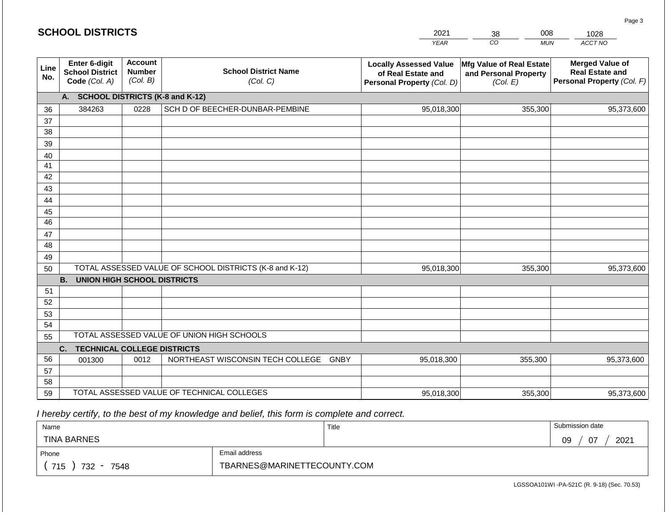| <b>SCHOOL DISTRICTS</b> |                                                          |                                                                                        |                                                         |             | 2021                                                                              | 008<br>38                                                     | 1028                                                                           |
|-------------------------|----------------------------------------------------------|----------------------------------------------------------------------------------------|---------------------------------------------------------|-------------|-----------------------------------------------------------------------------------|---------------------------------------------------------------|--------------------------------------------------------------------------------|
|                         |                                                          |                                                                                        |                                                         |             | <b>YEAR</b>                                                                       | CO<br><b>MUN</b>                                              | ACCT NO                                                                        |
| Line<br>No.             | Enter 6-digit<br><b>School District</b><br>Code (Col. A) | <b>Account</b><br><b>Number</b><br><b>School District Name</b><br>(Col. B)<br>(Col. C) |                                                         |             | <b>Locally Assessed Value</b><br>of Real Estate and<br>Personal Property (Col. D) | Mfg Value of Real Estate<br>and Personal Property<br>(Col. E) | <b>Merged Value of</b><br><b>Real Estate and</b><br>Personal Property (Col. F) |
|                         | A. SCHOOL DISTRICTS (K-8 and K-12)                       |                                                                                        |                                                         |             |                                                                                   |                                                               |                                                                                |
| 36                      | 384263                                                   | 0228                                                                                   | SCH D OF BEECHER-DUNBAR-PEMBINE                         |             | 95,018,300                                                                        | 355,300                                                       | 95,373,600                                                                     |
| 37                      |                                                          |                                                                                        |                                                         |             |                                                                                   |                                                               |                                                                                |
| 38                      |                                                          |                                                                                        |                                                         |             |                                                                                   |                                                               |                                                                                |
| 39                      |                                                          |                                                                                        |                                                         |             |                                                                                   |                                                               |                                                                                |
| 40                      |                                                          |                                                                                        |                                                         |             |                                                                                   |                                                               |                                                                                |
| 41                      |                                                          |                                                                                        |                                                         |             |                                                                                   |                                                               |                                                                                |
| 42                      |                                                          |                                                                                        |                                                         |             |                                                                                   |                                                               |                                                                                |
| 43                      |                                                          |                                                                                        |                                                         |             |                                                                                   |                                                               |                                                                                |
| 44                      |                                                          |                                                                                        |                                                         |             |                                                                                   |                                                               |                                                                                |
| 45<br>46                |                                                          |                                                                                        |                                                         |             |                                                                                   |                                                               |                                                                                |
| 47                      |                                                          |                                                                                        |                                                         |             |                                                                                   |                                                               |                                                                                |
| 48                      |                                                          |                                                                                        |                                                         |             |                                                                                   |                                                               |                                                                                |
| 49                      |                                                          |                                                                                        |                                                         |             |                                                                                   |                                                               |                                                                                |
| 50                      |                                                          |                                                                                        | TOTAL ASSESSED VALUE OF SCHOOL DISTRICTS (K-8 and K-12) |             | 95,018,300                                                                        | 355,300                                                       | 95,373,600                                                                     |
|                         | <b>B.</b><br><b>UNION HIGH SCHOOL DISTRICTS</b>          |                                                                                        |                                                         |             |                                                                                   |                                                               |                                                                                |
| 51                      |                                                          |                                                                                        |                                                         |             |                                                                                   |                                                               |                                                                                |
| 52                      |                                                          |                                                                                        |                                                         |             |                                                                                   |                                                               |                                                                                |
| 53                      |                                                          |                                                                                        |                                                         |             |                                                                                   |                                                               |                                                                                |
| 54                      |                                                          |                                                                                        |                                                         |             |                                                                                   |                                                               |                                                                                |
| 55                      |                                                          |                                                                                        | TOTAL ASSESSED VALUE OF UNION HIGH SCHOOLS              |             |                                                                                   |                                                               |                                                                                |
|                         | C.<br><b>TECHNICAL COLLEGE DISTRICTS</b>                 |                                                                                        |                                                         |             |                                                                                   |                                                               |                                                                                |
| 56                      | 001300                                                   | 0012                                                                                   | NORTHEAST WISCONSIN TECH COLLEGE                        | <b>GNBY</b> | 95,018,300                                                                        | 355,300                                                       | 95,373,600                                                                     |
| 57                      |                                                          |                                                                                        |                                                         |             |                                                                                   |                                                               |                                                                                |
| 58                      |                                                          |                                                                                        |                                                         |             |                                                                                   |                                                               |                                                                                |
| 59                      |                                                          |                                                                                        | TOTAL ASSESSED VALUE OF TECHNICAL COLLEGES              |             | 95,018,300                                                                        | 355,300                                                       | 95,373,600                                                                     |

| Name                                           |                             | Title | Submission date  |  |  |
|------------------------------------------------|-----------------------------|-------|------------------|--|--|
| <b>TINA BARNES</b>                             |                             |       | 2021<br>09<br>07 |  |  |
| Phone                                          | Email address               |       |                  |  |  |
| 715<br>732<br>7548<br>$\overline{\phantom{a}}$ | TBARNES@MARINETTECOUNTY.COM |       |                  |  |  |

LGSSOA101WI -PA-521C (R. 9-18) (Sec. 70.53)

| <b>SCHOOL DISTRICTS</b> |  |  |  |  |  |  |  |  |
|-------------------------|--|--|--|--|--|--|--|--|
|-------------------------|--|--|--|--|--|--|--|--|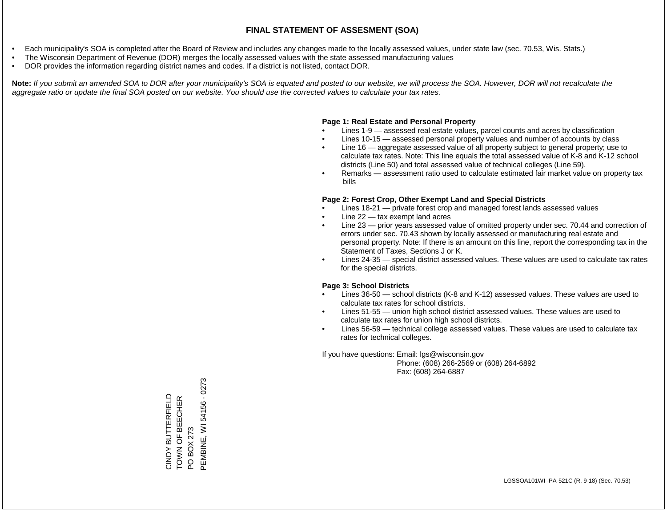- Each municipality's SOA is completed after the Board of Review and includes any changes made to the locally assessed values, under state law (sec. 70.53, Wis. Stats.)
- The Wisconsin Department of Revenue (DOR) merges the locally assessed values with the state assessed manufacturing values
- DOR provides the information regarding district names and codes. If a district is not listed, contact DOR.

Note: If you submit an amended SOA to DOR after your municipality's SOA is equated and posted to our website, we will process the SOA. However, DOR will not recalculate the *aggregate ratio or update the final SOA posted on our website. You should use the corrected values to calculate your tax rates.*

#### **Page 1: Real Estate and Personal Property**

- Lines 1-9 assessed real estate values, parcel counts and acres by classification
- Lines 10-15 assessed personal property values and number of accounts by class
- Line 16 aggregate assessed value of all property subject to general property; use to calculate tax rates. Note: This line equals the total assessed value of K-8 and K-12 school districts (Line 50) and total assessed value of technical colleges (Line 59).
- Remarks assessment ratio used to calculate estimated fair market value on property tax bills

#### **Page 2: Forest Crop, Other Exempt Land and Special Districts**

- Lines 18-21 private forest crop and managed forest lands assessed values
- Line  $22 -$  tax exempt land acres
- Line 23 prior years assessed value of omitted property under sec. 70.44 and correction of errors under sec. 70.43 shown by locally assessed or manufacturing real estate and personal property. Note: If there is an amount on this line, report the corresponding tax in the Statement of Taxes, Sections J or K.
- Lines 24-35 special district assessed values. These values are used to calculate tax rates for the special districts.

#### **Page 3: School Districts**

- Lines 36-50 school districts (K-8 and K-12) assessed values. These values are used to calculate tax rates for school districts.
- Lines 51-55 union high school district assessed values. These values are used to calculate tax rates for union high school districts.
- Lines 56-59 technical college assessed values. These values are used to calculate tax rates for technical colleges.

If you have questions: Email: lgs@wisconsin.gov

 Phone: (608) 266-2569 or (608) 264-6892 Fax: (608) 264-6887

PO BOX 273<br>PEMBINE, WI 54156 - 0273 PEMBINE, WI 54156 - 0273CINDY BUTTERFIELD<br>TOWN OF BEECHER CINDY BUTTERFIELD TOWN OF BEECHER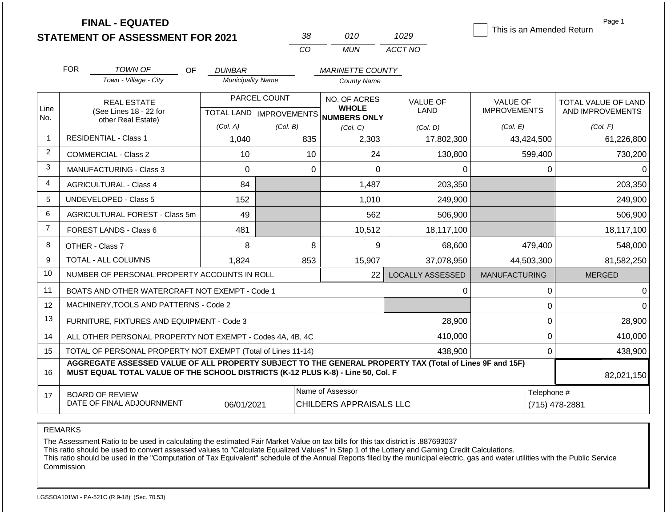**FINAL - EQUATED**

| -22      | 01 N            | 1029    |
|----------|-----------------|---------|
| $\cdots$ | 1 <i>11 INI</i> | ACCT NO |

This is an Amended Return

Page 1

|                |                                                                           |                                                                                                                                                                                              |                          | CO                               | <b>MUN</b>                          | ACCT NO                 |                      |                     |
|----------------|---------------------------------------------------------------------------|----------------------------------------------------------------------------------------------------------------------------------------------------------------------------------------------|--------------------------|----------------------------------|-------------------------------------|-------------------------|----------------------|---------------------|
|                | <b>FOR</b>                                                                | <b>TOWN OF</b><br><b>OF</b>                                                                                                                                                                  | <b>DUNBAR</b>            |                                  | <b>MARINETTE COUNTY</b>             |                         |                      |                     |
|                |                                                                           | Town - Village - City                                                                                                                                                                        | <b>Municipality Name</b> |                                  | <b>County Name</b>                  |                         |                      |                     |
|                |                                                                           | <b>REAL ESTATE</b>                                                                                                                                                                           |                          | PARCEL COUNT                     | NO. OF ACRES                        | <b>VALUE OF</b>         | <b>VALUE OF</b>      | TOTAL VALUE OF LAND |
| Line<br>No.    |                                                                           | (See Lines 18 - 22 for<br>other Real Estate)                                                                                                                                                 |                          | <b>TOTAL LAND   IMPROVEMENTS</b> | <b>WHOLE</b><br><b>NUMBERS ONLY</b> | LAND                    | <b>IMPROVEMENTS</b>  | AND IMPROVEMENTS    |
|                |                                                                           |                                                                                                                                                                                              | (Col. A)                 | (Col. B)                         | (Col. C)                            | (Col. D)                | (Col. E)             | (Col. F)            |
| $\mathbf{1}$   |                                                                           | <b>RESIDENTIAL - Class 1</b>                                                                                                                                                                 | 1,040                    | 835                              | 2,303                               | 17,802,300              | 43,424,500           | 61,226,800          |
| $\overline{2}$ |                                                                           | <b>COMMERCIAL - Class 2</b>                                                                                                                                                                  | 10                       | 10                               | 24                                  | 130,800                 | 599,400              | 730,200             |
| 3              |                                                                           | <b>MANUFACTURING - Class 3</b>                                                                                                                                                               | 0                        | 0                                | $\Omega$                            | 0                       | 0                    |                     |
| $\overline{4}$ |                                                                           | <b>AGRICULTURAL - Class 4</b>                                                                                                                                                                | 84                       |                                  | 1,487                               | 203,350                 |                      | 203,350             |
| 5              |                                                                           | UNDEVELOPED - Class 5                                                                                                                                                                        | 152                      |                                  | 1,010                               | 249,900                 |                      | 249,900             |
| 6              |                                                                           | AGRICULTURAL FOREST - Class 5m                                                                                                                                                               | 49                       |                                  | 562                                 | 506,900                 |                      | 506,900             |
| $\overline{7}$ |                                                                           | FOREST LANDS - Class 6                                                                                                                                                                       | 481                      |                                  | 10,512                              | 18,117,100              |                      | 18,117,100          |
| 8              |                                                                           | OTHER - Class 7                                                                                                                                                                              | 8                        | 8                                | 9                                   | 68,600                  | 479,400              | 548,000             |
| 9              |                                                                           | TOTAL - ALL COLUMNS                                                                                                                                                                          | 1,824                    | 853                              | 15,907                              | 37,078,950              | 44,503,300           | 81,582,250          |
| 10             |                                                                           | NUMBER OF PERSONAL PROPERTY ACCOUNTS IN ROLL                                                                                                                                                 |                          |                                  | 22                                  | <b>LOCALLY ASSESSED</b> | <b>MANUFACTURING</b> | <b>MERGED</b>       |
| 11             |                                                                           | BOATS AND OTHER WATERCRAFT NOT EXEMPT - Code 1                                                                                                                                               |                          |                                  |                                     | 0                       | 0                    | $\Omega$            |
| 12             |                                                                           | MACHINERY, TOOLS AND PATTERNS - Code 2                                                                                                                                                       |                          |                                  |                                     |                         | 0                    | 0                   |
| 13             |                                                                           | FURNITURE, FIXTURES AND EQUIPMENT - Code 3                                                                                                                                                   |                          |                                  |                                     | 28,900                  | 0                    | 28,900              |
| 14             | 0<br>410,000<br>ALL OTHER PERSONAL PROPERTY NOT EXEMPT - Codes 4A, 4B, 4C |                                                                                                                                                                                              |                          |                                  |                                     |                         |                      | 410,000             |
| 15             | TOTAL OF PERSONAL PROPERTY NOT EXEMPT (Total of Lines 11-14)<br>438,900   |                                                                                                                                                                                              |                          |                                  |                                     |                         | $\mathbf 0$          | 438,900             |
| 16             |                                                                           | AGGREGATE ASSESSED VALUE OF ALL PROPERTY SUBJECT TO THE GENERAL PROPERTY TAX (Total of Lines 9F and 15F)<br>MUST EQUAL TOTAL VALUE OF THE SCHOOL DISTRICTS (K-12 PLUS K-8) - Line 50, Col. F |                          |                                  |                                     |                         |                      | 82,021,150          |
| 17             |                                                                           | <b>BOARD OF REVIEW</b>                                                                                                                                                                       |                          |                                  | Name of Assessor                    |                         | Telephone #          |                     |
|                |                                                                           | DATE OF FINAL ADJOURNMENT                                                                                                                                                                    | 06/01/2021               |                                  | CHILDERS APPRAISALS LLC             |                         |                      | (715) 478-2881      |

REMARKS

The Assessment Ratio to be used in calculating the estimated Fair Market Value on tax bills for this tax district is .887693037

This ratio should be used to convert assessed values to "Calculate Equalized Values" in Step 1 of the Lottery and Gaming Credit Calculations.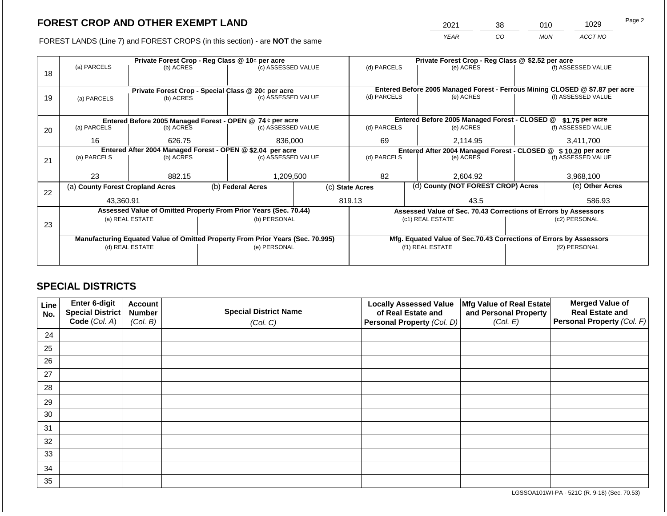2021 38 010 1029

FOREST LANDS (Line 7) and FOREST CROPS (in this section) - are **NOT** the same *YEAR CO MUN ACCT NO*

|                                                            | Private Forest Crop - Reg Class @ 10¢ per acre                                 |                 |  |                                                                  |                                                                | Private Forest Crop - Reg Class @ \$2.52 per acre |                                    |                                                                              |               |                    |
|------------------------------------------------------------|--------------------------------------------------------------------------------|-----------------|--|------------------------------------------------------------------|----------------------------------------------------------------|---------------------------------------------------|------------------------------------|------------------------------------------------------------------------------|---------------|--------------------|
|                                                            | (a) PARCELS                                                                    | (b) ACRES       |  | (c) ASSESSED VALUE                                               |                                                                | (d) PARCELS                                       |                                    | (e) ACRES                                                                    |               | (f) ASSESSED VALUE |
| 18                                                         |                                                                                |                 |  |                                                                  |                                                                |                                                   |                                    |                                                                              |               |                    |
|                                                            |                                                                                |                 |  |                                                                  |                                                                |                                                   |                                    | Entered Before 2005 Managed Forest - Ferrous Mining CLOSED @ \$7.87 per acre |               |                    |
|                                                            | Private Forest Crop - Special Class @ 20¢ per acre                             |                 |  | (c) ASSESSED VALUE                                               |                                                                | (d) PARCELS                                       |                                    | (e) ACRES                                                                    |               | (f) ASSESSED VALUE |
| 19                                                         | (a) PARCELS                                                                    | (b) ACRES       |  |                                                                  |                                                                |                                                   |                                    |                                                                              |               |                    |
|                                                            |                                                                                |                 |  |                                                                  |                                                                |                                                   |                                    |                                                                              |               |                    |
|                                                            |                                                                                |                 |  | Entered Before 2005 Managed Forest - OPEN @ 74 ¢ per acre        |                                                                |                                                   |                                    | Entered Before 2005 Managed Forest - CLOSED @                                |               | $$1.75$ per acre   |
| 20                                                         | (a) PARCELS                                                                    | (b) ACRES       |  | (c) ASSESSED VALUE                                               |                                                                | (d) PARCELS                                       |                                    | (e) ACRES                                                                    |               | (f) ASSESSED VALUE |
|                                                            |                                                                                |                 |  |                                                                  |                                                                |                                                   |                                    |                                                                              |               |                    |
|                                                            | 16                                                                             | 626.75          |  | 836,000                                                          |                                                                | 69<br>2,114.95                                    |                                    |                                                                              |               | 3,411,700          |
| Entered After 2004 Managed Forest - OPEN @ \$2.04 per acre |                                                                                |                 |  |                                                                  | Entered After 2004 Managed Forest - CLOSED @ \$ 10.20 per acre |                                                   |                                    |                                                                              |               |                    |
| 21                                                         | (a) PARCELS<br>(b) ACRES                                                       |                 |  | (c) ASSESSED VALUE                                               |                                                                | (d) PARCELS                                       |                                    | (e) ACRES                                                                    |               | (f) ASSESSED VALUE |
|                                                            |                                                                                |                 |  |                                                                  |                                                                |                                                   |                                    |                                                                              |               |                    |
|                                                            | 23                                                                             | 882.15          |  | 1,209,500                                                        |                                                                | 82                                                |                                    | 2,604.92                                                                     |               | 3,968,100          |
|                                                            | (a) County Forest Cropland Acres                                               |                 |  | (b) Federal Acres                                                | (c) State Acres                                                |                                                   | (d) County (NOT FOREST CROP) Acres |                                                                              |               | (e) Other Acres    |
| 22                                                         |                                                                                |                 |  |                                                                  |                                                                |                                                   |                                    |                                                                              |               |                    |
|                                                            | 43.360.91                                                                      |                 |  |                                                                  |                                                                | 819.13                                            |                                    | 43.5                                                                         |               | 586.93             |
|                                                            |                                                                                |                 |  | Assessed Value of Omitted Property From Prior Years (Sec. 70.44) |                                                                |                                                   |                                    | Assessed Value of Sec. 70.43 Corrections of Errors by Assessors              |               |                    |
|                                                            |                                                                                | (a) REAL ESTATE |  | (b) PERSONAL                                                     |                                                                | (c1) REAL ESTATE                                  |                                    |                                                                              | (c2) PERSONAL |                    |
| 23                                                         |                                                                                |                 |  |                                                                  |                                                                |                                                   |                                    |                                                                              |               |                    |
|                                                            | Manufacturing Equated Value of Omitted Property From Prior Years (Sec. 70.995) |                 |  |                                                                  |                                                                |                                                   |                                    | Mfg. Equated Value of Sec.70.43 Corrections of Errors by Assessors           |               |                    |
|                                                            | (d) REAL ESTATE                                                                |                 |  | (e) PERSONAL                                                     |                                                                |                                                   |                                    | (f1) REAL ESTATE                                                             | (f2) PERSONAL |                    |
|                                                            |                                                                                |                 |  |                                                                  |                                                                |                                                   |                                    |                                                                              |               |                    |
|                                                            |                                                                                |                 |  |                                                                  |                                                                |                                                   |                                    |                                                                              |               |                    |

### **SPECIAL DISTRICTS**

| Line<br>No. | Enter 6-digit<br>Special District<br>Code (Col. A) | <b>Account</b><br><b>Number</b><br>(Col. B) | <b>Special District Name</b><br>(Col. C) | <b>Locally Assessed Value</b><br>of Real Estate and<br><b>Personal Property (Col. D)</b> | Mfg Value of Real Estate<br>and Personal Property<br>(Col. E) | <b>Merged Value of</b><br><b>Real Estate and</b><br>Personal Property (Col. F) |
|-------------|----------------------------------------------------|---------------------------------------------|------------------------------------------|------------------------------------------------------------------------------------------|---------------------------------------------------------------|--------------------------------------------------------------------------------|
| 24          |                                                    |                                             |                                          |                                                                                          |                                                               |                                                                                |
| 25          |                                                    |                                             |                                          |                                                                                          |                                                               |                                                                                |
| 26          |                                                    |                                             |                                          |                                                                                          |                                                               |                                                                                |
| 27          |                                                    |                                             |                                          |                                                                                          |                                                               |                                                                                |
| 28          |                                                    |                                             |                                          |                                                                                          |                                                               |                                                                                |
| 29          |                                                    |                                             |                                          |                                                                                          |                                                               |                                                                                |
| 30          |                                                    |                                             |                                          |                                                                                          |                                                               |                                                                                |
| 31          |                                                    |                                             |                                          |                                                                                          |                                                               |                                                                                |
| 32          |                                                    |                                             |                                          |                                                                                          |                                                               |                                                                                |
| 33          |                                                    |                                             |                                          |                                                                                          |                                                               |                                                                                |
| 34          |                                                    |                                             |                                          |                                                                                          |                                                               |                                                                                |
| 35          |                                                    |                                             |                                          |                                                                                          |                                                               |                                                                                |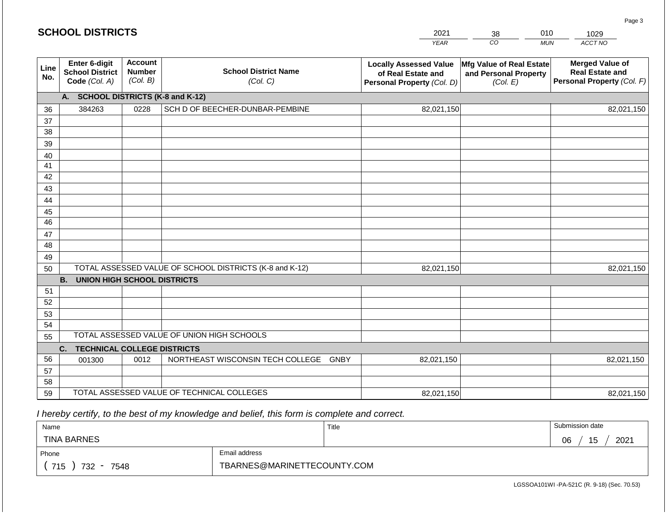|             | <b>SCHOOL DISTRICTS</b>                                         |                                             |                                                         | 2021                                                                              | 010<br>38                                                     | 1029                                                                           |
|-------------|-----------------------------------------------------------------|---------------------------------------------|---------------------------------------------------------|-----------------------------------------------------------------------------------|---------------------------------------------------------------|--------------------------------------------------------------------------------|
|             |                                                                 |                                             |                                                         | <b>YEAR</b>                                                                       | CO<br><b>MUN</b>                                              | ACCT NO                                                                        |
| Line<br>No. | <b>Enter 6-digit</b><br><b>School District</b><br>Code (Col. A) | <b>Account</b><br><b>Number</b><br>(Col. B) | <b>School District Name</b><br>(Col. C)                 | <b>Locally Assessed Value</b><br>of Real Estate and<br>Personal Property (Col. D) | Mfg Value of Real Estate<br>and Personal Property<br>(Col. E) | <b>Merged Value of</b><br><b>Real Estate and</b><br>Personal Property (Col. F) |
|             | А.                                                              |                                             | <b>SCHOOL DISTRICTS (K-8 and K-12)</b>                  |                                                                                   |                                                               |                                                                                |
| 36          | 384263                                                          | 0228                                        | SCH D OF BEECHER-DUNBAR-PEMBINE                         | 82,021,150                                                                        |                                                               | 82,021,150                                                                     |
| 37          |                                                                 |                                             |                                                         |                                                                                   |                                                               |                                                                                |
| 38          |                                                                 |                                             |                                                         |                                                                                   |                                                               |                                                                                |
| 39          |                                                                 |                                             |                                                         |                                                                                   |                                                               |                                                                                |
| 40          |                                                                 |                                             |                                                         |                                                                                   |                                                               |                                                                                |
| 41          |                                                                 |                                             |                                                         |                                                                                   |                                                               |                                                                                |
| 42          |                                                                 |                                             |                                                         |                                                                                   |                                                               |                                                                                |
| 43<br>44    |                                                                 |                                             |                                                         |                                                                                   |                                                               |                                                                                |
| 45          |                                                                 |                                             |                                                         |                                                                                   |                                                               |                                                                                |
| 46          |                                                                 |                                             |                                                         |                                                                                   |                                                               |                                                                                |
| 47          |                                                                 |                                             |                                                         |                                                                                   |                                                               |                                                                                |
| 48          |                                                                 |                                             |                                                         |                                                                                   |                                                               |                                                                                |
| 49          |                                                                 |                                             |                                                         |                                                                                   |                                                               |                                                                                |
| 50          |                                                                 |                                             | TOTAL ASSESSED VALUE OF SCHOOL DISTRICTS (K-8 and K-12) | 82,021,150                                                                        |                                                               | 82,021,150                                                                     |
|             | <b>B.</b><br><b>UNION HIGH SCHOOL DISTRICTS</b>                 |                                             |                                                         |                                                                                   |                                                               |                                                                                |
| 51          |                                                                 |                                             |                                                         |                                                                                   |                                                               |                                                                                |
| 52          |                                                                 |                                             |                                                         |                                                                                   |                                                               |                                                                                |
| 53          |                                                                 |                                             |                                                         |                                                                                   |                                                               |                                                                                |
| 54          |                                                                 |                                             |                                                         |                                                                                   |                                                               |                                                                                |
| 55          |                                                                 |                                             | TOTAL ASSESSED VALUE OF UNION HIGH SCHOOLS              |                                                                                   |                                                               |                                                                                |
|             | C.<br><b>TECHNICAL COLLEGE DISTRICTS</b>                        |                                             |                                                         |                                                                                   |                                                               |                                                                                |
| 56          | 001300                                                          | 0012                                        | NORTHEAST WISCONSIN TECH COLLEGE<br><b>GNBY</b>         | 82,021,150                                                                        |                                                               | 82,021,150                                                                     |
| 57<br>58    |                                                                 |                                             |                                                         |                                                                                   |                                                               |                                                                                |
| 59          |                                                                 |                                             | TOTAL ASSESSED VALUE OF TECHNICAL COLLEGES              |                                                                                   |                                                               |                                                                                |
|             |                                                                 |                                             |                                                         | 82,021,150                                                                        |                                                               | 82,021,150                                                                     |

| Name                                           |                             | Title | Submission date  |  |  |
|------------------------------------------------|-----------------------------|-------|------------------|--|--|
| <b>TINA BARNES</b>                             |                             |       | 2021<br>06<br>15 |  |  |
| Phone                                          | Email address               |       |                  |  |  |
| 715<br>732<br>7548<br>$\overline{\phantom{0}}$ | TBARNES@MARINETTECOUNTY.COM |       |                  |  |  |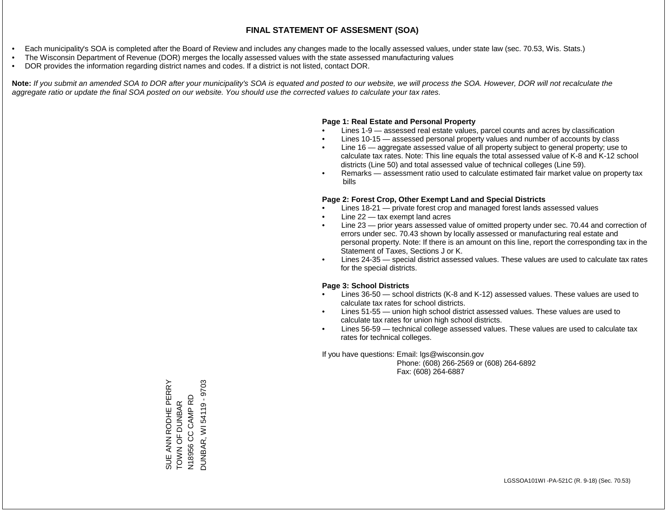- Each municipality's SOA is completed after the Board of Review and includes any changes made to the locally assessed values, under state law (sec. 70.53, Wis. Stats.)
- The Wisconsin Department of Revenue (DOR) merges the locally assessed values with the state assessed manufacturing values
- DOR provides the information regarding district names and codes. If a district is not listed, contact DOR.

Note: If you submit an amended SOA to DOR after your municipality's SOA is equated and posted to our website, we will process the SOA. However, DOR will not recalculate the *aggregate ratio or update the final SOA posted on our website. You should use the corrected values to calculate your tax rates.*

### **Page 1: Real Estate and Personal Property**

- Lines 1-9 assessed real estate values, parcel counts and acres by classification
- Lines 10-15 assessed personal property values and number of accounts by class
- Line 16 aggregate assessed value of all property subject to general property; use to calculate tax rates. Note: This line equals the total assessed value of K-8 and K-12 school districts (Line 50) and total assessed value of technical colleges (Line 59).
- Remarks assessment ratio used to calculate estimated fair market value on property tax bills

### **Page 2: Forest Crop, Other Exempt Land and Special Districts**

- Lines 18-21 private forest crop and managed forest lands assessed values
- Line  $22 -$  tax exempt land acres
- Line 23 prior years assessed value of omitted property under sec. 70.44 and correction of errors under sec. 70.43 shown by locally assessed or manufacturing real estate and personal property. Note: If there is an amount on this line, report the corresponding tax in the Statement of Taxes, Sections J or K.
- Lines 24-35 special district assessed values. These values are used to calculate tax rates for the special districts.

### **Page 3: School Districts**

- Lines 36-50 school districts (K-8 and K-12) assessed values. These values are used to calculate tax rates for school districts.
- Lines 51-55 union high school district assessed values. These values are used to calculate tax rates for union high school districts.
- Lines 56-59 technical college assessed values. These values are used to calculate tax rates for technical colleges.

If you have questions: Email: lgs@wisconsin.gov

 Phone: (608) 266-2569 or (608) 264-6892 Fax: (608) 264-6887

SUE ANN RODHE PERRY<br>TOWN OF DUNBAR<br>N18956 CC CAMP RD<br>DUNBAR, WI 54119 - 9703 SUE ANN RODHE PERRY DUNBAR, WI 54119 - 9703N18956 CC CAMP RD TOWN OF DUNBAR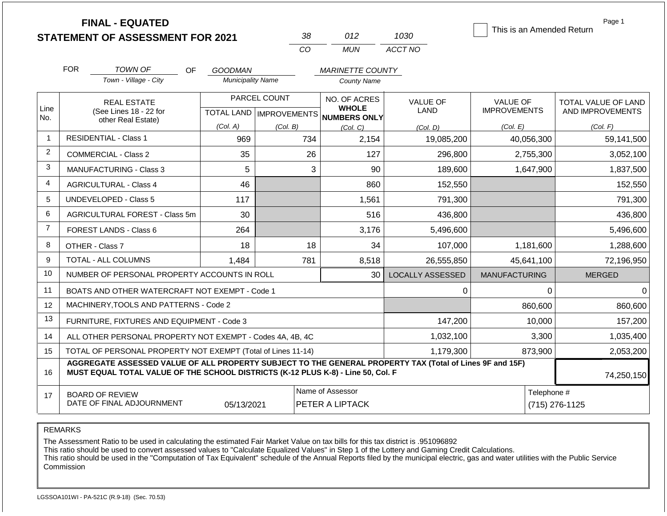**FINAL - EQUATED**

| אצ  | N12   | 1030    |
|-----|-------|---------|
| CO. | MI IN | ACCT NO |

This is an Amended Return

Page 1

|                | <b>FOR</b>                                                                                                                                                                                                 | TOWN OF<br>OF                                                | <b>GOODMAN</b>           |              | <b>MARINETTE COUNTY</b>                              |                         |                      |                     |  |
|----------------|------------------------------------------------------------------------------------------------------------------------------------------------------------------------------------------------------------|--------------------------------------------------------------|--------------------------|--------------|------------------------------------------------------|-------------------------|----------------------|---------------------|--|
|                |                                                                                                                                                                                                            | Town - Village - City                                        | <b>Municipality Name</b> |              | <b>County Name</b>                                   |                         |                      |                     |  |
|                |                                                                                                                                                                                                            | <b>REAL ESTATE</b>                                           |                          | PARCEL COUNT | NO. OF ACRES                                         | <b>VALUE OF</b>         | <b>VALUE OF</b>      | TOTAL VALUE OF LAND |  |
| Line<br>No.    |                                                                                                                                                                                                            | (See Lines 18 - 22 for<br>other Real Estate)                 |                          |              | <b>WHOLE</b><br>TOTAL LAND IMPROVEMENTS NUMBERS ONLY | LAND                    | <b>IMPROVEMENTS</b>  | AND IMPROVEMENTS    |  |
|                |                                                                                                                                                                                                            |                                                              | (Col. A)                 | (Col. B)     | (Col, C)                                             | (Col, D)                | (Col. E)             | (Col. F)            |  |
| $\overline{1}$ |                                                                                                                                                                                                            | <b>RESIDENTIAL - Class 1</b>                                 | 969                      | 734          | 2,154                                                | 19,085,200              | 40,056,300           | 59,141,500          |  |
| 2              |                                                                                                                                                                                                            | <b>COMMERCIAL - Class 2</b>                                  | 35                       | 26           | 127                                                  | 296,800                 | 2,755,300            | 3,052,100           |  |
| 3              |                                                                                                                                                                                                            | MANUFACTURING - Class 3                                      | 5                        | 3            | 90                                                   | 189,600                 | 1,647,900            | 1,837,500           |  |
| $\overline{4}$ |                                                                                                                                                                                                            | <b>AGRICULTURAL - Class 4</b>                                | 46                       |              | 860                                                  | 152,550                 |                      | 152,550             |  |
| 5              |                                                                                                                                                                                                            | <b>UNDEVELOPED - Class 5</b>                                 | 117                      |              | 1,561                                                | 791,300                 |                      | 791,300             |  |
| 6              |                                                                                                                                                                                                            | AGRICULTURAL FOREST - Class 5m                               | 30                       |              | 516                                                  | 436,800                 |                      | 436,800             |  |
| $\overline{7}$ |                                                                                                                                                                                                            | FOREST LANDS - Class 6                                       | 264                      |              | 3,176                                                | 5,496,600               |                      | 5,496,600           |  |
| 8              |                                                                                                                                                                                                            | OTHER - Class 7                                              | 18                       | 18           | 34                                                   | 107,000                 | 1,181,600            | 1,288,600           |  |
| 9              |                                                                                                                                                                                                            | TOTAL - ALL COLUMNS                                          | 1,484                    | 781          | 8,518                                                | 26,555,850              | 45,641,100           | 72,196,950          |  |
| 10             |                                                                                                                                                                                                            | NUMBER OF PERSONAL PROPERTY ACCOUNTS IN ROLL                 |                          |              | 30                                                   | <b>LOCALLY ASSESSED</b> | <b>MANUFACTURING</b> | <b>MERGED</b>       |  |
| 11             |                                                                                                                                                                                                            | BOATS AND OTHER WATERCRAFT NOT EXEMPT - Code 1               |                          |              |                                                      | 0                       | 0                    | $\mathbf 0$         |  |
| 12             |                                                                                                                                                                                                            | MACHINERY, TOOLS AND PATTERNS - Code 2                       |                          |              |                                                      |                         | 860,600              | 860,600             |  |
| 13             |                                                                                                                                                                                                            | FURNITURE, FIXTURES AND EQUIPMENT - Code 3                   |                          |              |                                                      | 147,200                 | 10,000               | 157,200             |  |
| 14             |                                                                                                                                                                                                            | ALL OTHER PERSONAL PROPERTY NOT EXEMPT - Codes 4A, 4B, 4C    |                          |              |                                                      | 1,032,100               | 3,300                | 1,035,400           |  |
| 15             |                                                                                                                                                                                                            | TOTAL OF PERSONAL PROPERTY NOT EXEMPT (Total of Lines 11-14) |                          |              |                                                      | 1,179,300               | 873,900              | 2,053,200           |  |
| 16             | AGGREGATE ASSESSED VALUE OF ALL PROPERTY SUBJECT TO THE GENERAL PROPERTY TAX (Total of Lines 9F and 15F)<br>MUST EQUAL TOTAL VALUE OF THE SCHOOL DISTRICTS (K-12 PLUS K-8) - Line 50, Col. F<br>74,250,150 |                                                              |                          |              |                                                      |                         |                      |                     |  |
| 17             |                                                                                                                                                                                                            | <b>BOARD OF REVIEW</b><br>DATE OF FINAL ADJOURNMENT          | 05/13/2021               |              | Name of Assessor<br>PETER A LIPTACK                  |                         | Telephone #          | (715) 276-1125      |  |

REMARKS

The Assessment Ratio to be used in calculating the estimated Fair Market Value on tax bills for this tax district is .951096892

This ratio should be used to convert assessed values to "Calculate Equalized Values" in Step 1 of the Lottery and Gaming Credit Calculations.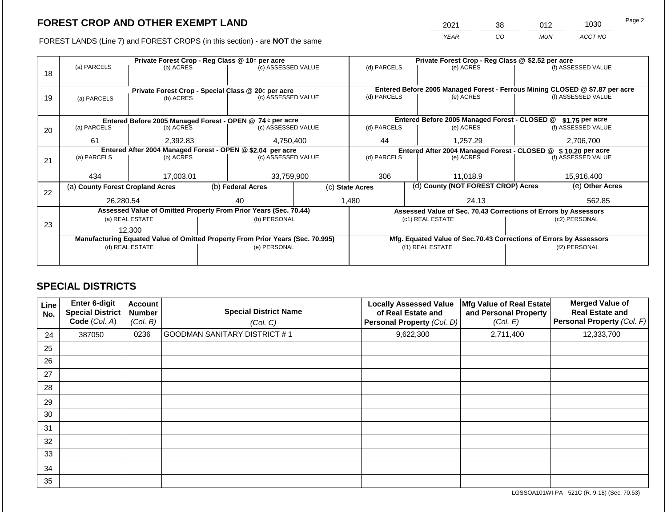2021 38 012 1030

FOREST LANDS (Line 7) and FOREST CROPS (in this section) - are **NOT** the same *YEAR CO MUN ACCT NO*

|    | Private Forest Crop - Reg Class @ 10¢ per acre                                                    |                 |  |                                                                  |  | Private Forest Crop - Reg Class @ \$2.52 per acre               |                                                                |                                                                              |                                                                    |                    |  |
|----|---------------------------------------------------------------------------------------------------|-----------------|--|------------------------------------------------------------------|--|-----------------------------------------------------------------|----------------------------------------------------------------|------------------------------------------------------------------------------|--------------------------------------------------------------------|--------------------|--|
| 18 | (a) PARCELS                                                                                       | (b) ACRES       |  | (c) ASSESSED VALUE                                               |  | (d) PARCELS                                                     |                                                                | (e) ACRES                                                                    |                                                                    | (f) ASSESSED VALUE |  |
|    |                                                                                                   |                 |  |                                                                  |  |                                                                 |                                                                |                                                                              |                                                                    |                    |  |
|    |                                                                                                   |                 |  | Private Forest Crop - Special Class @ 20¢ per acre               |  |                                                                 |                                                                | Entered Before 2005 Managed Forest - Ferrous Mining CLOSED @ \$7.87 per acre |                                                                    |                    |  |
| 19 | (a) PARCELS                                                                                       | (b) ACRES       |  | (c) ASSESSED VALUE                                               |  | (d) PARCELS                                                     |                                                                | (e) ACRES                                                                    |                                                                    | (f) ASSESSED VALUE |  |
|    |                                                                                                   |                 |  |                                                                  |  |                                                                 |                                                                |                                                                              |                                                                    |                    |  |
|    |                                                                                                   |                 |  |                                                                  |  |                                                                 |                                                                |                                                                              |                                                                    |                    |  |
|    |                                                                                                   |                 |  | Entered Before 2005 Managed Forest - OPEN @ 74 ¢ per acre        |  |                                                                 |                                                                | Entered Before 2005 Managed Forest - CLOSED @                                |                                                                    | \$1.75 per acre    |  |
| 20 | (a) PARCELS                                                                                       | (b) ACRES       |  | (c) ASSESSED VALUE                                               |  | (d) PARCELS                                                     |                                                                | (e) ACRES                                                                    |                                                                    | (f) ASSESSED VALUE |  |
|    | 61                                                                                                | 2,392.83        |  | 4,750,400                                                        |  | 44                                                              |                                                                | 1,257.29                                                                     |                                                                    | 2,706,700          |  |
|    |                                                                                                   |                 |  | Entered After 2004 Managed Forest - OPEN @ \$2.04 per acre       |  |                                                                 | Entered After 2004 Managed Forest - CLOSED @ \$ 10.20 per acre |                                                                              |                                                                    |                    |  |
|    | (a) PARCELS                                                                                       | (b) ACRES       |  | (c) ASSESSED VALUE                                               |  | (d) PARCELS<br>(e) ACRES                                        |                                                                | (f) ASSESSED VALUE                                                           |                                                                    |                    |  |
| 21 |                                                                                                   |                 |  |                                                                  |  |                                                                 |                                                                |                                                                              |                                                                    |                    |  |
|    | 434                                                                                               | 17.003.01       |  | 33,759,900                                                       |  | 306                                                             |                                                                | 11.018.9                                                                     |                                                                    | 15.916.400         |  |
|    |                                                                                                   |                 |  |                                                                  |  |                                                                 |                                                                |                                                                              |                                                                    |                    |  |
| 22 | (a) County Forest Cropland Acres                                                                  |                 |  | (b) Federal Acres                                                |  | (c) State Acres                                                 |                                                                | (d) County (NOT FOREST CROP) Acres                                           |                                                                    | (e) Other Acres    |  |
|    | 26.280.54                                                                                         |                 |  | 40                                                               |  | 1.480<br>24.13                                                  |                                                                |                                                                              | 562.85                                                             |                    |  |
|    |                                                                                                   |                 |  | Assessed Value of Omitted Property From Prior Years (Sec. 70.44) |  | Assessed Value of Sec. 70.43 Corrections of Errors by Assessors |                                                                |                                                                              |                                                                    |                    |  |
|    |                                                                                                   | (a) REAL ESTATE |  | (b) PERSONAL                                                     |  | (c1) REAL ESTATE                                                |                                                                | (c2) PERSONAL                                                                |                                                                    |                    |  |
| 23 |                                                                                                   | 12,300          |  |                                                                  |  |                                                                 |                                                                |                                                                              |                                                                    |                    |  |
|    |                                                                                                   |                 |  |                                                                  |  |                                                                 |                                                                |                                                                              |                                                                    |                    |  |
|    | Manufacturing Equated Value of Omitted Property From Prior Years (Sec. 70.995)<br>(d) REAL ESTATE |                 |  | (e) PERSONAL                                                     |  |                                                                 |                                                                | (f1) REAL ESTATE                                                             | Mfg. Equated Value of Sec.70.43 Corrections of Errors by Assessors |                    |  |
|    |                                                                                                   |                 |  |                                                                  |  |                                                                 |                                                                |                                                                              |                                                                    | (f2) PERSONAL      |  |
|    |                                                                                                   |                 |  |                                                                  |  |                                                                 |                                                                |                                                                              |                                                                    |                    |  |

### **SPECIAL DISTRICTS**

| Line<br>No. | <b>Enter 6-digit</b><br>Special District<br>Code (Col. A) | <b>Account</b><br><b>Number</b><br>(Col. B) | <b>Special District Name</b><br>(Col. C) | <b>Locally Assessed Value</b><br>of Real Estate and<br>Personal Property (Col. D) | Mfg Value of Real Estate<br>and Personal Property<br>(Col. E) | <b>Merged Value of</b><br><b>Real Estate and</b><br>Personal Property (Col. F) |
|-------------|-----------------------------------------------------------|---------------------------------------------|------------------------------------------|-----------------------------------------------------------------------------------|---------------------------------------------------------------|--------------------------------------------------------------------------------|
| 24          | 387050                                                    | 0236                                        | GOODMAN SANITARY DISTRICT #1             | 9,622,300                                                                         | 2,711,400                                                     | 12,333,700                                                                     |
| 25          |                                                           |                                             |                                          |                                                                                   |                                                               |                                                                                |
| 26          |                                                           |                                             |                                          |                                                                                   |                                                               |                                                                                |
| 27          |                                                           |                                             |                                          |                                                                                   |                                                               |                                                                                |
| 28          |                                                           |                                             |                                          |                                                                                   |                                                               |                                                                                |
| 29          |                                                           |                                             |                                          |                                                                                   |                                                               |                                                                                |
| 30          |                                                           |                                             |                                          |                                                                                   |                                                               |                                                                                |
| 31          |                                                           |                                             |                                          |                                                                                   |                                                               |                                                                                |
| 32          |                                                           |                                             |                                          |                                                                                   |                                                               |                                                                                |
| 33          |                                                           |                                             |                                          |                                                                                   |                                                               |                                                                                |
| 34          |                                                           |                                             |                                          |                                                                                   |                                                               |                                                                                |
| 35          |                                                           |                                             |                                          |                                                                                   |                                                               |                                                                                |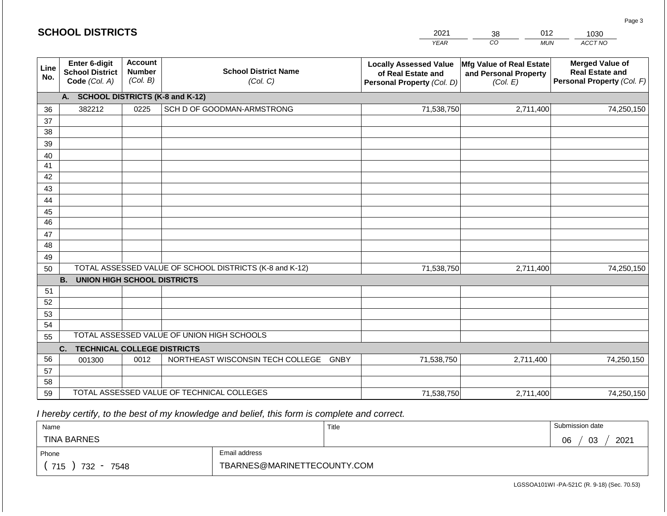| CO<br><b>YEAR</b><br><b>MUN</b><br>ACCT NO<br><b>Account</b><br>Enter 6-digit<br><b>Merged Value of</b><br><b>Locally Assessed Value</b><br>Mfg Value of Real Estate<br>Line<br><b>School District Name</b><br><b>School District</b><br><b>Number</b><br><b>Real Estate and</b><br>of Real Estate and<br>and Personal Property<br>No.<br>(Col. B)<br>Code (Col. A)<br>(Col. C)<br>Personal Property (Col. F)<br>(Col. E)<br>Personal Property (Col. D)<br>A. SCHOOL DISTRICTS (K-8 and K-12)<br>382212<br>SCH D OF GOODMAN-ARMSTRONG<br>71,538,750<br>2,711,400<br>0225<br>74,250,150<br>36<br>37<br>38<br>39<br>40<br>41<br>42<br>43 |
|----------------------------------------------------------------------------------------------------------------------------------------------------------------------------------------------------------------------------------------------------------------------------------------------------------------------------------------------------------------------------------------------------------------------------------------------------------------------------------------------------------------------------------------------------------------------------------------------------------------------------------------|
|                                                                                                                                                                                                                                                                                                                                                                                                                                                                                                                                                                                                                                        |
|                                                                                                                                                                                                                                                                                                                                                                                                                                                                                                                                                                                                                                        |
|                                                                                                                                                                                                                                                                                                                                                                                                                                                                                                                                                                                                                                        |
|                                                                                                                                                                                                                                                                                                                                                                                                                                                                                                                                                                                                                                        |
|                                                                                                                                                                                                                                                                                                                                                                                                                                                                                                                                                                                                                                        |
|                                                                                                                                                                                                                                                                                                                                                                                                                                                                                                                                                                                                                                        |
|                                                                                                                                                                                                                                                                                                                                                                                                                                                                                                                                                                                                                                        |
|                                                                                                                                                                                                                                                                                                                                                                                                                                                                                                                                                                                                                                        |
|                                                                                                                                                                                                                                                                                                                                                                                                                                                                                                                                                                                                                                        |
|                                                                                                                                                                                                                                                                                                                                                                                                                                                                                                                                                                                                                                        |
|                                                                                                                                                                                                                                                                                                                                                                                                                                                                                                                                                                                                                                        |
| 44                                                                                                                                                                                                                                                                                                                                                                                                                                                                                                                                                                                                                                     |
| 45                                                                                                                                                                                                                                                                                                                                                                                                                                                                                                                                                                                                                                     |
| 46                                                                                                                                                                                                                                                                                                                                                                                                                                                                                                                                                                                                                                     |
| 47                                                                                                                                                                                                                                                                                                                                                                                                                                                                                                                                                                                                                                     |
| 48                                                                                                                                                                                                                                                                                                                                                                                                                                                                                                                                                                                                                                     |
| 49                                                                                                                                                                                                                                                                                                                                                                                                                                                                                                                                                                                                                                     |
| TOTAL ASSESSED VALUE OF SCHOOL DISTRICTS (K-8 and K-12)<br>71,538,750<br>2,711,400<br>74,250,150<br>50                                                                                                                                                                                                                                                                                                                                                                                                                                                                                                                                 |
| <b>UNION HIGH SCHOOL DISTRICTS</b><br><b>B.</b>                                                                                                                                                                                                                                                                                                                                                                                                                                                                                                                                                                                        |
| 51                                                                                                                                                                                                                                                                                                                                                                                                                                                                                                                                                                                                                                     |
| 52                                                                                                                                                                                                                                                                                                                                                                                                                                                                                                                                                                                                                                     |
| 53<br>54                                                                                                                                                                                                                                                                                                                                                                                                                                                                                                                                                                                                                               |
| TOTAL ASSESSED VALUE OF UNION HIGH SCHOOLS                                                                                                                                                                                                                                                                                                                                                                                                                                                                                                                                                                                             |
| 55                                                                                                                                                                                                                                                                                                                                                                                                                                                                                                                                                                                                                                     |
| C.<br><b>TECHNICAL COLLEGE DISTRICTS</b><br>NORTHEAST WISCONSIN TECH COLLEGE<br>56<br><b>GNBY</b><br>71,538,750<br>0012<br>2,711,400<br>74,250,150<br>001300                                                                                                                                                                                                                                                                                                                                                                                                                                                                           |
| 57                                                                                                                                                                                                                                                                                                                                                                                                                                                                                                                                                                                                                                     |
| 58                                                                                                                                                                                                                                                                                                                                                                                                                                                                                                                                                                                                                                     |

59 TOTAL ASSESSED VALUE OF TECHNICAL COLLEGES

| Name               |                             | Title | Submission date  |
|--------------------|-----------------------------|-------|------------------|
| <b>TINA BARNES</b> |                             |       | 2021<br>06<br>03 |
| Phone              | Email address               |       |                  |
| 715<br>732<br>7548 | TBARNES@MARINETTECOUNTY.COM |       |                  |

71,538,750

2,711,400 74,250,150

Page 3

| <b>SCHOOL DISTRICTS</b> |  |  |
|-------------------------|--|--|
|-------------------------|--|--|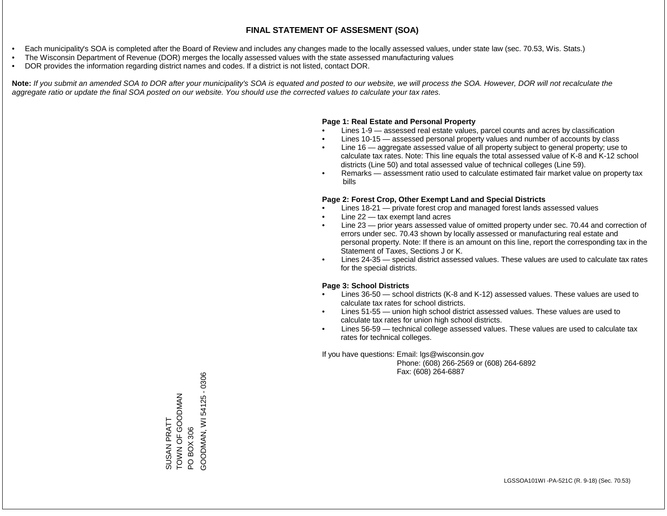- Each municipality's SOA is completed after the Board of Review and includes any changes made to the locally assessed values, under state law (sec. 70.53, Wis. Stats.)
- The Wisconsin Department of Revenue (DOR) merges the locally assessed values with the state assessed manufacturing values
- DOR provides the information regarding district names and codes. If a district is not listed, contact DOR.

Note: If you submit an amended SOA to DOR after your municipality's SOA is equated and posted to our website, we will process the SOA. However, DOR will not recalculate the *aggregate ratio or update the final SOA posted on our website. You should use the corrected values to calculate your tax rates.*

#### **Page 1: Real Estate and Personal Property**

- Lines 1-9 assessed real estate values, parcel counts and acres by classification
- Lines 10-15 assessed personal property values and number of accounts by class
- Line 16 aggregate assessed value of all property subject to general property; use to calculate tax rates. Note: This line equals the total assessed value of K-8 and K-12 school districts (Line 50) and total assessed value of technical colleges (Line 59).
- Remarks assessment ratio used to calculate estimated fair market value on property tax bills

#### **Page 2: Forest Crop, Other Exempt Land and Special Districts**

- Lines 18-21 private forest crop and managed forest lands assessed values
- Line  $22 -$  tax exempt land acres
- Line 23 prior years assessed value of omitted property under sec. 70.44 and correction of errors under sec. 70.43 shown by locally assessed or manufacturing real estate and personal property. Note: If there is an amount on this line, report the corresponding tax in the Statement of Taxes, Sections J or K.
- Lines 24-35 special district assessed values. These values are used to calculate tax rates for the special districts.

#### **Page 3: School Districts**

- Lines 36-50 school districts (K-8 and K-12) assessed values. These values are used to calculate tax rates for school districts.
- Lines 51-55 union high school district assessed values. These values are used to calculate tax rates for union high school districts.
- Lines 56-59 technical college assessed values. These values are used to calculate tax rates for technical colleges.

If you have questions: Email: lgs@wisconsin.gov

 Phone: (608) 266-2569 or (608) 264-6892 Fax: (608) 264-6887

SUSAN PRATT **NANDOOO LO NANDI** SUSAN PRATT<br>TOWN OF GOODMAN<br>PO BOX 306<br>GOODMAN, WI 54125 - 0306 GOODMAN, WI 54125 - 0306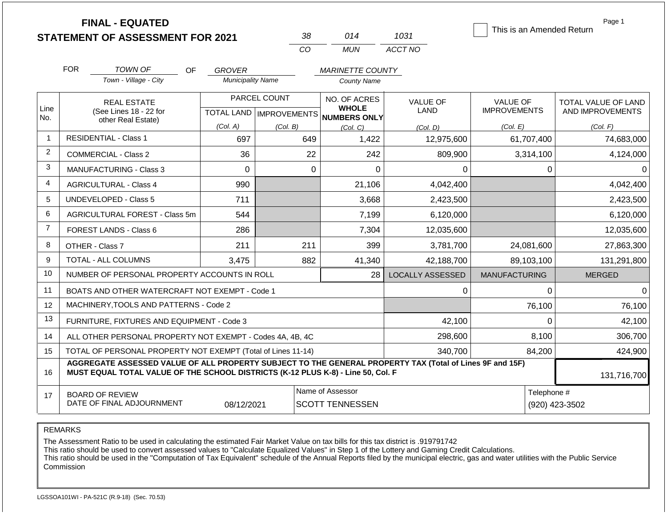**FINAL - EQUATED**

| 38  | 014 | 1031    |
|-----|-----|---------|
| CO. | MUN | ACCT NO |

This is an Amended Return

| Page 1 |  |
|--------|--|
|--------|--|

|                | <b>FOR</b>                                                                                                                                                                                                  | TOWN OF<br>Town - Village - City                                   | <b>OF</b><br><b>GROVER</b><br><b>Municipality Name</b> |                                           | <b>MARINETTE COUNTY</b><br>County Name              |                         |                                        |                                         |
|----------------|-------------------------------------------------------------------------------------------------------------------------------------------------------------------------------------------------------------|--------------------------------------------------------------------|--------------------------------------------------------|-------------------------------------------|-----------------------------------------------------|-------------------------|----------------------------------------|-----------------------------------------|
| Line<br>No.    |                                                                                                                                                                                                             | <b>REAL ESTATE</b><br>(See Lines 18 - 22 for<br>other Real Estate) |                                                        | PARCEL COUNT<br>TOTAL LAND   IMPROVEMENTS | NO. OF ACRES<br><b>WHOLE</b><br><b>NUMBERS ONLY</b> | <b>VALUE OF</b><br>LAND | <b>VALUE OF</b><br><b>IMPROVEMENTS</b> | TOTAL VALUE OF LAND<br>AND IMPROVEMENTS |
|                |                                                                                                                                                                                                             |                                                                    | (Col. A)                                               | (Col, B)                                  | (Col, C)                                            | (Col, D)                | (Col. E)                               | (Col. F)                                |
| $\overline{1}$ |                                                                                                                                                                                                             | <b>RESIDENTIAL - Class 1</b>                                       | 697                                                    | 649                                       | 1,422                                               | 12,975,600              | 61,707,400                             | 74,683,000                              |
| $\overline{2}$ |                                                                                                                                                                                                             | <b>COMMERCIAL - Class 2</b>                                        | 36                                                     | 22                                        | 242                                                 | 809,900                 | 3,314,100                              | 4,124,000                               |
| $\mathbf{3}$   |                                                                                                                                                                                                             | <b>MANUFACTURING - Class 3</b>                                     | $\Omega$                                               | $\Omega$                                  | $\mathbf{0}$                                        | $\Omega$                | $\Omega$                               | n                                       |
| $\overline{4}$ |                                                                                                                                                                                                             | <b>AGRICULTURAL - Class 4</b>                                      | 990                                                    |                                           | 21,106                                              | 4,042,400               |                                        | 4,042,400                               |
| 5              |                                                                                                                                                                                                             | <b>UNDEVELOPED - Class 5</b>                                       | 711                                                    |                                           | 3,668                                               | 2,423,500               |                                        | 2,423,500                               |
| 6              |                                                                                                                                                                                                             | AGRICULTURAL FOREST - Class 5m                                     | 544                                                    |                                           | 7,199                                               | 6,120,000               |                                        | 6,120,000                               |
| $\overline{7}$ | FOREST LANDS - Class 6                                                                                                                                                                                      |                                                                    | 286                                                    |                                           | 7,304                                               | 12,035,600              |                                        | 12,035,600                              |
| 8              |                                                                                                                                                                                                             | 211<br>OTHER - Class 7                                             |                                                        | 211<br>399<br>3,781,700                   |                                                     | 24,081,600              | 27,863,300                             |                                         |
| 9              |                                                                                                                                                                                                             | <b>TOTAL - ALL COLUMNS</b>                                         | 3,475                                                  | 882                                       | 41,340                                              | 42,188,700              | 89,103,100                             | 131,291,800                             |
| 10             |                                                                                                                                                                                                             | NUMBER OF PERSONAL PROPERTY ACCOUNTS IN ROLL                       |                                                        |                                           | 28 <sup>1</sup>                                     | <b>LOCALLY ASSESSED</b> | <b>MANUFACTURING</b>                   | <b>MERGED</b>                           |
| 11             |                                                                                                                                                                                                             | BOATS AND OTHER WATERCRAFT NOT EXEMPT - Code 1                     |                                                        |                                           |                                                     | $\Omega$                | 0                                      | 0                                       |
| 12             |                                                                                                                                                                                                             | MACHINERY, TOOLS AND PATTERNS - Code 2                             |                                                        |                                           |                                                     |                         | 76,100                                 | 76,100                                  |
| 13             |                                                                                                                                                                                                             | FURNITURE, FIXTURES AND EQUIPMENT - Code 3                         |                                                        |                                           |                                                     | 42,100                  | $\Omega$                               | 42,100                                  |
| 14             |                                                                                                                                                                                                             | ALL OTHER PERSONAL PROPERTY NOT EXEMPT - Codes 4A, 4B, 4C          |                                                        |                                           |                                                     | 298,600                 | 8,100                                  | 306,700                                 |
| 15             |                                                                                                                                                                                                             | TOTAL OF PERSONAL PROPERTY NOT EXEMPT (Total of Lines 11-14)       |                                                        |                                           | 340,700                                             | 84,200                  | 424,900                                |                                         |
| 16             | AGGREGATE ASSESSED VALUE OF ALL PROPERTY SUBJECT TO THE GENERAL PROPERTY TAX (Total of Lines 9F and 15F)<br>MUST EQUAL TOTAL VALUE OF THE SCHOOL DISTRICTS (K-12 PLUS K-8) - Line 50, Col. F<br>131,716,700 |                                                                    |                                                        |                                           |                                                     |                         |                                        |                                         |
| 17             | Name of Assessor<br><b>BOARD OF REVIEW</b><br>DATE OF FINAL ADJOURNMENT<br>08/12/2021<br><b>SCOTT TENNESSEN</b>                                                                                             |                                                                    |                                                        |                                           |                                                     |                         | Telephone #                            | (920) 423-3502                          |

REMARKS

The Assessment Ratio to be used in calculating the estimated Fair Market Value on tax bills for this tax district is .919791742

This ratio should be used to convert assessed values to "Calculate Equalized Values" in Step 1 of the Lottery and Gaming Credit Calculations.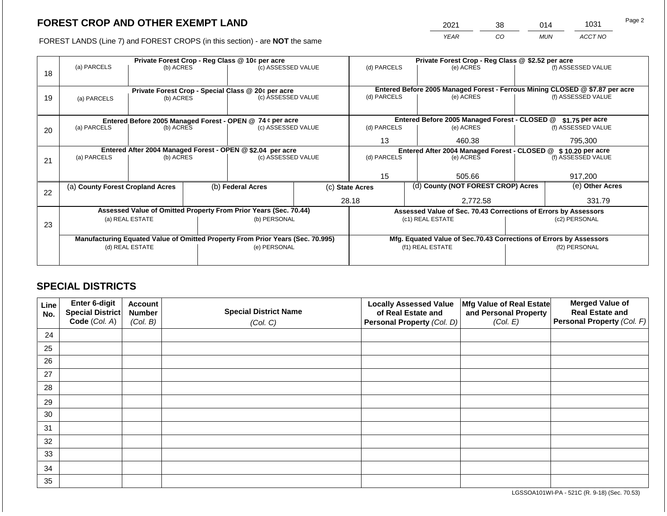2021 38 014 1031

FOREST LANDS (Line 7) and FOREST CROPS (in this section) - are **NOT** the same *YEAR CO MUN ACCT NO*

|    | Private Forest Crop - Reg Class @ 10¢ per acre                                 |           |  |                                                                                  |  | Private Forest Crop - Reg Class @ \$2.52 per acre               |          |                                                                    |                 |                                                                                                    |
|----|--------------------------------------------------------------------------------|-----------|--|----------------------------------------------------------------------------------|--|-----------------------------------------------------------------|----------|--------------------------------------------------------------------|-----------------|----------------------------------------------------------------------------------------------------|
|    | (a) PARCELS                                                                    | (b) ACRES |  | (c) ASSESSED VALUE                                                               |  | (d) PARCELS                                                     |          | (e) ACRES                                                          |                 | (f) ASSESSED VALUE                                                                                 |
| 18 |                                                                                |           |  |                                                                                  |  |                                                                 |          |                                                                    |                 |                                                                                                    |
|    |                                                                                |           |  |                                                                                  |  |                                                                 |          |                                                                    |                 |                                                                                                    |
|    |                                                                                |           |  | Private Forest Crop - Special Class @ 20¢ per acre                               |  | (d) PARCELS                                                     |          | (e) ACRES                                                          |                 | Entered Before 2005 Managed Forest - Ferrous Mining CLOSED @ \$7.87 per acre<br>(f) ASSESSED VALUE |
| 19 | (a) PARCELS                                                                    | (b) ACRES |  | (c) ASSESSED VALUE                                                               |  |                                                                 |          |                                                                    |                 |                                                                                                    |
|    |                                                                                |           |  |                                                                                  |  |                                                                 |          |                                                                    |                 |                                                                                                    |
|    |                                                                                |           |  | Entered Before 2005 Managed Forest - OPEN @ 74 ¢ per acre                        |  |                                                                 |          | Entered Before 2005 Managed Forest - CLOSED @                      |                 | \$1.75 per acre                                                                                    |
| 20 | (a) PARCELS                                                                    | (b) ACRES |  | (c) ASSESSED VALUE                                                               |  | (d) PARCELS                                                     |          | (e) ACRES                                                          |                 | (f) ASSESSED VALUE                                                                                 |
|    |                                                                                |           |  |                                                                                  |  |                                                                 |          |                                                                    |                 |                                                                                                    |
|    |                                                                                |           |  |                                                                                  |  | 13                                                              |          | 460.38                                                             |                 | 795,300                                                                                            |
|    |                                                                                |           |  | Entered After 2004 Managed Forest - OPEN @ \$2.04 per acre<br>(c) ASSESSED VALUE |  | Entered After 2004 Managed Forest - CLOSED @ \$ 10.20 per acre  |          |                                                                    |                 |                                                                                                    |
| 21 | (a) PARCELS                                                                    | (b) ACRES |  |                                                                                  |  | (d) PARCELS                                                     |          | (e) ACRES                                                          |                 | (f) ASSESSED VALUE                                                                                 |
|    |                                                                                |           |  |                                                                                  |  |                                                                 |          |                                                                    |                 |                                                                                                    |
|    |                                                                                |           |  |                                                                                  |  | 15                                                              |          | 505.66                                                             |                 | 917,200                                                                                            |
|    | (a) County Forest Cropland Acres                                               |           |  | (b) Federal Acres                                                                |  | (d) County (NOT FOREST CROP) Acres<br>(c) State Acres           |          |                                                                    | (e) Other Acres |                                                                                                    |
| 22 |                                                                                |           |  |                                                                                  |  |                                                                 |          |                                                                    |                 |                                                                                                    |
|    |                                                                                |           |  |                                                                                  |  | 28.18                                                           | 2,772.58 |                                                                    | 331.79          |                                                                                                    |
|    | Assessed Value of Omitted Property From Prior Years (Sec. 70.44)               |           |  |                                                                                  |  | Assessed Value of Sec. 70.43 Corrections of Errors by Assessors |          |                                                                    |                 |                                                                                                    |
|    | (a) REAL ESTATE<br>(b) PERSONAL                                                |           |  |                                                                                  |  |                                                                 |          | (c1) REAL ESTATE                                                   | (c2) PERSONAL   |                                                                                                    |
| 23 |                                                                                |           |  |                                                                                  |  |                                                                 |          |                                                                    |                 |                                                                                                    |
|    | Manufacturing Equated Value of Omitted Property From Prior Years (Sec. 70.995) |           |  |                                                                                  |  |                                                                 |          | Mfg. Equated Value of Sec.70.43 Corrections of Errors by Assessors |                 |                                                                                                    |
|    | (d) REAL ESTATE                                                                |           |  | (e) PERSONAL                                                                     |  | (f1) REAL ESTATE                                                |          |                                                                    | (f2) PERSONAL   |                                                                                                    |
|    |                                                                                |           |  |                                                                                  |  |                                                                 |          |                                                                    |                 |                                                                                                    |
|    |                                                                                |           |  |                                                                                  |  |                                                                 |          |                                                                    |                 |                                                                                                    |

### **SPECIAL DISTRICTS**

| Line<br>No. | Enter 6-digit<br>Special District<br>Code (Col. A) | <b>Account</b><br><b>Number</b><br>(Col. B) | <b>Special District Name</b><br>(Col. C) | <b>Locally Assessed Value</b><br>of Real Estate and<br><b>Personal Property (Col. D)</b> | Mfg Value of Real Estate<br>and Personal Property<br>(Col. E) | <b>Merged Value of</b><br><b>Real Estate and</b><br>Personal Property (Col. F) |
|-------------|----------------------------------------------------|---------------------------------------------|------------------------------------------|------------------------------------------------------------------------------------------|---------------------------------------------------------------|--------------------------------------------------------------------------------|
| 24          |                                                    |                                             |                                          |                                                                                          |                                                               |                                                                                |
| 25          |                                                    |                                             |                                          |                                                                                          |                                                               |                                                                                |
| 26          |                                                    |                                             |                                          |                                                                                          |                                                               |                                                                                |
| 27          |                                                    |                                             |                                          |                                                                                          |                                                               |                                                                                |
| 28          |                                                    |                                             |                                          |                                                                                          |                                                               |                                                                                |
| 29          |                                                    |                                             |                                          |                                                                                          |                                                               |                                                                                |
| 30          |                                                    |                                             |                                          |                                                                                          |                                                               |                                                                                |
| 31          |                                                    |                                             |                                          |                                                                                          |                                                               |                                                                                |
| 32          |                                                    |                                             |                                          |                                                                                          |                                                               |                                                                                |
| 33          |                                                    |                                             |                                          |                                                                                          |                                                               |                                                                                |
| 34          |                                                    |                                             |                                          |                                                                                          |                                                               |                                                                                |
| 35          |                                                    |                                             |                                          |                                                                                          |                                                               |                                                                                |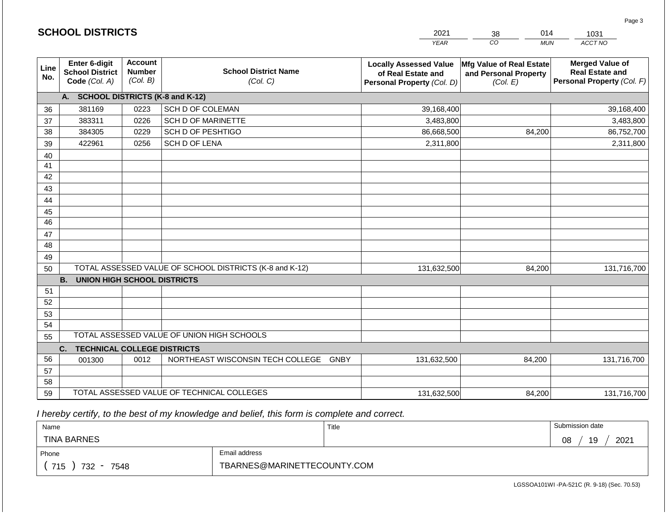|             | <b>SCHOOL DISTRICTS</b>                                  |      |                                                                                        | 2021        | 014<br>38                                                            | 1031                                                                           |  |
|-------------|----------------------------------------------------------|------|----------------------------------------------------------------------------------------|-------------|----------------------------------------------------------------------|--------------------------------------------------------------------------------|--|
|             |                                                          |      |                                                                                        | <b>YEAR</b> | CO<br><b>MUN</b>                                                     | ACCT NO                                                                        |  |
| Line<br>No. | Enter 6-digit<br><b>School District</b><br>Code (Col. A) |      | <b>Account</b><br><b>School District Name</b><br><b>Number</b><br>(Col. B)<br>(Col. C) |             | <b>Mfg Value of Real Estate</b><br>and Personal Property<br>(Col. E) | <b>Merged Value of</b><br><b>Real Estate and</b><br>Personal Property (Col. F) |  |
|             | A. SCHOOL DISTRICTS (K-8 and K-12)                       |      |                                                                                        |             |                                                                      |                                                                                |  |
| 36          | 381169                                                   | 0223 | SCH D OF COLEMAN                                                                       | 39,168,400  |                                                                      | 39,168,400                                                                     |  |
| 37          | 383311                                                   | 0226 | SCH D OF MARINETTE                                                                     | 3,483,800   |                                                                      | 3,483,800                                                                      |  |
| 38          | 384305                                                   | 0229 | SCH D OF PESHTIGO                                                                      | 86,668,500  | 84,200                                                               | 86,752,700                                                                     |  |
| 39          | 422961                                                   | 0256 | SCH D OF LENA                                                                          | 2,311,800   |                                                                      | 2,311,800                                                                      |  |
| 40          |                                                          |      |                                                                                        |             |                                                                      |                                                                                |  |
| 41          |                                                          |      |                                                                                        |             |                                                                      |                                                                                |  |
| 42          |                                                          |      |                                                                                        |             |                                                                      |                                                                                |  |
| 43          |                                                          |      |                                                                                        |             |                                                                      |                                                                                |  |
| 44          |                                                          |      |                                                                                        |             |                                                                      |                                                                                |  |
| 45          |                                                          |      |                                                                                        |             |                                                                      |                                                                                |  |
| 46          |                                                          |      |                                                                                        |             |                                                                      |                                                                                |  |
| 47<br>48    |                                                          |      |                                                                                        |             |                                                                      |                                                                                |  |
| 49          |                                                          |      |                                                                                        |             |                                                                      |                                                                                |  |
| 50          |                                                          |      | TOTAL ASSESSED VALUE OF SCHOOL DISTRICTS (K-8 and K-12)                                | 131,632,500 | 84,200                                                               | 131,716,700                                                                    |  |
|             | <b>B.</b><br><b>UNION HIGH SCHOOL DISTRICTS</b>          |      |                                                                                        |             |                                                                      |                                                                                |  |
| 51          |                                                          |      |                                                                                        |             |                                                                      |                                                                                |  |
| 52          |                                                          |      |                                                                                        |             |                                                                      |                                                                                |  |
| 53          |                                                          |      |                                                                                        |             |                                                                      |                                                                                |  |
| 54          |                                                          |      |                                                                                        |             |                                                                      |                                                                                |  |
| 55          |                                                          |      | TOTAL ASSESSED VALUE OF UNION HIGH SCHOOLS                                             |             |                                                                      |                                                                                |  |
|             | C.<br><b>TECHNICAL COLLEGE DISTRICTS</b>                 |      |                                                                                        |             |                                                                      |                                                                                |  |
| 56          | 001300                                                   | 0012 | NORTHEAST WISCONSIN TECH COLLEGE GNBY                                                  | 131,632,500 | 84,200                                                               | 131,716,700                                                                    |  |
| 57          |                                                          |      |                                                                                        |             |                                                                      |                                                                                |  |
| 58          |                                                          |      |                                                                                        |             |                                                                      |                                                                                |  |
| 59          |                                                          |      | TOTAL ASSESSED VALUE OF TECHNICAL COLLEGES                                             | 131,632,500 | 84,200                                                               | 131,716,700                                                                    |  |

**SCHOOL DISTRICTS**

| Name               |                             | Title | Submission date  |
|--------------------|-----------------------------|-------|------------------|
| <b>TINA BARNES</b> |                             |       | 2021<br>08<br>19 |
| Phone              | Email address               |       |                  |
| 715<br>732<br>7548 | TBARNES@MARINETTECOUNTY.COM |       |                  |

LGSSOA101WI -PA-521C (R. 9-18) (Sec. 70.53)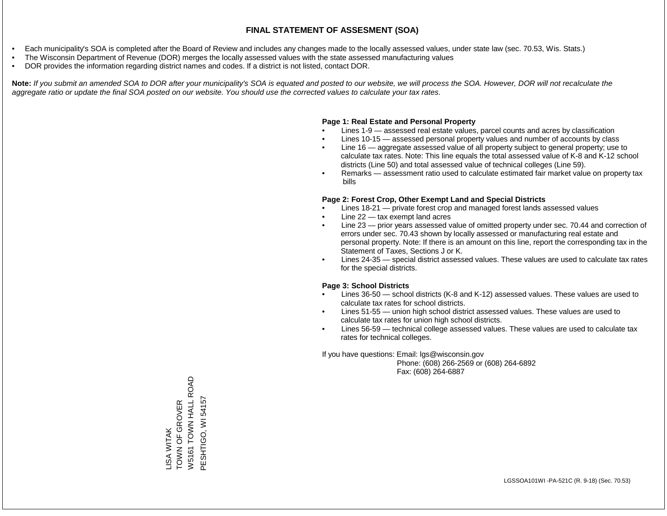- Each municipality's SOA is completed after the Board of Review and includes any changes made to the locally assessed values, under state law (sec. 70.53, Wis. Stats.)
- The Wisconsin Department of Revenue (DOR) merges the locally assessed values with the state assessed manufacturing values
- DOR provides the information regarding district names and codes. If a district is not listed, contact DOR.

Note: If you submit an amended SOA to DOR after your municipality's SOA is equated and posted to our website, we will process the SOA. However, DOR will not recalculate the *aggregate ratio or update the final SOA posted on our website. You should use the corrected values to calculate your tax rates.*

#### **Page 1: Real Estate and Personal Property**

- Lines 1-9 assessed real estate values, parcel counts and acres by classification
- Lines 10-15 assessed personal property values and number of accounts by class
- Line 16 aggregate assessed value of all property subject to general property; use to calculate tax rates. Note: This line equals the total assessed value of K-8 and K-12 school districts (Line 50) and total assessed value of technical colleges (Line 59).
- Remarks assessment ratio used to calculate estimated fair market value on property tax bills

#### **Page 2: Forest Crop, Other Exempt Land and Special Districts**

- Lines 18-21 private forest crop and managed forest lands assessed values
- Line  $22 -$  tax exempt land acres
- Line 23 prior years assessed value of omitted property under sec. 70.44 and correction of errors under sec. 70.43 shown by locally assessed or manufacturing real estate and personal property. Note: If there is an amount on this line, report the corresponding tax in the Statement of Taxes, Sections J or K.
- Lines 24-35 special district assessed values. These values are used to calculate tax rates for the special districts.

#### **Page 3: School Districts**

- Lines 36-50 school districts (K-8 and K-12) assessed values. These values are used to calculate tax rates for school districts.
- Lines 51-55 union high school district assessed values. These values are used to calculate tax rates for union high school districts.
- Lines 56-59 technical college assessed values. These values are used to calculate tax rates for technical colleges.

If you have questions: Email: lgs@wisconsin.gov

 Phone: (608) 266-2569 or (608) 264-6892 Fax: (608) 264-6887

W5161 TOWN HALL ROAD W5161 TOWN HALL ROAD PESHTIGO, WI 54157 PESHTIGO, WI 54157TOWN OF GROVER LISA WITAK<br>TOWN OF GROVER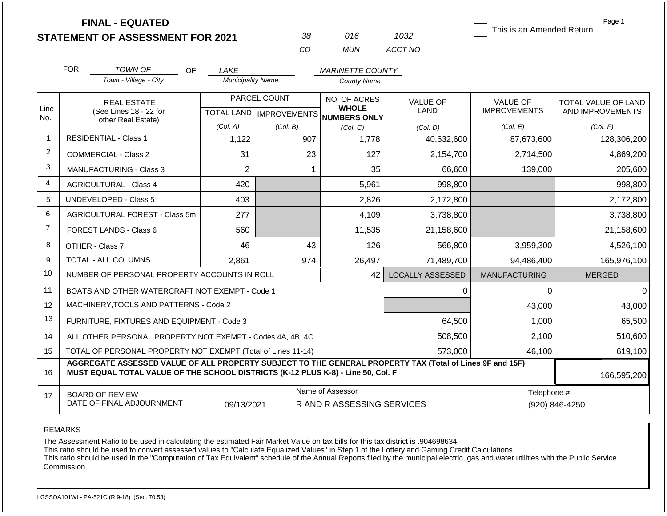**FINAL - EQUATED**

| 38       | 016.  | 1032    |
|----------|-------|---------|
| $\cdots$ | MI IN | ACCT NO |

This is an Amended Return

Page 1

|                 |                                                              |                                                                                                                                                                                              |                          |                           | 10101Y                                         | <b>AUUI 11U</b>         |                      |                     |
|-----------------|--------------------------------------------------------------|----------------------------------------------------------------------------------------------------------------------------------------------------------------------------------------------|--------------------------|---------------------------|------------------------------------------------|-------------------------|----------------------|---------------------|
|                 | <b>FOR</b>                                                   | TOWN OF<br>OF                                                                                                                                                                                | LAKE                     |                           | <b>MARINETTE COUNTY</b>                        |                         |                      |                     |
|                 |                                                              | Town - Village - City                                                                                                                                                                        | <b>Municipality Name</b> |                           | <b>County Name</b>                             |                         |                      |                     |
|                 |                                                              | <b>REAL ESTATE</b>                                                                                                                                                                           |                          | PARCEL COUNT              | NO. OF ACRES                                   | <b>VALUE OF</b>         | <b>VALUE OF</b>      | TOTAL VALUE OF LAND |
| Line<br>No.     |                                                              | (See Lines 18 - 22 for<br>other Real Estate)                                                                                                                                                 |                          | TOTAL LAND   IMPROVEMENTS | <b>WHOLE</b><br>NUMBERS ONLY                   | <b>LAND</b>             | <b>IMPROVEMENTS</b>  | AND IMPROVEMENTS    |
|                 |                                                              |                                                                                                                                                                                              | (Col. A)                 | (Col. B)                  | (Col. C)                                       | (Col. D)                | (Col. E)             | (Col. F)            |
| $\mathbf{1}$    |                                                              | <b>RESIDENTIAL - Class 1</b>                                                                                                                                                                 | 1,122                    | 907                       | 1,778                                          | 40,632,600              | 87,673,600           | 128,306,200         |
| $\overline{2}$  |                                                              | <b>COMMERCIAL - Class 2</b>                                                                                                                                                                  | 31                       | 23                        | 127                                            | 2,154,700               | 2,714,500            | 4,869,200           |
| 3               |                                                              | <b>MANUFACTURING - Class 3</b>                                                                                                                                                               | $\overline{2}$           | 1                         | 35                                             | 66,600                  | 139,000              | 205,600             |
| $\overline{4}$  |                                                              | <b>AGRICULTURAL - Class 4</b>                                                                                                                                                                | 420                      |                           | 5,961                                          | 998,800                 |                      | 998,800             |
| $5\phantom{.0}$ |                                                              | <b>UNDEVELOPED - Class 5</b>                                                                                                                                                                 | 403                      |                           | 2,826                                          | 2,172,800               |                      | 2,172,800           |
| 6               |                                                              | AGRICULTURAL FOREST - Class 5m                                                                                                                                                               | 277                      |                           | 4,109                                          | 3,738,800               |                      | 3,738,800           |
| $\overline{7}$  |                                                              | FOREST LANDS - Class 6                                                                                                                                                                       | 560                      |                           | 11,535                                         | 21,158,600              |                      | 21,158,600          |
| 8               |                                                              | OTHER - Class 7                                                                                                                                                                              | 46                       | 43                        | 126                                            | 566,800                 | 3,959,300            | 4,526,100           |
| 9               |                                                              | TOTAL - ALL COLUMNS                                                                                                                                                                          | 2,861                    | 974                       | 26,497                                         | 71,489,700              | 94,486,400           | 165,976,100         |
| 10              |                                                              | NUMBER OF PERSONAL PROPERTY ACCOUNTS IN ROLL                                                                                                                                                 |                          |                           | 42                                             | <b>LOCALLY ASSESSED</b> | <b>MANUFACTURING</b> | <b>MERGED</b>       |
| 11              |                                                              | BOATS AND OTHER WATERCRAFT NOT EXEMPT - Code 1                                                                                                                                               |                          |                           |                                                | 0                       | $\Omega$             | $\Omega$            |
| 12              |                                                              | MACHINERY, TOOLS AND PATTERNS - Code 2                                                                                                                                                       |                          |                           |                                                |                         | 43,000               | 43,000              |
| 13              |                                                              | FURNITURE, FIXTURES AND EQUIPMENT - Code 3                                                                                                                                                   |                          |                           |                                                | 64,500                  | 1,000                | 65,500              |
| 14              |                                                              | ALL OTHER PERSONAL PROPERTY NOT EXEMPT - Codes 4A, 4B, 4C                                                                                                                                    |                          |                           |                                                | 508,500                 | 2,100                | 510,600             |
| 15              | TOTAL OF PERSONAL PROPERTY NOT EXEMPT (Total of Lines 11-14) |                                                                                                                                                                                              |                          |                           |                                                | 573,000                 | 46,100               | 619,100             |
| 16              |                                                              | AGGREGATE ASSESSED VALUE OF ALL PROPERTY SUBJECT TO THE GENERAL PROPERTY TAX (Total of Lines 9F and 15F)<br>MUST EQUAL TOTAL VALUE OF THE SCHOOL DISTRICTS (K-12 PLUS K-8) - Line 50, Col. F |                          |                           |                                                |                         |                      | 166,595,200         |
| 17              |                                                              | <b>BOARD OF REVIEW</b><br>DATE OF FINAL ADJOURNMENT                                                                                                                                          | 09/13/2021               |                           | Name of Assessor<br>R AND R ASSESSING SERVICES |                         | Telephone #          | (920) 846-4250      |
|                 |                                                              |                                                                                                                                                                                              |                          |                           |                                                |                         |                      |                     |

REMARKS

The Assessment Ratio to be used in calculating the estimated Fair Market Value on tax bills for this tax district is .904698634

This ratio should be used to convert assessed values to "Calculate Equalized Values" in Step 1 of the Lottery and Gaming Credit Calculations.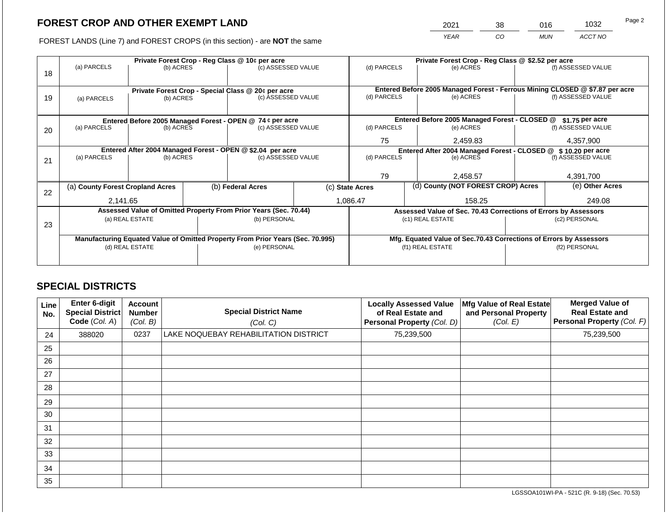2021 38 016 1032

FOREST LANDS (Line 7) and FOREST CROPS (in this section) - are **NOT** the same *YEAR CO MUN ACCT NO*

|    | Private Forest Crop - Reg Class @ 10¢ per acre |                 |  |                                                                                |  |                                                               | Private Forest Crop - Reg Class @ \$2.52 per acre |                                                                    |                    |                                                                              |
|----|------------------------------------------------|-----------------|--|--------------------------------------------------------------------------------|--|---------------------------------------------------------------|---------------------------------------------------|--------------------------------------------------------------------|--------------------|------------------------------------------------------------------------------|
|    | (a) PARCELS                                    | (b) ACRES       |  | (c) ASSESSED VALUE                                                             |  | (d) PARCELS                                                   |                                                   | (e) ACRES                                                          |                    | (f) ASSESSED VALUE                                                           |
| 18 |                                                |                 |  |                                                                                |  |                                                               |                                                   |                                                                    |                    |                                                                              |
|    |                                                |                 |  |                                                                                |  |                                                               |                                                   |                                                                    |                    |                                                                              |
|    |                                                |                 |  | Private Forest Crop - Special Class @ 20¢ per acre                             |  |                                                               |                                                   |                                                                    |                    | Entered Before 2005 Managed Forest - Ferrous Mining CLOSED @ \$7.87 per acre |
| 19 | (a) PARCELS                                    | (b) ACRES       |  | (c) ASSESSED VALUE                                                             |  | (d) PARCELS                                                   |                                                   | (e) ACRES                                                          |                    | (f) ASSESSED VALUE                                                           |
|    |                                                |                 |  |                                                                                |  |                                                               |                                                   |                                                                    |                    |                                                                              |
|    |                                                |                 |  | Entered Before 2005 Managed Forest - OPEN @ 74 ¢ per acre                      |  |                                                               |                                                   | Entered Before 2005 Managed Forest - CLOSED @                      |                    | \$1.75 per acre                                                              |
| 20 | (a) PARCELS                                    | (b) ACRES       |  | (c) ASSESSED VALUE                                                             |  | (d) PARCELS                                                   |                                                   | (e) ACRES                                                          |                    | (f) ASSESSED VALUE                                                           |
|    |                                                |                 |  |                                                                                |  |                                                               |                                                   |                                                                    |                    |                                                                              |
|    |                                                |                 |  |                                                                                |  | 75                                                            |                                                   | 2,459.83                                                           |                    | 4,357,900                                                                    |
|    |                                                |                 |  | Entered After 2004 Managed Forest - OPEN @ \$2.04 per acre                     |  | Entered After 2004 Managed Forest - CLOSED @ \$10.20 per acre |                                                   |                                                                    |                    |                                                                              |
| 21 | (a) PARCELS                                    | (b) ACRES       |  | (c) ASSESSED VALUE                                                             |  | (d) PARCELS<br>(e) ACRES                                      |                                                   |                                                                    | (f) ASSESSED VALUE |                                                                              |
|    |                                                |                 |  |                                                                                |  |                                                               |                                                   |                                                                    |                    |                                                                              |
|    |                                                |                 |  |                                                                                |  | 79                                                            |                                                   | 2,458.57                                                           |                    | 4,391,700                                                                    |
|    | (a) County Forest Cropland Acres               |                 |  | (b) Federal Acres                                                              |  | (c) State Acres                                               |                                                   | (d) County (NOT FOREST CROP) Acres                                 |                    | (e) Other Acres                                                              |
| 22 |                                                |                 |  |                                                                                |  |                                                               |                                                   |                                                                    |                    |                                                                              |
|    | 2,141.65                                       |                 |  |                                                                                |  | 1,086.47                                                      |                                                   | 158.25                                                             |                    | 249.08                                                                       |
|    |                                                |                 |  | Assessed Value of Omitted Property From Prior Years (Sec. 70.44)               |  |                                                               |                                                   | Assessed Value of Sec. 70.43 Corrections of Errors by Assessors    |                    |                                                                              |
|    |                                                | (a) REAL ESTATE |  | (b) PERSONAL                                                                   |  |                                                               |                                                   | (c1) REAL ESTATE                                                   |                    | (c2) PERSONAL                                                                |
| 23 |                                                |                 |  |                                                                                |  |                                                               |                                                   |                                                                    |                    |                                                                              |
|    |                                                |                 |  | Manufacturing Equated Value of Omitted Property From Prior Years (Sec. 70.995) |  |                                                               |                                                   | Mfg. Equated Value of Sec.70.43 Corrections of Errors by Assessors |                    |                                                                              |
|    |                                                | (d) REAL ESTATE |  | (e) PERSONAL                                                                   |  |                                                               |                                                   | (f1) REAL ESTATE                                                   |                    | (f2) PERSONAL                                                                |
|    |                                                |                 |  |                                                                                |  |                                                               |                                                   |                                                                    |                    |                                                                              |
|    |                                                |                 |  |                                                                                |  |                                                               |                                                   |                                                                    |                    |                                                                              |

## **SPECIAL DISTRICTS**

| Line<br>No. | <b>Enter 6-digit</b><br><b>Special District</b><br>Code (Col. A) | <b>Account</b><br><b>Number</b><br>(Col. B) | <b>Special District Name</b><br>(Col. C) | <b>Locally Assessed Value</b><br>of Real Estate and<br>Personal Property (Col. D) | Mfg Value of Real Estate<br>and Personal Property<br>(Col. E) | <b>Merged Value of</b><br><b>Real Estate and</b><br>Personal Property (Col. F) |
|-------------|------------------------------------------------------------------|---------------------------------------------|------------------------------------------|-----------------------------------------------------------------------------------|---------------------------------------------------------------|--------------------------------------------------------------------------------|
| 24          | 388020                                                           | 0237                                        | LAKE NOQUEBAY REHABILITATION DISTRICT    | 75,239,500                                                                        |                                                               | 75,239,500                                                                     |
| 25          |                                                                  |                                             |                                          |                                                                                   |                                                               |                                                                                |
| 26          |                                                                  |                                             |                                          |                                                                                   |                                                               |                                                                                |
| 27          |                                                                  |                                             |                                          |                                                                                   |                                                               |                                                                                |
| 28          |                                                                  |                                             |                                          |                                                                                   |                                                               |                                                                                |
| 29          |                                                                  |                                             |                                          |                                                                                   |                                                               |                                                                                |
| 30          |                                                                  |                                             |                                          |                                                                                   |                                                               |                                                                                |
| 31          |                                                                  |                                             |                                          |                                                                                   |                                                               |                                                                                |
| 32          |                                                                  |                                             |                                          |                                                                                   |                                                               |                                                                                |
| 33          |                                                                  |                                             |                                          |                                                                                   |                                                               |                                                                                |
| 34          |                                                                  |                                             |                                          |                                                                                   |                                                               |                                                                                |
| 35          |                                                                  |                                             |                                          |                                                                                   |                                                               |                                                                                |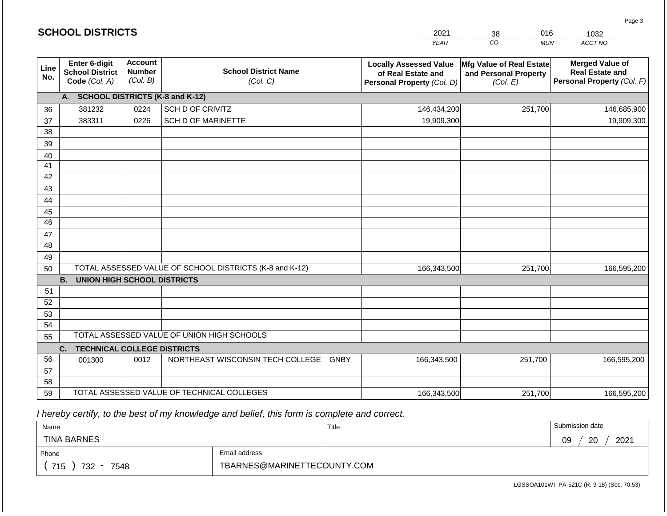|             | <b>SCHOOL DISTRICTS</b>                                  |                                             |                                                         | 2021                                                                              | 016<br>38                                                     | 1032                                                                           |
|-------------|----------------------------------------------------------|---------------------------------------------|---------------------------------------------------------|-----------------------------------------------------------------------------------|---------------------------------------------------------------|--------------------------------------------------------------------------------|
|             |                                                          |                                             |                                                         | <b>YEAR</b>                                                                       | CO<br><b>MUN</b>                                              | ACCT NO                                                                        |
| Line<br>No. | Enter 6-digit<br><b>School District</b><br>Code (Col. A) | <b>Account</b><br><b>Number</b><br>(Col. B) | <b>School District Name</b><br>(Col. C)                 | <b>Locally Assessed Value</b><br>of Real Estate and<br>Personal Property (Col. D) | Mfg Value of Real Estate<br>and Personal Property<br>(Col. E) | <b>Merged Value of</b><br><b>Real Estate and</b><br>Personal Property (Col. F) |
|             | A. SCHOOL DISTRICTS (K-8 and K-12)                       |                                             |                                                         |                                                                                   |                                                               |                                                                                |
| 36          | 381232                                                   | 0224                                        | <b>SCH D OF CRIVITZ</b>                                 | 146,434,200                                                                       | 251,700                                                       | 146,685,900                                                                    |
| 37          | 383311                                                   | 0226                                        | <b>SCH D OF MARINETTE</b>                               | 19,909,300                                                                        |                                                               | 19,909,300                                                                     |
| 38          |                                                          |                                             |                                                         |                                                                                   |                                                               |                                                                                |
| 39          |                                                          |                                             |                                                         |                                                                                   |                                                               |                                                                                |
| 40          |                                                          |                                             |                                                         |                                                                                   |                                                               |                                                                                |
| 41          |                                                          |                                             |                                                         |                                                                                   |                                                               |                                                                                |
| 42<br>43    |                                                          |                                             |                                                         |                                                                                   |                                                               |                                                                                |
| 44          |                                                          |                                             |                                                         |                                                                                   |                                                               |                                                                                |
| 45          |                                                          |                                             |                                                         |                                                                                   |                                                               |                                                                                |
| 46          |                                                          |                                             |                                                         |                                                                                   |                                                               |                                                                                |
| 47          |                                                          |                                             |                                                         |                                                                                   |                                                               |                                                                                |
| 48          |                                                          |                                             |                                                         |                                                                                   |                                                               |                                                                                |
| 49          |                                                          |                                             |                                                         |                                                                                   |                                                               |                                                                                |
| 50          |                                                          |                                             | TOTAL ASSESSED VALUE OF SCHOOL DISTRICTS (K-8 and K-12) | 166,343,500                                                                       | 251,700                                                       | 166,595,200                                                                    |
|             | <b>B.</b><br><b>UNION HIGH SCHOOL DISTRICTS</b>          |                                             |                                                         |                                                                                   |                                                               |                                                                                |
| 51          |                                                          |                                             |                                                         |                                                                                   |                                                               |                                                                                |
| 52          |                                                          |                                             |                                                         |                                                                                   |                                                               |                                                                                |
| 53          |                                                          |                                             |                                                         |                                                                                   |                                                               |                                                                                |
| 54          |                                                          |                                             | TOTAL ASSESSED VALUE OF UNION HIGH SCHOOLS              |                                                                                   |                                                               |                                                                                |
| 55          |                                                          |                                             |                                                         |                                                                                   |                                                               |                                                                                |
|             | <b>TECHNICAL COLLEGE DISTRICTS</b><br>C.                 |                                             |                                                         |                                                                                   |                                                               |                                                                                |
| 56          | 001300                                                   | 0012                                        | NORTHEAST WISCONSIN TECH COLLEGE GNBY                   | 166,343,500                                                                       | 251,700                                                       | 166,595,200                                                                    |
| 57<br>58    |                                                          |                                             |                                                         |                                                                                   |                                                               |                                                                                |
| 59          |                                                          |                                             | TOTAL ASSESSED VALUE OF TECHNICAL COLLEGES              | 166,343,500                                                                       | 251,700                                                       | 166,595,200                                                                    |

**SCHOOL DISTRICTS**

| Name                                           |                             | Title | Submission date  |
|------------------------------------------------|-----------------------------|-------|------------------|
| <b>TINA BARNES</b>                             |                             |       | 2021<br>20<br>09 |
| Phone                                          | Email address               |       |                  |
| 715<br>732<br>7548<br>$\overline{\phantom{a}}$ | TBARNES@MARINETTECOUNTY.COM |       |                  |

LGSSOA101WI -PA-521C (R. 9-18) (Sec. 70.53)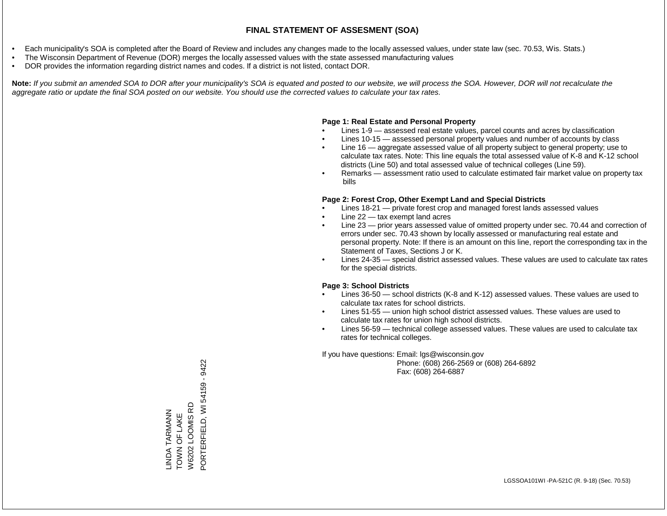- Each municipality's SOA is completed after the Board of Review and includes any changes made to the locally assessed values, under state law (sec. 70.53, Wis. Stats.)
- The Wisconsin Department of Revenue (DOR) merges the locally assessed values with the state assessed manufacturing values
- DOR provides the information regarding district names and codes. If a district is not listed, contact DOR.

Note: If you submit an amended SOA to DOR after your municipality's SOA is equated and posted to our website, we will process the SOA. However, DOR will not recalculate the *aggregate ratio or update the final SOA posted on our website. You should use the corrected values to calculate your tax rates.*

### **Page 1: Real Estate and Personal Property**

- Lines 1-9 assessed real estate values, parcel counts and acres by classification
- Lines 10-15 assessed personal property values and number of accounts by class
- Line 16 aggregate assessed value of all property subject to general property; use to calculate tax rates. Note: This line equals the total assessed value of K-8 and K-12 school districts (Line 50) and total assessed value of technical colleges (Line 59).
- Remarks assessment ratio used to calculate estimated fair market value on property tax bills

### **Page 2: Forest Crop, Other Exempt Land and Special Districts**

- Lines 18-21 private forest crop and managed forest lands assessed values
- Line  $22 -$  tax exempt land acres
- Line 23 prior years assessed value of omitted property under sec. 70.44 and correction of errors under sec. 70.43 shown by locally assessed or manufacturing real estate and personal property. Note: If there is an amount on this line, report the corresponding tax in the Statement of Taxes, Sections J or K.
- Lines 24-35 special district assessed values. These values are used to calculate tax rates for the special districts.

### **Page 3: School Districts**

- Lines 36-50 school districts (K-8 and K-12) assessed values. These values are used to calculate tax rates for school districts.
- Lines 51-55 union high school district assessed values. These values are used to calculate tax rates for union high school districts.
- Lines 56-59 technical college assessed values. These values are used to calculate tax rates for technical colleges.

If you have questions: Email: lgs@wisconsin.gov

 Phone: (608) 266-2569 or (608) 264-6892 Fax: (608) 264-6887

PORTERFIELD, WI 54159 - 9422 PORTERFIELD, WI 54159 - 9422W6202 LOOMIS RD W6202 LOOMIS RD LINDA TARMANN<br>TOWN OF LAKE LINDA TARMANN TOWN OF LAKE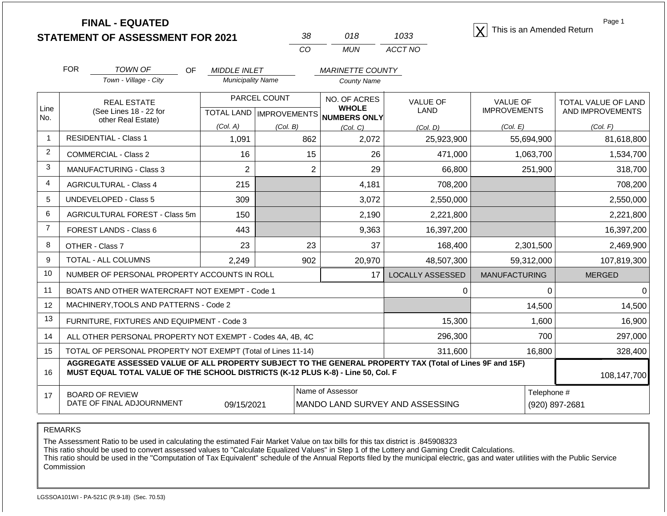**STATEMENT OF ASSESSMENT FOR 2021 FINAL - EQUATED** <sup>X</sup> This is an Amended Return

| '38 | 018   | 1033    |
|-----|-------|---------|
| CO. | MI IN | ACCT NO |

Page 1

|                | <b>FOR</b> | <b>TOWN OF</b><br><b>OF</b>                                                                                                                                                                  | <b>MIDDLE INLET</b>      |                                                         | <b>MARINETTE COUNTY</b>         |                     |                      |                     |
|----------------|------------|----------------------------------------------------------------------------------------------------------------------------------------------------------------------------------------------|--------------------------|---------------------------------------------------------|---------------------------------|---------------------|----------------------|---------------------|
|                |            | Town - Village - City                                                                                                                                                                        | <b>Municipality Name</b> |                                                         | <b>County Name</b>              |                     |                      |                     |
| Line           |            | <b>REAL ESTATE</b>                                                                                                                                                                           |                          | PARCEL COUNT<br>NO. OF ACRES<br><b>WHOLE</b>            |                                 | <b>VALUE OF</b>     | <b>VALUE OF</b>      | TOTAL VALUE OF LAND |
| No.            |            | (See Lines 18 - 22 for<br>other Real Estate)                                                                                                                                                 |                          | <b>TOTAL LAND   IMPROVEMENTS</b><br><b>NUMBERS ONLY</b> | <b>LAND</b>                     | <b>IMPROVEMENTS</b> | AND IMPROVEMENTS     |                     |
|                |            |                                                                                                                                                                                              | (Col. A)                 | (Col, B)                                                | (Col, C)                        | (Col, D)            | (Col. E)             | (Col. F)            |
| 1              |            | <b>RESIDENTIAL - Class 1</b>                                                                                                                                                                 | 1,091                    | 862                                                     | 2,072                           | 25,923,900          | 55,694,900           | 81,618,800          |
| $\overline{2}$ |            | <b>COMMERCIAL - Class 2</b>                                                                                                                                                                  | 16                       | 15                                                      | 26                              | 471,000             | 1,063,700            | 1,534,700           |
| 3              |            | <b>MANUFACTURING - Class 3</b>                                                                                                                                                               | $\overline{2}$           |                                                         | 29<br>2                         | 66,800              | 251,900              | 318,700             |
| $\overline{4}$ |            | <b>AGRICULTURAL - Class 4</b>                                                                                                                                                                | 215                      |                                                         | 4,181                           | 708,200             |                      | 708,200             |
| 5              |            | UNDEVELOPED - Class 5                                                                                                                                                                        | 309                      |                                                         | 3,072                           | 2,550,000           |                      | 2,550,000           |
| 6              |            | AGRICULTURAL FOREST - Class 5m                                                                                                                                                               | 150                      |                                                         | 2,190                           | 2,221,800           |                      | 2,221,800           |
| $\overline{7}$ |            | FOREST LANDS - Class 6                                                                                                                                                                       | 443                      |                                                         | 9,363                           | 16,397,200          |                      | 16,397,200          |
| 8              |            | OTHER - Class 7                                                                                                                                                                              | 23                       | 23                                                      | 37                              | 168,400             | 2,301,500            | 2,469,900           |
| 9              |            | TOTAL - ALL COLUMNS                                                                                                                                                                          | 2,249                    | 902                                                     | 20,970                          | 48,507,300          | 59,312,000           | 107,819,300         |
| 10             |            | NUMBER OF PERSONAL PROPERTY ACCOUNTS IN ROLL                                                                                                                                                 |                          |                                                         | 17                              | LOCALLY ASSESSED    | <b>MANUFACTURING</b> | <b>MERGED</b>       |
| 11             |            | BOATS AND OTHER WATERCRAFT NOT EXEMPT - Code 1                                                                                                                                               |                          |                                                         |                                 | 0                   | $\Omega$             | 0                   |
| 12             |            | MACHINERY, TOOLS AND PATTERNS - Code 2                                                                                                                                                       |                          |                                                         |                                 |                     | 14,500               | 14,500              |
| 13             |            | FURNITURE, FIXTURES AND EQUIPMENT - Code 3                                                                                                                                                   |                          |                                                         |                                 | 15,300              | 1,600                | 16,900              |
| 14             |            | ALL OTHER PERSONAL PROPERTY NOT EXEMPT - Codes 4A, 4B, 4C                                                                                                                                    |                          |                                                         |                                 | 296,300             | 700                  | 297,000             |
| 15             |            | TOTAL OF PERSONAL PROPERTY NOT EXEMPT (Total of Lines 11-14)                                                                                                                                 |                          |                                                         |                                 | 311,600             | 16,800               | 328,400             |
| 16             |            | AGGREGATE ASSESSED VALUE OF ALL PROPERTY SUBJECT TO THE GENERAL PROPERTY TAX (Total of Lines 9F and 15F)<br>MUST EQUAL TOTAL VALUE OF THE SCHOOL DISTRICTS (K-12 PLUS K-8) - Line 50, Col. F |                          |                                                         |                                 |                     |                      | 108,147,700         |
| 17             |            | <b>BOARD OF REVIEW</b>                                                                                                                                                                       |                          |                                                         | Name of Assessor                |                     | Telephone #          |                     |
|                |            | DATE OF FINAL ADJOURNMENT                                                                                                                                                                    | 09/15/2021               |                                                         | MANDO LAND SURVEY AND ASSESSING |                     | (920) 897-2681       |                     |

REMARKS

The Assessment Ratio to be used in calculating the estimated Fair Market Value on tax bills for this tax district is .845908323

This ratio should be used to convert assessed values to "Calculate Equalized Values" in Step 1 of the Lottery and Gaming Credit Calculations.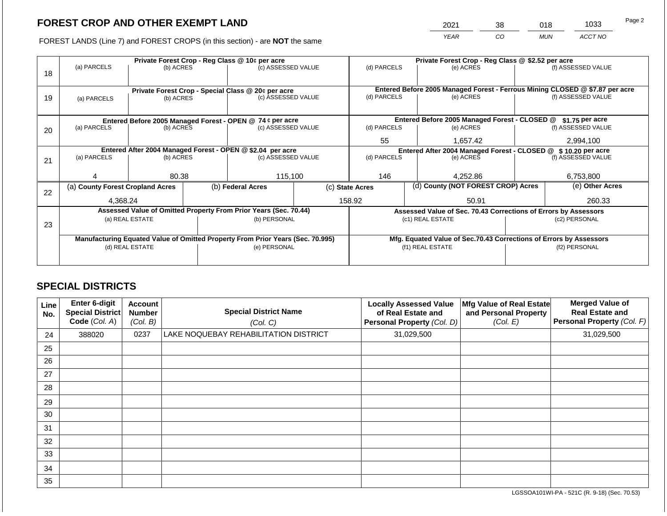2021 38 018 1033

FOREST LANDS (Line 7) and FOREST CROPS (in this section) - are **NOT** the same *YEAR CO MUN ACCT NO*

|    | Private Forest Crop - Reg Class @ 10¢ per acre                                 |                 |  |                                                                          |                                                                |                 | Private Forest Crop - Reg Class @ \$2.52 per acre |                                                                                           |  |                    |
|----|--------------------------------------------------------------------------------|-----------------|--|--------------------------------------------------------------------------|----------------------------------------------------------------|-----------------|---------------------------------------------------|-------------------------------------------------------------------------------------------|--|--------------------|
|    | (a) PARCELS                                                                    | (b) ACRES       |  | (c) ASSESSED VALUE                                                       |                                                                | (d) PARCELS     |                                                   | (e) ACRES                                                                                 |  | (f) ASSESSED VALUE |
| 18 |                                                                                |                 |  |                                                                          |                                                                |                 |                                                   |                                                                                           |  |                    |
|    |                                                                                |                 |  |                                                                          |                                                                |                 |                                                   |                                                                                           |  |                    |
|    |                                                                                |                 |  | Private Forest Crop - Special Class @ 20¢ per acre<br>(c) ASSESSED VALUE |                                                                | (d) PARCELS     |                                                   | Entered Before 2005 Managed Forest - Ferrous Mining CLOSED @ \$7.87 per acre<br>(e) ACRES |  | (f) ASSESSED VALUE |
| 19 | (a) PARCELS                                                                    | (b) ACRES       |  |                                                                          |                                                                |                 |                                                   |                                                                                           |  |                    |
|    |                                                                                |                 |  |                                                                          |                                                                |                 |                                                   |                                                                                           |  |                    |
|    |                                                                                |                 |  | Entered Before 2005 Managed Forest - OPEN @ 74 ¢ per acre                |                                                                |                 |                                                   | Entered Before 2005 Managed Forest - CLOSED @                                             |  | $$1.75$ per acre   |
| 20 | (a) PARCELS                                                                    | (b) ACRES       |  | (c) ASSESSED VALUE                                                       |                                                                | (d) PARCELS     |                                                   | (e) ACRES                                                                                 |  | (f) ASSESSED VALUE |
|    |                                                                                |                 |  |                                                                          |                                                                |                 |                                                   |                                                                                           |  |                    |
|    |                                                                                |                 |  |                                                                          |                                                                | 55              |                                                   | 1,657.42                                                                                  |  | 2,994,100          |
|    |                                                                                |                 |  | Entered After 2004 Managed Forest - OPEN @ \$2.04 per acre               | Entered After 2004 Managed Forest - CLOSED @ \$ 10.20 per acre |                 |                                                   |                                                                                           |  |                    |
| 21 | (a) PARCELS                                                                    | (b) ACRES       |  | (c) ASSESSED VALUE                                                       |                                                                | (d) PARCELS     |                                                   | (e) ACRES                                                                                 |  | (f) ASSESSED VALUE |
|    |                                                                                |                 |  |                                                                          |                                                                |                 |                                                   |                                                                                           |  |                    |
|    |                                                                                | 80.38           |  | 115,100                                                                  |                                                                | 146             |                                                   | 4,252.86                                                                                  |  | 6,753,800          |
|    | (a) County Forest Cropland Acres                                               |                 |  | (b) Federal Acres                                                        |                                                                | (c) State Acres |                                                   | (d) County (NOT FOREST CROP) Acres                                                        |  | (e) Other Acres    |
| 22 |                                                                                |                 |  |                                                                          |                                                                |                 |                                                   |                                                                                           |  |                    |
|    | 4.368.24                                                                       |                 |  |                                                                          |                                                                | 158.92<br>50.91 |                                                   |                                                                                           |  | 260.33             |
|    |                                                                                |                 |  | Assessed Value of Omitted Property From Prior Years (Sec. 70.44)         |                                                                |                 |                                                   | Assessed Value of Sec. 70.43 Corrections of Errors by Assessors                           |  |                    |
|    |                                                                                | (a) REAL ESTATE |  | (b) PERSONAL                                                             |                                                                |                 |                                                   | (c1) REAL ESTATE                                                                          |  | (c2) PERSONAL      |
| 23 |                                                                                |                 |  |                                                                          |                                                                |                 |                                                   |                                                                                           |  |                    |
|    | Manufacturing Equated Value of Omitted Property From Prior Years (Sec. 70.995) |                 |  |                                                                          |                                                                |                 |                                                   | Mfg. Equated Value of Sec.70.43 Corrections of Errors by Assessors                        |  |                    |
|    |                                                                                | (d) REAL ESTATE |  | (e) PERSONAL                                                             |                                                                |                 |                                                   | (f1) REAL ESTATE                                                                          |  | (f2) PERSONAL      |
|    |                                                                                |                 |  |                                                                          |                                                                |                 |                                                   |                                                                                           |  |                    |
|    |                                                                                |                 |  |                                                                          |                                                                |                 |                                                   |                                                                                           |  |                    |

### **SPECIAL DISTRICTS**

| Line<br>No. | Enter 6-digit<br><b>Special District</b><br>Code (Col. A) | Account<br><b>Number</b><br>(Col. B) | <b>Special District Name</b><br>(Col. C) | <b>Locally Assessed Value</b><br>of Real Estate and<br>Personal Property (Col. D) | Mfg Value of Real Estate<br>and Personal Property<br>(Col. E) | <b>Merged Value of</b><br><b>Real Estate and</b><br>Personal Property (Col. F) |
|-------------|-----------------------------------------------------------|--------------------------------------|------------------------------------------|-----------------------------------------------------------------------------------|---------------------------------------------------------------|--------------------------------------------------------------------------------|
| 24          | 388020                                                    | 0237                                 | LAKE NOQUEBAY REHABILITATION DISTRICT    | 31,029,500                                                                        |                                                               | 31,029,500                                                                     |
| 25          |                                                           |                                      |                                          |                                                                                   |                                                               |                                                                                |
| 26          |                                                           |                                      |                                          |                                                                                   |                                                               |                                                                                |
| 27          |                                                           |                                      |                                          |                                                                                   |                                                               |                                                                                |
| 28          |                                                           |                                      |                                          |                                                                                   |                                                               |                                                                                |
| 29          |                                                           |                                      |                                          |                                                                                   |                                                               |                                                                                |
| 30          |                                                           |                                      |                                          |                                                                                   |                                                               |                                                                                |
| 31          |                                                           |                                      |                                          |                                                                                   |                                                               |                                                                                |
| 32          |                                                           |                                      |                                          |                                                                                   |                                                               |                                                                                |
| 33          |                                                           |                                      |                                          |                                                                                   |                                                               |                                                                                |
| 34          |                                                           |                                      |                                          |                                                                                   |                                                               |                                                                                |
| 35          |                                                           |                                      |                                          |                                                                                   |                                                               |                                                                                |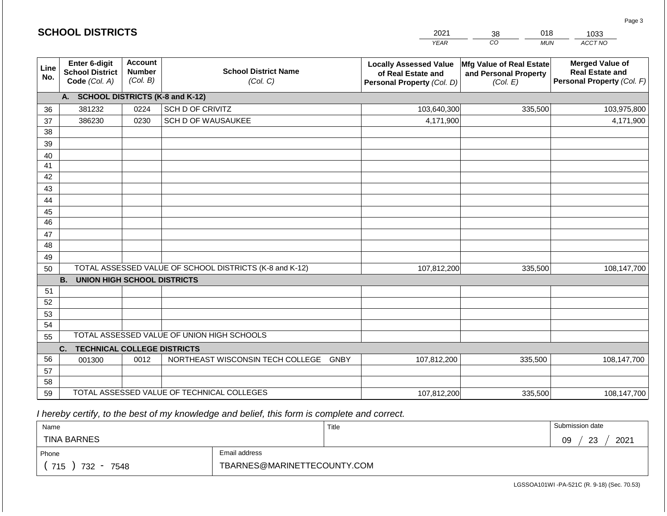|             | <b>SCHOOL DISTRICTS</b>                                         |                                             |                                                         | 2021                                                                              | 018<br>38                                                     | 1033                                                                           |
|-------------|-----------------------------------------------------------------|---------------------------------------------|---------------------------------------------------------|-----------------------------------------------------------------------------------|---------------------------------------------------------------|--------------------------------------------------------------------------------|
|             |                                                                 |                                             |                                                         | <b>YEAR</b>                                                                       | CO <sub>.</sub><br><b>MUN</b>                                 | ACCT NO                                                                        |
| Line<br>No. | <b>Enter 6-digit</b><br><b>School District</b><br>Code (Col. A) | <b>Account</b><br><b>Number</b><br>(Col. B) | <b>School District Name</b><br>(Col. C)                 | <b>Locally Assessed Value</b><br>of Real Estate and<br>Personal Property (Col. D) | Mfg Value of Real Estate<br>and Personal Property<br>(Col. E) | <b>Merged Value of</b><br><b>Real Estate and</b><br>Personal Property (Col. F) |
|             | A. SCHOOL DISTRICTS (K-8 and K-12)                              |                                             |                                                         |                                                                                   |                                                               |                                                                                |
| 36          | 381232                                                          | 0224                                        | SCH D OF CRIVITZ                                        | 103,640,300                                                                       | 335,500                                                       | 103,975,800                                                                    |
| 37          | 386230                                                          | 0230                                        | SCH D OF WAUSAUKEE                                      | 4,171,900                                                                         |                                                               | 4,171,900                                                                      |
| 38          |                                                                 |                                             |                                                         |                                                                                   |                                                               |                                                                                |
| 39          |                                                                 |                                             |                                                         |                                                                                   |                                                               |                                                                                |
| 40          |                                                                 |                                             |                                                         |                                                                                   |                                                               |                                                                                |
| 41          |                                                                 |                                             |                                                         |                                                                                   |                                                               |                                                                                |
| 42          |                                                                 |                                             |                                                         |                                                                                   |                                                               |                                                                                |
| 43          |                                                                 |                                             |                                                         |                                                                                   |                                                               |                                                                                |
| 44          |                                                                 |                                             |                                                         |                                                                                   |                                                               |                                                                                |
| 45<br>46    |                                                                 |                                             |                                                         |                                                                                   |                                                               |                                                                                |
| 47          |                                                                 |                                             |                                                         |                                                                                   |                                                               |                                                                                |
| 48          |                                                                 |                                             |                                                         |                                                                                   |                                                               |                                                                                |
| 49          |                                                                 |                                             |                                                         |                                                                                   |                                                               |                                                                                |
| 50          |                                                                 |                                             | TOTAL ASSESSED VALUE OF SCHOOL DISTRICTS (K-8 and K-12) | 107,812,200                                                                       | 335,500                                                       | 108,147,700                                                                    |
|             | <b>B.</b><br><b>UNION HIGH SCHOOL DISTRICTS</b>                 |                                             |                                                         |                                                                                   |                                                               |                                                                                |
| 51          |                                                                 |                                             |                                                         |                                                                                   |                                                               |                                                                                |
| 52          |                                                                 |                                             |                                                         |                                                                                   |                                                               |                                                                                |
| 53          |                                                                 |                                             |                                                         |                                                                                   |                                                               |                                                                                |
| 54          |                                                                 |                                             |                                                         |                                                                                   |                                                               |                                                                                |
| 55          |                                                                 |                                             | TOTAL ASSESSED VALUE OF UNION HIGH SCHOOLS              |                                                                                   |                                                               |                                                                                |
|             | <b>TECHNICAL COLLEGE DISTRICTS</b><br>C.                        |                                             |                                                         |                                                                                   |                                                               |                                                                                |
| 56          | 001300                                                          | 0012                                        | NORTHEAST WISCONSIN TECH COLLEGE GNBY                   | 107,812,200                                                                       | 335,500                                                       | 108,147,700                                                                    |
| 57          |                                                                 |                                             |                                                         |                                                                                   |                                                               |                                                                                |
| 58          |                                                                 |                                             |                                                         |                                                                                   |                                                               |                                                                                |
| 59          |                                                                 |                                             | TOTAL ASSESSED VALUE OF TECHNICAL COLLEGES              | 107,812,200                                                                       | 335,500                                                       | 108,147,700                                                                    |

| Name                                           |                             | Title | Submission date         |
|------------------------------------------------|-----------------------------|-------|-------------------------|
| <b>TINA BARNES</b>                             |                             |       | 2021<br>09<br>ົດລ<br>نت |
| Email address<br>Phone                         |                             |       |                         |
| 715<br>732<br>7548<br>$\overline{\phantom{a}}$ | TBARNES@MARINETTECOUNTY.COM |       |                         |

LGSSOA101WI -PA-521C (R. 9-18) (Sec. 70.53)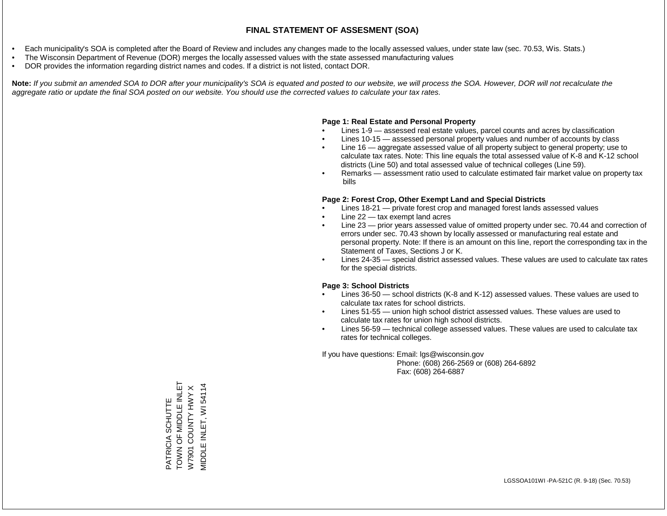- Each municipality's SOA is completed after the Board of Review and includes any changes made to the locally assessed values, under state law (sec. 70.53, Wis. Stats.)
- The Wisconsin Department of Revenue (DOR) merges the locally assessed values with the state assessed manufacturing values
- DOR provides the information regarding district names and codes. If a district is not listed, contact DOR.

Note: If you submit an amended SOA to DOR after your municipality's SOA is equated and posted to our website, we will process the SOA. However, DOR will not recalculate the *aggregate ratio or update the final SOA posted on our website. You should use the corrected values to calculate your tax rates.*

### **Page 1: Real Estate and Personal Property**

- Lines 1-9 assessed real estate values, parcel counts and acres by classification
- Lines 10-15 assessed personal property values and number of accounts by class
- Line 16 aggregate assessed value of all property subject to general property; use to calculate tax rates. Note: This line equals the total assessed value of K-8 and K-12 school districts (Line 50) and total assessed value of technical colleges (Line 59).
- Remarks assessment ratio used to calculate estimated fair market value on property tax bills

### **Page 2: Forest Crop, Other Exempt Land and Special Districts**

- Lines 18-21 private forest crop and managed forest lands assessed values
- Line  $22 -$  tax exempt land acres
- Line 23 prior years assessed value of omitted property under sec. 70.44 and correction of errors under sec. 70.43 shown by locally assessed or manufacturing real estate and personal property. Note: If there is an amount on this line, report the corresponding tax in the Statement of Taxes, Sections J or K.
- Lines 24-35 special district assessed values. These values are used to calculate tax rates for the special districts.

### **Page 3: School Districts**

- Lines 36-50 school districts (K-8 and K-12) assessed values. These values are used to calculate tax rates for school districts.
- Lines 51-55 union high school district assessed values. These values are used to calculate tax rates for union high school districts.
- Lines 56-59 technical college assessed values. These values are used to calculate tax rates for technical colleges.

If you have questions: Email: lgs@wisconsin.gov

 Phone: (608) 266-2569 or (608) 264-6892 Fax: (608) 264-6887

TOWN OF MIDDLE INLET PATRICIA SCHUTTE<br>TOWN OF MIDDLE INLET VIIDDLE INLET, WI 54114 MIDDLE INLET, WI 54114 $\pmb{\times}$ W7901 COUNTY HWY X COUNTY HWY PATRICIA SCHUTTE W7901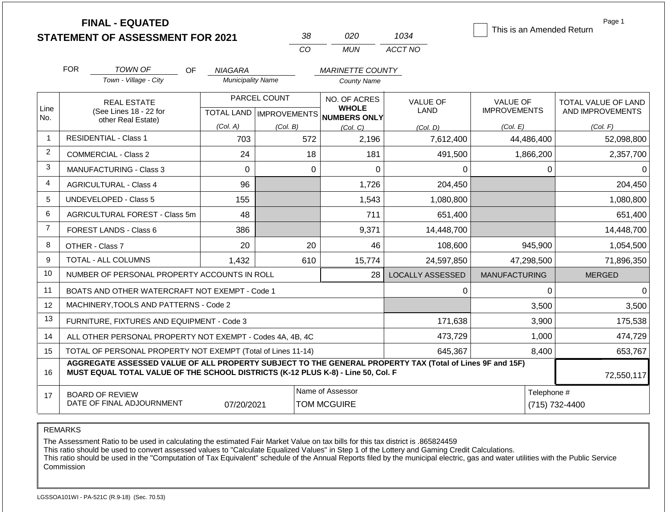|                |                                                              | <b>FINAL - EQUATED</b><br><b>STATEMENT OF ASSESSMENT FOR 2021</b>                                                                                                                            |                                  |              | 38  | 020                                 | 1034                    | This is an Amended Return | Page 1      |                     |
|----------------|--------------------------------------------------------------|----------------------------------------------------------------------------------------------------------------------------------------------------------------------------------------------|----------------------------------|--------------|-----|-------------------------------------|-------------------------|---------------------------|-------------|---------------------|
|                |                                                              |                                                                                                                                                                                              |                                  | CO           |     | <b>MUN</b>                          | ACCT NO                 |                           |             |                     |
|                | <b>FOR</b>                                                   | <b>TOWN OF</b><br>OF.                                                                                                                                                                        | <b>NIAGARA</b>                   |              |     | <b>MARINETTE COUNTY</b>             |                         |                           |             |                     |
|                |                                                              | Town - Village - City                                                                                                                                                                        | <b>Municipality Name</b>         |              |     | <b>County Name</b>                  |                         |                           |             |                     |
|                |                                                              | <b>REAL ESTATE</b>                                                                                                                                                                           |                                  | PARCEL COUNT |     | NO. OF ACRES                        | <b>VALUE OF</b>         | <b>VALUE OF</b>           |             | TOTAL VALUE OF LAND |
| Line           |                                                              | (See Lines 18 - 22 for                                                                                                                                                                       | <b>TOTAL LAND   IMPROVEMENTS</b> |              |     | <b>WHOLE</b><br><b>NUMBERS ONLY</b> | LAND                    | <b>IMPROVEMENTS</b>       |             | AND IMPROVEMENTS    |
| No.            |                                                              | other Real Estate)                                                                                                                                                                           | (Col. A)                         | (Col. B)     |     | (Col, C)                            | (Col, D)                | (Col. E)                  |             | (Col. F)            |
| $\mathbf{1}$   |                                                              | <b>RESIDENTIAL - Class 1</b>                                                                                                                                                                 | 703                              |              | 572 | 2,196                               | 7,612,400               | 44,486,400                |             | 52,098,800          |
| 2              |                                                              | <b>COMMERCIAL - Class 2</b>                                                                                                                                                                  | 24                               |              | 18  | 181                                 | 491,500                 | 1,866,200                 |             | 2,357,700           |
| 3              |                                                              | <b>MANUFACTURING - Class 3</b>                                                                                                                                                               | 0                                |              | 0   | $\Omega$                            | 0                       |                           | $\mathbf 0$ | 0                   |
| 4              | <b>AGRICULTURAL - Class 4</b>                                |                                                                                                                                                                                              | 96                               |              |     | 1,726                               | 204,450                 |                           |             | 204,450             |
| 5              |                                                              | <b>UNDEVELOPED - Class 5</b>                                                                                                                                                                 | 155                              |              |     | 1,543                               | 1,080,800               |                           |             | 1,080,800           |
| 6              |                                                              | AGRICULTURAL FOREST - Class 5m                                                                                                                                                               | 48                               |              |     | 711                                 | 651,400                 |                           |             | 651,400             |
| $\overline{7}$ |                                                              | FOREST LANDS - Class 6                                                                                                                                                                       | 386                              |              |     | 9,371                               | 14,448,700              |                           |             | 14,448,700          |
| 8              |                                                              | OTHER - Class 7                                                                                                                                                                              | 20                               |              | 20  | 46                                  | 108,600                 |                           | 945,900     | 1,054,500           |
| 9              |                                                              | TOTAL - ALL COLUMNS                                                                                                                                                                          | 1,432                            |              | 610 | 15,774                              | 24,597,850              | 47,298,500                |             | 71,896,350          |
| 10             |                                                              | NUMBER OF PERSONAL PROPERTY ACCOUNTS IN ROLL                                                                                                                                                 |                                  |              |     | 28                                  | <b>LOCALLY ASSESSED</b> | <b>MANUFACTURING</b>      |             | <b>MERGED</b>       |
| 11             |                                                              | BOATS AND OTHER WATERCRAFT NOT EXEMPT - Code 1                                                                                                                                               |                                  |              |     |                                     | 0                       |                           | 0           | $\mathbf 0$         |
| 12             |                                                              | MACHINERY, TOOLS AND PATTERNS - Code 2                                                                                                                                                       |                                  |              |     |                                     |                         |                           | 3,500       | 3,500               |
| 13             | FURNITURE, FIXTURES AND EQUIPMENT - Code 3                   |                                                                                                                                                                                              |                                  |              |     |                                     | 171,638                 |                           | 3,900       | 175,538             |
| 14             | ALL OTHER PERSONAL PROPERTY NOT EXEMPT - Codes 4A, 4B, 4C    |                                                                                                                                                                                              |                                  |              |     |                                     | 473,729                 |                           | 1,000       | 474,729             |
| 15             | TOTAL OF PERSONAL PROPERTY NOT EXEMPT (Total of Lines 11-14) |                                                                                                                                                                                              |                                  |              |     |                                     | 645,367                 |                           | 8,400       | 653,767             |
| 16             |                                                              | AGGREGATE ASSESSED VALUE OF ALL PROPERTY SUBJECT TO THE GENERAL PROPERTY TAX (Total of Lines 9F and 15F)<br>MUST EQUAL TOTAL VALUE OF THE SCHOOL DISTRICTS (K-12 PLUS K-8) - Line 50, Col. F |                                  |              |     |                                     |                         |                           |             | 72,550,117          |
| 17             | <b>BOARD OF REVIEW</b>                                       |                                                                                                                                                                                              |                                  |              |     | Name of Assessor                    |                         | Telephone #               |             |                     |

REMARKS

The Assessment Ratio to be used in calculating the estimated Fair Market Value on tax bills for this tax district is .865824459

This ratio should be used to convert assessed values to "Calculate Equalized Values" in Step 1 of the Lottery and Gaming Credit Calculations.

 This ratio should be used in the "Computation of Tax Equivalent" schedule of the Annual Reports filed by the municipal electric, gas and water utilities with the Public Service Commission

07/20/2021 | TOM MCGUIRE | 2002021 | TOM MCGUIRE | 2002021 | 2012021 | 2012021 | 2012021 | 2012021 | 2012021 |

DATE OF FINAL ADJOURNMENT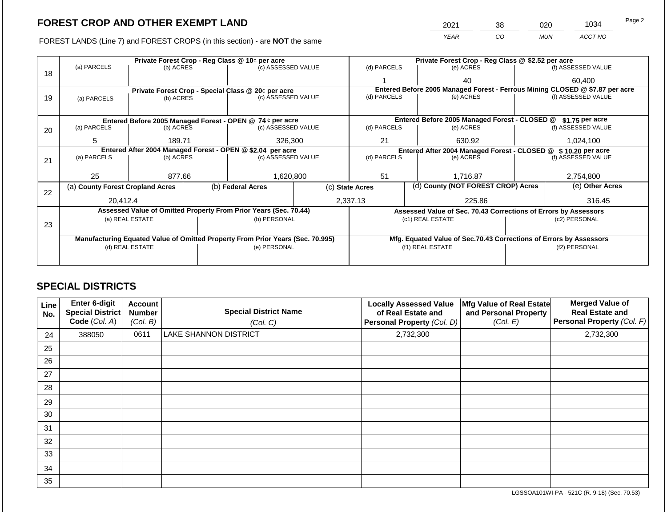FOREST LANDS (Line 7) and FOREST CROPS (in this section) - are **NOT** the same

|                                     | 2021                                              | 38 | 020        | 1034    | Page 2 |
|-------------------------------------|---------------------------------------------------|----|------------|---------|--------|
|                                     | YEAR                                              | CО | <b>MUN</b> | ACCT NO |        |
|                                     | Private Forest Crop - Reg Class @ \$2.52 per acre |    |            |         |        |
| $\cdots$ $\cdots$ $\cdots$ $\cdots$ | .                                                 |    |            |         |        |

|    |                                                                                |                 |  | Private Forest Crop - Reg Class @ 10¢ per acre                   |  | Private Forest Crop - Reg Class @ \$2.52 per acre |                  |                                                                    |                    |                                                                              |  |
|----|--------------------------------------------------------------------------------|-----------------|--|------------------------------------------------------------------|--|---------------------------------------------------|------------------|--------------------------------------------------------------------|--------------------|------------------------------------------------------------------------------|--|
| 18 | (a) PARCELS                                                                    | (b) ACRES       |  | (c) ASSESSED VALUE                                               |  | (d) PARCELS                                       |                  | (e) ACRES                                                          |                    | (f) ASSESSED VALUE                                                           |  |
|    |                                                                                |                 |  |                                                                  |  |                                                   |                  | 40                                                                 |                    | 60,400                                                                       |  |
|    |                                                                                |                 |  | Private Forest Crop - Special Class @ 20¢ per acre               |  |                                                   |                  |                                                                    |                    | Entered Before 2005 Managed Forest - Ferrous Mining CLOSED @ \$7.87 per acre |  |
| 19 | (a) PARCELS                                                                    | (b) ACRES       |  | (c) ASSESSED VALUE                                               |  | (d) PARCELS                                       |                  | (e) ACRES                                                          |                    | (f) ASSESSED VALUE                                                           |  |
|    |                                                                                |                 |  |                                                                  |  |                                                   |                  |                                                                    |                    |                                                                              |  |
|    | Entered Before 2005 Managed Forest - OPEN @ 74 ¢ per acre                      |                 |  |                                                                  |  |                                                   |                  | Entered Before 2005 Managed Forest - CLOSED @ \$1.75 per acre      |                    |                                                                              |  |
| 20 | (a) PARCELS                                                                    | (b) ACRES       |  | (c) ASSESSED VALUE                                               |  | (d) PARCELS                                       |                  | (e) ACRES                                                          |                    | (f) ASSESSED VALUE                                                           |  |
|    | 5                                                                              | 189.71          |  | 326,300                                                          |  | 21                                                | 630.92           |                                                                    | 1,024,100          |                                                                              |  |
|    |                                                                                |                 |  | Entered After 2004 Managed Forest - OPEN @ \$2.04 per acre       |  |                                                   |                  | Entered After 2004 Managed Forest - CLOSED @                       |                    | \$10.20 per acre                                                             |  |
| 21 | (a) PARCELS                                                                    | (b) ACRES       |  | (c) ASSESSED VALUE                                               |  | (d) PARCELS                                       |                  | (e) ACRES                                                          | (f) ASSESSED VALUE |                                                                              |  |
|    |                                                                                |                 |  |                                                                  |  |                                                   |                  |                                                                    |                    |                                                                              |  |
|    | 25                                                                             | 877.66          |  | 1,620,800                                                        |  | 51                                                |                  | 1.716.87                                                           |                    | 2,754,800                                                                    |  |
| 22 | (a) County Forest Cropland Acres                                               |                 |  | (b) Federal Acres                                                |  | (c) State Acres                                   |                  | (d) County (NOT FOREST CROP) Acres                                 |                    | (e) Other Acres                                                              |  |
|    | 20,412.4                                                                       |                 |  |                                                                  |  | 2,337.13                                          |                  | 225.86                                                             |                    | 316.45                                                                       |  |
|    |                                                                                |                 |  | Assessed Value of Omitted Property From Prior Years (Sec. 70.44) |  |                                                   |                  | Assessed Value of Sec. 70.43 Corrections of Errors by Assessors    |                    |                                                                              |  |
| 23 |                                                                                | (a) REAL ESTATE |  | (b) PERSONAL                                                     |  |                                                   | (c1) REAL ESTATE |                                                                    |                    | (c2) PERSONAL                                                                |  |
|    |                                                                                |                 |  |                                                                  |  |                                                   |                  |                                                                    |                    |                                                                              |  |
|    | Manufacturing Equated Value of Omitted Property From Prior Years (Sec. 70.995) |                 |  |                                                                  |  |                                                   |                  | Mfg. Equated Value of Sec.70.43 Corrections of Errors by Assessors |                    |                                                                              |  |
|    | (d) REAL ESTATE                                                                |                 |  | (e) PERSONAL                                                     |  |                                                   | (f1) REAL ESTATE | (f2) PERSONAL                                                      |                    |                                                                              |  |
|    |                                                                                |                 |  |                                                                  |  |                                                   |                  |                                                                    |                    |                                                                              |  |
|    |                                                                                |                 |  |                                                                  |  |                                                   |                  |                                                                    |                    |                                                                              |  |

## **SPECIAL DISTRICTS**

 $\Box$ 

| Line<br>No. | Enter 6-digit<br>Special District<br>Code (Col. A) | <b>Account</b><br><b>Number</b><br>(Col. B) | <b>Special District Name</b><br>(Col. C) | <b>Locally Assessed Value</b><br>of Real Estate and<br>Personal Property (Col. D) | Mfg Value of Real Estate<br>and Personal Property<br>(Col. E) | <b>Merged Value of</b><br><b>Real Estate and</b><br>Personal Property (Col. F) |
|-------------|----------------------------------------------------|---------------------------------------------|------------------------------------------|-----------------------------------------------------------------------------------|---------------------------------------------------------------|--------------------------------------------------------------------------------|
| 24          | 388050                                             | 0611                                        | LAKE SHANNON DISTRICT                    | 2,732,300                                                                         |                                                               | 2,732,300                                                                      |
| 25          |                                                    |                                             |                                          |                                                                                   |                                                               |                                                                                |
| 26          |                                                    |                                             |                                          |                                                                                   |                                                               |                                                                                |
| 27          |                                                    |                                             |                                          |                                                                                   |                                                               |                                                                                |
| 28          |                                                    |                                             |                                          |                                                                                   |                                                               |                                                                                |
| 29          |                                                    |                                             |                                          |                                                                                   |                                                               |                                                                                |
| 30          |                                                    |                                             |                                          |                                                                                   |                                                               |                                                                                |
| 31          |                                                    |                                             |                                          |                                                                                   |                                                               |                                                                                |
| 32          |                                                    |                                             |                                          |                                                                                   |                                                               |                                                                                |
| 33          |                                                    |                                             |                                          |                                                                                   |                                                               |                                                                                |
| 34          |                                                    |                                             |                                          |                                                                                   |                                                               |                                                                                |
| 35          |                                                    |                                             |                                          |                                                                                   |                                                               |                                                                                |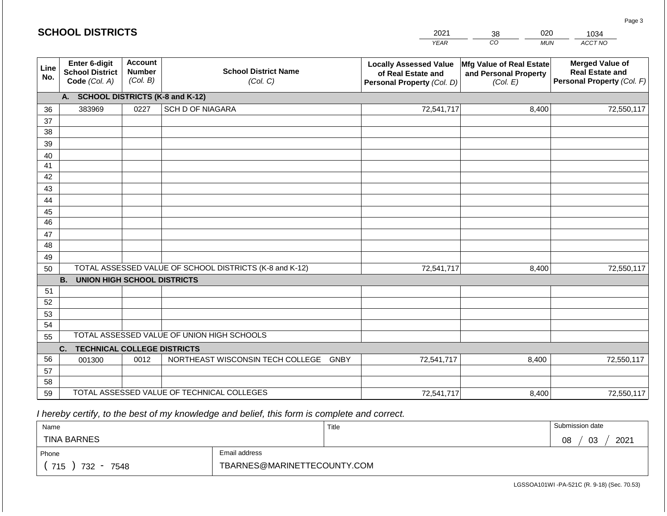| <b>SCHOOL DISTRICTS</b> |                                                          |      |                                                                                        | 2021        | 020<br>38                                                                                   | 1034                                                                           |
|-------------------------|----------------------------------------------------------|------|----------------------------------------------------------------------------------------|-------------|---------------------------------------------------------------------------------------------|--------------------------------------------------------------------------------|
|                         |                                                          |      |                                                                                        | <b>YEAR</b> | CO<br><b>MUN</b>                                                                            | ACCT NO                                                                        |
| Line<br>No.             | Enter 6-digit<br><b>School District</b><br>Code (Col. A) |      | <b>Account</b><br><b>School District Name</b><br><b>Number</b><br>(Col. B)<br>(Col. C) |             | Mfg Value of Real Estate<br>and Personal Property<br>(Col. E)<br>Personal Property (Col. D) | <b>Merged Value of</b><br><b>Real Estate and</b><br>Personal Property (Col. F) |
|                         | A. SCHOOL DISTRICTS (K-8 and K-12)                       |      |                                                                                        |             |                                                                                             |                                                                                |
| 36                      | 383969                                                   | 0227 | <b>SCH D OF NIAGARA</b>                                                                | 72,541,717  | 8,400                                                                                       | 72,550,117                                                                     |
| 37                      |                                                          |      |                                                                                        |             |                                                                                             |                                                                                |
| 38                      |                                                          |      |                                                                                        |             |                                                                                             |                                                                                |
| 39                      |                                                          |      |                                                                                        |             |                                                                                             |                                                                                |
| 40                      |                                                          |      |                                                                                        |             |                                                                                             |                                                                                |
| 41<br>42                |                                                          |      |                                                                                        |             |                                                                                             |                                                                                |
| 43                      |                                                          |      |                                                                                        |             |                                                                                             |                                                                                |
| 44                      |                                                          |      |                                                                                        |             |                                                                                             |                                                                                |
| 45                      |                                                          |      |                                                                                        |             |                                                                                             |                                                                                |
| 46                      |                                                          |      |                                                                                        |             |                                                                                             |                                                                                |
| 47                      |                                                          |      |                                                                                        |             |                                                                                             |                                                                                |
| 48                      |                                                          |      |                                                                                        |             |                                                                                             |                                                                                |
| 49                      |                                                          |      |                                                                                        |             |                                                                                             |                                                                                |
| 50                      |                                                          |      | TOTAL ASSESSED VALUE OF SCHOOL DISTRICTS (K-8 and K-12)                                | 72,541,717  | 8,400                                                                                       | 72,550,117                                                                     |
|                         | <b>B.</b><br><b>UNION HIGH SCHOOL DISTRICTS</b>          |      |                                                                                        |             |                                                                                             |                                                                                |
| 51<br>52                |                                                          |      |                                                                                        |             |                                                                                             |                                                                                |
| 53                      |                                                          |      |                                                                                        |             |                                                                                             |                                                                                |
| 54                      |                                                          |      |                                                                                        |             |                                                                                             |                                                                                |
| 55                      |                                                          |      | TOTAL ASSESSED VALUE OF UNION HIGH SCHOOLS                                             |             |                                                                                             |                                                                                |
|                         | <b>TECHNICAL COLLEGE DISTRICTS</b><br>C.                 |      |                                                                                        |             |                                                                                             |                                                                                |
| 56                      | 001300                                                   | 0012 | NORTHEAST WISCONSIN TECH COLLEGE GNBY                                                  | 72,541,717  | 8,400                                                                                       | 72,550,117                                                                     |
| 57                      |                                                          |      |                                                                                        |             |                                                                                             |                                                                                |
| 58                      |                                                          |      |                                                                                        |             |                                                                                             |                                                                                |
| 59                      |                                                          |      | TOTAL ASSESSED VALUE OF TECHNICAL COLLEGES                                             | 72,541,717  | 8,400                                                                                       | 72,550,117                                                                     |

**SCHOOL DISTRICTS**

| Name               |                             | Title | Submission date  |
|--------------------|-----------------------------|-------|------------------|
| <b>TINA BARNES</b> |                             |       | 2021<br>03<br>08 |
| Phone              | Email address               |       |                  |
| 715<br>732<br>7548 | TBARNES@MARINETTECOUNTY.COM |       |                  |

Page 3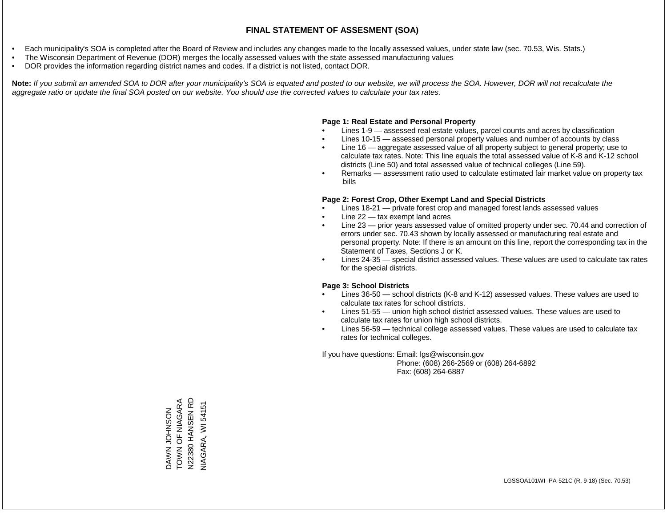- Each municipality's SOA is completed after the Board of Review and includes any changes made to the locally assessed values, under state law (sec. 70.53, Wis. Stats.)
- The Wisconsin Department of Revenue (DOR) merges the locally assessed values with the state assessed manufacturing values
- DOR provides the information regarding district names and codes. If a district is not listed, contact DOR.

Note: If you submit an amended SOA to DOR after your municipality's SOA is equated and posted to our website, we will process the SOA. However, DOR will not recalculate the *aggregate ratio or update the final SOA posted on our website. You should use the corrected values to calculate your tax rates.*

#### **Page 1: Real Estate and Personal Property**

- Lines 1-9 assessed real estate values, parcel counts and acres by classification
- Lines 10-15 assessed personal property values and number of accounts by class
- Line 16 aggregate assessed value of all property subject to general property; use to calculate tax rates. Note: This line equals the total assessed value of K-8 and K-12 school districts (Line 50) and total assessed value of technical colleges (Line 59).
- Remarks assessment ratio used to calculate estimated fair market value on property tax bills

#### **Page 2: Forest Crop, Other Exempt Land and Special Districts**

- Lines 18-21 private forest crop and managed forest lands assessed values
- Line  $22 -$  tax exempt land acres
- Line 23 prior years assessed value of omitted property under sec. 70.44 and correction of errors under sec. 70.43 shown by locally assessed or manufacturing real estate and personal property. Note: If there is an amount on this line, report the corresponding tax in the Statement of Taxes, Sections J or K.
- Lines 24-35 special district assessed values. These values are used to calculate tax rates for the special districts.

#### **Page 3: School Districts**

- Lines 36-50 school districts (K-8 and K-12) assessed values. These values are used to calculate tax rates for school districts.
- Lines 51-55 union high school district assessed values. These values are used to calculate tax rates for union high school districts.
- Lines 56-59 technical college assessed values. These values are used to calculate tax rates for technical colleges.

If you have questions: Email: lgs@wisconsin.gov

 Phone: (608) 266-2569 or (608) 264-6892 Fax: (608) 264-6887

DAWN JOHNSON<br>TOWN OF NIAGARA<br>N22380 HANSEN RD TOWN OF NIAGARA N22380 HANSEN RD VIAGARA, WI 54151 NIAGARA, WI 54151DAWN JOHNSON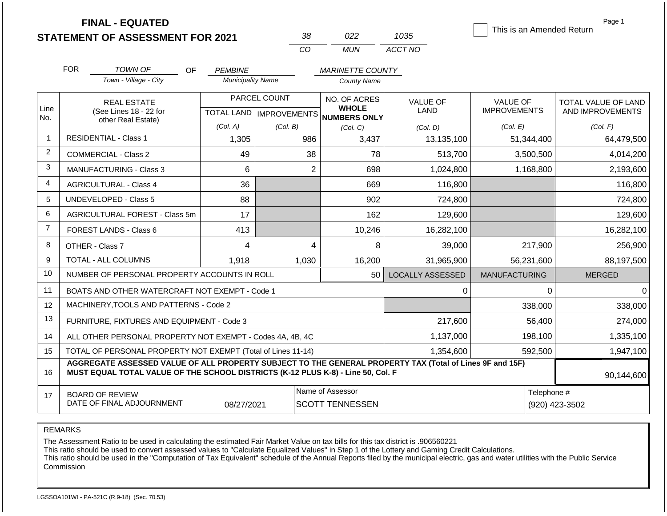**FINAL - EQUATED**

| אי       | 722   | 1035    |
|----------|-------|---------|
| $\alpha$ | MI IN | ACCT NO |

This is an Amended Return

Page 1

|                | <b>FOR</b>                                                        | TOWN OF<br><b>OF</b>                                                                                                                                                                         | <b>PEMBINE</b>           |                                  | <b>MARINETTE COUNTY</b>                    |                                |                                        |                                                |
|----------------|-------------------------------------------------------------------|----------------------------------------------------------------------------------------------------------------------------------------------------------------------------------------------|--------------------------|----------------------------------|--------------------------------------------|--------------------------------|----------------------------------------|------------------------------------------------|
|                |                                                                   | Town - Village - City                                                                                                                                                                        | <b>Municipality Name</b> |                                  | <b>County Name</b>                         |                                |                                        |                                                |
| Line           | <b>REAL ESTATE</b><br>(See Lines 18 - 22 for                      |                                                                                                                                                                                              | PARCEL COUNT             |                                  | NO. OF ACRES<br><b>WHOLE</b>               | <b>VALUE OF</b><br><b>LAND</b> | <b>VALUE OF</b><br><b>IMPROVEMENTS</b> | <b>TOTAL VALUE OF LAND</b><br>AND IMPROVEMENTS |
| No.            |                                                                   | other Real Estate)                                                                                                                                                                           |                          | <b>TOTAL LAND   IMPROVEMENTS</b> | <b>NUMBERS ONLY</b>                        |                                |                                        |                                                |
|                |                                                                   |                                                                                                                                                                                              | (Col. A)                 | (Col. B)                         | (Col, C)                                   | (Col. D)                       | (Col. E)                               | (Col. F)                                       |
| $\mathbf{1}$   |                                                                   | <b>RESIDENTIAL - Class 1</b>                                                                                                                                                                 | 1,305                    | 986                              | 3,437                                      | 13,135,100                     | 51,344,400                             | 64,479,500                                     |
| $\overline{2}$ |                                                                   | <b>COMMERCIAL - Class 2</b>                                                                                                                                                                  | 49                       | 38                               | 78                                         | 513,700                        | 3,500,500                              | 4,014,200                                      |
| 3              |                                                                   | <b>MANUFACTURING - Class 3</b>                                                                                                                                                               | 6                        | $\overline{2}$                   | 698                                        | 1,024,800                      | 1,168,800                              | 2,193,600                                      |
| $\overline{4}$ |                                                                   | <b>AGRICULTURAL - Class 4</b>                                                                                                                                                                | 36                       |                                  | 669                                        | 116,800                        |                                        | 116,800                                        |
| 5              |                                                                   | <b>UNDEVELOPED - Class 5</b>                                                                                                                                                                 | 88                       |                                  | 902                                        | 724,800                        |                                        | 724,800                                        |
| 6              |                                                                   | AGRICULTURAL FOREST - Class 5m                                                                                                                                                               | 17                       |                                  | 162                                        | 129,600                        |                                        | 129,600                                        |
| $\overline{7}$ |                                                                   | FOREST LANDS - Class 6                                                                                                                                                                       | 413                      |                                  | 10,246                                     | 16,282,100                     |                                        | 16,282,100                                     |
| 8              |                                                                   | OTHER - Class 7                                                                                                                                                                              | 4                        | 4                                | 8                                          | 39,000                         | 217,900                                | 256,900                                        |
| 9              |                                                                   | TOTAL - ALL COLUMNS                                                                                                                                                                          | 1,918                    | 1,030                            | 16,200                                     | 31,965,900                     | 56,231,600                             | 88,197,500                                     |
| 10             |                                                                   | NUMBER OF PERSONAL PROPERTY ACCOUNTS IN ROLL                                                                                                                                                 |                          |                                  | 50                                         | <b>LOCALLY ASSESSED</b>        | <b>MANUFACTURING</b>                   | <b>MERGED</b>                                  |
| 11             |                                                                   | BOATS AND OTHER WATERCRAFT NOT EXEMPT - Code 1                                                                                                                                               |                          |                                  |                                            | $\Omega$                       | $\Omega$                               | $\mathbf 0$                                    |
| 12             |                                                                   | MACHINERY, TOOLS AND PATTERNS - Code 2                                                                                                                                                       |                          |                                  |                                            |                                | 338,000                                | 338,000                                        |
| 13             |                                                                   | FURNITURE, FIXTURES AND EQUIPMENT - Code 3                                                                                                                                                   |                          |                                  |                                            | 217,600                        | 56,400                                 | 274,000                                        |
| 14             |                                                                   | ALL OTHER PERSONAL PROPERTY NOT EXEMPT - Codes 4A, 4B, 4C                                                                                                                                    |                          |                                  |                                            | 1,137,000                      | 198,100                                | 1,335,100                                      |
| 15             |                                                                   | TOTAL OF PERSONAL PROPERTY NOT EXEMPT (Total of Lines 11-14)                                                                                                                                 |                          |                                  |                                            | 1,354,600                      | 592,500                                | 1,947,100                                      |
| 16             |                                                                   | AGGREGATE ASSESSED VALUE OF ALL PROPERTY SUBJECT TO THE GENERAL PROPERTY TAX (Total of Lines 9F and 15F)<br>MUST EQUAL TOTAL VALUE OF THE SCHOOL DISTRICTS (K-12 PLUS K-8) - Line 50, Col. F |                          |                                  |                                            |                                |                                        | 90,144,600                                     |
| 17             | <b>BOARD OF REVIEW</b><br>DATE OF FINAL ADJOURNMENT<br>08/27/2021 |                                                                                                                                                                                              |                          |                                  | Name of Assessor<br><b>SCOTT TENNESSEN</b> |                                | Telephone #<br>(920) 423-3502          |                                                |
|                |                                                                   |                                                                                                                                                                                              |                          |                                  |                                            |                                |                                        |                                                |

REMARKS

The Assessment Ratio to be used in calculating the estimated Fair Market Value on tax bills for this tax district is .906560221

This ratio should be used to convert assessed values to "Calculate Equalized Values" in Step 1 of the Lottery and Gaming Credit Calculations.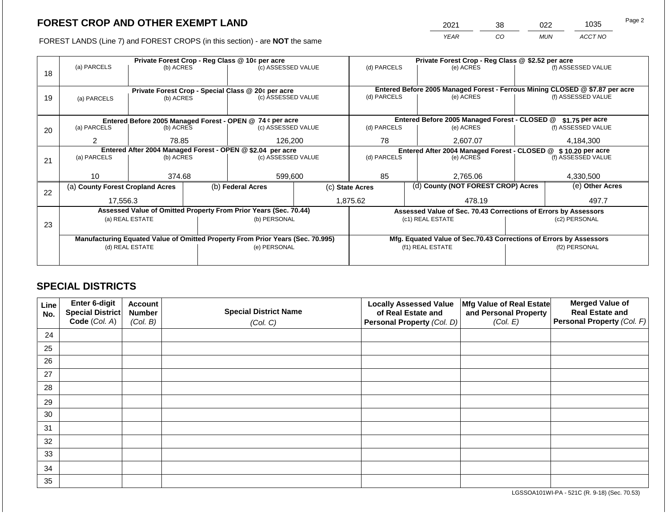2021 38 022 1035

FOREST LANDS (Line 7) and FOREST CROPS (in this section) - are **NOT** the same *YEAR CO MUN ACCT NO*

|    |                                                                                |                                                                                                      |  | Private Forest Crop - Reg Class @ 10¢ per acre                   |                                                                    | Private Forest Crop - Reg Class @ \$2.52 per acre               |                                                                              |                                                               |               |                    |  |  |
|----|--------------------------------------------------------------------------------|------------------------------------------------------------------------------------------------------|--|------------------------------------------------------------------|--------------------------------------------------------------------|-----------------------------------------------------------------|------------------------------------------------------------------------------|---------------------------------------------------------------|---------------|--------------------|--|--|
|    | (a) PARCELS                                                                    | (b) ACRES                                                                                            |  | (c) ASSESSED VALUE                                               |                                                                    | (d) PARCELS                                                     |                                                                              | (e) ACRES                                                     |               | (f) ASSESSED VALUE |  |  |
| 18 |                                                                                |                                                                                                      |  |                                                                  |                                                                    |                                                                 |                                                                              |                                                               |               |                    |  |  |
|    |                                                                                |                                                                                                      |  |                                                                  |                                                                    |                                                                 | Entered Before 2005 Managed Forest - Ferrous Mining CLOSED @ \$7.87 per acre |                                                               |               |                    |  |  |
| 19 |                                                                                | Private Forest Crop - Special Class @ 20¢ per acre<br>(c) ASSESSED VALUE<br>(b) ACRES<br>(a) PARCELS |  |                                                                  |                                                                    | (d) PARCELS                                                     |                                                                              | (e) ACRES                                                     |               | (f) ASSESSED VALUE |  |  |
|    |                                                                                |                                                                                                      |  |                                                                  |                                                                    |                                                                 |                                                                              |                                                               |               |                    |  |  |
|    |                                                                                |                                                                                                      |  |                                                                  |                                                                    |                                                                 |                                                                              |                                                               |               |                    |  |  |
|    |                                                                                |                                                                                                      |  | Entered Before 2005 Managed Forest - OPEN @ 74 ¢ per acre        |                                                                    |                                                                 |                                                                              | Entered Before 2005 Managed Forest - CLOSED @                 |               | \$1.75 per acre    |  |  |
| 20 | (a) PARCELS                                                                    | (b) ACRES                                                                                            |  | (c) ASSESSED VALUE                                               |                                                                    | (d) PARCELS                                                     |                                                                              | (e) ACRES                                                     |               | (f) ASSESSED VALUE |  |  |
|    |                                                                                |                                                                                                      |  |                                                                  |                                                                    |                                                                 |                                                                              |                                                               |               |                    |  |  |
|    |                                                                                | $\overline{2}$<br>126,200<br>78.85                                                                   |  |                                                                  | 78                                                                 |                                                                 | 2,607.07                                                                     | 4,184,300                                                     |               |                    |  |  |
|    |                                                                                | Entered After 2004 Managed Forest - OPEN @ \$2.04 per acre                                           |  |                                                                  |                                                                    |                                                                 |                                                                              | Entered After 2004 Managed Forest - CLOSED @ \$10.20 per acre |               |                    |  |  |
| 21 | (a) PARCELS                                                                    | (b) ACRES                                                                                            |  | (c) ASSESSED VALUE                                               |                                                                    | (d) PARCELS                                                     |                                                                              | (f) ASSESSED VALUE<br>(e) ACRES                               |               |                    |  |  |
|    |                                                                                |                                                                                                      |  |                                                                  |                                                                    |                                                                 |                                                                              |                                                               |               |                    |  |  |
|    | 10 <sup>1</sup>                                                                | 374.68                                                                                               |  | 599,600                                                          |                                                                    | 85                                                              |                                                                              | 2,765.06                                                      | 4,330,500     |                    |  |  |
|    | (a) County Forest Cropland Acres                                               |                                                                                                      |  | (b) Federal Acres                                                |                                                                    | (c) State Acres                                                 |                                                                              | (d) County (NOT FOREST CROP) Acres                            |               | (e) Other Acres    |  |  |
| 22 |                                                                                |                                                                                                      |  |                                                                  |                                                                    |                                                                 |                                                                              |                                                               |               |                    |  |  |
|    | 17,556.3                                                                       |                                                                                                      |  |                                                                  |                                                                    | 1,875.62                                                        |                                                                              | 478.19                                                        |               | 497.7              |  |  |
|    |                                                                                |                                                                                                      |  | Assessed Value of Omitted Property From Prior Years (Sec. 70.44) |                                                                    | Assessed Value of Sec. 70.43 Corrections of Errors by Assessors |                                                                              |                                                               |               |                    |  |  |
|    |                                                                                | (a) REAL ESTATE                                                                                      |  | (b) PERSONAL                                                     |                                                                    |                                                                 |                                                                              | (c1) REAL ESTATE                                              |               | (c2) PERSONAL      |  |  |
| 23 |                                                                                |                                                                                                      |  |                                                                  |                                                                    |                                                                 |                                                                              |                                                               |               |                    |  |  |
|    | Manufacturing Equated Value of Omitted Property From Prior Years (Sec. 70.995) |                                                                                                      |  |                                                                  | Mfg. Equated Value of Sec.70.43 Corrections of Errors by Assessors |                                                                 |                                                                              |                                                               |               |                    |  |  |
|    |                                                                                | (d) REAL ESTATE                                                                                      |  | (e) PERSONAL                                                     |                                                                    |                                                                 |                                                                              | (f1) REAL ESTATE                                              | (f2) PERSONAL |                    |  |  |
|    |                                                                                |                                                                                                      |  |                                                                  |                                                                    |                                                                 |                                                                              |                                                               |               |                    |  |  |
|    |                                                                                |                                                                                                      |  |                                                                  |                                                                    |                                                                 |                                                                              |                                                               |               |                    |  |  |

## **SPECIAL DISTRICTS**

| Line<br>No. | <b>Enter 6-digit</b><br>Special District | <b>Account</b><br><b>Number</b> | <b>Special District Name</b> | <b>Locally Assessed Value</b><br>of Real Estate and | Mfg Value of Real Estate<br>and Personal Property | <b>Merged Value of</b><br><b>Real Estate and</b> |
|-------------|------------------------------------------|---------------------------------|------------------------------|-----------------------------------------------------|---------------------------------------------------|--------------------------------------------------|
|             | Code (Col. A)                            | (Col. B)                        | (Col. C)                     | Personal Property (Col. D)                          | (Col. E)                                          | Personal Property (Col. F)                       |
| 24          |                                          |                                 |                              |                                                     |                                                   |                                                  |
| 25          |                                          |                                 |                              |                                                     |                                                   |                                                  |
| 26          |                                          |                                 |                              |                                                     |                                                   |                                                  |
| 27          |                                          |                                 |                              |                                                     |                                                   |                                                  |
| 28          |                                          |                                 |                              |                                                     |                                                   |                                                  |
| 29          |                                          |                                 |                              |                                                     |                                                   |                                                  |
| 30          |                                          |                                 |                              |                                                     |                                                   |                                                  |
| 31          |                                          |                                 |                              |                                                     |                                                   |                                                  |
| 32          |                                          |                                 |                              |                                                     |                                                   |                                                  |
| 33          |                                          |                                 |                              |                                                     |                                                   |                                                  |
| 34          |                                          |                                 |                              |                                                     |                                                   |                                                  |
| 35          |                                          |                                 |                              |                                                     |                                                   |                                                  |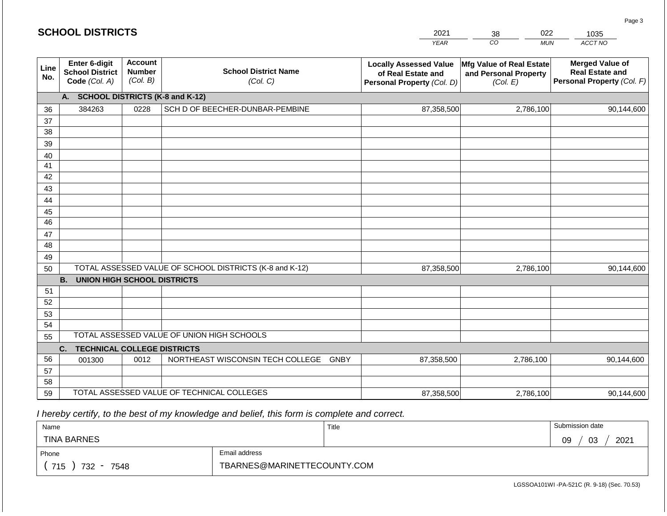| <b>SCHOOL DISTRICTS</b> |                                                                                                         |      |                                                         | 2021                                                                              | 022<br>38                                                     | 1035                                                                           |  |
|-------------------------|---------------------------------------------------------------------------------------------------------|------|---------------------------------------------------------|-----------------------------------------------------------------------------------|---------------------------------------------------------------|--------------------------------------------------------------------------------|--|
|                         |                                                                                                         |      |                                                         | <b>YEAR</b>                                                                       | CO                                                            | ACCT NO<br><b>MUN</b>                                                          |  |
| Line<br>No.             | <b>Account</b><br>Enter 6-digit<br><b>Number</b><br><b>School District</b><br>(Col. B)<br>Code (Col. A) |      | <b>School District Name</b><br>(Col. C)                 | <b>Locally Assessed Value</b><br>of Real Estate and<br>Personal Property (Col. D) | Mfg Value of Real Estate<br>and Personal Property<br>(Col. E) | <b>Merged Value of</b><br><b>Real Estate and</b><br>Personal Property (Col. F) |  |
|                         | A. SCHOOL DISTRICTS (K-8 and K-12)                                                                      |      |                                                         |                                                                                   |                                                               |                                                                                |  |
| 36                      | 384263                                                                                                  | 0228 | SCH D OF BEECHER-DUNBAR-PEMBINE                         | 87,358,500                                                                        | 2,786,100                                                     | 90,144,600                                                                     |  |
| 37                      |                                                                                                         |      |                                                         |                                                                                   |                                                               |                                                                                |  |
| 38                      |                                                                                                         |      |                                                         |                                                                                   |                                                               |                                                                                |  |
| 39                      |                                                                                                         |      |                                                         |                                                                                   |                                                               |                                                                                |  |
| 40                      |                                                                                                         |      |                                                         |                                                                                   |                                                               |                                                                                |  |
| 41                      |                                                                                                         |      |                                                         |                                                                                   |                                                               |                                                                                |  |
| 42                      |                                                                                                         |      |                                                         |                                                                                   |                                                               |                                                                                |  |
| 43                      |                                                                                                         |      |                                                         |                                                                                   |                                                               |                                                                                |  |
| 44<br>45                |                                                                                                         |      |                                                         |                                                                                   |                                                               |                                                                                |  |
| 46                      |                                                                                                         |      |                                                         |                                                                                   |                                                               |                                                                                |  |
| 47                      |                                                                                                         |      |                                                         |                                                                                   |                                                               |                                                                                |  |
| 48                      |                                                                                                         |      |                                                         |                                                                                   |                                                               |                                                                                |  |
| 49                      |                                                                                                         |      |                                                         |                                                                                   |                                                               |                                                                                |  |
| 50                      |                                                                                                         |      | TOTAL ASSESSED VALUE OF SCHOOL DISTRICTS (K-8 and K-12) | 87,358,500                                                                        | 2,786,100                                                     | 90,144,600                                                                     |  |
|                         | <b>B.</b><br><b>UNION HIGH SCHOOL DISTRICTS</b>                                                         |      |                                                         |                                                                                   |                                                               |                                                                                |  |
| 51                      |                                                                                                         |      |                                                         |                                                                                   |                                                               |                                                                                |  |
| 52                      |                                                                                                         |      |                                                         |                                                                                   |                                                               |                                                                                |  |
| 53                      |                                                                                                         |      |                                                         |                                                                                   |                                                               |                                                                                |  |
| 54                      |                                                                                                         |      |                                                         |                                                                                   |                                                               |                                                                                |  |
| 55                      |                                                                                                         |      | TOTAL ASSESSED VALUE OF UNION HIGH SCHOOLS              |                                                                                   |                                                               |                                                                                |  |
|                         | C.<br><b>TECHNICAL COLLEGE DISTRICTS</b>                                                                |      |                                                         |                                                                                   |                                                               |                                                                                |  |
| 56                      | 001300                                                                                                  | 0012 | NORTHEAST WISCONSIN TECH COLLEGE                        | 87,358,500<br><b>GNBY</b>                                                         | 2,786,100                                                     | 90,144,600                                                                     |  |
| 57                      |                                                                                                         |      |                                                         |                                                                                   |                                                               |                                                                                |  |
| 58                      |                                                                                                         |      | TOTAL ASSESSED VALUE OF TECHNICAL COLLEGES              |                                                                                   |                                                               |                                                                                |  |
| 59                      |                                                                                                         |      |                                                         | 87,358,500                                                                        | 2,786,100                                                     | 90,144,600                                                                     |  |

| Name                                           |                             | Title | Submission date        |
|------------------------------------------------|-----------------------------|-------|------------------------|
| <b>TINA BARNES</b>                             |                             |       | 2021<br>03<br>na<br>ບວ |
| Phone                                          | Email address               |       |                        |
| 715<br>732<br>7548<br>$\overline{\phantom{0}}$ | TBARNES@MARINETTECOUNTY.COM |       |                        |

LGSSOA101WI -PA-521C (R. 9-18) (Sec. 70.53)

Page 3

| <b>SCHOOL DISTRICTS</b> |  |
|-------------------------|--|
|-------------------------|--|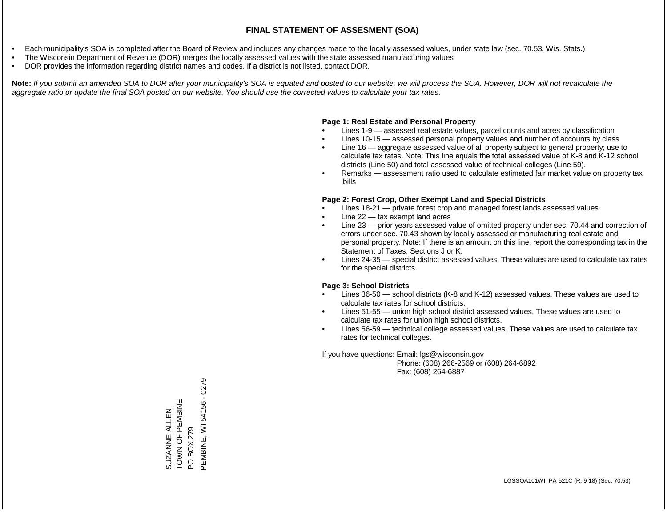- Each municipality's SOA is completed after the Board of Review and includes any changes made to the locally assessed values, under state law (sec. 70.53, Wis. Stats.)
- The Wisconsin Department of Revenue (DOR) merges the locally assessed values with the state assessed manufacturing values
- DOR provides the information regarding district names and codes. If a district is not listed, contact DOR.

Note: If you submit an amended SOA to DOR after your municipality's SOA is equated and posted to our website, we will process the SOA. However, DOR will not recalculate the *aggregate ratio or update the final SOA posted on our website. You should use the corrected values to calculate your tax rates.*

#### **Page 1: Real Estate and Personal Property**

- Lines 1-9 assessed real estate values, parcel counts and acres by classification
- Lines 10-15 assessed personal property values and number of accounts by class
- Line 16 aggregate assessed value of all property subject to general property; use to calculate tax rates. Note: This line equals the total assessed value of K-8 and K-12 school districts (Line 50) and total assessed value of technical colleges (Line 59).
- Remarks assessment ratio used to calculate estimated fair market value on property tax bills

#### **Page 2: Forest Crop, Other Exempt Land and Special Districts**

- Lines 18-21 private forest crop and managed forest lands assessed values
- Line  $22 -$  tax exempt land acres
- Line 23 prior years assessed value of omitted property under sec. 70.44 and correction of errors under sec. 70.43 shown by locally assessed or manufacturing real estate and personal property. Note: If there is an amount on this line, report the corresponding tax in the Statement of Taxes, Sections J or K.
- Lines 24-35 special district assessed values. These values are used to calculate tax rates for the special districts.

#### **Page 3: School Districts**

- Lines 36-50 school districts (K-8 and K-12) assessed values. These values are used to calculate tax rates for school districts.
- Lines 51-55 union high school district assessed values. These values are used to calculate tax rates for union high school districts.
- Lines 56-59 technical college assessed values. These values are used to calculate tax rates for technical colleges.

If you have questions: Email: lgs@wisconsin.gov

 Phone: (608) 266-2569 or (608) 264-6892 Fax: (608) 264-6887

SUZANNE ALLEN TOWN OF PEMBINE SUZANNE ALLEN<br>TOWN OF PEMBINE<br>PO BOX 279<br>PEMBINE, WI 54156 - 0279 PEMBINE, WI 54156 - 0279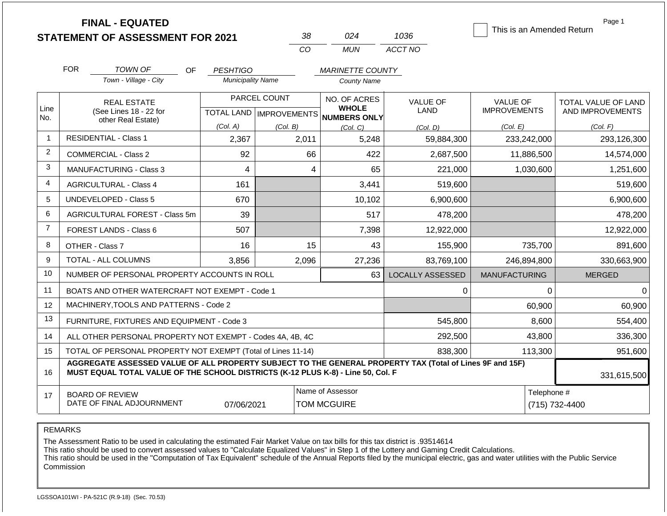| <b>STATEMENT OF ASSESSMENT FOR 2021</b> |  |
|-----------------------------------------|--|
|                                         |  |

**FINAL - EQUATED**

| - २१२ | በ24   | 1036.   |
|-------|-------|---------|
| CO.   | MI IN | ACCT NO |

This is an Amended Return

Page 1

|                | <b>FOR</b><br>TOWN OF<br>OF                                                                                                                                                                                 | <b>PESHTIGO</b>          |              | <b>MARINETTE COUNTY</b>                             |                         |                      |                     |  |
|----------------|-------------------------------------------------------------------------------------------------------------------------------------------------------------------------------------------------------------|--------------------------|--------------|-----------------------------------------------------|-------------------------|----------------------|---------------------|--|
|                | Town - Village - City                                                                                                                                                                                       | <b>Municipality Name</b> |              | <b>County Name</b>                                  |                         |                      |                     |  |
|                | <b>REAL ESTATE</b>                                                                                                                                                                                          |                          | PARCEL COUNT | NO. OF ACRES                                        | <b>VALUE OF</b>         | VALUE OF             | TOTAL VALUE OF LAND |  |
| Line<br>No.    | (See Lines 18 - 22 for<br>other Real Estate)                                                                                                                                                                |                          |              | <b>WHOLE</b><br>TOTAL LAND MPROVEMENTS NUMBERS ONLY | <b>LAND</b>             | <b>IMPROVEMENTS</b>  | AND IMPROVEMENTS    |  |
|                |                                                                                                                                                                                                             | (Col. A)                 | (Col. B)     | (Col. C)                                            | (Col, D)                | (Col. E)             | (Col. F)            |  |
| $\mathbf 1$    | <b>RESIDENTIAL - Class 1</b>                                                                                                                                                                                | 2,367                    | 2,011        | 5,248                                               | 59,884,300              | 233,242,000          | 293,126,300         |  |
| $\overline{2}$ | <b>COMMERCIAL - Class 2</b>                                                                                                                                                                                 | 92                       | 66           | 422                                                 | 2,687,500               | 11,886,500           | 14,574,000          |  |
| 3              | <b>MANUFACTURING - Class 3</b>                                                                                                                                                                              | 4                        | 4            | 65                                                  | 221,000                 | 1,030,600            | 1,251,600           |  |
| 4              | <b>AGRICULTURAL - Class 4</b>                                                                                                                                                                               | 161                      |              | 3,441                                               | 519,600                 |                      | 519,600             |  |
| 5              | UNDEVELOPED - Class 5                                                                                                                                                                                       | 670                      |              | 10,102                                              | 6,900,600               |                      | 6,900,600           |  |
| 6              | AGRICULTURAL FOREST - Class 5m                                                                                                                                                                              | 39                       |              | 517                                                 | 478,200                 |                      | 478,200             |  |
| $\overline{7}$ | FOREST LANDS - Class 6                                                                                                                                                                                      | 507                      |              | 7,398                                               | 12,922,000              |                      | 12,922,000          |  |
| 8              | OTHER - Class 7                                                                                                                                                                                             | 16                       | 15           | 43                                                  | 155,900                 | 735,700              | 891,600             |  |
| 9              | TOTAL - ALL COLUMNS                                                                                                                                                                                         | 3,856                    | 2,096        | 27,236                                              | 83,769,100              | 246,894,800          | 330,663,900         |  |
| 10             | NUMBER OF PERSONAL PROPERTY ACCOUNTS IN ROLL                                                                                                                                                                |                          |              | 63                                                  | <b>LOCALLY ASSESSED</b> | <b>MANUFACTURING</b> | <b>MERGED</b>       |  |
| 11             | BOATS AND OTHER WATERCRAFT NOT EXEMPT - Code 1                                                                                                                                                              |                          |              |                                                     | 0                       | 0                    | 0                   |  |
| 12             | MACHINERY, TOOLS AND PATTERNS - Code 2                                                                                                                                                                      |                          |              |                                                     |                         | 60,900               | 60,900              |  |
| 13             | FURNITURE, FIXTURES AND EQUIPMENT - Code 3                                                                                                                                                                  |                          |              |                                                     | 545,800                 | 8,600                | 554,400             |  |
| 14             | ALL OTHER PERSONAL PROPERTY NOT EXEMPT - Codes 4A, 4B, 4C                                                                                                                                                   |                          |              |                                                     | 292,500                 | 43,800               | 336,300             |  |
| 15             | TOTAL OF PERSONAL PROPERTY NOT EXEMPT (Total of Lines 11-14)                                                                                                                                                |                          |              |                                                     | 838,300                 | 113,300              | 951,600             |  |
| 16             | AGGREGATE ASSESSED VALUE OF ALL PROPERTY SUBJECT TO THE GENERAL PROPERTY TAX (Total of Lines 9F and 15F)<br>MUST EQUAL TOTAL VALUE OF THE SCHOOL DISTRICTS (K-12 PLUS K-8) - Line 50, Col. F<br>331,615,500 |                          |              |                                                     |                         |                      |                     |  |
| 17             | <b>BOARD OF REVIEW</b><br>DATE OF FINAL ADJOURNMENT                                                                                                                                                         | 07/06/2021               |              | Name of Assessor<br><b>TOM MCGUIRE</b>              |                         | Telephone #          | (715) 732-4400      |  |

REMARKS

The Assessment Ratio to be used in calculating the estimated Fair Market Value on tax bills for this tax district is .93514614

This ratio should be used to convert assessed values to "Calculate Equalized Values" in Step 1 of the Lottery and Gaming Credit Calculations.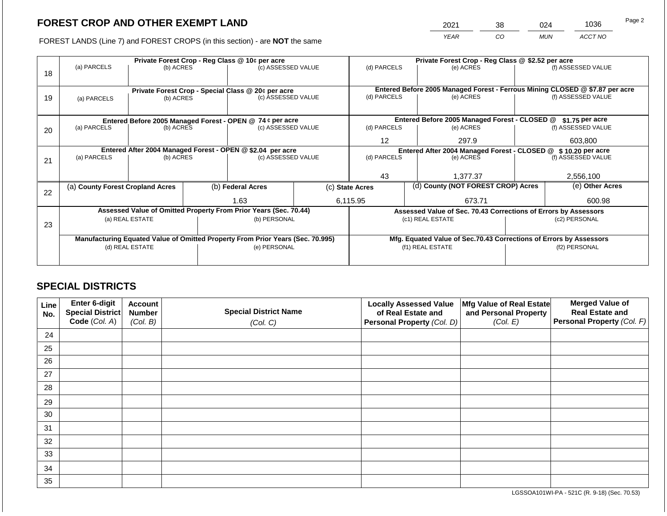2021 38 024 1036

FOREST LANDS (Line 7) and FOREST CROPS (in this section) - are **NOT** the same *YEAR CO MUN ACCT NO*

|    | Private Forest Crop - Reg Class @ 10¢ per acre                                 |                 |  |                                                                  |  |                                                               | Private Forest Crop - Reg Class @ \$2.52 per acre |                                                                 |                                                                    |                                                                              |
|----|--------------------------------------------------------------------------------|-----------------|--|------------------------------------------------------------------|--|---------------------------------------------------------------|---------------------------------------------------|-----------------------------------------------------------------|--------------------------------------------------------------------|------------------------------------------------------------------------------|
| 18 | (a) PARCELS                                                                    | (b) ACRES       |  | (c) ASSESSED VALUE                                               |  | (d) PARCELS                                                   |                                                   | (e) ACRES                                                       |                                                                    | (f) ASSESSED VALUE                                                           |
|    |                                                                                |                 |  |                                                                  |  |                                                               |                                                   |                                                                 |                                                                    |                                                                              |
|    |                                                                                |                 |  | Private Forest Crop - Special Class @ 20¢ per acre               |  |                                                               |                                                   |                                                                 |                                                                    | Entered Before 2005 Managed Forest - Ferrous Mining CLOSED @ \$7.87 per acre |
| 19 | (a) PARCELS                                                                    | (b) ACRES       |  | (c) ASSESSED VALUE                                               |  | (d) PARCELS                                                   |                                                   | (e) ACRES                                                       |                                                                    | (f) ASSESSED VALUE                                                           |
|    |                                                                                |                 |  |                                                                  |  |                                                               |                                                   |                                                                 |                                                                    |                                                                              |
|    |                                                                                |                 |  | Entered Before 2005 Managed Forest - OPEN @ 74 ¢ per acre        |  |                                                               |                                                   | Entered Before 2005 Managed Forest - CLOSED @                   |                                                                    | $$1.75$ per acre                                                             |
| 20 | (a) PARCELS                                                                    | (b) ACRES       |  | (c) ASSESSED VALUE                                               |  | (d) PARCELS                                                   |                                                   | (e) ACRES                                                       |                                                                    | (f) ASSESSED VALUE                                                           |
|    |                                                                                |                 |  |                                                                  |  |                                                               |                                                   |                                                                 |                                                                    |                                                                              |
|    |                                                                                |                 |  |                                                                  |  | 12                                                            |                                                   | 297.9                                                           |                                                                    | 603,800                                                                      |
|    |                                                                                |                 |  | Entered After 2004 Managed Forest - OPEN @ \$2.04 per acre       |  | Entered After 2004 Managed Forest - CLOSED @ \$10.20 per acre |                                                   |                                                                 |                                                                    |                                                                              |
| 21 | (a) PARCELS                                                                    | (b) ACRES       |  | (c) ASSESSED VALUE                                               |  | (d) PARCELS                                                   |                                                   | (e) ACRES                                                       |                                                                    | (f) ASSESSED VALUE                                                           |
|    |                                                                                |                 |  |                                                                  |  |                                                               |                                                   |                                                                 |                                                                    |                                                                              |
|    |                                                                                |                 |  |                                                                  |  | 43                                                            |                                                   | 1,377.37                                                        |                                                                    | 2,556,100                                                                    |
| 22 | (a) County Forest Cropland Acres                                               |                 |  | (b) Federal Acres                                                |  | (c) State Acres                                               |                                                   | (d) County (NOT FOREST CROP) Acres                              |                                                                    | (e) Other Acres                                                              |
|    |                                                                                |                 |  | 1.63                                                             |  |                                                               |                                                   |                                                                 |                                                                    |                                                                              |
|    |                                                                                |                 |  |                                                                  |  | 6,115.95<br>673.71                                            |                                                   |                                                                 | 600.98                                                             |                                                                              |
|    |                                                                                |                 |  | Assessed Value of Omitted Property From Prior Years (Sec. 70.44) |  |                                                               |                                                   | Assessed Value of Sec. 70.43 Corrections of Errors by Assessors |                                                                    |                                                                              |
| 23 |                                                                                | (a) REAL ESTATE |  | (b) PERSONAL                                                     |  |                                                               |                                                   | (c1) REAL ESTATE                                                |                                                                    | (c2) PERSONAL                                                                |
|    |                                                                                |                 |  |                                                                  |  |                                                               |                                                   |                                                                 |                                                                    |                                                                              |
|    | Manufacturing Equated Value of Omitted Property From Prior Years (Sec. 70.995) |                 |  |                                                                  |  |                                                               |                                                   |                                                                 | Mfg. Equated Value of Sec.70.43 Corrections of Errors by Assessors |                                                                              |
|    |                                                                                | (d) REAL ESTATE |  | (e) PERSONAL                                                     |  |                                                               |                                                   | (f1) REAL ESTATE                                                |                                                                    | (f2) PERSONAL                                                                |
|    |                                                                                |                 |  |                                                                  |  |                                                               |                                                   |                                                                 |                                                                    |                                                                              |
|    |                                                                                |                 |  |                                                                  |  |                                                               |                                                   |                                                                 |                                                                    |                                                                              |

## **SPECIAL DISTRICTS**

| Line<br>No. | <b>Enter 6-digit</b><br>Special District | <b>Account</b><br><b>Number</b> | <b>Special District Name</b> | <b>Locally Assessed Value</b><br>of Real Estate and | Mfg Value of Real Estate<br>and Personal Property | <b>Merged Value of</b><br><b>Real Estate and</b> |
|-------------|------------------------------------------|---------------------------------|------------------------------|-----------------------------------------------------|---------------------------------------------------|--------------------------------------------------|
|             | Code (Col. A)                            | (Col. B)                        | (Col. C)                     | Personal Property (Col. D)                          | (Col. E)                                          | <b>Personal Property (Col. F)</b>                |
| 24          |                                          |                                 |                              |                                                     |                                                   |                                                  |
| 25          |                                          |                                 |                              |                                                     |                                                   |                                                  |
| 26          |                                          |                                 |                              |                                                     |                                                   |                                                  |
| 27          |                                          |                                 |                              |                                                     |                                                   |                                                  |
| 28          |                                          |                                 |                              |                                                     |                                                   |                                                  |
| 29          |                                          |                                 |                              |                                                     |                                                   |                                                  |
| 30          |                                          |                                 |                              |                                                     |                                                   |                                                  |
| 31          |                                          |                                 |                              |                                                     |                                                   |                                                  |
| 32          |                                          |                                 |                              |                                                     |                                                   |                                                  |
| 33          |                                          |                                 |                              |                                                     |                                                   |                                                  |
| 34          |                                          |                                 |                              |                                                     |                                                   |                                                  |
| 35          |                                          |                                 |                              |                                                     |                                                   |                                                  |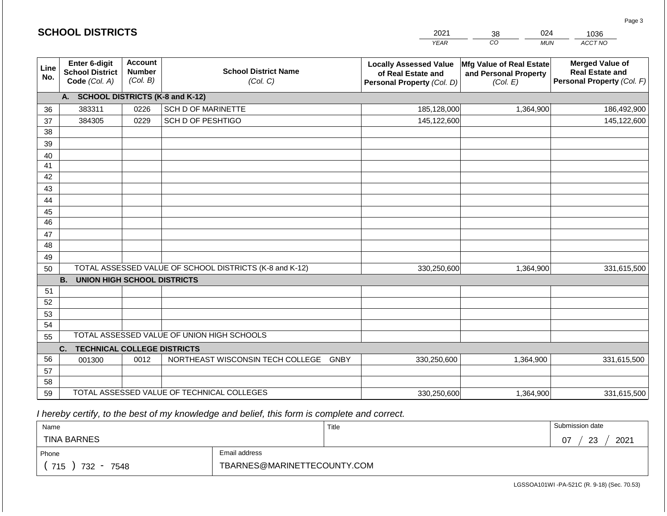| <b>SCHOOL DISTRICTS</b> |                                                          |                                             |                                                         | 2021                                                                              | 024<br>38                                                     | 1036                                                                           |
|-------------------------|----------------------------------------------------------|---------------------------------------------|---------------------------------------------------------|-----------------------------------------------------------------------------------|---------------------------------------------------------------|--------------------------------------------------------------------------------|
|                         |                                                          |                                             |                                                         | <b>YEAR</b>                                                                       | CO<br><b>MUN</b>                                              | ACCT NO                                                                        |
| Line<br>No.             | Enter 6-digit<br><b>School District</b><br>Code (Col. A) | <b>Account</b><br><b>Number</b><br>(Col. B) | <b>School District Name</b><br>(Col. C)                 | <b>Locally Assessed Value</b><br>of Real Estate and<br>Personal Property (Col. D) | Mfg Value of Real Estate<br>and Personal Property<br>(Col. E) | <b>Merged Value of</b><br><b>Real Estate and</b><br>Personal Property (Col. F) |
|                         | A. SCHOOL DISTRICTS (K-8 and K-12)                       |                                             |                                                         |                                                                                   |                                                               |                                                                                |
| 36                      | 383311                                                   | 0226                                        | <b>SCH D OF MARINETTE</b>                               | 185,128,000                                                                       | 1,364,900                                                     | 186,492,900                                                                    |
| 37                      | 384305                                                   | 0229                                        | SCH D OF PESHTIGO                                       | 145,122,600                                                                       |                                                               | 145,122,600                                                                    |
| 38                      |                                                          |                                             |                                                         |                                                                                   |                                                               |                                                                                |
| 39                      |                                                          |                                             |                                                         |                                                                                   |                                                               |                                                                                |
| 40                      |                                                          |                                             |                                                         |                                                                                   |                                                               |                                                                                |
| 41<br>42                |                                                          |                                             |                                                         |                                                                                   |                                                               |                                                                                |
| 43                      |                                                          |                                             |                                                         |                                                                                   |                                                               |                                                                                |
| 44                      |                                                          |                                             |                                                         |                                                                                   |                                                               |                                                                                |
| 45                      |                                                          |                                             |                                                         |                                                                                   |                                                               |                                                                                |
| 46                      |                                                          |                                             |                                                         |                                                                                   |                                                               |                                                                                |
| 47                      |                                                          |                                             |                                                         |                                                                                   |                                                               |                                                                                |
| 48                      |                                                          |                                             |                                                         |                                                                                   |                                                               |                                                                                |
| 49                      |                                                          |                                             |                                                         |                                                                                   |                                                               |                                                                                |
| 50                      |                                                          |                                             | TOTAL ASSESSED VALUE OF SCHOOL DISTRICTS (K-8 and K-12) | 330,250,600                                                                       | 1,364,900                                                     | 331,615,500                                                                    |
|                         | <b>B.</b><br><b>UNION HIGH SCHOOL DISTRICTS</b>          |                                             |                                                         |                                                                                   |                                                               |                                                                                |
| 51                      |                                                          |                                             |                                                         |                                                                                   |                                                               |                                                                                |
| 52<br>53                |                                                          |                                             |                                                         |                                                                                   |                                                               |                                                                                |
| 54                      |                                                          |                                             |                                                         |                                                                                   |                                                               |                                                                                |
| 55                      |                                                          |                                             | TOTAL ASSESSED VALUE OF UNION HIGH SCHOOLS              |                                                                                   |                                                               |                                                                                |
|                         | <b>TECHNICAL COLLEGE DISTRICTS</b><br>C.                 |                                             |                                                         |                                                                                   |                                                               |                                                                                |
| 56                      | 001300                                                   | 0012                                        | NORTHEAST WISCONSIN TECH COLLEGE GNBY                   | 330,250,600                                                                       | 1,364,900                                                     | 331,615,500                                                                    |
| 57                      |                                                          |                                             |                                                         |                                                                                   |                                                               |                                                                                |
| 58                      |                                                          |                                             |                                                         |                                                                                   |                                                               |                                                                                |
| 59                      |                                                          |                                             | TOTAL ASSESSED VALUE OF TECHNICAL COLLEGES              | 330,250,600                                                                       | 1,364,900                                                     | 331,615,500                                                                    |

**SCHOOL DISTRICTS**

| Name                                           |                             | Title | Submission date       |
|------------------------------------------------|-----------------------------|-------|-----------------------|
| <b>TINA BARNES</b>                             |                             |       | 2021<br>റാ<br>07<br>ت |
| Phone                                          | Email address               |       |                       |
| 715<br>732<br>7548<br>$\overline{\phantom{a}}$ | TBARNES@MARINETTECOUNTY.COM |       |                       |

Page 3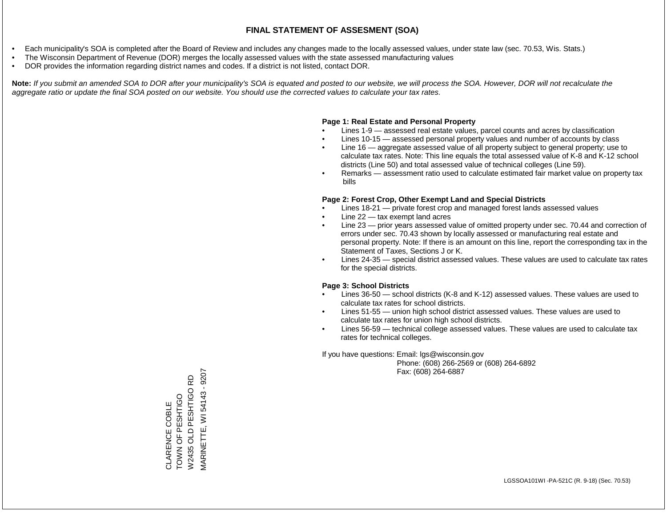- Each municipality's SOA is completed after the Board of Review and includes any changes made to the locally assessed values, under state law (sec. 70.53, Wis. Stats.)
- The Wisconsin Department of Revenue (DOR) merges the locally assessed values with the state assessed manufacturing values
- DOR provides the information regarding district names and codes. If a district is not listed, contact DOR.

Note: If you submit an amended SOA to DOR after your municipality's SOA is equated and posted to our website, we will process the SOA. However, DOR will not recalculate the *aggregate ratio or update the final SOA posted on our website. You should use the corrected values to calculate your tax rates.*

#### **Page 1: Real Estate and Personal Property**

- Lines 1-9 assessed real estate values, parcel counts and acres by classification
- Lines 10-15 assessed personal property values and number of accounts by class
- Line 16 aggregate assessed value of all property subject to general property; use to calculate tax rates. Note: This line equals the total assessed value of K-8 and K-12 school districts (Line 50) and total assessed value of technical colleges (Line 59).
- Remarks assessment ratio used to calculate estimated fair market value on property tax bills

#### **Page 2: Forest Crop, Other Exempt Land and Special Districts**

- Lines 18-21 private forest crop and managed forest lands assessed values
- Line  $22 -$  tax exempt land acres
- Line 23 prior years assessed value of omitted property under sec. 70.44 and correction of errors under sec. 70.43 shown by locally assessed or manufacturing real estate and personal property. Note: If there is an amount on this line, report the corresponding tax in the Statement of Taxes, Sections J or K.
- Lines 24-35 special district assessed values. These values are used to calculate tax rates for the special districts.

#### **Page 3: School Districts**

- Lines 36-50 school districts (K-8 and K-12) assessed values. These values are used to calculate tax rates for school districts.
- Lines 51-55 union high school district assessed values. These values are used to calculate tax rates for union high school districts.
- Lines 56-59 technical college assessed values. These values are used to calculate tax rates for technical colleges.

If you have questions: Email: lgs@wisconsin.gov

 Phone: (608) 266-2569 or (608) 264-6892 Fax: (608) 264-6887

VIARINETTE, WI 54143 - 9207 MARINETTE, WI 54143 - 9207W2435 OLD PESHTIGO RD W2435 OLD PESHTIGO RD CLARENCE COBLE<br>TOWN OF PESHTIGO OOILISHA LO Z NOL CLARENCE COBLE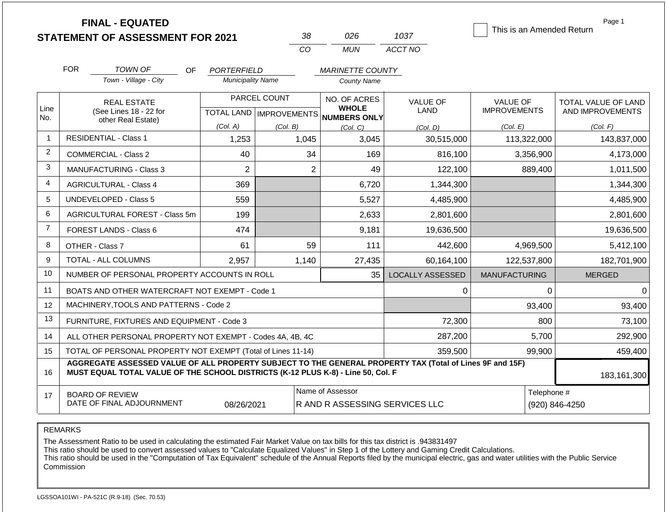|                | <b>FINAL - EQUATED</b><br><b>STATEMENT OF ASSESSMENT FOR 2021</b>                                                                                                                            |                          | 38                                      | 026                                                | 1037                    | This is an Amended Return              | Page 1                                  |
|----------------|----------------------------------------------------------------------------------------------------------------------------------------------------------------------------------------------|--------------------------|-----------------------------------------|----------------------------------------------------|-------------------------|----------------------------------------|-----------------------------------------|
|                |                                                                                                                                                                                              |                          | CO                                      | <b>MUN</b>                                         | ACCT NO                 |                                        |                                         |
|                | <b>FOR</b><br>TOWN OF<br><b>OF</b>                                                                                                                                                           | PORTERFIELD              |                                         | <b>MARINETTE COUNTY</b>                            |                         |                                        |                                         |
|                | Town - Village - City                                                                                                                                                                        | <b>Municipality Name</b> |                                         | County Name                                        |                         |                                        |                                         |
| Line           | <b>REAL ESTATE</b><br>(See Lines 18 - 22 for                                                                                                                                                 |                          | PARCEL COUNT                            | NO. OF ACRES<br><b>WHOLE</b>                       | <b>VALUE OF</b><br>LAND | <b>VALUE OF</b><br><b>IMPROVEMENTS</b> | TOTAL VALUE OF LAND<br>AND IMPROVEMENTS |
| No.            | other Real Estate)                                                                                                                                                                           | (Col. A)                 | TOTAL LAND   IMPROVEMENTS  <br>(Col. B) | <b>NUMBERS ONLY</b><br>(Col, C)                    | (Col. D)                | (Col. E)                               | (Col. F)                                |
| 1              | <b>RESIDENTIAL - Class 1</b>                                                                                                                                                                 | 1,253                    | 1,045                                   | 3,045                                              | 30,515,000              | 113,322,000                            | 143,837,000                             |
| $\overline{2}$ | <b>COMMERCIAL - Class 2</b>                                                                                                                                                                  | 40                       | 34                                      | 169                                                | 816,100                 | 3,356,900                              | 4,173,000                               |
| 3              | MANUFACTURING - Class 3                                                                                                                                                                      | $\overline{2}$           | $\overline{2}$                          | 49                                                 | 122,100                 | 889,400                                | 1,011,500                               |
| 4              | <b>AGRICULTURAL - Class 4</b>                                                                                                                                                                | 369                      |                                         | 6,720                                              | 1,344,300               |                                        | 1,344,300                               |
| 5              | <b>UNDEVELOPED - Class 5</b>                                                                                                                                                                 | 559                      |                                         | 5,527                                              | 4,485,900               |                                        | 4,485,900                               |
| 6              | AGRICULTURAL FOREST - Class 5m                                                                                                                                                               | 199                      |                                         | 2,633                                              | 2,801,600               |                                        | 2,801,600                               |
| $\overline{7}$ | FOREST LANDS - Class 6                                                                                                                                                                       | 474                      |                                         | 9,181                                              | 19,636,500              |                                        | 19,636,500                              |
| 8              | OTHER - Class 7                                                                                                                                                                              | 61                       | 59                                      | 111                                                | 442,600                 | 4,969,500                              | 5,412,100                               |
| 9              | TOTAL - ALL COLUMNS                                                                                                                                                                          | 2,957                    | 1,140                                   | 27,435                                             | 60,164,100              | 122,537,800                            | 182,701,900                             |
| 10             | NUMBER OF PERSONAL PROPERTY ACCOUNTS IN ROLL                                                                                                                                                 |                          |                                         | 35                                                 | <b>LOCALLY ASSESSED</b> | <b>MANUFACTURING</b>                   | <b>MERGED</b>                           |
| 11             | BOATS AND OTHER WATERCRAFT NOT EXEMPT - Code 1                                                                                                                                               |                          |                                         |                                                    | 0                       | 0                                      | $\Omega$                                |
| 12             | MACHINERY, TOOLS AND PATTERNS - Code 2                                                                                                                                                       |                          |                                         |                                                    |                         | 93,400                                 | 93,400                                  |
| 13             | FURNITURE, FIXTURES AND EQUIPMENT - Code 3                                                                                                                                                   |                          |                                         |                                                    | 72,300                  | 800                                    | 73,100                                  |
| 14             | ALL OTHER PERSONAL PROPERTY NOT EXEMPT - Codes 4A, 4B, 4C                                                                                                                                    |                          |                                         |                                                    | 287,200                 | 5,700                                  | 292,900                                 |
| 15             | TOTAL OF PERSONAL PROPERTY NOT EXEMPT (Total of Lines 11-14)                                                                                                                                 |                          |                                         |                                                    | 359,500                 | 99,900                                 | 459,400                                 |
| 16             | AGGREGATE ASSESSED VALUE OF ALL PROPERTY SUBJECT TO THE GENERAL PROPERTY TAX (Total of Lines 9F and 15F)<br>MUST EQUAL TOTAL VALUE OF THE SCHOOL DISTRICTS (K-12 PLUS K-8) - Line 50, Col. F |                          |                                         |                                                    |                         |                                        | 183,161,300                             |
| 17             | <b>BOARD OF REVIEW</b><br>DATE OF FINAL ADJOURNMENT                                                                                                                                          | 08/26/2021               |                                         | Name of Assessor<br>R AND R ASSESSING SERVICES LLC |                         | Telephone #                            | (920) 846-4250                          |

REMARKS

The Assessment Ratio to be used in calculating the estimated Fair Market Value on tax bills for this tax district is .943831497

This ratio should be used to convert assessed values to "Calculate Equalized Values" in Step 1 of the Lottery and Gaming Credit Calculations.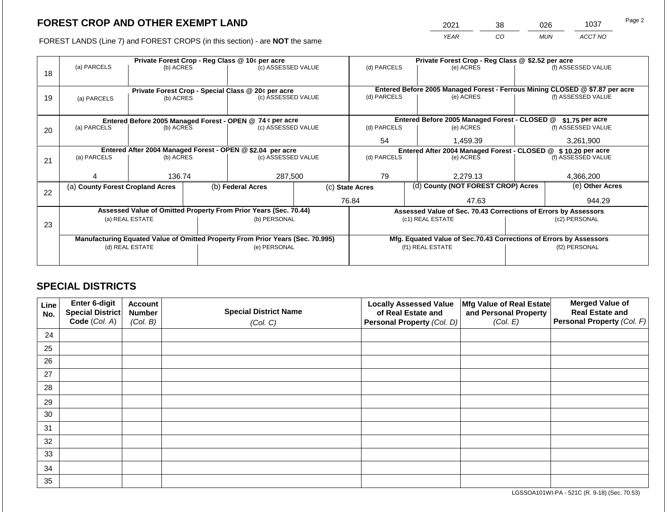2021 38 026 1037

FOREST LANDS (Line 7) and FOREST CROPS (in this section) - are **NOT** the same *YEAR CO MUN ACCT NO*

|    |                                                    |                 | Private Forest Crop - Reg Class @ 10¢ per acre                                 |                                                                |                 | Private Forest Crop - Reg Class @ \$2.52 per acre |                                                                    |                                                                                                    |                    |
|----|----------------------------------------------------|-----------------|--------------------------------------------------------------------------------|----------------------------------------------------------------|-----------------|---------------------------------------------------|--------------------------------------------------------------------|----------------------------------------------------------------------------------------------------|--------------------|
|    | (a) PARCELS                                        | (b) ACRES       | (c) ASSESSED VALUE                                                             |                                                                | (d) PARCELS     |                                                   | (e) ACRES                                                          |                                                                                                    | (f) ASSESSED VALUE |
| 18 |                                                    |                 |                                                                                |                                                                |                 |                                                   |                                                                    |                                                                                                    |                    |
|    |                                                    |                 |                                                                                |                                                                |                 |                                                   |                                                                    |                                                                                                    |                    |
|    | Private Forest Crop - Special Class @ 20¢ per acre |                 |                                                                                |                                                                | (d) PARCELS     |                                                   | (e) ACRES                                                          | Entered Before 2005 Managed Forest - Ferrous Mining CLOSED @ \$7.87 per acre<br>(f) ASSESSED VALUE |                    |
| 19 | (a) PARCELS                                        | (b) ACRES       | (c) ASSESSED VALUE                                                             |                                                                |                 |                                                   |                                                                    |                                                                                                    |                    |
|    |                                                    |                 |                                                                                |                                                                |                 |                                                   |                                                                    |                                                                                                    |                    |
|    |                                                    |                 | Entered Before 2005 Managed Forest - OPEN @ 74 ¢ per acre                      |                                                                |                 |                                                   | Entered Before 2005 Managed Forest - CLOSED @                      |                                                                                                    | \$1.75 per acre    |
| 20 | (a) PARCELS                                        | (b) ACRES       | (c) ASSESSED VALUE                                                             |                                                                | (d) PARCELS     |                                                   | (e) ACRES                                                          |                                                                                                    | (f) ASSESSED VALUE |
|    |                                                    |                 |                                                                                |                                                                |                 |                                                   |                                                                    |                                                                                                    |                    |
|    |                                                    |                 |                                                                                |                                                                | 54              |                                                   | 1,459.39                                                           |                                                                                                    | 3,261,900          |
|    |                                                    |                 | Entered After 2004 Managed Forest - OPEN @ \$2.04 per acre                     | Entered After 2004 Managed Forest - CLOSED @ \$ 10.20 per acre |                 |                                                   |                                                                    |                                                                                                    |                    |
| 21 | (a) PARCELS                                        | (b) ACRES       | (c) ASSESSED VALUE                                                             |                                                                | (d) PARCELS     |                                                   | (e) ACRES                                                          | (f) ASSESSED VALUE                                                                                 |                    |
|    |                                                    |                 |                                                                                |                                                                |                 |                                                   |                                                                    |                                                                                                    |                    |
|    |                                                    | 136.74          | 287,500                                                                        |                                                                | 79              |                                                   | 2,279.13                                                           |                                                                                                    | 4,366,200          |
|    | (a) County Forest Cropland Acres                   |                 | (b) Federal Acres                                                              |                                                                | (c) State Acres |                                                   | (d) County (NOT FOREST CROP) Acres                                 |                                                                                                    | (e) Other Acres    |
| 22 |                                                    |                 |                                                                                |                                                                |                 |                                                   |                                                                    |                                                                                                    |                    |
|    |                                                    |                 |                                                                                |                                                                | 76.84           |                                                   | 47.63                                                              |                                                                                                    | 944.29             |
|    |                                                    |                 | Assessed Value of Omitted Property From Prior Years (Sec. 70.44)               |                                                                |                 |                                                   |                                                                    | Assessed Value of Sec. 70.43 Corrections of Errors by Assessors                                    |                    |
|    |                                                    | (a) REAL ESTATE | (b) PERSONAL                                                                   |                                                                |                 |                                                   | (c1) REAL ESTATE                                                   | (c2) PERSONAL                                                                                      |                    |
| 23 |                                                    |                 |                                                                                |                                                                |                 |                                                   |                                                                    |                                                                                                    |                    |
|    |                                                    |                 | Manufacturing Equated Value of Omitted Property From Prior Years (Sec. 70.995) |                                                                |                 |                                                   | Mfg. Equated Value of Sec.70.43 Corrections of Errors by Assessors |                                                                                                    |                    |
|    |                                                    | (d) REAL ESTATE | (e) PERSONAL                                                                   |                                                                |                 |                                                   | (f1) REAL ESTATE                                                   | (f2) PERSONAL                                                                                      |                    |
|    |                                                    |                 |                                                                                |                                                                |                 |                                                   |                                                                    |                                                                                                    |                    |
|    |                                                    |                 |                                                                                |                                                                |                 |                                                   |                                                                    |                                                                                                    |                    |

## **SPECIAL DISTRICTS**

| Line<br>No. | Enter 6-digit<br><b>Special District</b> | <b>Account</b><br><b>Number</b> | <b>Special District Name</b> | <b>Locally Assessed Value</b><br>of Real Estate and | Mfg Value of Real Estate<br>and Personal Property | <b>Merged Value of</b><br><b>Real Estate and</b> |
|-------------|------------------------------------------|---------------------------------|------------------------------|-----------------------------------------------------|---------------------------------------------------|--------------------------------------------------|
|             | Code (Col. A)                            | (Col. B)                        | (Col. C)                     | Personal Property (Col. D)                          | (Col. E)                                          | Personal Property (Col. F)                       |
| 24          |                                          |                                 |                              |                                                     |                                                   |                                                  |
| 25          |                                          |                                 |                              |                                                     |                                                   |                                                  |
| 26          |                                          |                                 |                              |                                                     |                                                   |                                                  |
| 27          |                                          |                                 |                              |                                                     |                                                   |                                                  |
| 28          |                                          |                                 |                              |                                                     |                                                   |                                                  |
| 29          |                                          |                                 |                              |                                                     |                                                   |                                                  |
| 30          |                                          |                                 |                              |                                                     |                                                   |                                                  |
| 31          |                                          |                                 |                              |                                                     |                                                   |                                                  |
| 32          |                                          |                                 |                              |                                                     |                                                   |                                                  |
| 33          |                                          |                                 |                              |                                                     |                                                   |                                                  |
| 34          |                                          |                                 |                              |                                                     |                                                   |                                                  |
| 35          |                                          |                                 |                              |                                                     |                                                   |                                                  |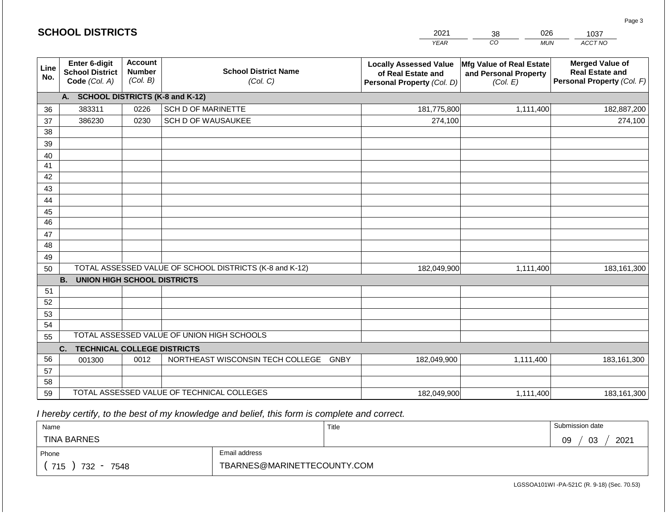|             | <b>SCHOOL DISTRICTS</b>                                         |                                             |                                                         | 2021                                                                              | 026<br>38                                                     | 1037                                                                           |
|-------------|-----------------------------------------------------------------|---------------------------------------------|---------------------------------------------------------|-----------------------------------------------------------------------------------|---------------------------------------------------------------|--------------------------------------------------------------------------------|
|             |                                                                 |                                             |                                                         | <b>YEAR</b>                                                                       | CO<br><b>MUN</b>                                              | ACCT NO                                                                        |
| Line<br>No. | <b>Enter 6-digit</b><br><b>School District</b><br>Code (Col. A) | <b>Account</b><br><b>Number</b><br>(Col. B) | <b>School District Name</b><br>(Col. C)                 | <b>Locally Assessed Value</b><br>of Real Estate and<br>Personal Property (Col. D) | Mfg Value of Real Estate<br>and Personal Property<br>(Col. E) | <b>Merged Value of</b><br><b>Real Estate and</b><br>Personal Property (Col. F) |
|             | A. SCHOOL DISTRICTS (K-8 and K-12)                              |                                             |                                                         |                                                                                   |                                                               |                                                                                |
| 36          | 383311                                                          | 0226                                        | SCH D OF MARINETTE                                      | 181,775,800                                                                       | 1,111,400                                                     | 182,887,200                                                                    |
| 37          | 386230                                                          | 0230                                        | <b>SCH D OF WAUSAUKEE</b>                               | 274,100                                                                           |                                                               | 274,100                                                                        |
| 38          |                                                                 |                                             |                                                         |                                                                                   |                                                               |                                                                                |
| 39          |                                                                 |                                             |                                                         |                                                                                   |                                                               |                                                                                |
| 40          |                                                                 |                                             |                                                         |                                                                                   |                                                               |                                                                                |
| 41          |                                                                 |                                             |                                                         |                                                                                   |                                                               |                                                                                |
| 42          |                                                                 |                                             |                                                         |                                                                                   |                                                               |                                                                                |
| 43          |                                                                 |                                             |                                                         |                                                                                   |                                                               |                                                                                |
| 44          |                                                                 |                                             |                                                         |                                                                                   |                                                               |                                                                                |
| 45<br>46    |                                                                 |                                             |                                                         |                                                                                   |                                                               |                                                                                |
| 47          |                                                                 |                                             |                                                         |                                                                                   |                                                               |                                                                                |
| 48          |                                                                 |                                             |                                                         |                                                                                   |                                                               |                                                                                |
| 49          |                                                                 |                                             |                                                         |                                                                                   |                                                               |                                                                                |
| 50          |                                                                 |                                             | TOTAL ASSESSED VALUE OF SCHOOL DISTRICTS (K-8 and K-12) | 182,049,900                                                                       | 1,111,400                                                     | 183, 161, 300                                                                  |
|             | <b>B.</b><br><b>UNION HIGH SCHOOL DISTRICTS</b>                 |                                             |                                                         |                                                                                   |                                                               |                                                                                |
| 51          |                                                                 |                                             |                                                         |                                                                                   |                                                               |                                                                                |
| 52          |                                                                 |                                             |                                                         |                                                                                   |                                                               |                                                                                |
| 53          |                                                                 |                                             |                                                         |                                                                                   |                                                               |                                                                                |
| 54          |                                                                 |                                             |                                                         |                                                                                   |                                                               |                                                                                |
| 55          |                                                                 |                                             | TOTAL ASSESSED VALUE OF UNION HIGH SCHOOLS              |                                                                                   |                                                               |                                                                                |
|             | <b>TECHNICAL COLLEGE DISTRICTS</b><br>C.                        |                                             |                                                         |                                                                                   |                                                               |                                                                                |
| 56          | 001300                                                          | 0012                                        | NORTHEAST WISCONSIN TECH COLLEGE GNBY                   | 182,049,900                                                                       | 1,111,400                                                     | 183,161,300                                                                    |
| 57          |                                                                 |                                             |                                                         |                                                                                   |                                                               |                                                                                |
| 58          |                                                                 |                                             |                                                         |                                                                                   |                                                               |                                                                                |
| 59          |                                                                 |                                             | TOTAL ASSESSED VALUE OF TECHNICAL COLLEGES              | 182,049,900                                                                       | 1,111,400                                                     | 183, 161, 300                                                                  |

| Name               |                             | Title | Submission date  |
|--------------------|-----------------------------|-------|------------------|
| <b>TINA BARNES</b> |                             |       | 2021<br>03<br>09 |
| Phone              |                             |       |                  |
| 715<br>732<br>7548 | TBARNES@MARINETTECOUNTY.COM |       |                  |

Page 3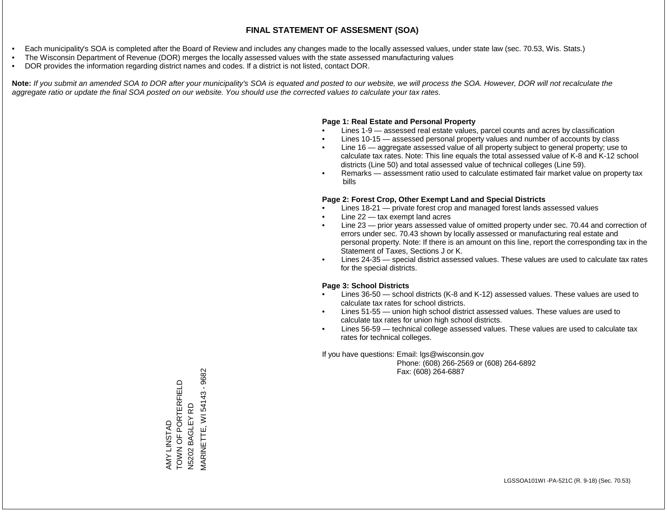- Each municipality's SOA is completed after the Board of Review and includes any changes made to the locally assessed values, under state law (sec. 70.53, Wis. Stats.)
- The Wisconsin Department of Revenue (DOR) merges the locally assessed values with the state assessed manufacturing values
- DOR provides the information regarding district names and codes. If a district is not listed, contact DOR.

Note: If you submit an amended SOA to DOR after your municipality's SOA is equated and posted to our website, we will process the SOA. However, DOR will not recalculate the *aggregate ratio or update the final SOA posted on our website. You should use the corrected values to calculate your tax rates.*

### **Page 1: Real Estate and Personal Property**

- Lines 1-9 assessed real estate values, parcel counts and acres by classification
- Lines 10-15 assessed personal property values and number of accounts by class
- Line 16 aggregate assessed value of all property subject to general property; use to calculate tax rates. Note: This line equals the total assessed value of K-8 and K-12 school districts (Line 50) and total assessed value of technical colleges (Line 59).
- Remarks assessment ratio used to calculate estimated fair market value on property tax bills

### **Page 2: Forest Crop, Other Exempt Land and Special Districts**

- Lines 18-21 private forest crop and managed forest lands assessed values
- Line  $22 -$  tax exempt land acres
- Line 23 prior years assessed value of omitted property under sec. 70.44 and correction of errors under sec. 70.43 shown by locally assessed or manufacturing real estate and personal property. Note: If there is an amount on this line, report the corresponding tax in the Statement of Taxes, Sections J or K.
- Lines 24-35 special district assessed values. These values are used to calculate tax rates for the special districts.

### **Page 3: School Districts**

- Lines 36-50 school districts (K-8 and K-12) assessed values. These values are used to calculate tax rates for school districts.
- Lines 51-55 union high school district assessed values. These values are used to calculate tax rates for union high school districts.
- Lines 56-59 technical college assessed values. These values are used to calculate tax rates for technical colleges.

If you have questions: Email: lgs@wisconsin.gov

 Phone: (608) 266-2569 or (608) 264-6892 Fax: (608) 264-6887

VIARINETTE, WI 54143 - 9682 MARINETTE, WI 54143 - 9682AMY LINSTAD<br>TOWN OF PORTERFIELD<br>N5202 BAGLEY RD TOWN OF PORTERFIELD N5202 BAGLEY RD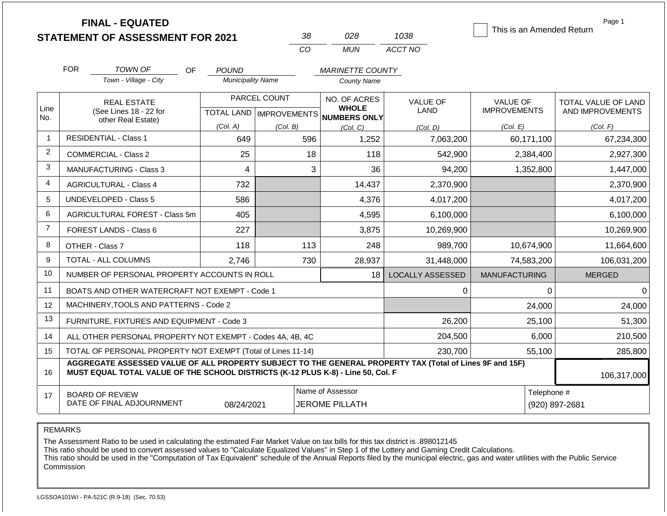**FINAL - EQUATED**

| 38 | 02.R | 1038    |
|----|------|---------|
| Γn | MUN  | ACCT NO |

This is an Amended Return

Page 1

|                | <b>FOR</b>                                                                                                                                                                                   | <b>TOWN OF</b><br>OF                                      | <b>POUND</b>             |              | <b>MARINETTE COUNTY</b>                                  |                         |                      |                     |
|----------------|----------------------------------------------------------------------------------------------------------------------------------------------------------------------------------------------|-----------------------------------------------------------|--------------------------|--------------|----------------------------------------------------------|-------------------------|----------------------|---------------------|
|                |                                                                                                                                                                                              | Town - Village - City                                     | <b>Municipality Name</b> |              | <b>County Name</b>                                       |                         |                      |                     |
|                |                                                                                                                                                                                              | <b>REAL ESTATE</b>                                        |                          | PARCEL COUNT | NO. OF ACRES                                             | <b>VALUE OF</b>         | <b>VALUE OF</b>      | TOTAL VALUE OF LAND |
| Line<br>No.    |                                                                                                                                                                                              | (See Lines 18 - 22 for<br>other Real Estate)              |                          |              | <b>WHOLE</b><br>TOTAL LAND   IMPROVEMENTS   NUMBERS ONLY | LAND                    | <b>IMPROVEMENTS</b>  | AND IMPROVEMENTS    |
|                |                                                                                                                                                                                              |                                                           | (Col. A)                 | (Col. B)     | (Col, C)                                                 | (Col, D)                | (Col. E)             | (Col. F)            |
| $\mathbf{1}$   |                                                                                                                                                                                              | <b>RESIDENTIAL - Class 1</b>                              | 649                      | 596          | 1,252                                                    | 7,063,200               | 60,171,100           | 67,234,300          |
| $\overline{2}$ |                                                                                                                                                                                              | <b>COMMERCIAL - Class 2</b>                               | 25                       | 18           | 118                                                      | 542,900                 | 2,384,400            | 2,927,300           |
| 3              |                                                                                                                                                                                              | <b>MANUFACTURING - Class 3</b>                            | 4                        | 3            | 36                                                       | 94,200                  | 1,352,800            | 1,447,000           |
| 4              |                                                                                                                                                                                              | <b>AGRICULTURAL - Class 4</b>                             | 732                      |              | 14,437                                                   | 2,370,900               |                      | 2,370,900           |
| 5              |                                                                                                                                                                                              | <b>UNDEVELOPED - Class 5</b>                              | 586                      |              | 4,376                                                    | 4,017,200               |                      | 4,017,200           |
| 6              |                                                                                                                                                                                              | AGRICULTURAL FOREST - Class 5m                            | 405                      |              | 4,595                                                    | 6,100,000               |                      | 6,100,000           |
| $\overline{7}$ |                                                                                                                                                                                              | FOREST LANDS - Class 6                                    | 227                      |              | 3,875                                                    | 10,269,900              |                      | 10,269,900          |
| 8              |                                                                                                                                                                                              | OTHER - Class 7                                           | 118                      | 113          | 248                                                      | 989,700                 | 10,674,900           | 11,664,600          |
| 9              |                                                                                                                                                                                              | TOTAL - ALL COLUMNS                                       | 2,746                    | 730          | 28,937                                                   | 31,448,000              | 74,583,200           | 106,031,200         |
| 10             |                                                                                                                                                                                              | NUMBER OF PERSONAL PROPERTY ACCOUNTS IN ROLL              |                          |              | 18 <sup>1</sup>                                          | <b>LOCALLY ASSESSED</b> | <b>MANUFACTURING</b> | <b>MERGED</b>       |
| 11             |                                                                                                                                                                                              | BOATS AND OTHER WATERCRAFT NOT EXEMPT - Code 1            |                          |              |                                                          | 0                       | $\mathbf{0}$         | 0                   |
| 12             |                                                                                                                                                                                              | MACHINERY, TOOLS AND PATTERNS - Code 2                    |                          |              |                                                          |                         | 24,000               | 24,000              |
| 13             |                                                                                                                                                                                              | FURNITURE, FIXTURES AND EQUIPMENT - Code 3                |                          |              |                                                          | 26,200                  | 25,100               | 51,300              |
| 14             |                                                                                                                                                                                              | ALL OTHER PERSONAL PROPERTY NOT EXEMPT - Codes 4A, 4B, 4C |                          |              |                                                          | 204,500                 | 6,000                | 210,500             |
| 15             | TOTAL OF PERSONAL PROPERTY NOT EXEMPT (Total of Lines 11-14)<br>230,700<br>55,100                                                                                                            |                                                           |                          |              |                                                          |                         |                      | 285,800             |
| 16             | AGGREGATE ASSESSED VALUE OF ALL PROPERTY SUBJECT TO THE GENERAL PROPERTY TAX (Total of Lines 9F and 15F)<br>MUST EQUAL TOTAL VALUE OF THE SCHOOL DISTRICTS (K-12 PLUS K-8) - Line 50, Col. F | 106,317,000                                               |                          |              |                                                          |                         |                      |                     |
| 17             | Name of Assessor<br>Telephone #<br><b>BOARD OF REVIEW</b><br>DATE OF FINAL ADJOURNMENT<br><b>JEROME PILLATH</b><br>08/24/2021<br>(920) 897-2681                                              |                                                           |                          |              |                                                          |                         |                      |                     |

REMARKS

The Assessment Ratio to be used in calculating the estimated Fair Market Value on tax bills for this tax district is .898012145

This ratio should be used to convert assessed values to "Calculate Equalized Values" in Step 1 of the Lottery and Gaming Credit Calculations.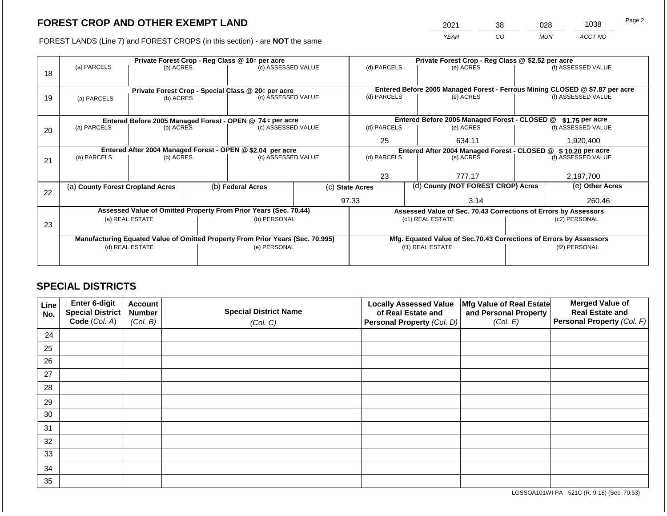2021 38 028 1038

FOREST LANDS (Line 7) and FOREST CROPS (in this section) - are **NOT** the same *YEAR CO MUN ACCT NO*

|    | Private Forest Crop - Reg Class @ 10¢ per acre |                                                                 |  |                                                                                  |  | Private Forest Crop - Reg Class @ \$2.52 per acre             |                                                       |                                                                    |               |                                                                              |
|----|------------------------------------------------|-----------------------------------------------------------------|--|----------------------------------------------------------------------------------|--|---------------------------------------------------------------|-------------------------------------------------------|--------------------------------------------------------------------|---------------|------------------------------------------------------------------------------|
| 18 | (a) PARCELS                                    | (b) ACRES                                                       |  | (c) ASSESSED VALUE                                                               |  | (d) PARCELS                                                   |                                                       | (e) ACRES                                                          |               | (f) ASSESSED VALUE                                                           |
|    |                                                |                                                                 |  |                                                                                  |  |                                                               |                                                       |                                                                    |               |                                                                              |
|    |                                                |                                                                 |  |                                                                                  |  |                                                               |                                                       |                                                                    |               | Entered Before 2005 Managed Forest - Ferrous Mining CLOSED @ \$7.87 per acre |
| 19 | (a) PARCELS                                    | Private Forest Crop - Special Class @ 20¢ per acre<br>(b) ACRES |  | (c) ASSESSED VALUE                                                               |  | (d) PARCELS                                                   |                                                       | (e) ACRES                                                          |               | (f) ASSESSED VALUE                                                           |
|    |                                                |                                                                 |  |                                                                                  |  |                                                               |                                                       |                                                                    |               |                                                                              |
|    |                                                |                                                                 |  |                                                                                  |  |                                                               |                                                       |                                                                    |               |                                                                              |
|    |                                                |                                                                 |  | Entered Before 2005 Managed Forest - OPEN @ 74 ¢ per acre                        |  |                                                               |                                                       | Entered Before 2005 Managed Forest - CLOSED @                      |               | $$1.75$ per acre                                                             |
| 20 | (a) PARCELS                                    | (b) ACRES                                                       |  | (c) ASSESSED VALUE                                                               |  | (d) PARCELS                                                   |                                                       | (e) ACRES                                                          |               | (f) ASSESSED VALUE                                                           |
|    |                                                |                                                                 |  |                                                                                  |  | 25                                                            |                                                       | 634.11                                                             |               | 1,920,400                                                                    |
|    |                                                |                                                                 |  |                                                                                  |  |                                                               |                                                       |                                                                    |               |                                                                              |
|    |                                                |                                                                 |  | Entered After 2004 Managed Forest - OPEN @ \$2.04 per acre<br>(c) ASSESSED VALUE |  | Entered After 2004 Managed Forest - CLOSED @ \$10.20 per acre |                                                       | (f) ASSESSED VALUE                                                 |               |                                                                              |
| 21 | (a) PARCELS                                    | (b) ACRES                                                       |  |                                                                                  |  | (d) PARCELS                                                   |                                                       | (e) ACRES                                                          |               |                                                                              |
|    |                                                |                                                                 |  |                                                                                  |  |                                                               |                                                       |                                                                    |               |                                                                              |
|    |                                                |                                                                 |  |                                                                                  |  | 23                                                            |                                                       | 777.17                                                             |               | 2,197,700                                                                    |
|    | (a) County Forest Cropland Acres               |                                                                 |  | (b) Federal Acres                                                                |  |                                                               | (d) County (NOT FOREST CROP) Acres<br>(c) State Acres |                                                                    |               | (e) Other Acres                                                              |
| 22 |                                                |                                                                 |  |                                                                                  |  |                                                               |                                                       |                                                                    |               |                                                                              |
|    |                                                |                                                                 |  |                                                                                  |  | 97.33                                                         |                                                       | 3.14                                                               | 260.46        |                                                                              |
|    |                                                |                                                                 |  | Assessed Value of Omitted Property From Prior Years (Sec. 70.44)                 |  |                                                               |                                                       | Assessed Value of Sec. 70.43 Corrections of Errors by Assessors    |               |                                                                              |
|    |                                                | (a) REAL ESTATE                                                 |  | (b) PERSONAL                                                                     |  |                                                               |                                                       | (c1) REAL ESTATE                                                   |               | (c2) PERSONAL                                                                |
| 23 |                                                |                                                                 |  |                                                                                  |  |                                                               |                                                       |                                                                    |               |                                                                              |
|    |                                                |                                                                 |  | Manufacturing Equated Value of Omitted Property From Prior Years (Sec. 70.995)   |  |                                                               |                                                       | Mfg. Equated Value of Sec.70.43 Corrections of Errors by Assessors |               |                                                                              |
|    |                                                | (d) REAL ESTATE                                                 |  | (e) PERSONAL                                                                     |  |                                                               |                                                       | (f1) REAL ESTATE                                                   | (f2) PERSONAL |                                                                              |
|    |                                                |                                                                 |  |                                                                                  |  |                                                               |                                                       |                                                                    |               |                                                                              |
|    |                                                |                                                                 |  |                                                                                  |  |                                                               |                                                       |                                                                    |               |                                                                              |

## **SPECIAL DISTRICTS**

| Line<br>No. | Enter 6-digit<br>Special District<br>Code (Col. A) | <b>Account</b><br><b>Number</b><br>(Col. B) | <b>Special District Name</b><br>(Col. C) | <b>Locally Assessed Value</b><br>of Real Estate and<br><b>Personal Property (Col. D)</b> | Mfg Value of Real Estate<br>and Personal Property<br>(Col. E) | <b>Merged Value of</b><br><b>Real Estate and</b><br>Personal Property (Col. F) |
|-------------|----------------------------------------------------|---------------------------------------------|------------------------------------------|------------------------------------------------------------------------------------------|---------------------------------------------------------------|--------------------------------------------------------------------------------|
| 24          |                                                    |                                             |                                          |                                                                                          |                                                               |                                                                                |
| 25          |                                                    |                                             |                                          |                                                                                          |                                                               |                                                                                |
| 26          |                                                    |                                             |                                          |                                                                                          |                                                               |                                                                                |
| 27          |                                                    |                                             |                                          |                                                                                          |                                                               |                                                                                |
| 28          |                                                    |                                             |                                          |                                                                                          |                                                               |                                                                                |
| 29          |                                                    |                                             |                                          |                                                                                          |                                                               |                                                                                |
| 30          |                                                    |                                             |                                          |                                                                                          |                                                               |                                                                                |
| 31          |                                                    |                                             |                                          |                                                                                          |                                                               |                                                                                |
| 32          |                                                    |                                             |                                          |                                                                                          |                                                               |                                                                                |
| 33          |                                                    |                                             |                                          |                                                                                          |                                                               |                                                                                |
| 34          |                                                    |                                             |                                          |                                                                                          |                                                               |                                                                                |
| 35          |                                                    |                                             |                                          |                                                                                          |                                                               |                                                                                |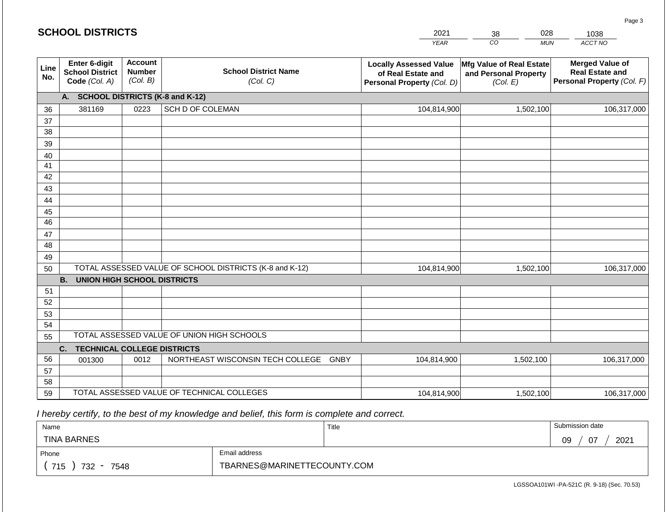|             | U. U U U                                                 |                                             |                                                         | ---                                                                               | ပပ<br>$\sim$                                                  | סטטו                                                                           |
|-------------|----------------------------------------------------------|---------------------------------------------|---------------------------------------------------------|-----------------------------------------------------------------------------------|---------------------------------------------------------------|--------------------------------------------------------------------------------|
|             |                                                          |                                             |                                                         | <b>YEAR</b>                                                                       | $\overline{co}$<br><b>MUN</b>                                 | ACCT NO                                                                        |
| Line<br>No. | Enter 6-digit<br><b>School District</b><br>Code (Col. A) | <b>Account</b><br><b>Number</b><br>(Col. B) | <b>School District Name</b><br>(Col. C)                 | <b>Locally Assessed Value</b><br>of Real Estate and<br>Personal Property (Col. D) | Mfg Value of Real Estate<br>and Personal Property<br>(Col. E) | <b>Merged Value of</b><br><b>Real Estate and</b><br>Personal Property (Col. F) |
|             | А.                                                       |                                             | <b>SCHOOL DISTRICTS (K-8 and K-12)</b>                  |                                                                                   |                                                               |                                                                                |
| 36          | 381169                                                   | 0223                                        | SCH D OF COLEMAN                                        | 104,814,900                                                                       | 1,502,100                                                     | 106,317,000                                                                    |
| 37          |                                                          |                                             |                                                         |                                                                                   |                                                               |                                                                                |
| 38          |                                                          |                                             |                                                         |                                                                                   |                                                               |                                                                                |
| 39          |                                                          |                                             |                                                         |                                                                                   |                                                               |                                                                                |
| 40          |                                                          |                                             |                                                         |                                                                                   |                                                               |                                                                                |
| 41          |                                                          |                                             |                                                         |                                                                                   |                                                               |                                                                                |
| 42<br>43    |                                                          |                                             |                                                         |                                                                                   |                                                               |                                                                                |
| 44          |                                                          |                                             |                                                         |                                                                                   |                                                               |                                                                                |
| 45          |                                                          |                                             |                                                         |                                                                                   |                                                               |                                                                                |
| 46          |                                                          |                                             |                                                         |                                                                                   |                                                               |                                                                                |
| 47          |                                                          |                                             |                                                         |                                                                                   |                                                               |                                                                                |
| 48          |                                                          |                                             |                                                         |                                                                                   |                                                               |                                                                                |
| 49          |                                                          |                                             |                                                         |                                                                                   |                                                               |                                                                                |
| 50          |                                                          |                                             | TOTAL ASSESSED VALUE OF SCHOOL DISTRICTS (K-8 and K-12) | 104,814,900                                                                       | 1,502,100                                                     | 106,317,000                                                                    |
|             | <b>B.</b><br><b>UNION HIGH SCHOOL DISTRICTS</b>          |                                             |                                                         |                                                                                   |                                                               |                                                                                |
| 51          |                                                          |                                             |                                                         |                                                                                   |                                                               |                                                                                |
| 52          |                                                          |                                             |                                                         |                                                                                   |                                                               |                                                                                |
| 53          |                                                          |                                             |                                                         |                                                                                   |                                                               |                                                                                |
| 54          |                                                          |                                             | TOTAL ASSESSED VALUE OF UNION HIGH SCHOOLS              |                                                                                   |                                                               |                                                                                |
| 55          |                                                          |                                             |                                                         |                                                                                   |                                                               |                                                                                |
| 56          | <b>TECHNICAL COLLEGE DISTRICTS</b><br>C.                 | 0012                                        | NORTHEAST WISCONSIN TECH COLLEGE                        | <b>GNBY</b>                                                                       |                                                               |                                                                                |
| 57          | 001300                                                   |                                             |                                                         | 104,814,900                                                                       | 1,502,100                                                     | 106,317,000                                                                    |
| 58          |                                                          |                                             |                                                         |                                                                                   |                                                               |                                                                                |
| 59          |                                                          |                                             | TOTAL ASSESSED VALUE OF TECHNICAL COLLEGES              | 104,814,900                                                                       | 1,502,100                                                     | 106,317,000                                                                    |

| Name                                           |                             | Title | Submission date        |
|------------------------------------------------|-----------------------------|-------|------------------------|
| <b>TINA BARNES</b>                             |                             |       | 2021<br>07<br>na<br>ບວ |
| Phone                                          | Email address               |       |                        |
| 715<br>732<br>7548<br>$\overline{\phantom{0}}$ | TBARNES@MARINETTECOUNTY.COM |       |                        |

Page 3

2021 38 028 1038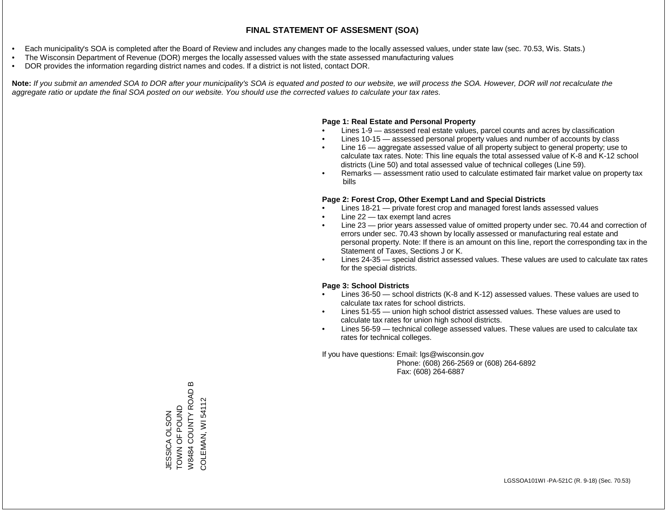- Each municipality's SOA is completed after the Board of Review and includes any changes made to the locally assessed values, under state law (sec. 70.53, Wis. Stats.)
- The Wisconsin Department of Revenue (DOR) merges the locally assessed values with the state assessed manufacturing values
- DOR provides the information regarding district names and codes. If a district is not listed, contact DOR.

Note: If you submit an amended SOA to DOR after your municipality's SOA is equated and posted to our website, we will process the SOA. However, DOR will not recalculate the *aggregate ratio or update the final SOA posted on our website. You should use the corrected values to calculate your tax rates.*

### **Page 1: Real Estate and Personal Property**

- Lines 1-9 assessed real estate values, parcel counts and acres by classification
- Lines 10-15 assessed personal property values and number of accounts by class
- Line 16 aggregate assessed value of all property subject to general property; use to calculate tax rates. Note: This line equals the total assessed value of K-8 and K-12 school districts (Line 50) and total assessed value of technical colleges (Line 59).
- Remarks assessment ratio used to calculate estimated fair market value on property tax bills

### **Page 2: Forest Crop, Other Exempt Land and Special Districts**

- Lines 18-21 private forest crop and managed forest lands assessed values
- Line  $22 -$  tax exempt land acres
- Line 23 prior years assessed value of omitted property under sec. 70.44 and correction of errors under sec. 70.43 shown by locally assessed or manufacturing real estate and personal property. Note: If there is an amount on this line, report the corresponding tax in the Statement of Taxes, Sections J or K.
- Lines 24-35 special district assessed values. These values are used to calculate tax rates for the special districts.

### **Page 3: School Districts**

- Lines 36-50 school districts (K-8 and K-12) assessed values. These values are used to calculate tax rates for school districts.
- Lines 51-55 union high school district assessed values. These values are used to calculate tax rates for union high school districts.
- Lines 56-59 technical college assessed values. These values are used to calculate tax rates for technical colleges.

If you have questions: Email: lgs@wisconsin.gov

 Phone: (608) 266-2569 or (608) 264-6892 Fax: (608) 264-6887

 $\bf{m}$ W8484 COUNTY ROAD B W8484 COUNTY ROAD COLEMAN, WI 54112 COLEMAN, WI 54112TOWN OF POUND TOWN OF POUND ESSICA OLSON JESSICA OLSON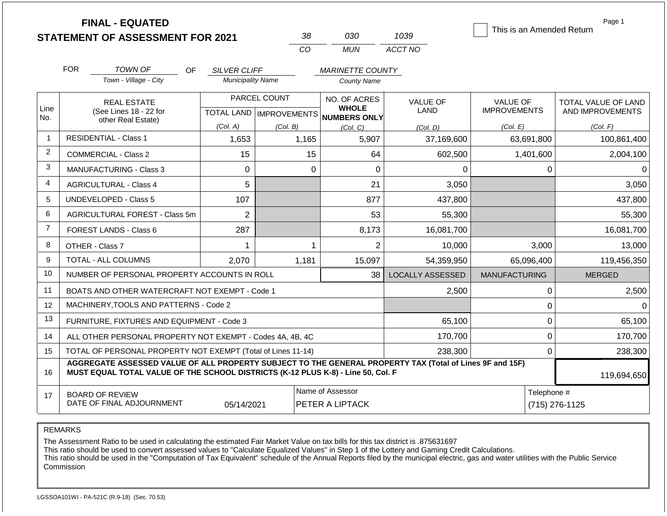|                | <b>FINAL - EQUATED</b><br><b>STATEMENT OF ASSESSMENT FOR 2021</b>                                                                                                                            |                          | 38           | 030                                                 | 1039                    | This is an Amended Return | Page 1                        |  |  |
|----------------|----------------------------------------------------------------------------------------------------------------------------------------------------------------------------------------------|--------------------------|--------------|-----------------------------------------------------|-------------------------|---------------------------|-------------------------------|--|--|
|                |                                                                                                                                                                                              |                          | CO           | <b>MUN</b>                                          | ACCT NO                 |                           |                               |  |  |
|                | <b>FOR</b><br>TOWN OF<br>OF.<br><b>SILVER CLIFF</b><br><b>MARINETTE COUNTY</b>                                                                                                               |                          |              |                                                     |                         |                           |                               |  |  |
|                | Town - Village - City                                                                                                                                                                        | <b>Municipality Name</b> |              | <b>County Name</b>                                  |                         |                           |                               |  |  |
|                | <b>REAL ESTATE</b>                                                                                                                                                                           |                          | PARCEL COUNT | NO. OF ACRES                                        | <b>VALUE OF</b>         | <b>VALUE OF</b>           | TOTAL VALUE OF LAND           |  |  |
| Line<br>No.    | (See Lines 18 - 22 for<br>other Real Estate)                                                                                                                                                 |                          |              | <b>WHOLE</b><br>TOTAL LAND MPROVEMENTS NUMBERS ONLY | <b>LAND</b>             | <b>IMPROVEMENTS</b>       | AND IMPROVEMENTS              |  |  |
|                |                                                                                                                                                                                              | (Col. A)                 | (Col. B)     | (Col, C)                                            | (Col. D)                | (Col. E)                  | (Col. F)                      |  |  |
| 1              | <b>RESIDENTIAL - Class 1</b>                                                                                                                                                                 | 1,653                    | 1,165        | 5,907                                               | 37,169,600              | 63,691,800                | 100,861,400                   |  |  |
| 2              | <b>COMMERCIAL - Class 2</b>                                                                                                                                                                  | 15                       | 15           | 64                                                  | 602,500                 | 1,401,600                 | 2,004,100                     |  |  |
| 3              | <b>MANUFACTURING - Class 3</b>                                                                                                                                                               | $\mathbf 0$              | $\mathbf 0$  | $\mathbf 0$                                         | 0                       | 0                         | 0                             |  |  |
| 4              | <b>AGRICULTURAL - Class 4</b>                                                                                                                                                                | 5                        |              | 21                                                  | 3,050                   |                           | 3,050                         |  |  |
| 5              | <b>UNDEVELOPED - Class 5</b>                                                                                                                                                                 | 107                      |              | 877                                                 | 437,800                 |                           | 437,800                       |  |  |
| 6              | AGRICULTURAL FOREST - Class 5m                                                                                                                                                               | $\overline{2}$           |              | 53                                                  | 55,300                  |                           | 55,300                        |  |  |
| $\overline{7}$ | FOREST LANDS - Class 6                                                                                                                                                                       | 287                      |              | 8,173                                               | 16,081,700              |                           | 16,081,700                    |  |  |
| 8              | OTHER - Class 7                                                                                                                                                                              | 1                        | 1            | $\overline{2}$                                      | 10,000                  | 3,000                     | 13,000                        |  |  |
| 9              | <b>TOTAL - ALL COLUMNS</b>                                                                                                                                                                   | 2,070                    | 1,181        | 15,097                                              | 54,359,950              | 65,096,400                | 119,456,350                   |  |  |
| 10             | NUMBER OF PERSONAL PROPERTY ACCOUNTS IN ROLL                                                                                                                                                 |                          |              | 38                                                  | <b>LOCALLY ASSESSED</b> | <b>MANUFACTURING</b>      | <b>MERGED</b>                 |  |  |
| 11             | BOATS AND OTHER WATERCRAFT NOT EXEMPT - Code 1                                                                                                                                               |                          |              |                                                     | 2,500                   | 0                         | 2,500                         |  |  |
| 12             | MACHINERY, TOOLS AND PATTERNS - Code 2                                                                                                                                                       |                          |              |                                                     |                         | $\pmb{0}$                 | $\Omega$                      |  |  |
| 13             | FURNITURE, FIXTURES AND EQUIPMENT - Code 3                                                                                                                                                   |                          |              |                                                     | 65,100                  | $\mathbf 0$               | 65,100                        |  |  |
| 14             | ALL OTHER PERSONAL PROPERTY NOT EXEMPT - Codes 4A, 4B, 4C                                                                                                                                    |                          |              |                                                     | 170,700                 | $\mathbf 0$               | 170,700                       |  |  |
| 15             | TOTAL OF PERSONAL PROPERTY NOT EXEMPT (Total of Lines 11-14)                                                                                                                                 |                          |              |                                                     | 238,300                 | $\mathbf 0$               | 238,300                       |  |  |
| 16             | AGGREGATE ASSESSED VALUE OF ALL PROPERTY SUBJECT TO THE GENERAL PROPERTY TAX (Total of Lines 9F and 15F)<br>MUST EQUAL TOTAL VALUE OF THE SCHOOL DISTRICTS (K-12 PLUS K-8) - Line 50, Col. F |                          |              |                                                     |                         |                           | 119,694,650                   |  |  |
| 17             | <b>BOARD OF REVIEW</b><br>DATE OF FINAL ADJOURNMENT                                                                                                                                          | 05/14/2021               |              | Name of Assessor<br><b>PETER A LIPTACK</b>          |                         |                           | Telephone #<br>(715) 276-1125 |  |  |

REMARKS

The Assessment Ratio to be used in calculating the estimated Fair Market Value on tax bills for this tax district is .875631697

This ratio should be used to convert assessed values to "Calculate Equalized Values" in Step 1 of the Lottery and Gaming Credit Calculations.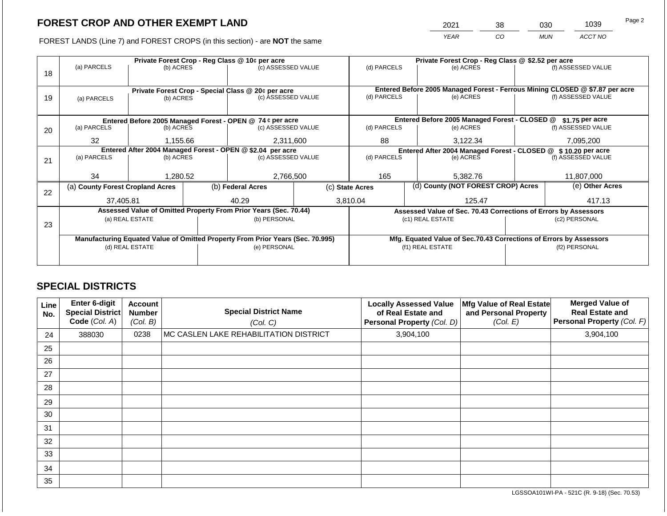2021 38 030 1039

FOREST LANDS (Line 7) and FOREST CROPS (in this section) - are **NOT** the same *YEAR CO MUN ACCT NO*

|    | Private Forest Crop - Reg Class @ 10¢ per acre |                 |  |                                                                                |                                                               |                          | Private Forest Crop - Reg Class @ \$2.52 per acre |                                                                              |               |                    |  |
|----|------------------------------------------------|-----------------|--|--------------------------------------------------------------------------------|---------------------------------------------------------------|--------------------------|---------------------------------------------------|------------------------------------------------------------------------------|---------------|--------------------|--|
|    | (a) PARCELS                                    | (b) ACRES       |  | (c) ASSESSED VALUE                                                             |                                                               | (d) PARCELS              |                                                   | (e) ACRES                                                                    |               | (f) ASSESSED VALUE |  |
| 18 |                                                |                 |  |                                                                                |                                                               |                          |                                                   |                                                                              |               |                    |  |
|    |                                                |                 |  |                                                                                |                                                               |                          |                                                   | Entered Before 2005 Managed Forest - Ferrous Mining CLOSED @ \$7.87 per acre |               |                    |  |
| 19 | (a) PARCELS                                    | (b) ACRES       |  | Private Forest Crop - Special Class @ 20¢ per acre<br>(c) ASSESSED VALUE       |                                                               | (d) PARCELS              |                                                   | (e) ACRES                                                                    |               | (f) ASSESSED VALUE |  |
|    |                                                |                 |  |                                                                                |                                                               |                          |                                                   |                                                                              |               |                    |  |
|    |                                                |                 |  |                                                                                |                                                               |                          |                                                   |                                                                              |               |                    |  |
|    |                                                |                 |  | Entered Before 2005 Managed Forest - OPEN @ 74 ¢ per acre                      |                                                               |                          |                                                   | Entered Before 2005 Managed Forest - CLOSED @                                |               | \$1.75 per acre    |  |
| 20 | (a) PARCELS                                    | (b) ACRES       |  | (c) ASSESSED VALUE                                                             |                                                               | (d) PARCELS              |                                                   | (e) ACRES                                                                    |               | (f) ASSESSED VALUE |  |
|    | 32                                             | 1,155.66        |  | 2,311,600                                                                      |                                                               | 88                       |                                                   | 3,122.34                                                                     |               | 7,095,200          |  |
|    |                                                |                 |  |                                                                                |                                                               |                          |                                                   |                                                                              |               |                    |  |
|    |                                                |                 |  | Entered After 2004 Managed Forest - OPEN @ \$2.04 per acre                     | Entered After 2004 Managed Forest - CLOSED @ \$10.20 per acre |                          |                                                   |                                                                              |               |                    |  |
| 21 | (a) PARCELS                                    | (b) ACRES       |  | (c) ASSESSED VALUE                                                             |                                                               | (d) PARCELS<br>(e) ACRES |                                                   | (f) ASSESSED VALUE                                                           |               |                    |  |
|    |                                                |                 |  |                                                                                |                                                               |                          |                                                   |                                                                              |               |                    |  |
|    | 34                                             | 1,280.52        |  | 2,766,500                                                                      |                                                               | 165                      |                                                   | 5,382.76                                                                     |               | 11,807,000         |  |
|    | (a) County Forest Cropland Acres               |                 |  | (b) Federal Acres                                                              |                                                               | (c) State Acres          |                                                   | (d) County (NOT FOREST CROP) Acres                                           |               | (e) Other Acres    |  |
| 22 |                                                |                 |  |                                                                                |                                                               |                          |                                                   |                                                                              |               |                    |  |
|    | 37,405.81                                      |                 |  | 40.29                                                                          |                                                               | 3,810.04                 |                                                   | 125.47                                                                       |               | 417.13             |  |
|    |                                                |                 |  | Assessed Value of Omitted Property From Prior Years (Sec. 70.44)               |                                                               |                          |                                                   | Assessed Value of Sec. 70.43 Corrections of Errors by Assessors              |               |                    |  |
|    |                                                | (a) REAL ESTATE |  | (b) PERSONAL                                                                   |                                                               |                          |                                                   | (c1) REAL ESTATE                                                             | (c2) PERSONAL |                    |  |
| 23 |                                                |                 |  |                                                                                |                                                               |                          |                                                   |                                                                              |               |                    |  |
|    |                                                |                 |  | Manufacturing Equated Value of Omitted Property From Prior Years (Sec. 70.995) |                                                               |                          |                                                   | Mfg. Equated Value of Sec.70.43 Corrections of Errors by Assessors           |               |                    |  |
|    |                                                | (d) REAL ESTATE |  | (e) PERSONAL                                                                   |                                                               |                          |                                                   | (f1) REAL ESTATE                                                             |               | (f2) PERSONAL      |  |
|    |                                                |                 |  |                                                                                |                                                               |                          |                                                   |                                                                              |               |                    |  |
|    |                                                |                 |  |                                                                                |                                                               |                          |                                                   |                                                                              |               |                    |  |

## **SPECIAL DISTRICTS**

| Line<br>No. | <b>Enter 6-digit</b><br>Special District<br>Code (Col. A) | <b>Account</b><br><b>Number</b><br>(Col. B) | <b>Special District Name</b><br>(Col. C) | <b>Locally Assessed Value</b><br>of Real Estate and<br>Personal Property (Col. D) | Mfg Value of Real Estate<br>and Personal Property<br>(Col. E) | <b>Merged Value of</b><br><b>Real Estate and</b><br><b>Personal Property (Col. F)</b> |
|-------------|-----------------------------------------------------------|---------------------------------------------|------------------------------------------|-----------------------------------------------------------------------------------|---------------------------------------------------------------|---------------------------------------------------------------------------------------|
| 24          | 388030                                                    | 0238                                        | MC CASLEN LAKE REHABILITATION DISTRICT   | 3,904,100                                                                         |                                                               | 3,904,100                                                                             |
| 25          |                                                           |                                             |                                          |                                                                                   |                                                               |                                                                                       |
| 26          |                                                           |                                             |                                          |                                                                                   |                                                               |                                                                                       |
| 27          |                                                           |                                             |                                          |                                                                                   |                                                               |                                                                                       |
| 28          |                                                           |                                             |                                          |                                                                                   |                                                               |                                                                                       |
| 29          |                                                           |                                             |                                          |                                                                                   |                                                               |                                                                                       |
| 30          |                                                           |                                             |                                          |                                                                                   |                                                               |                                                                                       |
| 31          |                                                           |                                             |                                          |                                                                                   |                                                               |                                                                                       |
| 32          |                                                           |                                             |                                          |                                                                                   |                                                               |                                                                                       |
| 33          |                                                           |                                             |                                          |                                                                                   |                                                               |                                                                                       |
| 34          |                                                           |                                             |                                          |                                                                                   |                                                               |                                                                                       |
| 35          |                                                           |                                             |                                          |                                                                                   |                                                               |                                                                                       |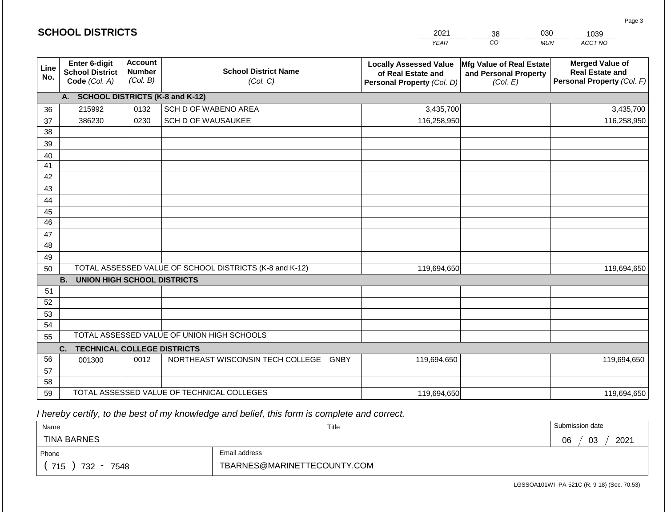|             | <b>SCHOOL DISTRICTS</b>                                  |                                             |                                                         | 2021                                                                              | 030<br>38                                                     | 1039                                                                           |
|-------------|----------------------------------------------------------|---------------------------------------------|---------------------------------------------------------|-----------------------------------------------------------------------------------|---------------------------------------------------------------|--------------------------------------------------------------------------------|
|             |                                                          |                                             |                                                         | <b>YEAR</b>                                                                       | CO                                                            | ACCT NO<br><b>MUN</b>                                                          |
| Line<br>No. | Enter 6-digit<br><b>School District</b><br>Code (Col. A) | <b>Account</b><br><b>Number</b><br>(Col. B) | <b>School District Name</b><br>(Col. C)                 | <b>Locally Assessed Value</b><br>of Real Estate and<br>Personal Property (Col. D) | Mfg Value of Real Estate<br>and Personal Property<br>(Col. E) | <b>Merged Value of</b><br><b>Real Estate and</b><br>Personal Property (Col. F) |
|             | A. SCHOOL DISTRICTS (K-8 and K-12)                       |                                             |                                                         |                                                                                   |                                                               |                                                                                |
| 36          | 215992                                                   | 0132                                        | SCH D OF WABENO AREA                                    | 3,435,700                                                                         |                                                               | 3,435,700                                                                      |
| 37          | 386230                                                   | 0230                                        | SCH D OF WAUSAUKEE                                      | 116,258,950                                                                       |                                                               | 116,258,950                                                                    |
| 38          |                                                          |                                             |                                                         |                                                                                   |                                                               |                                                                                |
| 39          |                                                          |                                             |                                                         |                                                                                   |                                                               |                                                                                |
| 40          |                                                          |                                             |                                                         |                                                                                   |                                                               |                                                                                |
| 41<br>42    |                                                          |                                             |                                                         |                                                                                   |                                                               |                                                                                |
|             |                                                          |                                             |                                                         |                                                                                   |                                                               |                                                                                |
| 43          |                                                          |                                             |                                                         |                                                                                   |                                                               |                                                                                |
| 44<br>45    |                                                          |                                             |                                                         |                                                                                   |                                                               |                                                                                |
| 46          |                                                          |                                             |                                                         |                                                                                   |                                                               |                                                                                |
| 47          |                                                          |                                             |                                                         |                                                                                   |                                                               |                                                                                |
| 48          |                                                          |                                             |                                                         |                                                                                   |                                                               |                                                                                |
| 49          |                                                          |                                             |                                                         |                                                                                   |                                                               |                                                                                |
| 50          |                                                          |                                             | TOTAL ASSESSED VALUE OF SCHOOL DISTRICTS (K-8 and K-12) | 119,694,650                                                                       |                                                               | 119,694,650                                                                    |
|             | <b>B.</b><br><b>UNION HIGH SCHOOL DISTRICTS</b>          |                                             |                                                         |                                                                                   |                                                               |                                                                                |
| 51          |                                                          |                                             |                                                         |                                                                                   |                                                               |                                                                                |
| 52          |                                                          |                                             |                                                         |                                                                                   |                                                               |                                                                                |
| 53          |                                                          |                                             |                                                         |                                                                                   |                                                               |                                                                                |
| 54          |                                                          |                                             |                                                         |                                                                                   |                                                               |                                                                                |
| 55          |                                                          |                                             | TOTAL ASSESSED VALUE OF UNION HIGH SCHOOLS              |                                                                                   |                                                               |                                                                                |
|             | C.<br><b>TECHNICAL COLLEGE DISTRICTS</b>                 |                                             |                                                         |                                                                                   |                                                               |                                                                                |
| 56          | 001300                                                   | 0012                                        | NORTHEAST WISCONSIN TECH COLLEGE GNBY                   | 119,694,650                                                                       |                                                               | 119,694,650                                                                    |
| 57<br>58    |                                                          |                                             |                                                         |                                                                                   |                                                               |                                                                                |
|             |                                                          |                                             | TOTAL ASSESSED VALUE OF TECHNICAL COLLEGES              |                                                                                   |                                                               |                                                                                |
| 59          |                                                          |                                             |                                                         | 119,694,650                                                                       |                                                               | 119,694,650                                                                    |

| Name               |                             | Title | Submission date  |  |  |  |
|--------------------|-----------------------------|-------|------------------|--|--|--|
| <b>TINA BARNES</b> |                             |       | 03<br>2021<br>06 |  |  |  |
| Phone              | Email address               |       |                  |  |  |  |
| 715<br>732<br>7548 | TBARNES@MARINETTECOUNTY.COM |       |                  |  |  |  |

LGSSOA101WI -PA-521C (R. 9-18) (Sec. 70.53)

Page 3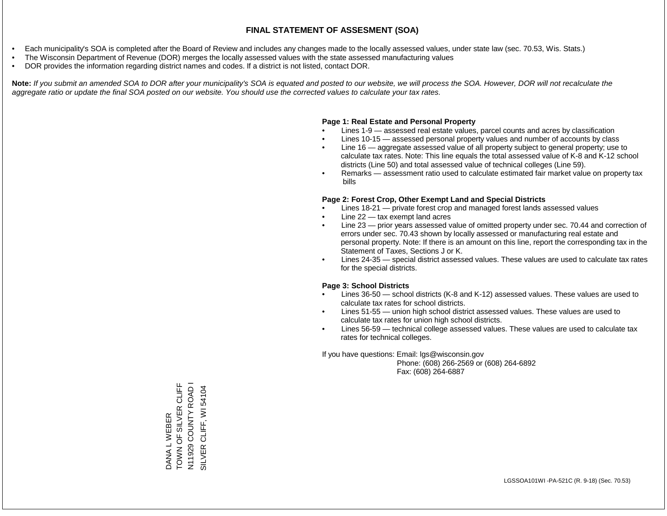- Each municipality's SOA is completed after the Board of Review and includes any changes made to the locally assessed values, under state law (sec. 70.53, Wis. Stats.)
- The Wisconsin Department of Revenue (DOR) merges the locally assessed values with the state assessed manufacturing values
- DOR provides the information regarding district names and codes. If a district is not listed, contact DOR.

Note: If you submit an amended SOA to DOR after your municipality's SOA is equated and posted to our website, we will process the SOA. However, DOR will not recalculate the *aggregate ratio or update the final SOA posted on our website. You should use the corrected values to calculate your tax rates.*

### **Page 1: Real Estate and Personal Property**

- Lines 1-9 assessed real estate values, parcel counts and acres by classification
- Lines 10-15 assessed personal property values and number of accounts by class
- Line 16 aggregate assessed value of all property subject to general property; use to calculate tax rates. Note: This line equals the total assessed value of K-8 and K-12 school districts (Line 50) and total assessed value of technical colleges (Line 59).
- Remarks assessment ratio used to calculate estimated fair market value on property tax bills

### **Page 2: Forest Crop, Other Exempt Land and Special Districts**

- Lines 18-21 private forest crop and managed forest lands assessed values
- Line  $22 -$  tax exempt land acres
- Line 23 prior years assessed value of omitted property under sec. 70.44 and correction of errors under sec. 70.43 shown by locally assessed or manufacturing real estate and personal property. Note: If there is an amount on this line, report the corresponding tax in the Statement of Taxes, Sections J or K.
- Lines 24-35 special district assessed values. These values are used to calculate tax rates for the special districts.

### **Page 3: School Districts**

- Lines 36-50 school districts (K-8 and K-12) assessed values. These values are used to calculate tax rates for school districts.
- Lines 51-55 union high school district assessed values. These values are used to calculate tax rates for union high school districts.
- Lines 56-59 technical college assessed values. These values are used to calculate tax rates for technical colleges.

If you have questions: Email: lgs@wisconsin.gov

 Phone: (608) 266-2569 or (608) 264-6892 Fax: (608) 264-6887

TOWN OF SILVER CLIFF DANA L WEBER<br>TOWN OF SILVER CLIFF N11929 COUNTY ROAD I N11929 COUNTY ROAD I SILVER CLIFF, WI 54104 SILVER CLIFF, WI 54104DANA L WEBER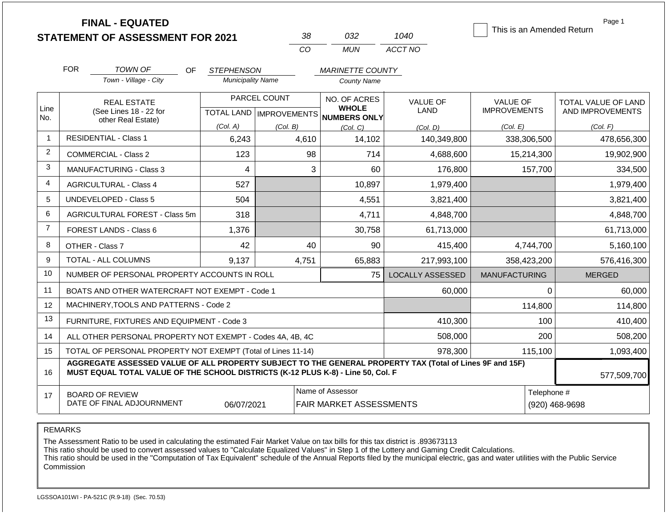|                |                                                                                                                                                                                              | <b>FINAL - EQUATED</b><br><b>STATEMENT OF ASSESSMENT FOR 2021</b> |                          |                           | 38    | 032                          | 1040                    | This is an Amended Return |                | Page 1              |
|----------------|----------------------------------------------------------------------------------------------------------------------------------------------------------------------------------------------|-------------------------------------------------------------------|--------------------------|---------------------------|-------|------------------------------|-------------------------|---------------------------|----------------|---------------------|
|                |                                                                                                                                                                                              |                                                                   |                          |                           | CO    | <b>MUN</b>                   | ACCT NO                 |                           |                |                     |
|                | <b>FOR</b>                                                                                                                                                                                   | <b>TOWN OF</b><br>OF.                                             | <b>STEPHENSON</b>        |                           |       | <b>MARINETTE COUNTY</b>      |                         |                           |                |                     |
|                |                                                                                                                                                                                              | Town - Village - City                                             | <b>Municipality Name</b> |                           |       | <b>County Name</b>           |                         |                           |                |                     |
|                |                                                                                                                                                                                              | <b>REAL ESTATE</b>                                                |                          | PARCEL COUNT              |       | NO. OF ACRES                 | <b>VALUE OF</b>         | <b>VALUE OF</b>           |                | TOTAL VALUE OF LAND |
| Line<br>No.    |                                                                                                                                                                                              | (See Lines 18 - 22 for                                            |                          | TOTAL LAND   IMPROVEMENTS |       | <b>WHOLE</b><br>NUMBERS ONLY | <b>LAND</b>             | <b>IMPROVEMENTS</b>       |                | AND IMPROVEMENTS    |
|                |                                                                                                                                                                                              | other Real Estate)                                                | (Col. A)                 | (Col. B)                  |       | (Col, C)                     | (Col, D)                | (Col. E)                  |                | (Col. F)            |
| 1              |                                                                                                                                                                                              | <b>RESIDENTIAL - Class 1</b>                                      | 6,243                    |                           | 4,610 | 14,102                       | 140,349,800             | 338,306,500               |                | 478,656,300         |
| 2              |                                                                                                                                                                                              | <b>COMMERCIAL - Class 2</b>                                       | 123                      |                           | 98    | 714                          | 4,688,600               | 15,214,300                |                | 19,902,900          |
| 3              |                                                                                                                                                                                              | <b>MANUFACTURING - Class 3</b>                                    | 4                        |                           | 3     | 60                           | 176,800                 |                           | 157,700        | 334,500             |
| 4              |                                                                                                                                                                                              | <b>AGRICULTURAL - Class 4</b>                                     | 527                      |                           |       | 10,897                       | 1,979,400               |                           |                | 1,979,400           |
| 5              |                                                                                                                                                                                              | <b>UNDEVELOPED - Class 5</b>                                      | 504                      |                           |       | 4,551                        | 3,821,400               |                           |                | 3,821,400           |
| 6              |                                                                                                                                                                                              | AGRICULTURAL FOREST - Class 5m                                    | 318                      |                           |       | 4,711                        | 4,848,700               |                           |                | 4,848,700           |
| $\overline{7}$ |                                                                                                                                                                                              | FOREST LANDS - Class 6                                            | 1,376                    |                           |       | 30,758                       | 61,713,000              |                           |                | 61,713,000          |
| 8              |                                                                                                                                                                                              | OTHER - Class 7                                                   | 42                       |                           | 40    | 90                           | 415,400                 | 4,744,700                 |                | 5,160,100           |
| 9              |                                                                                                                                                                                              | TOTAL - ALL COLUMNS                                               | 9,137                    |                           | 4,751 | 65,883                       | 217,993,100             | 358,423,200               |                | 576,416,300         |
| 10             |                                                                                                                                                                                              | NUMBER OF PERSONAL PROPERTY ACCOUNTS IN ROLL                      |                          |                           |       | 75                           | <b>LOCALLY ASSESSED</b> | <b>MANUFACTURING</b>      |                | <b>MERGED</b>       |
| 11             |                                                                                                                                                                                              | BOATS AND OTHER WATERCRAFT NOT EXEMPT - Code 1                    |                          |                           |       |                              | 60,000                  |                           | 0              | 60,000              |
| 12             |                                                                                                                                                                                              | MACHINERY, TOOLS AND PATTERNS - Code 2                            |                          |                           |       |                              |                         |                           | 114,800        | 114,800             |
| 13             |                                                                                                                                                                                              | FURNITURE, FIXTURES AND EQUIPMENT - Code 3                        |                          |                           |       |                              | 410,300                 |                           | 100            | 410,400             |
| 14             | ALL OTHER PERSONAL PROPERTY NOT EXEMPT - Codes 4A, 4B, 4C                                                                                                                                    |                                                                   |                          |                           |       |                              | 508,000                 | 200                       |                | 508,200             |
| 15             | TOTAL OF PERSONAL PROPERTY NOT EXEMPT (Total of Lines 11-14)                                                                                                                                 |                                                                   |                          |                           |       |                              | 978,300                 |                           | 115,100        | 1,093,400           |
| 16             | AGGREGATE ASSESSED VALUE OF ALL PROPERTY SUBJECT TO THE GENERAL PROPERTY TAX (Total of Lines 9F and 15F)<br>MUST EQUAL TOTAL VALUE OF THE SCHOOL DISTRICTS (K-12 PLUS K-8) - Line 50, Col. F |                                                                   |                          |                           |       |                              |                         |                           | 577,509,700    |                     |
| 17             |                                                                                                                                                                                              | <b>BOARD OF REVIEW</b>                                            |                          |                           |       | Name of Assessor             |                         |                           | Telephone #    |                     |
|                | DATE OF FINAL ADJOURNMENT                                                                                                                                                                    |                                                                   |                          | 06/07/2021                |       | FAIR MARKET ASSESSMENTS      |                         |                           | (920) 468-9698 |                     |

### REMARKS

The Assessment Ratio to be used in calculating the estimated Fair Market Value on tax bills for this tax district is .893673113

This ratio should be used to convert assessed values to "Calculate Equalized Values" in Step 1 of the Lottery and Gaming Credit Calculations.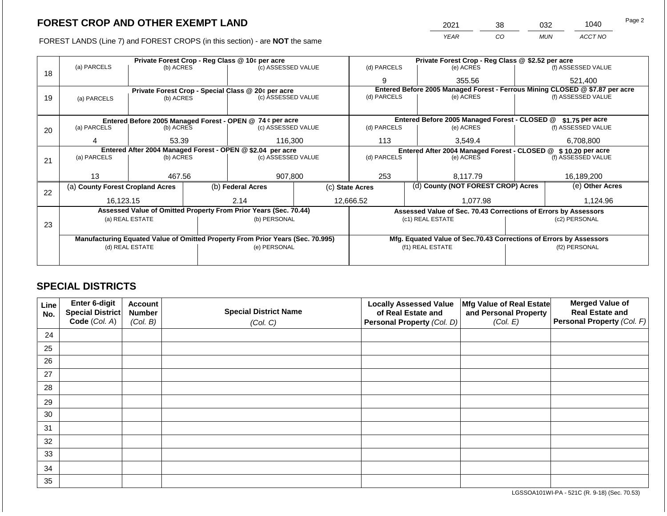2021 38 032 1040

FOREST LANDS (Line 7) and FOREST CROPS (in this section) - are **NOT** the same *YEAR CO MUN ACCT NO*

|    |                                                                                |                                 |  | Private Forest Crop - Reg Class @ 10¢ per acre                   | Private Forest Crop - Reg Class @ \$2.52 per acre                  |                                                                 |               |                                                                              |          |                    |
|----|--------------------------------------------------------------------------------|---------------------------------|--|------------------------------------------------------------------|--------------------------------------------------------------------|-----------------------------------------------------------------|---------------|------------------------------------------------------------------------------|----------|--------------------|
| 18 | (a) PARCELS                                                                    | (b) ACRES                       |  | (c) ASSESSED VALUE                                               |                                                                    | (d) PARCELS                                                     |               | (e) ACRES                                                                    |          | (f) ASSESSED VALUE |
|    |                                                                                |                                 |  |                                                                  |                                                                    | 9                                                               |               | 355.56                                                                       |          | 521,400            |
|    |                                                                                |                                 |  | Private Forest Crop - Special Class @ 20¢ per acre               |                                                                    |                                                                 |               | Entered Before 2005 Managed Forest - Ferrous Mining CLOSED @ \$7.87 per acre |          |                    |
| 19 | (a) PARCELS                                                                    | (b) ACRES                       |  |                                                                  | (c) ASSESSED VALUE                                                 |                                                                 | (d) PARCELS   | (e) ACRES                                                                    |          | (f) ASSESSED VALUE |
|    |                                                                                |                                 |  |                                                                  |                                                                    |                                                                 |               |                                                                              |          |                    |
|    |                                                                                |                                 |  | Entered Before 2005 Managed Forest - OPEN @ 74 ¢ per acre        |                                                                    |                                                                 |               | Entered Before 2005 Managed Forest - CLOSED @                                |          | $$1.75$ per acre   |
| 20 | (a) PARCELS                                                                    | (b) ACRES                       |  | (c) ASSESSED VALUE                                               |                                                                    | (d) PARCELS                                                     |               | (e) ACRES                                                                    |          | (f) ASSESSED VALUE |
|    | 4                                                                              | 53.39                           |  |                                                                  | 116,300                                                            |                                                                 |               | 3,549.4                                                                      |          | 6,708,800          |
|    | Entered After 2004 Managed Forest - OPEN @ \$2.04 per acre                     |                                 |  |                                                                  | Entered After 2004 Managed Forest - CLOSED @ \$ 10.20 per acre     |                                                                 |               |                                                                              |          |                    |
| 21 | (a) PARCELS                                                                    | (b) ACRES                       |  | (c) ASSESSED VALUE                                               |                                                                    | (d) PARCELS                                                     |               | (e) ACRES                                                                    |          |                    |
|    |                                                                                |                                 |  |                                                                  |                                                                    |                                                                 |               |                                                                              |          |                    |
|    | 13                                                                             | 467.56                          |  | 907.800                                                          |                                                                    | 253                                                             |               | 8.117.79                                                                     |          | 16.189.200         |
| 22 | (a) County Forest Cropland Acres                                               |                                 |  | (b) Federal Acres                                                |                                                                    | (c) State Acres                                                 |               | (d) County (NOT FOREST CROP) Acres                                           |          | (e) Other Acres    |
|    | 16,123.15                                                                      |                                 |  | 2.14                                                             |                                                                    | 12,666.52<br>1,077.98                                           |               |                                                                              | 1,124.96 |                    |
|    |                                                                                |                                 |  | Assessed Value of Omitted Property From Prior Years (Sec. 70.44) |                                                                    | Assessed Value of Sec. 70.43 Corrections of Errors by Assessors |               |                                                                              |          |                    |
|    |                                                                                | (a) REAL ESTATE<br>(b) PERSONAL |  |                                                                  |                                                                    | (c1) REAL ESTATE                                                | (c2) PERSONAL |                                                                              |          |                    |
| 23 |                                                                                |                                 |  |                                                                  |                                                                    |                                                                 |               |                                                                              |          |                    |
|    | Manufacturing Equated Value of Omitted Property From Prior Years (Sec. 70.995) |                                 |  |                                                                  | Mfg. Equated Value of Sec.70.43 Corrections of Errors by Assessors |                                                                 |               |                                                                              |          |                    |
|    | (d) REAL ESTATE                                                                |                                 |  | (e) PERSONAL                                                     |                                                                    |                                                                 |               | (f1) REAL ESTATE                                                             |          | (f2) PERSONAL      |
|    |                                                                                |                                 |  |                                                                  |                                                                    |                                                                 |               |                                                                              |          |                    |
|    |                                                                                |                                 |  |                                                                  |                                                                    |                                                                 |               |                                                                              |          |                    |

## **SPECIAL DISTRICTS**

| Line<br>No. | <b>Enter 6-digit</b><br>Special District | <b>Account</b><br><b>Number</b> | <b>Special District Name</b> | <b>Locally Assessed Value</b><br>of Real Estate and | Mfg Value of Real Estate<br>and Personal Property | <b>Merged Value of</b><br><b>Real Estate and</b> |
|-------------|------------------------------------------|---------------------------------|------------------------------|-----------------------------------------------------|---------------------------------------------------|--------------------------------------------------|
|             | Code (Col. A)                            | (Col. B)                        | (Col. C)                     | Personal Property (Col. D)                          | (Col. E)                                          | Personal Property (Col. F)                       |
| 24          |                                          |                                 |                              |                                                     |                                                   |                                                  |
| 25          |                                          |                                 |                              |                                                     |                                                   |                                                  |
| 26          |                                          |                                 |                              |                                                     |                                                   |                                                  |
| 27          |                                          |                                 |                              |                                                     |                                                   |                                                  |
| 28          |                                          |                                 |                              |                                                     |                                                   |                                                  |
| 29          |                                          |                                 |                              |                                                     |                                                   |                                                  |
| 30          |                                          |                                 |                              |                                                     |                                                   |                                                  |
| 31          |                                          |                                 |                              |                                                     |                                                   |                                                  |
| 32          |                                          |                                 |                              |                                                     |                                                   |                                                  |
| 33          |                                          |                                 |                              |                                                     |                                                   |                                                  |
| 34          |                                          |                                 |                              |                                                     |                                                   |                                                  |
| 35          |                                          |                                 |                              |                                                     |                                                   |                                                  |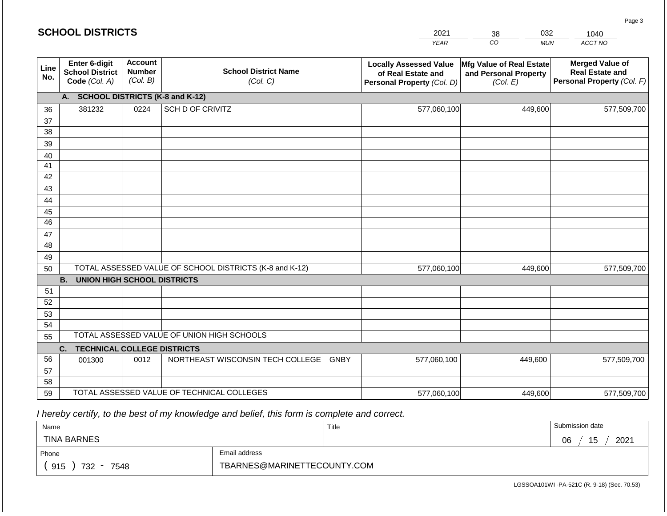|             |                                                          |                                             |                                                         | ---                                                                               | ບບ<br>◡◡▵                                                     | ט <del>ו</del> יטו                                                             |
|-------------|----------------------------------------------------------|---------------------------------------------|---------------------------------------------------------|-----------------------------------------------------------------------------------|---------------------------------------------------------------|--------------------------------------------------------------------------------|
|             |                                                          |                                             |                                                         | <b>YEAR</b>                                                                       | $\overline{co}$<br><b>MUN</b>                                 | ACCT NO                                                                        |
| Line<br>No. | Enter 6-digit<br><b>School District</b><br>Code (Col. A) | <b>Account</b><br><b>Number</b><br>(Col. B) | <b>School District Name</b><br>(Col. C)                 | <b>Locally Assessed Value</b><br>of Real Estate and<br>Personal Property (Col. D) | Mfg Value of Real Estate<br>and Personal Property<br>(Col. E) | <b>Merged Value of</b><br><b>Real Estate and</b><br>Personal Property (Col. F) |
|             | A.                                                       |                                             | <b>SCHOOL DISTRICTS (K-8 and K-12)</b>                  |                                                                                   |                                                               |                                                                                |
| 36          | 381232                                                   | 0224                                        | SCH D OF CRIVITZ                                        | 577,060,100                                                                       | 449,600                                                       | 577,509,700                                                                    |
| 37          |                                                          |                                             |                                                         |                                                                                   |                                                               |                                                                                |
| 38          |                                                          |                                             |                                                         |                                                                                   |                                                               |                                                                                |
| 39          |                                                          |                                             |                                                         |                                                                                   |                                                               |                                                                                |
| 40          |                                                          |                                             |                                                         |                                                                                   |                                                               |                                                                                |
| 41          |                                                          |                                             |                                                         |                                                                                   |                                                               |                                                                                |
| 42          |                                                          |                                             |                                                         |                                                                                   |                                                               |                                                                                |
| 43          |                                                          |                                             |                                                         |                                                                                   |                                                               |                                                                                |
| 44<br>45    |                                                          |                                             |                                                         |                                                                                   |                                                               |                                                                                |
| 46          |                                                          |                                             |                                                         |                                                                                   |                                                               |                                                                                |
| 47          |                                                          |                                             |                                                         |                                                                                   |                                                               |                                                                                |
| 48          |                                                          |                                             |                                                         |                                                                                   |                                                               |                                                                                |
| 49          |                                                          |                                             |                                                         |                                                                                   |                                                               |                                                                                |
| 50          |                                                          |                                             | TOTAL ASSESSED VALUE OF SCHOOL DISTRICTS (K-8 and K-12) | 577,060,100                                                                       | 449,600                                                       | 577,509,700                                                                    |
|             | <b>B.</b><br><b>UNION HIGH SCHOOL DISTRICTS</b>          |                                             |                                                         |                                                                                   |                                                               |                                                                                |
| 51          |                                                          |                                             |                                                         |                                                                                   |                                                               |                                                                                |
| 52          |                                                          |                                             |                                                         |                                                                                   |                                                               |                                                                                |
| 53          |                                                          |                                             |                                                         |                                                                                   |                                                               |                                                                                |
| 54          |                                                          |                                             | TOTAL ASSESSED VALUE OF UNION HIGH SCHOOLS              |                                                                                   |                                                               |                                                                                |
| 55          |                                                          |                                             |                                                         |                                                                                   |                                                               |                                                                                |
| 56          | <b>TECHNICAL COLLEGE DISTRICTS</b><br>C.                 |                                             |                                                         |                                                                                   |                                                               |                                                                                |
| 57          | 001300                                                   | 0012                                        | NORTHEAST WISCONSIN TECH COLLEGE<br><b>GNBY</b>         | 577,060,100                                                                       | 449.600                                                       | 577,509,700                                                                    |
| 58          |                                                          |                                             |                                                         |                                                                                   |                                                               |                                                                                |
| 59          |                                                          |                                             | TOTAL ASSESSED VALUE OF TECHNICAL COLLEGES              | 577,060,100                                                                       | 449,600                                                       | 577,509,700                                                                    |
|             |                                                          |                                             |                                                         |                                                                                   |                                                               |                                                                                |

| Name                                           |                             | Title | Submission date                    |  |  |  |
|------------------------------------------------|-----------------------------|-------|------------------------------------|--|--|--|
| <b>TINA BARNES</b>                             |                             |       | 2021<br>15<br><b>OG</b><br>U<br>vυ |  |  |  |
| Phone                                          | Email address               |       |                                    |  |  |  |
| 915<br>732<br>7548<br>$\overline{\phantom{a}}$ | TBARNES@MARINETTECOUNTY.COM |       |                                    |  |  |  |

LGSSOA101WI -PA-521C (R. 9-18) (Sec. 70.53)

Page 3

2021 38 032

1040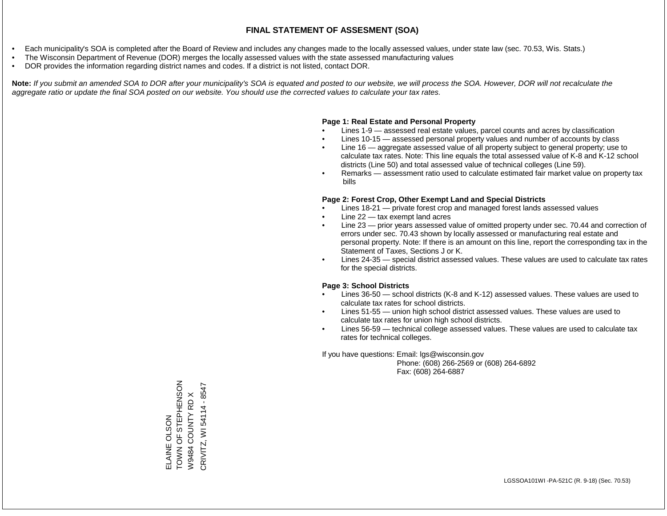- Each municipality's SOA is completed after the Board of Review and includes any changes made to the locally assessed values, under state law (sec. 70.53, Wis. Stats.)
- The Wisconsin Department of Revenue (DOR) merges the locally assessed values with the state assessed manufacturing values
- DOR provides the information regarding district names and codes. If a district is not listed, contact DOR.

Note: If you submit an amended SOA to DOR after your municipality's SOA is equated and posted to our website, we will process the SOA. However, DOR will not recalculate the *aggregate ratio or update the final SOA posted on our website. You should use the corrected values to calculate your tax rates.*

### **Page 1: Real Estate and Personal Property**

- Lines 1-9 assessed real estate values, parcel counts and acres by classification
- Lines 10-15 assessed personal property values and number of accounts by class
- Line 16 aggregate assessed value of all property subject to general property; use to calculate tax rates. Note: This line equals the total assessed value of K-8 and K-12 school districts (Line 50) and total assessed value of technical colleges (Line 59).
- Remarks assessment ratio used to calculate estimated fair market value on property tax bills

### **Page 2: Forest Crop, Other Exempt Land and Special Districts**

- Lines 18-21 private forest crop and managed forest lands assessed values
- Line  $22 -$  tax exempt land acres
- Line 23 prior years assessed value of omitted property under sec. 70.44 and correction of errors under sec. 70.43 shown by locally assessed or manufacturing real estate and personal property. Note: If there is an amount on this line, report the corresponding tax in the Statement of Taxes, Sections J or K.
- Lines 24-35 special district assessed values. These values are used to calculate tax rates for the special districts.

### **Page 3: School Districts**

- Lines 36-50 school districts (K-8 and K-12) assessed values. These values are used to calculate tax rates for school districts.
- Lines 51-55 union high school district assessed values. These values are used to calculate tax rates for union high school districts.
- Lines 56-59 technical college assessed values. These values are used to calculate tax rates for technical colleges.

If you have questions: Email: lgs@wisconsin.gov

 Phone: (608) 266-2569 or (608) 264-6892 Fax: (608) 264-6887

ZOSNIHAILS LO NNOL ELAINE OLSON<br>TOWN OF STEPHENSON CRIVITZ, WI 54114 - 8547 CRIVITZ, WI 54114 - 8547 $\times$ W9484 COUNTY RD X W9484 COUNTY RD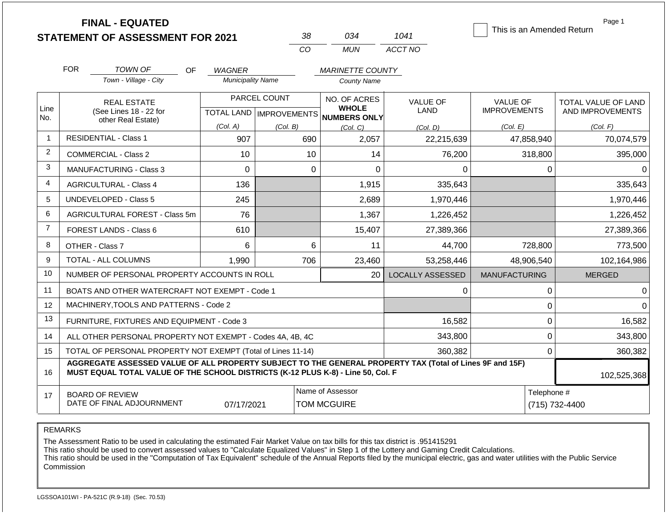| <b>FINAL - EQUATED</b>                  |  |
|-----------------------------------------|--|
| <b>STATEMENT OF ASSESSMENT FOR 2021</b> |  |

| -38 | กว4   | 1041    |
|-----|-------|---------|
| 7∷O | MI IN | ACCT NO |

This is an Amended Return

Page 1

|                | <b>FOR</b><br><b>TOWN OF</b><br><b>OF</b>                                                                                                                                                    | <b>WAGNER</b>            |                           | <b>MARINETTE COUNTY</b>             |                         |                      |                     |
|----------------|----------------------------------------------------------------------------------------------------------------------------------------------------------------------------------------------|--------------------------|---------------------------|-------------------------------------|-------------------------|----------------------|---------------------|
|                | Town - Village - City                                                                                                                                                                        | <b>Municipality Name</b> |                           | <b>County Name</b>                  |                         |                      |                     |
|                | <b>REAL ESTATE</b>                                                                                                                                                                           |                          | PARCEL COUNT              | NO. OF ACRES                        | <b>VALUE OF</b>         | <b>VALUE OF</b>      | TOTAL VALUE OF LAND |
| Line<br>No.    | (See Lines 18 - 22 for<br>other Real Estate)                                                                                                                                                 |                          | TOTAL LAND   IMPROVEMENTS | <b>WHOLE</b><br><b>NUMBERS ONLY</b> | LAND                    | <b>IMPROVEMENTS</b>  | AND IMPROVEMENTS    |
|                |                                                                                                                                                                                              | (Col. A)                 | (Col. B)                  | (Col, C)                            | (Col, D)                | (Col. E)             | (Col. F)            |
| $\mathbf{1}$   | <b>RESIDENTIAL - Class 1</b>                                                                                                                                                                 | 907                      | 690                       | 2,057                               | 22,215,639              | 47,858,940           | 70,074,579          |
| $\overline{2}$ | <b>COMMERCIAL - Class 2</b>                                                                                                                                                                  | 10                       | 10                        | 14                                  | 76,200                  | 318,800              | 395,000             |
| 3              | <b>MANUFACTURING - Class 3</b>                                                                                                                                                               | $\Omega$                 | 0                         | 0                                   | $\Omega$                | 0                    | 0                   |
| $\overline{4}$ | <b>AGRICULTURAL - Class 4</b>                                                                                                                                                                | 136                      |                           | 1,915                               | 335,643                 |                      | 335,643             |
| 5              | <b>UNDEVELOPED - Class 5</b>                                                                                                                                                                 | 245                      |                           | 2,689                               | 1,970,446               |                      | 1,970,446           |
| 6              | AGRICULTURAL FOREST - Class 5m                                                                                                                                                               | 76                       |                           | 1,367                               | 1,226,452               |                      | 1,226,452           |
| $\overline{7}$ | FOREST LANDS - Class 6                                                                                                                                                                       | 610                      |                           | 15,407                              | 27,389,366              |                      | 27,389,366          |
| 8              | OTHER - Class 7                                                                                                                                                                              | 6                        | 6                         | 11                                  | 44,700                  | 728,800              | 773,500             |
| 9              | <b>TOTAL - ALL COLUMNS</b>                                                                                                                                                                   | 1,990                    | 706                       | 23,460                              | 53,258,446              | 48,906,540           | 102,164,986         |
| 10             | NUMBER OF PERSONAL PROPERTY ACCOUNTS IN ROLL                                                                                                                                                 |                          |                           | 20                                  | <b>LOCALLY ASSESSED</b> | <b>MANUFACTURING</b> | <b>MERGED</b>       |
| 11             | BOATS AND OTHER WATERCRAFT NOT EXEMPT - Code 1                                                                                                                                               |                          |                           |                                     | 0                       | 0                    | $\Omega$            |
| 12             | MACHINERY, TOOLS AND PATTERNS - Code 2                                                                                                                                                       |                          |                           |                                     |                         | $\Omega$             | $\overline{0}$      |
| 13             | FURNITURE, FIXTURES AND EQUIPMENT - Code 3                                                                                                                                                   |                          |                           |                                     | 16,582                  | $\Omega$             | 16,582              |
| 14             | ALL OTHER PERSONAL PROPERTY NOT EXEMPT - Codes 4A, 4B, 4C                                                                                                                                    |                          |                           |                                     | 343,800                 | $\Omega$             | 343,800             |
| 15             | TOTAL OF PERSONAL PROPERTY NOT EXEMPT (Total of Lines 11-14)                                                                                                                                 |                          |                           |                                     | 360,382                 | 0                    | 360,382             |
| 16             | AGGREGATE ASSESSED VALUE OF ALL PROPERTY SUBJECT TO THE GENERAL PROPERTY TAX (Total of Lines 9F and 15F)<br>MUST EQUAL TOTAL VALUE OF THE SCHOOL DISTRICTS (K-12 PLUS K-8) - Line 50, Col. F |                          |                           |                                     |                         |                      | 102,525,368         |
| 17             | <b>BOARD OF REVIEW</b>                                                                                                                                                                       |                          |                           | Name of Assessor                    |                         | Telephone #          |                     |
|                | DATE OF FINAL ADJOURNMENT                                                                                                                                                                    | 07/17/2021               |                           | <b>TOM MCGUIRE</b>                  |                         | (715) 732-4400       |                     |

REMARKS

The Assessment Ratio to be used in calculating the estimated Fair Market Value on tax bills for this tax district is .951415291

This ratio should be used to convert assessed values to "Calculate Equalized Values" in Step 1 of the Lottery and Gaming Credit Calculations.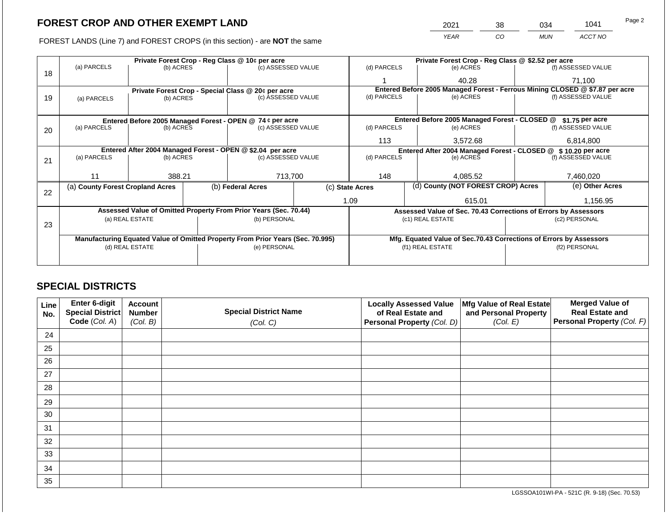FOREST LANDS (Line 7) and FOREST CROPS (in this section) - are NOT the same

| 2021 | 38 | 034 | 1041    | Page 2 |
|------|----|-----|---------|--------|
| YFAR | CO | MUN | ACCT NO |        |

|    |                                                            |                 |  | Private Forest Crop - Reg Class @ 10¢ per acre                                 |  | Private Forest Crop - Reg Class @ \$2.52 per acre                                    |                                                                              |  |                    |  |
|----|------------------------------------------------------------|-----------------|--|--------------------------------------------------------------------------------|--|--------------------------------------------------------------------------------------|------------------------------------------------------------------------------|--|--------------------|--|
| 18 | (a) PARCELS                                                | (b) ACRES       |  | (c) ASSESSED VALUE                                                             |  | (d) PARCELS                                                                          | (e) ACRES                                                                    |  | (f) ASSESSED VALUE |  |
|    |                                                            |                 |  |                                                                                |  |                                                                                      | 40.28                                                                        |  | 71,100             |  |
|    |                                                            |                 |  | Private Forest Crop - Special Class @ 20¢ per acre                             |  |                                                                                      | Entered Before 2005 Managed Forest - Ferrous Mining CLOSED @ \$7.87 per acre |  |                    |  |
| 19 | (a) PARCELS                                                | (b) ACRES       |  | (c) ASSESSED VALUE                                                             |  | (d) PARCELS                                                                          | (e) ACRES                                                                    |  | (f) ASSESSED VALUE |  |
|    |                                                            |                 |  |                                                                                |  |                                                                                      |                                                                              |  |                    |  |
|    |                                                            |                 |  | Entered Before 2005 Managed Forest - OPEN @ 74 ¢ per acre                      |  |                                                                                      | Entered Before 2005 Managed Forest - CLOSED @                                |  | \$1.75 per acre    |  |
| 20 | (a) PARCELS                                                | (b) ACRES       |  | (c) ASSESSED VALUE                                                             |  | (d) PARCELS                                                                          | (e) ACRES                                                                    |  | (f) ASSESSED VALUE |  |
|    |                                                            |                 |  |                                                                                |  | 113                                                                                  | 3.572.68                                                                     |  | 6,814,800          |  |
|    | Entered After 2004 Managed Forest - OPEN @ \$2.04 per acre |                 |  |                                                                                |  | Entered After 2004 Managed Forest - CLOSED @ \$ 10.20 per acre<br>(f) ASSESSED VALUE |                                                                              |  |                    |  |
| 21 | (a) PARCELS                                                | (b) ACRES       |  | (c) ASSESSED VALUE                                                             |  | (d) PARCELS                                                                          | (e) ACRES                                                                    |  |                    |  |
|    |                                                            |                 |  |                                                                                |  |                                                                                      |                                                                              |  |                    |  |
|    | 11                                                         | 388.21          |  | 713,700                                                                        |  | 148                                                                                  | 4.085.52                                                                     |  | 7,460,020          |  |
| 22 | (a) County Forest Cropland Acres                           |                 |  | (b) Federal Acres                                                              |  | (d) County (NOT FOREST CROP) Acres<br>(c) State Acres                                |                                                                              |  | (e) Other Acres    |  |
|    |                                                            |                 |  |                                                                                |  | 1.09                                                                                 | 615.01                                                                       |  | 1,156.95           |  |
|    |                                                            |                 |  | Assessed Value of Omitted Property From Prior Years (Sec. 70.44)               |  |                                                                                      | Assessed Value of Sec. 70.43 Corrections of Errors by Assessors              |  |                    |  |
|    |                                                            | (a) REAL ESTATE |  | (b) PERSONAL                                                                   |  |                                                                                      | (c1) REAL ESTATE                                                             |  | (c2) PERSONAL      |  |
| 23 |                                                            |                 |  |                                                                                |  |                                                                                      |                                                                              |  |                    |  |
|    |                                                            |                 |  | Manufacturing Equated Value of Omitted Property From Prior Years (Sec. 70.995) |  |                                                                                      | Mfg. Equated Value of Sec.70.43 Corrections of Errors by Assessors           |  |                    |  |
|    | (d) REAL ESTATE                                            |                 |  | (e) PERSONAL                                                                   |  |                                                                                      | (f1) REAL ESTATE                                                             |  | (f2) PERSONAL      |  |
|    |                                                            |                 |  |                                                                                |  |                                                                                      |                                                                              |  |                    |  |
|    |                                                            |                 |  |                                                                                |  |                                                                                      |                                                                              |  |                    |  |

## **SPECIAL DISTRICTS**

| <b>Line</b><br>No. | Enter 6-digit<br>Special District | <b>Account</b><br><b>Number</b> | <b>Special District Name</b> | <b>Locally Assessed Value</b><br>of Real Estate and | Mfg Value of Real Estate<br>and Personal Property | <b>Merged Value of</b><br><b>Real Estate and</b> |
|--------------------|-----------------------------------|---------------------------------|------------------------------|-----------------------------------------------------|---------------------------------------------------|--------------------------------------------------|
|                    | Code (Col. A)                     | (Col. B)                        | (Col. C)                     | <b>Personal Property (Col. D)</b>                   | (Col. E)                                          | Personal Property (Col. F)                       |
| 24                 |                                   |                                 |                              |                                                     |                                                   |                                                  |
| 25                 |                                   |                                 |                              |                                                     |                                                   |                                                  |
| 26                 |                                   |                                 |                              |                                                     |                                                   |                                                  |
| 27                 |                                   |                                 |                              |                                                     |                                                   |                                                  |
| 28                 |                                   |                                 |                              |                                                     |                                                   |                                                  |
| 29                 |                                   |                                 |                              |                                                     |                                                   |                                                  |
| 30                 |                                   |                                 |                              |                                                     |                                                   |                                                  |
| 31                 |                                   |                                 |                              |                                                     |                                                   |                                                  |
| 32                 |                                   |                                 |                              |                                                     |                                                   |                                                  |
| 33                 |                                   |                                 |                              |                                                     |                                                   |                                                  |
| 34                 |                                   |                                 |                              |                                                     |                                                   |                                                  |
| 35                 |                                   |                                 |                              |                                                     |                                                   |                                                  |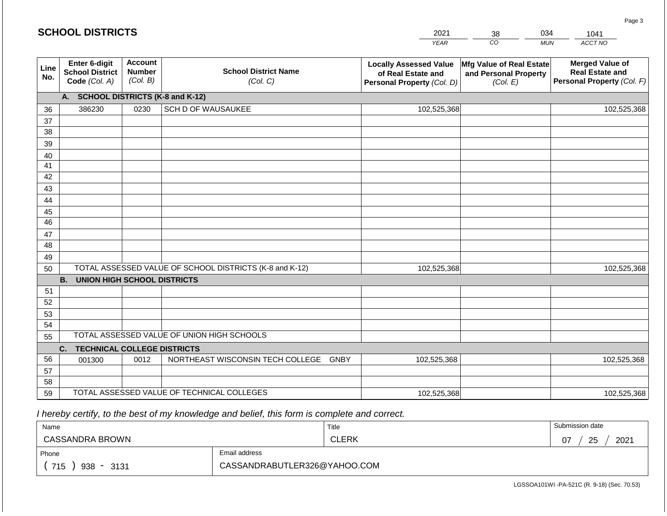|             | <b>SCHOOL DISTRICTS</b>                                  |                                             |                                                         | 2021                                                                              | 38                                                            | 034        | 1041                                                                           |
|-------------|----------------------------------------------------------|---------------------------------------------|---------------------------------------------------------|-----------------------------------------------------------------------------------|---------------------------------------------------------------|------------|--------------------------------------------------------------------------------|
|             |                                                          |                                             |                                                         | <b>YEAR</b>                                                                       | CO                                                            | <b>MUN</b> | ACCT NO                                                                        |
| Line<br>No. | Enter 6-digit<br><b>School District</b><br>Code (Col. A) | <b>Account</b><br><b>Number</b><br>(Col. B) | <b>School District Name</b><br>(Col. C)                 | <b>Locally Assessed Value</b><br>of Real Estate and<br>Personal Property (Col. D) | Mfg Value of Real Estate<br>and Personal Property<br>(Col. E) |            | <b>Merged Value of</b><br><b>Real Estate and</b><br>Personal Property (Col. F) |
|             | А.                                                       |                                             | <b>SCHOOL DISTRICTS (K-8 and K-12)</b>                  |                                                                                   |                                                               |            |                                                                                |
| 36          | 386230                                                   | 0230                                        | SCH D OF WAUSAUKEE                                      | 102,525,368                                                                       |                                                               |            | 102,525,368                                                                    |
| 37          |                                                          |                                             |                                                         |                                                                                   |                                                               |            |                                                                                |
| 38          |                                                          |                                             |                                                         |                                                                                   |                                                               |            |                                                                                |
| 39          |                                                          |                                             |                                                         |                                                                                   |                                                               |            |                                                                                |
| 40          |                                                          |                                             |                                                         |                                                                                   |                                                               |            |                                                                                |
| 41<br>42    |                                                          |                                             |                                                         |                                                                                   |                                                               |            |                                                                                |
| 43          |                                                          |                                             |                                                         |                                                                                   |                                                               |            |                                                                                |
| 44          |                                                          |                                             |                                                         |                                                                                   |                                                               |            |                                                                                |
| 45          |                                                          |                                             |                                                         |                                                                                   |                                                               |            |                                                                                |
| 46          |                                                          |                                             |                                                         |                                                                                   |                                                               |            |                                                                                |
| 47          |                                                          |                                             |                                                         |                                                                                   |                                                               |            |                                                                                |
| 48          |                                                          |                                             |                                                         |                                                                                   |                                                               |            |                                                                                |
| 49          |                                                          |                                             |                                                         |                                                                                   |                                                               |            |                                                                                |
| 50          |                                                          |                                             | TOTAL ASSESSED VALUE OF SCHOOL DISTRICTS (K-8 and K-12) | 102,525,368                                                                       |                                                               |            | 102,525,368                                                                    |
|             | <b>B. UNION HIGH SCHOOL DISTRICTS</b>                    |                                             |                                                         |                                                                                   |                                                               |            |                                                                                |
| 51          |                                                          |                                             |                                                         |                                                                                   |                                                               |            |                                                                                |
| 52          |                                                          |                                             |                                                         |                                                                                   |                                                               |            |                                                                                |
| 53          |                                                          |                                             |                                                         |                                                                                   |                                                               |            |                                                                                |
| 54          |                                                          |                                             | TOTAL ASSESSED VALUE OF UNION HIGH SCHOOLS              |                                                                                   |                                                               |            |                                                                                |
| 55          |                                                          |                                             |                                                         |                                                                                   |                                                               |            |                                                                                |
| 56          | <b>TECHNICAL COLLEGE DISTRICTS</b><br>C.                 | 0012                                        | NORTHEAST WISCONSIN TECH COLLEGE GNBY                   | 102,525,368                                                                       |                                                               |            | 102,525,368                                                                    |
| 57          | 001300                                                   |                                             |                                                         |                                                                                   |                                                               |            |                                                                                |
| 58          |                                                          |                                             |                                                         |                                                                                   |                                                               |            |                                                                                |
| 59          |                                                          |                                             | TOTAL ASSESSED VALUE OF TECHNICAL COLLEGES              | 102,525,368                                                                       |                                                               |            | 102,525,368                                                                    |

| Name                                           |                              | Title        | Submission date        |
|------------------------------------------------|------------------------------|--------------|------------------------|
| CASSANDRA BROWN                                |                              | <b>CLERK</b> | つに<br>2021<br>07<br>دے |
| Phone                                          | Email address                |              |                        |
| 715<br>3131<br>938<br>$\overline{\phantom{0}}$ | CASSANDRABUTLER326@YAHOO.COM |              |                        |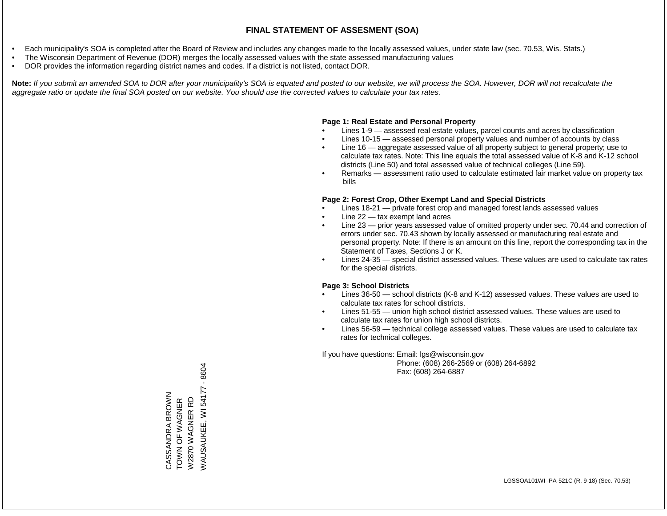- Each municipality's SOA is completed after the Board of Review and includes any changes made to the locally assessed values, under state law (sec. 70.53, Wis. Stats.)
- The Wisconsin Department of Revenue (DOR) merges the locally assessed values with the state assessed manufacturing values
- DOR provides the information regarding district names and codes. If a district is not listed, contact DOR.

Note: If you submit an amended SOA to DOR after your municipality's SOA is equated and posted to our website, we will process the SOA. However, DOR will not recalculate the *aggregate ratio or update the final SOA posted on our website. You should use the corrected values to calculate your tax rates.*

### **Page 1: Real Estate and Personal Property**

- Lines 1-9 assessed real estate values, parcel counts and acres by classification
- Lines 10-15 assessed personal property values and number of accounts by class
- Line 16 aggregate assessed value of all property subject to general property; use to calculate tax rates. Note: This line equals the total assessed value of K-8 and K-12 school districts (Line 50) and total assessed value of technical colleges (Line 59).
- Remarks assessment ratio used to calculate estimated fair market value on property tax bills

### **Page 2: Forest Crop, Other Exempt Land and Special Districts**

- Lines 18-21 private forest crop and managed forest lands assessed values
- Line  $22 -$  tax exempt land acres
- Line 23 prior years assessed value of omitted property under sec. 70.44 and correction of errors under sec. 70.43 shown by locally assessed or manufacturing real estate and personal property. Note: If there is an amount on this line, report the corresponding tax in the Statement of Taxes, Sections J or K.
- Lines 24-35 special district assessed values. These values are used to calculate tax rates for the special districts.

### **Page 3: School Districts**

- Lines 36-50 school districts (K-8 and K-12) assessed values. These values are used to calculate tax rates for school districts.
- Lines 51-55 union high school district assessed values. These values are used to calculate tax rates for union high school districts.
- Lines 56-59 technical college assessed values. These values are used to calculate tax rates for technical colleges.

If you have questions: Email: lgs@wisconsin.gov

 Phone: (608) 266-2569 or (608) 264-6892 Fax: (608) 264-6887

 $-8604$ WAUSAUKEE, WI 54177 - 8604**NAUSAUKEE, WI 54177** CASSANDRA BROWN<br>TOWN OF WAGNER<br>W2870 WAGNER RD CASSANDRA BROWN TOWN OF WAGNER W2870 WAGNER RD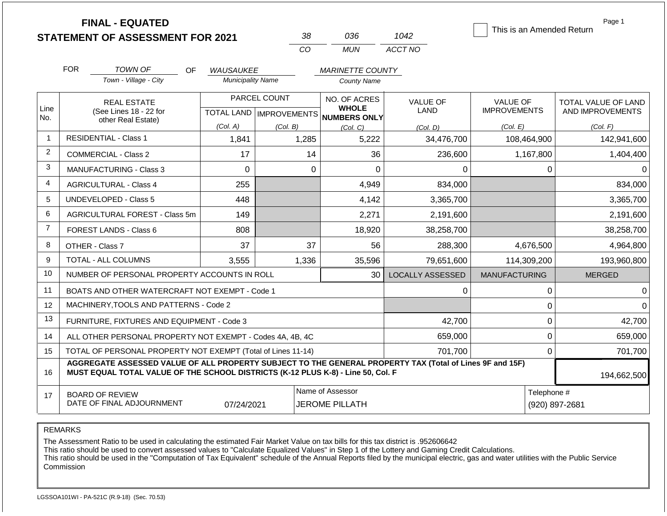|                |                                                                                  | <b>FINAL - EQUATED</b><br><b>STATEMENT OF ASSESSMENT FOR 2021</b>                                        |                                              | 38                               | 036                                           | 1042                    | This is an Amended Return       | Page 1              |
|----------------|----------------------------------------------------------------------------------|----------------------------------------------------------------------------------------------------------|----------------------------------------------|----------------------------------|-----------------------------------------------|-------------------------|---------------------------------|---------------------|
|                |                                                                                  |                                                                                                          |                                              | CO                               | <b>MUN</b>                                    | ACCT NO                 |                                 |                     |
|                | <b>FOR</b>                                                                       | <b>TOWN OF</b>                                                                                           |                                              |                                  |                                               |                         |                                 |                     |
|                |                                                                                  | OF<br>Town - Village - City                                                                              | <b>WAUSAUKEE</b><br><b>Municipality Name</b> |                                  | <b>MARINETTE COUNTY</b><br><b>County Name</b> |                         |                                 |                     |
|                |                                                                                  |                                                                                                          |                                              |                                  |                                               |                         |                                 |                     |
| Line           |                                                                                  | <b>REAL ESTATE</b>                                                                                       |                                              | PARCEL COUNT                     | NO. OF ACRES<br><b>WHOLE</b>                  | <b>VALUE OF</b><br>LAND | VALUE OF<br><b>IMPROVEMENTS</b> | TOTAL VALUE OF LAND |
| No.            |                                                                                  | (See Lines 18 - 22 for<br>other Real Estate)                                                             |                                              | <b>TOTAL LAND   IMPROVEMENTS</b> | <b>NUMBERS ONLY</b>                           |                         |                                 | AND IMPROVEMENTS    |
|                |                                                                                  |                                                                                                          | (Col. A)                                     | (Col. B)                         | (Col, C)                                      | (Col. D)                | (Col. E)                        | (Col. F)            |
| $\mathbf 1$    |                                                                                  | <b>RESIDENTIAL - Class 1</b>                                                                             | 1,841                                        | 1,285                            | 5,222                                         | 34,476,700              | 108,464,900                     | 142,941,600         |
| $\overline{2}$ |                                                                                  | <b>COMMERCIAL - Class 2</b>                                                                              | 17                                           | 14                               | 36                                            | 236,600                 | 1,167,800                       | 1,404,400           |
| 3              |                                                                                  | <b>MANUFACTURING - Class 3</b>                                                                           | $\Omega$                                     | $\Omega$                         | $\Omega$                                      | 0                       | 0                               | 0                   |
| $\overline{4}$ |                                                                                  | <b>AGRICULTURAL - Class 4</b>                                                                            | 255                                          |                                  | 4,949                                         | 834,000                 |                                 | 834,000             |
| 5              |                                                                                  | <b>UNDEVELOPED - Class 5</b>                                                                             | 448                                          |                                  | 4,142                                         | 3,365,700               |                                 | 3,365,700           |
| 6              |                                                                                  | AGRICULTURAL FOREST - Class 5m                                                                           | 149                                          |                                  | 2,271                                         | 2,191,600               |                                 | 2,191,600           |
| $\overline{7}$ |                                                                                  | FOREST LANDS - Class 6                                                                                   | 808                                          |                                  | 18,920                                        | 38,258,700              |                                 | 38,258,700          |
| 8              |                                                                                  | OTHER - Class 7                                                                                          | 37                                           | 37                               | 56                                            | 288,300                 | 4,676,500                       | 4,964,800           |
| 9              |                                                                                  | TOTAL - ALL COLUMNS                                                                                      | 3,555                                        | 1,336                            | 35,596                                        | 79,651,600              | 114,309,200                     | 193,960,800         |
| 10             |                                                                                  | NUMBER OF PERSONAL PROPERTY ACCOUNTS IN ROLL                                                             |                                              |                                  | 30                                            | <b>LOCALLY ASSESSED</b> | <b>MANUFACTURING</b>            | <b>MERGED</b>       |
| 11             |                                                                                  | BOATS AND OTHER WATERCRAFT NOT EXEMPT - Code 1                                                           |                                              |                                  |                                               | 0                       | 0                               | 0                   |
| 12             |                                                                                  | MACHINERY, TOOLS AND PATTERNS - Code 2                                                                   |                                              |                                  |                                               |                         | 0                               | 0                   |
| 13             |                                                                                  | FURNITURE, FIXTURES AND EQUIPMENT - Code 3                                                               |                                              |                                  |                                               | 42,700                  | 0                               | 42,700              |
| 14             |                                                                                  | ALL OTHER PERSONAL PROPERTY NOT EXEMPT - Codes 4A, 4B, 4C                                                |                                              |                                  |                                               | 659,000                 | 0                               | 659,000             |
| 15             |                                                                                  | TOTAL OF PERSONAL PROPERTY NOT EXEMPT (Total of Lines 11-14)                                             |                                              |                                  |                                               | 701,700                 | 0                               | 701,700             |
| 16             | MUST EQUAL TOTAL VALUE OF THE SCHOOL DISTRICTS (K-12 PLUS K-8) - Line 50, Col. F | AGGREGATE ASSESSED VALUE OF ALL PROPERTY SUBJECT TO THE GENERAL PROPERTY TAX (Total of Lines 9F and 15F) | 194,662,500                                  |                                  |                                               |                         |                                 |                     |
| 17             | <b>BOARD OF REVIEW</b><br>DATE OF FINAL ADJOURNMENT                              | Telephone #<br>(920) 897-2681                                                                            |                                              |                                  |                                               |                         |                                 |                     |

REMARKS

The Assessment Ratio to be used in calculating the estimated Fair Market Value on tax bills for this tax district is .952606642

This ratio should be used to convert assessed values to "Calculate Equalized Values" in Step 1 of the Lottery and Gaming Credit Calculations.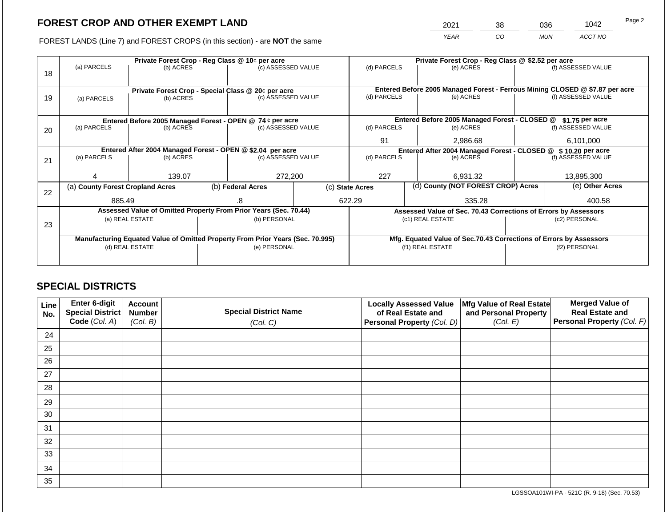2021 38 036 1042

FOREST LANDS (Line 7) and FOREST CROPS (in this section) - are **NOT** the same *YEAR CO MUN ACCT NO*

|    | Private Forest Crop - Reg Class @ 10¢ per acre                                 |                 |                                 |                                                                  |             |                                                                | Private Forest Crop - Reg Class @ \$2.52 per acre |                                                                              |                    |                    |  |
|----|--------------------------------------------------------------------------------|-----------------|---------------------------------|------------------------------------------------------------------|-------------|----------------------------------------------------------------|---------------------------------------------------|------------------------------------------------------------------------------|--------------------|--------------------|--|
| 18 | (a) PARCELS                                                                    |                 | (c) ASSESSED VALUE<br>(b) ACRES |                                                                  | (d) PARCELS |                                                                | (e) ACRES                                         |                                                                              | (f) ASSESSED VALUE |                    |  |
|    |                                                                                |                 |                                 |                                                                  |             |                                                                |                                                   |                                                                              |                    |                    |  |
|    |                                                                                |                 |                                 | Private Forest Crop - Special Class @ 20¢ per acre               |             |                                                                |                                                   | Entered Before 2005 Managed Forest - Ferrous Mining CLOSED @ \$7.87 per acre |                    |                    |  |
| 19 | (b) ACRES<br>(a) PARCELS                                                       |                 |                                 | (c) ASSESSED VALUE                                               |             | (d) PARCELS                                                    |                                                   | (e) ACRES                                                                    |                    | (f) ASSESSED VALUE |  |
|    |                                                                                |                 |                                 |                                                                  |             |                                                                |                                                   |                                                                              |                    |                    |  |
|    |                                                                                |                 |                                 |                                                                  |             |                                                                |                                                   |                                                                              |                    |                    |  |
|    |                                                                                |                 |                                 | Entered Before 2005 Managed Forest - OPEN @ 74 ¢ per acre        |             |                                                                |                                                   | Entered Before 2005 Managed Forest - CLOSED @                                |                    | \$1.75 per acre    |  |
| 20 | (a) PARCELS                                                                    | (b) ACRES       |                                 | (c) ASSESSED VALUE                                               |             | (d) PARCELS                                                    |                                                   | (e) ACRES                                                                    |                    | (f) ASSESSED VALUE |  |
|    |                                                                                |                 |                                 |                                                                  | 91          |                                                                | 2,986.68                                          |                                                                              | 6,101,000          |                    |  |
|    | Entered After 2004 Managed Forest - OPEN @ \$2.04 per acre                     |                 |                                 |                                                                  |             | Entered After 2004 Managed Forest - CLOSED @ \$ 10.20 per acre |                                                   |                                                                              |                    |                    |  |
| 21 | (a) PARCELS                                                                    | (b) ACRES       |                                 | (c) ASSESSED VALUE                                               |             | (d) PARCELS                                                    |                                                   | (e) ACRES                                                                    |                    | (f) ASSESSED VALUE |  |
|    |                                                                                |                 |                                 |                                                                  |             |                                                                |                                                   |                                                                              |                    |                    |  |
|    |                                                                                | 139.07          |                                 | 272,200                                                          |             | 227                                                            |                                                   | 6,931.32                                                                     |                    | 13,895,300         |  |
|    | (a) County Forest Cropland Acres                                               |                 |                                 | (b) Federal Acres                                                |             | (d) County (NOT FOREST CROP) Acres<br>(c) State Acres          |                                                   |                                                                              |                    | (e) Other Acres    |  |
| 22 |                                                                                |                 |                                 |                                                                  |             |                                                                |                                                   |                                                                              |                    |                    |  |
|    | 885.49                                                                         |                 |                                 | 622.29<br>8.                                                     |             |                                                                | 335.28                                            |                                                                              |                    | 400.58             |  |
|    |                                                                                |                 |                                 | Assessed Value of Omitted Property From Prior Years (Sec. 70.44) |             |                                                                |                                                   | Assessed Value of Sec. 70.43 Corrections of Errors by Assessors              |                    |                    |  |
| 23 |                                                                                | (a) REAL ESTATE | (b) PERSONAL                    |                                                                  |             |                                                                |                                                   | (c1) REAL ESTATE                                                             |                    | (c2) PERSONAL      |  |
|    |                                                                                |                 |                                 |                                                                  |             |                                                                |                                                   |                                                                              |                    |                    |  |
|    | Manufacturing Equated Value of Omitted Property From Prior Years (Sec. 70.995) |                 |                                 |                                                                  |             |                                                                |                                                   | Mfg. Equated Value of Sec.70.43 Corrections of Errors by Assessors           |                    |                    |  |
|    |                                                                                | (d) REAL ESTATE |                                 | (e) PERSONAL                                                     |             |                                                                |                                                   | (f1) REAL ESTATE                                                             | (f2) PERSONAL      |                    |  |
|    |                                                                                |                 |                                 |                                                                  |             |                                                                |                                                   |                                                                              |                    |                    |  |
|    |                                                                                |                 |                                 |                                                                  |             |                                                                |                                                   |                                                                              |                    |                    |  |

## **SPECIAL DISTRICTS**

| Line<br>No. | Enter 6-digit<br>Special District<br>Code (Col. A) | <b>Account</b><br><b>Number</b><br>(Col. B) | <b>Special District Name</b><br>(Col. C) | <b>Locally Assessed Value</b><br>of Real Estate and<br><b>Personal Property (Col. D)</b> | Mfg Value of Real Estate<br>and Personal Property<br>(Col. E) | <b>Merged Value of</b><br><b>Real Estate and</b><br>Personal Property (Col. F) |
|-------------|----------------------------------------------------|---------------------------------------------|------------------------------------------|------------------------------------------------------------------------------------------|---------------------------------------------------------------|--------------------------------------------------------------------------------|
| 24          |                                                    |                                             |                                          |                                                                                          |                                                               |                                                                                |
| 25          |                                                    |                                             |                                          |                                                                                          |                                                               |                                                                                |
| 26          |                                                    |                                             |                                          |                                                                                          |                                                               |                                                                                |
| 27          |                                                    |                                             |                                          |                                                                                          |                                                               |                                                                                |
| 28          |                                                    |                                             |                                          |                                                                                          |                                                               |                                                                                |
| 29          |                                                    |                                             |                                          |                                                                                          |                                                               |                                                                                |
| 30          |                                                    |                                             |                                          |                                                                                          |                                                               |                                                                                |
| 31          |                                                    |                                             |                                          |                                                                                          |                                                               |                                                                                |
| 32          |                                                    |                                             |                                          |                                                                                          |                                                               |                                                                                |
| 33          |                                                    |                                             |                                          |                                                                                          |                                                               |                                                                                |
| 34          |                                                    |                                             |                                          |                                                                                          |                                                               |                                                                                |
| 35          |                                                    |                                             |                                          |                                                                                          |                                                               |                                                                                |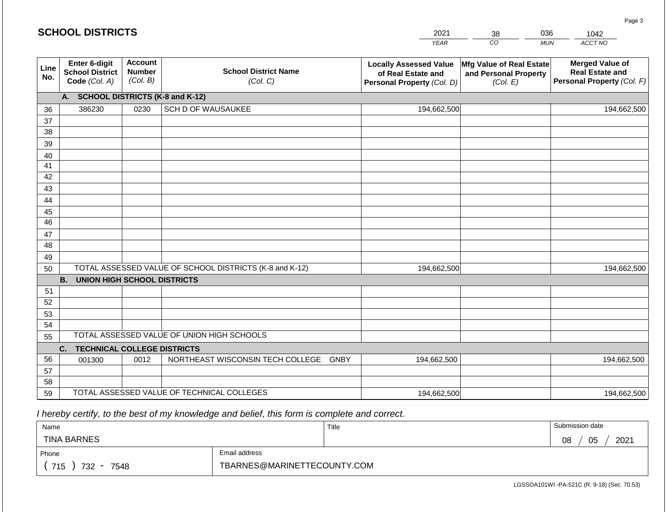|             | <b>SCHOOL DISTRICTS</b>                                         |                                             |                                                         | 2021                                                                              | 38                                                            | 036<br>1042                                                                    |
|-------------|-----------------------------------------------------------------|---------------------------------------------|---------------------------------------------------------|-----------------------------------------------------------------------------------|---------------------------------------------------------------|--------------------------------------------------------------------------------|
|             |                                                                 |                                             |                                                         | <b>YEAR</b>                                                                       | CO                                                            | ACCT NO<br><b>MUN</b>                                                          |
| Line<br>No. | <b>Enter 6-digit</b><br><b>School District</b><br>Code (Col. A) | <b>Account</b><br><b>Number</b><br>(Col. B) | <b>School District Name</b><br>(Col. C)                 | <b>Locally Assessed Value</b><br>of Real Estate and<br>Personal Property (Col. D) | Mfg Value of Real Estate<br>and Personal Property<br>(Col. E) | <b>Merged Value of</b><br><b>Real Estate and</b><br>Personal Property (Col. F) |
|             | A. SCHOOL DISTRICTS (K-8 and K-12)                              |                                             |                                                         |                                                                                   |                                                               |                                                                                |
| 36          | 386230                                                          | 0230                                        | SCH D OF WAUSAUKEE                                      | 194,662,500                                                                       |                                                               | 194,662,500                                                                    |
| 37          |                                                                 |                                             |                                                         |                                                                                   |                                                               |                                                                                |
| 38          |                                                                 |                                             |                                                         |                                                                                   |                                                               |                                                                                |
| 39          |                                                                 |                                             |                                                         |                                                                                   |                                                               |                                                                                |
| 40<br>41    |                                                                 |                                             |                                                         |                                                                                   |                                                               |                                                                                |
| 42          |                                                                 |                                             |                                                         |                                                                                   |                                                               |                                                                                |
| 43          |                                                                 |                                             |                                                         |                                                                                   |                                                               |                                                                                |
| 44          |                                                                 |                                             |                                                         |                                                                                   |                                                               |                                                                                |
| 45          |                                                                 |                                             |                                                         |                                                                                   |                                                               |                                                                                |
| 46          |                                                                 |                                             |                                                         |                                                                                   |                                                               |                                                                                |
| 47          |                                                                 |                                             |                                                         |                                                                                   |                                                               |                                                                                |
| 48          |                                                                 |                                             |                                                         |                                                                                   |                                                               |                                                                                |
| 49          |                                                                 |                                             |                                                         |                                                                                   |                                                               |                                                                                |
| 50          | <b>B. UNION HIGH SCHOOL DISTRICTS</b>                           |                                             | TOTAL ASSESSED VALUE OF SCHOOL DISTRICTS (K-8 and K-12) | 194,662,500                                                                       |                                                               | 194,662,500                                                                    |
| 51          |                                                                 |                                             |                                                         |                                                                                   |                                                               |                                                                                |
| 52          |                                                                 |                                             |                                                         |                                                                                   |                                                               |                                                                                |
| 53          |                                                                 |                                             |                                                         |                                                                                   |                                                               |                                                                                |
| 54          |                                                                 |                                             |                                                         |                                                                                   |                                                               |                                                                                |
| 55          |                                                                 |                                             | TOTAL ASSESSED VALUE OF UNION HIGH SCHOOLS              |                                                                                   |                                                               |                                                                                |
|             | <b>TECHNICAL COLLEGE DISTRICTS</b><br>C.                        |                                             |                                                         |                                                                                   |                                                               |                                                                                |
| 56          | 001300                                                          | 0012                                        | NORTHEAST WISCONSIN TECH COLLEGE GNBY                   | 194,662,500                                                                       |                                                               | 194,662,500                                                                    |
| 57          |                                                                 |                                             |                                                         |                                                                                   |                                                               |                                                                                |
| 58          |                                                                 |                                             | TOTAL ASSESSED VALUE OF TECHNICAL COLLEGES              |                                                                                   |                                                               |                                                                                |
| 59          |                                                                 |                                             |                                                         | 194,662,500                                                                       |                                                               | 194,662,500                                                                    |

| Name                                           |                             | Title | Submission date  |
|------------------------------------------------|-----------------------------|-------|------------------|
| <b>TINA BARNES</b>                             |                             |       | 2021<br>05<br>08 |
| Phone                                          | Email address               |       |                  |
| 715<br>732<br>7548<br>$\overline{\phantom{0}}$ | TBARNES@MARINETTECOUNTY.COM |       |                  |

LGSSOA101WI -PA-521C (R. 9-18) (Sec. 70.53)

Page 3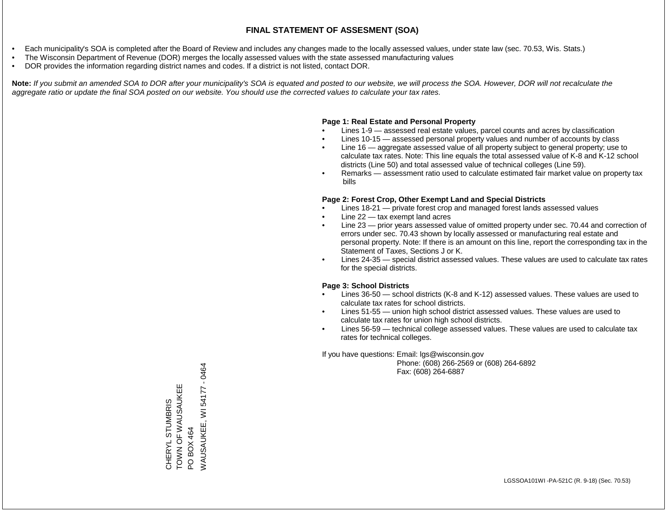- Each municipality's SOA is completed after the Board of Review and includes any changes made to the locally assessed values, under state law (sec. 70.53, Wis. Stats.)
- The Wisconsin Department of Revenue (DOR) merges the locally assessed values with the state assessed manufacturing values
- DOR provides the information regarding district names and codes. If a district is not listed, contact DOR.

Note: If you submit an amended SOA to DOR after your municipality's SOA is equated and posted to our website, we will process the SOA. However, DOR will not recalculate the *aggregate ratio or update the final SOA posted on our website. You should use the corrected values to calculate your tax rates.*

### **Page 1: Real Estate and Personal Property**

- Lines 1-9 assessed real estate values, parcel counts and acres by classification
- Lines 10-15 assessed personal property values and number of accounts by class
- Line 16 aggregate assessed value of all property subject to general property; use to calculate tax rates. Note: This line equals the total assessed value of K-8 and K-12 school districts (Line 50) and total assessed value of technical colleges (Line 59).
- Remarks assessment ratio used to calculate estimated fair market value on property tax bills

### **Page 2: Forest Crop, Other Exempt Land and Special Districts**

- Lines 18-21 private forest crop and managed forest lands assessed values
- Line  $22 -$  tax exempt land acres
- Line 23 prior years assessed value of omitted property under sec. 70.44 and correction of errors under sec. 70.43 shown by locally assessed or manufacturing real estate and personal property. Note: If there is an amount on this line, report the corresponding tax in the Statement of Taxes, Sections J or K.
- Lines 24-35 special district assessed values. These values are used to calculate tax rates for the special districts.

### **Page 3: School Districts**

- Lines 36-50 school districts (K-8 and K-12) assessed values. These values are used to calculate tax rates for school districts.
- Lines 51-55 union high school district assessed values. These values are used to calculate tax rates for union high school districts.
- Lines 56-59 technical college assessed values. These values are used to calculate tax rates for technical colleges.

If you have questions: Email: lgs@wisconsin.gov

 Phone: (608) 266-2569 or (608) 264-6892 Fax: (608) 264-6887

PO BOX 464<br>WAUSAUKEE, WI 54177 - 0464 WAUSAUKEE, WI 54177 - 0464TOWN OF WAUSAUKEE TOWN OF WAUSAUKEE CHERYL STUMBRIS CHERYL STUMBRIS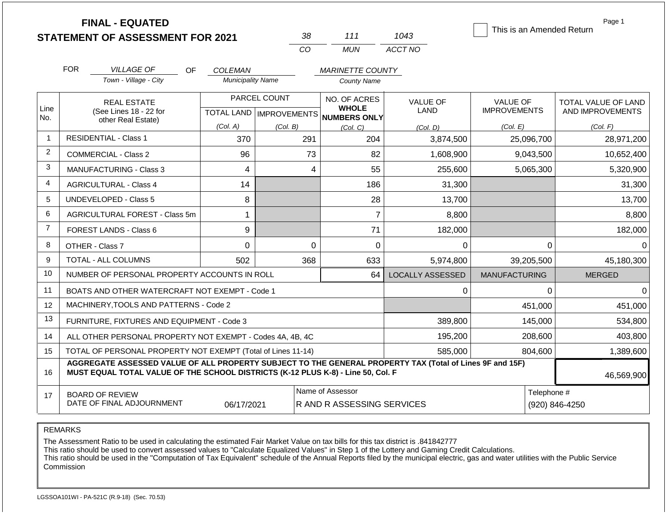| <b>STATEMENT OF ASSESSMENT FOR 2021</b> |  |
|-----------------------------------------|--|
|                                         |  |

**FINAL - EQUATED**

| 'રપ્ર    | 111   | 1043    |
|----------|-------|---------|
| $\cdots$ | MI IN | ACCT NO |

This is an Amended Return

Page 1

|                | <b>FOR</b>                                                                                                                                                                                   | <b>VILLAGE OF</b><br><b>OF</b>                               | <b>COLEMAN</b>                            |          | <b>MARINETTE COUNTY</b>                             |                                |                                        |                                         |
|----------------|----------------------------------------------------------------------------------------------------------------------------------------------------------------------------------------------|--------------------------------------------------------------|-------------------------------------------|----------|-----------------------------------------------------|--------------------------------|----------------------------------------|-----------------------------------------|
|                |                                                                                                                                                                                              | Town - Village - City                                        | <b>Municipality Name</b>                  |          | <b>County Name</b>                                  |                                |                                        |                                         |
| Line<br>No.    |                                                                                                                                                                                              | <b>REAL ESTATE</b><br>(See Lines 18 - 22 for                 | PARCEL COUNT<br>TOTAL LAND   IMPROVEMENTS |          | NO. OF ACRES<br><b>WHOLE</b><br><b>NUMBERS ONLY</b> | <b>VALUE OF</b><br><b>LAND</b> | <b>VALUE OF</b><br><b>IMPROVEMENTS</b> | TOTAL VALUE OF LAND<br>AND IMPROVEMENTS |
|                | other Real Estate)                                                                                                                                                                           |                                                              | (Col. A)                                  | (Col. B) | (Col, C)                                            | (Col. D)                       | (Col. E)                               | (Col. F)                                |
| $\mathbf{1}$   |                                                                                                                                                                                              | <b>RESIDENTIAL - Class 1</b>                                 | 370                                       | 291      | 204                                                 | 3,874,500                      | 25,096,700                             | 28,971,200                              |
| $\overline{2}$ |                                                                                                                                                                                              | <b>COMMERCIAL - Class 2</b>                                  | 96                                        | 73       | 82                                                  | 1,608,900                      | 9,043,500                              | 10,652,400                              |
| 3              |                                                                                                                                                                                              | <b>MANUFACTURING - Class 3</b>                               | 4                                         | 4        | 55                                                  | 255,600                        | 5,065,300                              | 5,320,900                               |
| $\overline{4}$ |                                                                                                                                                                                              | <b>AGRICULTURAL - Class 4</b>                                | 14                                        |          | 186                                                 | 31,300                         |                                        | 31,300                                  |
| 5              |                                                                                                                                                                                              | <b>UNDEVELOPED - Class 5</b>                                 | 8                                         |          | 28                                                  | 13,700                         |                                        | 13,700                                  |
| 6              | AGRICULTURAL FOREST - Class 5m                                                                                                                                                               |                                                              |                                           |          | $\overline{7}$                                      | 8,800                          |                                        | 8,800                                   |
| $\overline{7}$ | FOREST LANDS - Class 6                                                                                                                                                                       |                                                              | 9                                         |          | 71                                                  | 182,000                        |                                        | 182,000                                 |
| 8              |                                                                                                                                                                                              | OTHER - Class 7                                              | 0                                         | 0        | $\Omega$                                            | 0                              | 0                                      | $\overline{0}$                          |
| 9              |                                                                                                                                                                                              | TOTAL - ALL COLUMNS                                          | 502                                       | 368      | 633                                                 | 5,974,800                      | 39,205,500                             | 45,180,300                              |
| 10             |                                                                                                                                                                                              | NUMBER OF PERSONAL PROPERTY ACCOUNTS IN ROLL                 |                                           |          | 64                                                  | <b>LOCALLY ASSESSED</b>        | <b>MANUFACTURING</b>                   | <b>MERGED</b>                           |
| 11             |                                                                                                                                                                                              | BOATS AND OTHER WATERCRAFT NOT EXEMPT - Code 1               |                                           |          |                                                     | 0                              | 0                                      | $\overline{0}$                          |
| 12             |                                                                                                                                                                                              | MACHINERY, TOOLS AND PATTERNS - Code 2                       |                                           |          |                                                     |                                | 451,000                                | 451,000                                 |
| 13             |                                                                                                                                                                                              | FURNITURE, FIXTURES AND EQUIPMENT - Code 3                   |                                           |          |                                                     | 389,800                        | 145,000                                | 534,800                                 |
| 14             |                                                                                                                                                                                              | ALL OTHER PERSONAL PROPERTY NOT EXEMPT - Codes 4A, 4B, 4C    |                                           |          |                                                     | 195,200                        | 208,600                                | 403,800                                 |
| 15             |                                                                                                                                                                                              | TOTAL OF PERSONAL PROPERTY NOT EXEMPT (Total of Lines 11-14) |                                           |          |                                                     | 585,000                        | 804,600                                | 1,389,600                               |
| 16             | AGGREGATE ASSESSED VALUE OF ALL PROPERTY SUBJECT TO THE GENERAL PROPERTY TAX (Total of Lines 9F and 15F)<br>MUST EQUAL TOTAL VALUE OF THE SCHOOL DISTRICTS (K-12 PLUS K-8) - Line 50, Col. F |                                                              |                                           |          |                                                     |                                | 46,569,900                             |                                         |
| 17             | Name of Assessor<br><b>BOARD OF REVIEW</b><br>DATE OF FINAL ADJOURNMENT<br>06/17/2021<br>R AND R ASSESSING SERVICES                                                                          |                                                              |                                           |          |                                                     |                                | Telephone #                            | (920) 846-4250                          |

REMARKS

The Assessment Ratio to be used in calculating the estimated Fair Market Value on tax bills for this tax district is .841842777

This ratio should be used to convert assessed values to "Calculate Equalized Values" in Step 1 of the Lottery and Gaming Credit Calculations.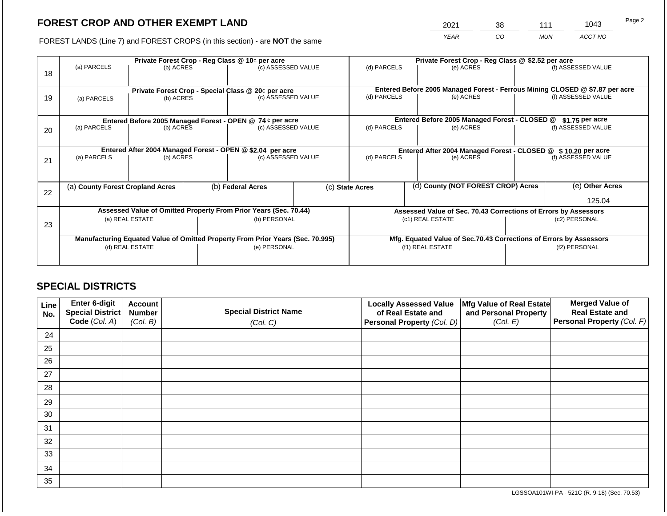2021 38 111 1043

FOREST LANDS (Line 7) and FOREST CROPS (in this section) - are **NOT** the same *YEAR CO MUN ACCT NO*

|    | Private Forest Crop - Reg Class @ 10¢ per acre             |                 |             |                                                                                |                 |                          | Private Forest Crop - Reg Class @ \$2.52 per acre             |                                                                              |                    |                    |  |
|----|------------------------------------------------------------|-----------------|-------------|--------------------------------------------------------------------------------|-----------------|--------------------------|---------------------------------------------------------------|------------------------------------------------------------------------------|--------------------|--------------------|--|
| 18 | (a) PARCELS                                                | (b) ACRES       |             | (c) ASSESSED VALUE                                                             |                 | (d) PARCELS              |                                                               | (e) ACRES                                                                    |                    | (f) ASSESSED VALUE |  |
|    |                                                            |                 |             |                                                                                |                 |                          |                                                               |                                                                              |                    |                    |  |
|    |                                                            |                 |             | Private Forest Crop - Special Class @ 20¢ per acre                             |                 |                          |                                                               | Entered Before 2005 Managed Forest - Ferrous Mining CLOSED @ \$7.87 per acre |                    |                    |  |
| 19 | (a) PARCELS                                                | (b) ACRES       |             | (c) ASSESSED VALUE                                                             |                 | (d) PARCELS              |                                                               | (e) ACRES                                                                    |                    | (f) ASSESSED VALUE |  |
|    |                                                            |                 |             |                                                                                |                 |                          |                                                               |                                                                              |                    |                    |  |
|    |                                                            |                 |             |                                                                                |                 |                          |                                                               |                                                                              |                    |                    |  |
|    |                                                            |                 |             | Entered Before 2005 Managed Forest - OPEN @ 74 ¢ per acre                      |                 |                          |                                                               | Entered Before 2005 Managed Forest - CLOSED @                                |                    | \$1.75 per acre    |  |
| 20 | (a) PARCELS<br>(b) ACRES<br>(c) ASSESSED VALUE             |                 | (d) PARCELS |                                                                                | (e) ACRES       |                          | (f) ASSESSED VALUE                                            |                                                                              |                    |                    |  |
|    |                                                            |                 |             |                                                                                |                 |                          |                                                               |                                                                              |                    |                    |  |
|    | Entered After 2004 Managed Forest - OPEN @ \$2.04 per acre |                 |             |                                                                                |                 |                          | Entered After 2004 Managed Forest - CLOSED @ \$10.20 per acre |                                                                              |                    |                    |  |
| 21 | (a) PARCELS                                                | (b) ACRES       |             | (c) ASSESSED VALUE                                                             |                 | (d) PARCELS<br>(e) ACRES |                                                               |                                                                              | (f) ASSESSED VALUE |                    |  |
|    |                                                            |                 |             |                                                                                |                 |                          |                                                               |                                                                              |                    |                    |  |
|    |                                                            |                 |             |                                                                                |                 |                          |                                                               |                                                                              |                    |                    |  |
|    | (a) County Forest Cropland Acres                           |                 |             | (b) Federal Acres                                                              | (c) State Acres |                          |                                                               | (d) County (NOT FOREST CROP) Acres                                           |                    | (e) Other Acres    |  |
| 22 |                                                            |                 |             |                                                                                |                 |                          |                                                               |                                                                              |                    |                    |  |
|    |                                                            |                 |             |                                                                                |                 |                          |                                                               |                                                                              |                    | 125.04             |  |
|    |                                                            |                 |             | Assessed Value of Omitted Property From Prior Years (Sec. 70.44)               |                 |                          |                                                               | Assessed Value of Sec. 70.43 Corrections of Errors by Assessors              |                    |                    |  |
| 23 |                                                            | (a) REAL ESTATE |             | (b) PERSONAL                                                                   |                 |                          |                                                               | (c1) REAL ESTATE                                                             |                    | (c2) PERSONAL      |  |
|    |                                                            |                 |             |                                                                                |                 |                          |                                                               |                                                                              |                    |                    |  |
|    |                                                            |                 |             | Manufacturing Equated Value of Omitted Property From Prior Years (Sec. 70.995) |                 |                          |                                                               | Mfg. Equated Value of Sec.70.43 Corrections of Errors by Assessors           |                    |                    |  |
|    |                                                            | (d) REAL ESTATE |             | (e) PERSONAL                                                                   |                 | (f1) REAL ESTATE         |                                                               |                                                                              | (f2) PERSONAL      |                    |  |
|    |                                                            |                 |             |                                                                                |                 |                          |                                                               |                                                                              |                    |                    |  |
|    |                                                            |                 |             |                                                                                |                 |                          |                                                               |                                                                              |                    |                    |  |

## **SPECIAL DISTRICTS**

| Line<br>No. | Enter 6-digit<br>Special District<br>Code (Col. A) | <b>Account</b><br><b>Number</b><br>(Col. B) | <b>Special District Name</b><br>(Col. C) | <b>Locally Assessed Value</b><br>of Real Estate and<br><b>Personal Property (Col. D)</b> | Mfg Value of Real Estate<br>and Personal Property<br>(Col. E) | <b>Merged Value of</b><br><b>Real Estate and</b><br>Personal Property (Col. F) |
|-------------|----------------------------------------------------|---------------------------------------------|------------------------------------------|------------------------------------------------------------------------------------------|---------------------------------------------------------------|--------------------------------------------------------------------------------|
| 24          |                                                    |                                             |                                          |                                                                                          |                                                               |                                                                                |
| 25          |                                                    |                                             |                                          |                                                                                          |                                                               |                                                                                |
| 26          |                                                    |                                             |                                          |                                                                                          |                                                               |                                                                                |
| 27          |                                                    |                                             |                                          |                                                                                          |                                                               |                                                                                |
| 28          |                                                    |                                             |                                          |                                                                                          |                                                               |                                                                                |
| 29          |                                                    |                                             |                                          |                                                                                          |                                                               |                                                                                |
| 30          |                                                    |                                             |                                          |                                                                                          |                                                               |                                                                                |
| 31          |                                                    |                                             |                                          |                                                                                          |                                                               |                                                                                |
| 32          |                                                    |                                             |                                          |                                                                                          |                                                               |                                                                                |
| 33          |                                                    |                                             |                                          |                                                                                          |                                                               |                                                                                |
| 34          |                                                    |                                             |                                          |                                                                                          |                                                               |                                                                                |
| 35          |                                                    |                                             |                                          |                                                                                          |                                                               |                                                                                |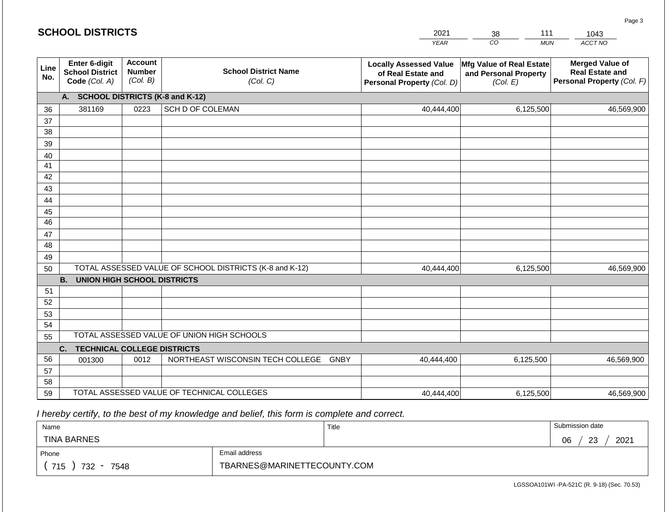|             | <b>SCHOOL DISTRICTS</b>                                  |                                             |                                                         | 2021                                                                              | 111<br>1043<br>38                                             |                                                                                |  |  |
|-------------|----------------------------------------------------------|---------------------------------------------|---------------------------------------------------------|-----------------------------------------------------------------------------------|---------------------------------------------------------------|--------------------------------------------------------------------------------|--|--|
|             |                                                          |                                             |                                                         | <b>YEAR</b>                                                                       | CO <sub>.</sub><br><b>MUN</b>                                 | ACCT NO                                                                        |  |  |
| Line<br>No. | Enter 6-digit<br><b>School District</b><br>Code (Col. A) | <b>Account</b><br><b>Number</b><br>(Col. B) | <b>School District Name</b><br>(Col. C)                 | <b>Locally Assessed Value</b><br>of Real Estate and<br>Personal Property (Col. D) | Mfg Value of Real Estate<br>and Personal Property<br>(Col. E) | <b>Merged Value of</b><br><b>Real Estate and</b><br>Personal Property (Col. F) |  |  |
|             | A. SCHOOL DISTRICTS (K-8 and K-12)                       |                                             |                                                         |                                                                                   |                                                               |                                                                                |  |  |
| 36          | 381169                                                   | 0223                                        | SCH D OF COLEMAN                                        | 40,444,400                                                                        | 6,125,500                                                     | 46,569,900                                                                     |  |  |
| 37          |                                                          |                                             |                                                         |                                                                                   |                                                               |                                                                                |  |  |
| 38          |                                                          |                                             |                                                         |                                                                                   |                                                               |                                                                                |  |  |
| 39          |                                                          |                                             |                                                         |                                                                                   |                                                               |                                                                                |  |  |
| 40<br>41    |                                                          |                                             |                                                         |                                                                                   |                                                               |                                                                                |  |  |
| 42          |                                                          |                                             |                                                         |                                                                                   |                                                               |                                                                                |  |  |
| 43          |                                                          |                                             |                                                         |                                                                                   |                                                               |                                                                                |  |  |
| 44          |                                                          |                                             |                                                         |                                                                                   |                                                               |                                                                                |  |  |
| 45          |                                                          |                                             |                                                         |                                                                                   |                                                               |                                                                                |  |  |
| 46          |                                                          |                                             |                                                         |                                                                                   |                                                               |                                                                                |  |  |
| 47          |                                                          |                                             |                                                         |                                                                                   |                                                               |                                                                                |  |  |
| 48          |                                                          |                                             |                                                         |                                                                                   |                                                               |                                                                                |  |  |
| 49          |                                                          |                                             |                                                         |                                                                                   |                                                               |                                                                                |  |  |
| 50          |                                                          |                                             | TOTAL ASSESSED VALUE OF SCHOOL DISTRICTS (K-8 and K-12) | 40,444,400                                                                        | 6,125,500                                                     | 46,569,900                                                                     |  |  |
|             | <b>B.</b><br><b>UNION HIGH SCHOOL DISTRICTS</b>          |                                             |                                                         |                                                                                   |                                                               |                                                                                |  |  |
| 51<br>52    |                                                          |                                             |                                                         |                                                                                   |                                                               |                                                                                |  |  |
| 53          |                                                          |                                             |                                                         |                                                                                   |                                                               |                                                                                |  |  |
| 54          |                                                          |                                             |                                                         |                                                                                   |                                                               |                                                                                |  |  |
| 55          |                                                          |                                             | TOTAL ASSESSED VALUE OF UNION HIGH SCHOOLS              |                                                                                   |                                                               |                                                                                |  |  |
|             | <b>TECHNICAL COLLEGE DISTRICTS</b><br>C.                 |                                             |                                                         |                                                                                   |                                                               |                                                                                |  |  |
| 56          | 001300                                                   | 0012                                        | NORTHEAST WISCONSIN TECH COLLEGE GNBY                   | 40,444,400                                                                        | 6,125,500                                                     | 46,569,900                                                                     |  |  |
| 57          |                                                          |                                             |                                                         |                                                                                   |                                                               |                                                                                |  |  |
| 58          |                                                          |                                             |                                                         |                                                                                   |                                                               |                                                                                |  |  |
| 59          |                                                          |                                             | TOTAL ASSESSED VALUE OF TECHNICAL COLLEGES              | 40,444,400                                                                        | 6,125,500                                                     | 46,569,900                                                                     |  |  |

| Name               |                             | Title | Submission date         |  |  |
|--------------------|-----------------------------|-------|-------------------------|--|--|
| <b>TINA BARNES</b> |                             |       | 2021<br>ົດລ<br>06<br>د∠ |  |  |
| Phone              | Email address               |       |                         |  |  |
| 715<br>732<br>7548 | TBARNES@MARINETTECOUNTY.COM |       |                         |  |  |

LGSSOA101WI -PA-521C (R. 9-18) (Sec. 70.53)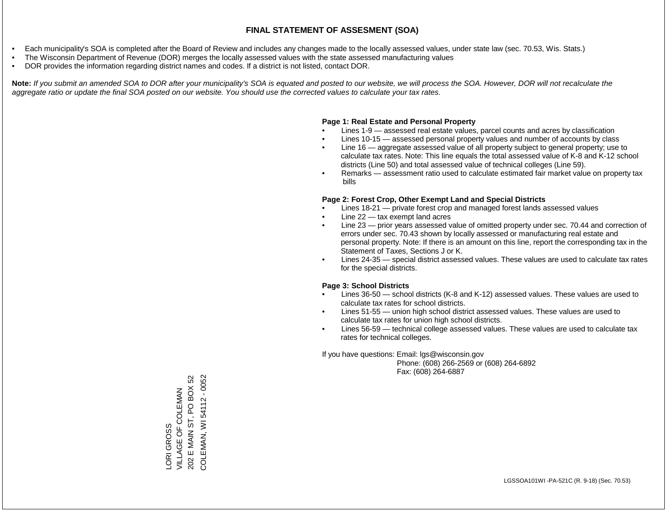- Each municipality's SOA is completed after the Board of Review and includes any changes made to the locally assessed values, under state law (sec. 70.53, Wis. Stats.)
- The Wisconsin Department of Revenue (DOR) merges the locally assessed values with the state assessed manufacturing values
- DOR provides the information regarding district names and codes. If a district is not listed, contact DOR.

Note: If you submit an amended SOA to DOR after your municipality's SOA is equated and posted to our website, we will process the SOA. However, DOR will not recalculate the *aggregate ratio or update the final SOA posted on our website. You should use the corrected values to calculate your tax rates.*

### **Page 1: Real Estate and Personal Property**

- Lines 1-9 assessed real estate values, parcel counts and acres by classification
- Lines 10-15 assessed personal property values and number of accounts by class
- Line 16 aggregate assessed value of all property subject to general property; use to calculate tax rates. Note: This line equals the total assessed value of K-8 and K-12 school districts (Line 50) and total assessed value of technical colleges (Line 59).
- Remarks assessment ratio used to calculate estimated fair market value on property tax bills

#### **Page 2: Forest Crop, Other Exempt Land and Special Districts**

- Lines 18-21 private forest crop and managed forest lands assessed values
- Line  $22 -$  tax exempt land acres
- Line 23 prior years assessed value of omitted property under sec. 70.44 and correction of errors under sec. 70.43 shown by locally assessed or manufacturing real estate and personal property. Note: If there is an amount on this line, report the corresponding tax in the Statement of Taxes, Sections J or K.
- Lines 24-35 special district assessed values. These values are used to calculate tax rates for the special districts.

#### **Page 3: School Districts**

- Lines 36-50 school districts (K-8 and K-12) assessed values. These values are used to calculate tax rates for school districts.
- Lines 51-55 union high school district assessed values. These values are used to calculate tax rates for union high school districts.
- Lines 56-59 technical college assessed values. These values are used to calculate tax rates for technical colleges.

If you have questions: Email: lgs@wisconsin.gov

 Phone: (608) 266-2569 or (608) 264-6892 Fax: (608) 264-6887

202 E MAIN ST, PO BOX 52 COLEMAN, WI 54112 - 0052 COLEMAN, WI 54112 - 0052202 E MAIN ST, PO BOX 52 LORI GROSS<br>VILLAGE OF COLEMAN VILLAGE OF COLEMAN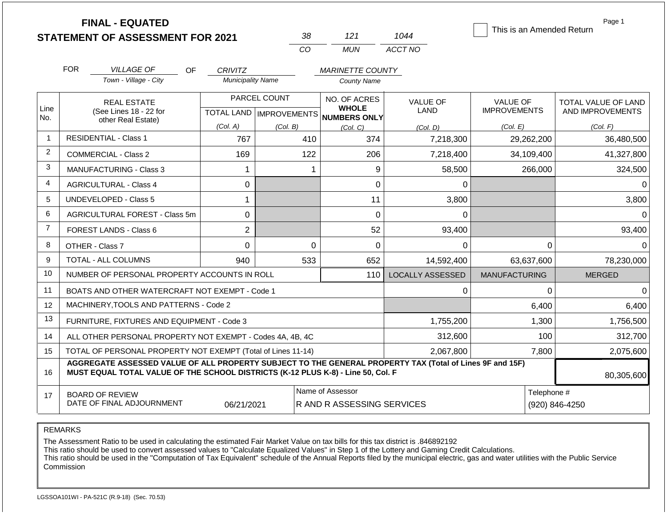|             | <b>FINAL - EQUATED</b>                                                                                                                                                                       |                          |                           |                                     |                         | This is an Amended Return | Page 1              |
|-------------|----------------------------------------------------------------------------------------------------------------------------------------------------------------------------------------------|--------------------------|---------------------------|-------------------------------------|-------------------------|---------------------------|---------------------|
|             | <b>STATEMENT OF ASSESSMENT FOR 2021</b>                                                                                                                                                      |                          | 38                        | 121                                 | 1044                    |                           |                     |
|             |                                                                                                                                                                                              |                          | CO                        | <b>MUN</b>                          | ACCT NO                 |                           |                     |
|             | <b>FOR</b><br><b>VILLAGE OF</b><br><b>OF</b>                                                                                                                                                 | <b>CRIVITZ</b>           |                           | <b>MARINETTE COUNTY</b>             |                         |                           |                     |
|             | Town - Village - City                                                                                                                                                                        | <b>Municipality Name</b> |                           | <b>County Name</b>                  |                         |                           |                     |
|             | <b>REAL ESTATE</b>                                                                                                                                                                           |                          | PARCEL COUNT              | NO. OF ACRES                        | <b>VALUE OF</b>         | <b>VALUE OF</b>           | TOTAL VALUE OF LAND |
| Line<br>No. | (See Lines 18 - 22 for                                                                                                                                                                       |                          | TOTAL LAND   IMPROVEMENTS | <b>WHOLE</b><br><b>NUMBERS ONLY</b> | <b>LAND</b>             | <b>IMPROVEMENTS</b>       | AND IMPROVEMENTS    |
|             | other Real Estate)                                                                                                                                                                           | (Col. A)                 | (Col. B)                  | (Col, C)                            | (Col. D)                | (Col. E)                  | (Col. F)            |
| -1          | <b>RESIDENTIAL - Class 1</b>                                                                                                                                                                 | 767                      | 410                       | 374                                 | 7,218,300               | 29,262,200                | 36,480,500          |
| 2           | <b>COMMERCIAL - Class 2</b>                                                                                                                                                                  | 169                      | 122                       | 206                                 | 7,218,400               | 34,109,400                | 41,327,800          |
| 3           | <b>MANUFACTURING - Class 3</b><br>1                                                                                                                                                          |                          | 1                         | 9                                   | 58,500                  | 266,000                   | 324,500             |
| 4           | <b>AGRICULTURAL - Class 4</b><br>0                                                                                                                                                           |                          |                           | $\overline{0}$                      | $\Omega$                |                           | $\Omega$            |
| 5           | <b>UNDEVELOPED - Class 5</b>                                                                                                                                                                 | 1                        |                           | 11                                  | 3,800                   |                           | 3,800               |
| 6           | <b>AGRICULTURAL FOREST - Class 5m</b>                                                                                                                                                        | 0                        |                           | $\mathbf 0$                         | $\mathbf 0$             |                           | $\Omega$            |
| 7           | FOREST LANDS - Class 6                                                                                                                                                                       | $\overline{2}$           |                           | 52                                  | 93,400                  |                           | 93,400              |
| 8           | OTHER - Class 7                                                                                                                                                                              | $\mathbf 0$              | $\overline{0}$            | $\Omega$                            | $\Omega$                | $\Omega$                  | $\Omega$            |
| 9           | <b>TOTAL - ALL COLUMNS</b>                                                                                                                                                                   | 940                      | 533                       | 652                                 | 14,592,400              | 63,637,600                | 78,230,000          |
| 10          | NUMBER OF PERSONAL PROPERTY ACCOUNTS IN ROLL                                                                                                                                                 |                          |                           | 110                                 | <b>LOCALLY ASSESSED</b> | <b>MANUFACTURING</b>      | <b>MERGED</b>       |
| 11          | BOATS AND OTHER WATERCRAFT NOT EXEMPT - Code 1                                                                                                                                               |                          |                           |                                     | $\Omega$                | $\Omega$                  | $\Omega$            |
| 12          | MACHINERY, TOOLS AND PATTERNS - Code 2                                                                                                                                                       |                          |                           |                                     |                         | 6,400                     | 6,400               |
| 13          | FURNITURE, FIXTURES AND EQUIPMENT - Code 3                                                                                                                                                   |                          |                           |                                     | 1,755,200               | 1,300                     | 1,756,500           |
| 14          | ALL OTHER PERSONAL PROPERTY NOT EXEMPT - Codes 4A, 4B, 4C                                                                                                                                    |                          |                           |                                     | 312,600                 | 100                       | 312,700             |
| 15          | TOTAL OF PERSONAL PROPERTY NOT EXEMPT (Total of Lines 11-14)                                                                                                                                 |                          |                           |                                     | 2,067,800               | 7,800                     | 2,075,600           |
| 16          | AGGREGATE ASSESSED VALUE OF ALL PROPERTY SUBJECT TO THE GENERAL PROPERTY TAX (Total of Lines 9F and 15F)<br>MUST EQUAL TOTAL VALUE OF THE SCHOOL DISTRICTS (K-12 PLUS K-8) - Line 50, Col. F |                          |                           |                                     |                         |                           | 80,305,600          |
| 17          | <b>BOARD OF REVIEW</b>                                                                                                                                                                       |                          |                           | Name of Assessor                    |                         | Telephone #               |                     |
|             | DATE OF FINAL ADJOURNMENT                                                                                                                                                                    | 06/21/2021               |                           | R AND R ASSESSING SERVICES          |                         | (920) 846-4250            |                     |

## REMARKS

The Assessment Ratio to be used in calculating the estimated Fair Market Value on tax bills for this tax district is .846892192

This ratio should be used to convert assessed values to "Calculate Equalized Values" in Step 1 of the Lottery and Gaming Credit Calculations.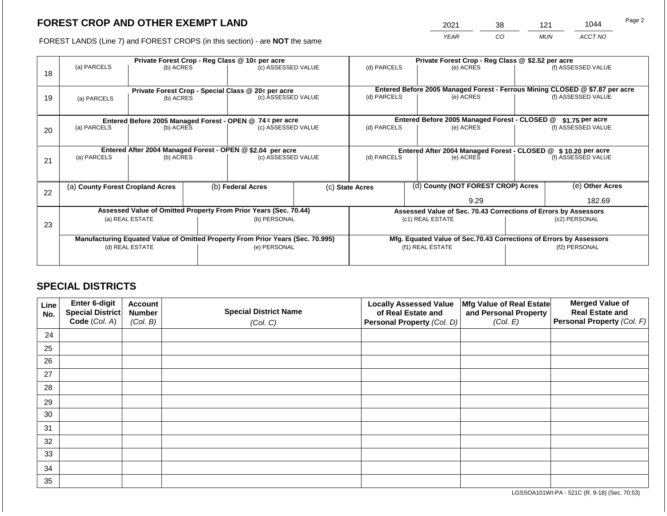2021 38 121 1044

FOREST LANDS (Line 7) and FOREST CROPS (in this section) - are **NOT** the same *YEAR CO MUN ACCT NO*

|    |                                                                                |                                                                  | Private Forest Crop - Reg Class @ \$2.52 per acre |                                                    |           |                                                                              |                                                               |                                                                    |               |                    |  |
|----|--------------------------------------------------------------------------------|------------------------------------------------------------------|---------------------------------------------------|----------------------------------------------------|-----------|------------------------------------------------------------------------------|---------------------------------------------------------------|--------------------------------------------------------------------|---------------|--------------------|--|
| 18 | (a) PARCELS                                                                    | Private Forest Crop - Reg Class @ 10¢ per acre<br>(b) ACRES      |                                                   | (c) ASSESSED VALUE                                 |           | (d) PARCELS                                                                  |                                                               | (e) ACRES                                                          |               | (f) ASSESSED VALUE |  |
|    |                                                                                |                                                                  |                                                   | Private Forest Crop - Special Class @ 20¢ per acre |           | Entered Before 2005 Managed Forest - Ferrous Mining CLOSED @ \$7.87 per acre |                                                               |                                                                    |               |                    |  |
| 19 | (a) PARCELS                                                                    | (b) ACRES                                                        |                                                   | (c) ASSESSED VALUE                                 |           | (d) PARCELS                                                                  |                                                               | (e) ACRES                                                          |               | (f) ASSESSED VALUE |  |
|    |                                                                                |                                                                  |                                                   |                                                    |           |                                                                              |                                                               |                                                                    |               |                    |  |
|    | Entered Before 2005 Managed Forest - OPEN @ 74 ¢ per acre                      |                                                                  |                                                   |                                                    |           |                                                                              |                                                               | Entered Before 2005 Managed Forest - CLOSED @                      |               | \$1.75 per acre    |  |
| 20 | (a) PARCELS<br>(c) ASSESSED VALUE<br>(b) ACRES                                 |                                                                  | (d) PARCELS                                       |                                                    | (e) ACRES |                                                                              | (f) ASSESSED VALUE                                            |                                                                    |               |                    |  |
|    |                                                                                |                                                                  |                                                   |                                                    |           |                                                                              |                                                               |                                                                    |               |                    |  |
|    | Entered After 2004 Managed Forest - OPEN @ \$2.04 per acre                     |                                                                  |                                                   |                                                    |           |                                                                              | Entered After 2004 Managed Forest - CLOSED @ \$10.20 per acre |                                                                    |               |                    |  |
| 21 | (a) PARCELS                                                                    | (b) ACRES                                                        |                                                   | (c) ASSESSED VALUE                                 |           | (d) PARCELS<br>(e) ACRES                                                     |                                                               | (f) ASSESSED VALUE                                                 |               |                    |  |
|    |                                                                                |                                                                  |                                                   |                                                    |           |                                                                              |                                                               |                                                                    |               |                    |  |
| 22 | (a) County Forest Cropland Acres                                               |                                                                  |                                                   | (b) Federal Acres                                  |           | (c) State Acres                                                              |                                                               | (d) County (NOT FOREST CROP) Acres                                 |               | (e) Other Acres    |  |
|    |                                                                                |                                                                  |                                                   |                                                    |           |                                                                              |                                                               | 9.29                                                               |               | 182.69             |  |
|    |                                                                                | Assessed Value of Omitted Property From Prior Years (Sec. 70.44) |                                                   |                                                    |           |                                                                              |                                                               | Assessed Value of Sec. 70.43 Corrections of Errors by Assessors    |               |                    |  |
| 23 |                                                                                | (a) REAL ESTATE                                                  |                                                   | (b) PERSONAL                                       |           |                                                                              |                                                               | (c1) REAL ESTATE                                                   |               | (c2) PERSONAL      |  |
|    |                                                                                |                                                                  |                                                   |                                                    |           |                                                                              |                                                               |                                                                    |               |                    |  |
|    | Manufacturing Equated Value of Omitted Property From Prior Years (Sec. 70.995) |                                                                  |                                                   |                                                    |           |                                                                              |                                                               | Mfg. Equated Value of Sec.70.43 Corrections of Errors by Assessors |               |                    |  |
|    |                                                                                | (d) REAL ESTATE                                                  |                                                   | (e) PERSONAL                                       |           | (f1) REAL ESTATE                                                             |                                                               |                                                                    | (f2) PERSONAL |                    |  |
|    |                                                                                |                                                                  |                                                   |                                                    |           |                                                                              |                                                               |                                                                    |               |                    |  |
|    |                                                                                |                                                                  |                                                   |                                                    |           |                                                                              |                                                               |                                                                    |               |                    |  |

## **SPECIAL DISTRICTS**

| Line<br>No. | Enter 6-digit<br>Special District<br>Code (Col. A) | <b>Account</b><br><b>Number</b><br>(Col. B) | <b>Special District Name</b><br>(Col. C) | <b>Locally Assessed Value</b><br>of Real Estate and<br><b>Personal Property (Col. D)</b> | Mfg Value of Real Estate<br>and Personal Property<br>(Col. E) | <b>Merged Value of</b><br><b>Real Estate and</b><br>Personal Property (Col. F) |
|-------------|----------------------------------------------------|---------------------------------------------|------------------------------------------|------------------------------------------------------------------------------------------|---------------------------------------------------------------|--------------------------------------------------------------------------------|
| 24          |                                                    |                                             |                                          |                                                                                          |                                                               |                                                                                |
| 25          |                                                    |                                             |                                          |                                                                                          |                                                               |                                                                                |
| 26          |                                                    |                                             |                                          |                                                                                          |                                                               |                                                                                |
| 27          |                                                    |                                             |                                          |                                                                                          |                                                               |                                                                                |
| 28          |                                                    |                                             |                                          |                                                                                          |                                                               |                                                                                |
| 29          |                                                    |                                             |                                          |                                                                                          |                                                               |                                                                                |
| 30          |                                                    |                                             |                                          |                                                                                          |                                                               |                                                                                |
| 31          |                                                    |                                             |                                          |                                                                                          |                                                               |                                                                                |
| 32          |                                                    |                                             |                                          |                                                                                          |                                                               |                                                                                |
| 33          |                                                    |                                             |                                          |                                                                                          |                                                               |                                                                                |
| 34          |                                                    |                                             |                                          |                                                                                          |                                                               |                                                                                |
| 35          |                                                    |                                             |                                          |                                                                                          |                                                               |                                                                                |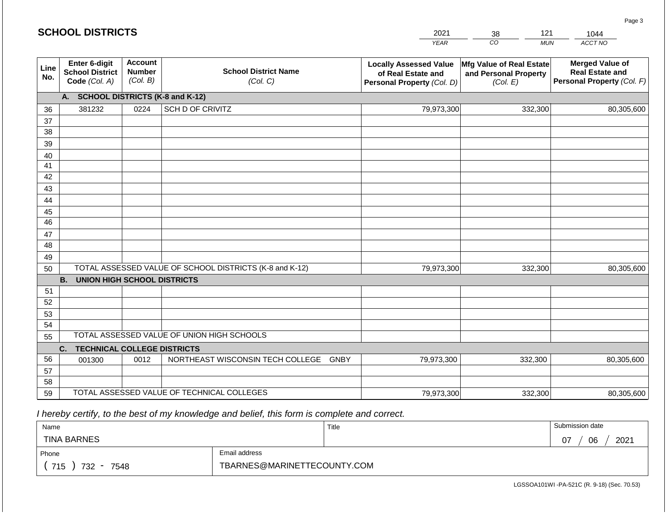|             |                                                                                                                                                    | <b>SCHOOL DISTRICTS</b><br>2021<br>121<br>38 |                                                                                   |                                                                      |                                                                                | 1044       |  |  |  |
|-------------|----------------------------------------------------------------------------------------------------------------------------------------------------|----------------------------------------------|-----------------------------------------------------------------------------------|----------------------------------------------------------------------|--------------------------------------------------------------------------------|------------|--|--|--|
|             |                                                                                                                                                    |                                              |                                                                                   | <b>YEAR</b>                                                          | CO <sub>.</sub><br><b>MUN</b>                                                  | ACCT NO    |  |  |  |
| Line<br>No. | <b>Account</b><br>Enter 6-digit<br><b>School District Name</b><br><b>Number</b><br><b>School District</b><br>(Col. B)<br>Code (Col. A)<br>(Col. C) |                                              | <b>Locally Assessed Value</b><br>of Real Estate and<br>Personal Property (Col. D) | <b>Mfg Value of Real Estate</b><br>and Personal Property<br>(Col. E) | <b>Merged Value of</b><br><b>Real Estate and</b><br>Personal Property (Col. F) |            |  |  |  |
|             | А.                                                                                                                                                 |                                              | <b>SCHOOL DISTRICTS (K-8 and K-12)</b>                                            |                                                                      |                                                                                |            |  |  |  |
| 36          | 381232                                                                                                                                             | 0224                                         | SCH D OF CRIVITZ                                                                  | 79,973,300                                                           | 332,300                                                                        | 80,305,600 |  |  |  |
| 37          |                                                                                                                                                    |                                              |                                                                                   |                                                                      |                                                                                |            |  |  |  |
| 38          |                                                                                                                                                    |                                              |                                                                                   |                                                                      |                                                                                |            |  |  |  |
| 39          |                                                                                                                                                    |                                              |                                                                                   |                                                                      |                                                                                |            |  |  |  |
| 40          |                                                                                                                                                    |                                              |                                                                                   |                                                                      |                                                                                |            |  |  |  |
| 41          |                                                                                                                                                    |                                              |                                                                                   |                                                                      |                                                                                |            |  |  |  |
| 42<br>43    |                                                                                                                                                    |                                              |                                                                                   |                                                                      |                                                                                |            |  |  |  |
| 44          |                                                                                                                                                    |                                              |                                                                                   |                                                                      |                                                                                |            |  |  |  |
| 45          |                                                                                                                                                    |                                              |                                                                                   |                                                                      |                                                                                |            |  |  |  |
| 46          |                                                                                                                                                    |                                              |                                                                                   |                                                                      |                                                                                |            |  |  |  |
| 47          |                                                                                                                                                    |                                              |                                                                                   |                                                                      |                                                                                |            |  |  |  |
| 48          |                                                                                                                                                    |                                              |                                                                                   |                                                                      |                                                                                |            |  |  |  |
| 49          |                                                                                                                                                    |                                              |                                                                                   |                                                                      |                                                                                |            |  |  |  |
| 50          |                                                                                                                                                    |                                              | TOTAL ASSESSED VALUE OF SCHOOL DISTRICTS (K-8 and K-12)                           | 79,973,300                                                           | 332,300                                                                        | 80,305,600 |  |  |  |
|             | <b>B.</b><br><b>UNION HIGH SCHOOL DISTRICTS</b>                                                                                                    |                                              |                                                                                   |                                                                      |                                                                                |            |  |  |  |
| 51          |                                                                                                                                                    |                                              |                                                                                   |                                                                      |                                                                                |            |  |  |  |
| 52          |                                                                                                                                                    |                                              |                                                                                   |                                                                      |                                                                                |            |  |  |  |
| 53          |                                                                                                                                                    |                                              |                                                                                   |                                                                      |                                                                                |            |  |  |  |
| 54          |                                                                                                                                                    |                                              |                                                                                   |                                                                      |                                                                                |            |  |  |  |
|             | TOTAL ASSESSED VALUE OF UNION HIGH SCHOOLS<br>55                                                                                                   |                                              |                                                                                   |                                                                      |                                                                                |            |  |  |  |
|             | <b>TECHNICAL COLLEGE DISTRICTS</b><br>C.                                                                                                           |                                              |                                                                                   |                                                                      |                                                                                |            |  |  |  |
| 56          | 001300                                                                                                                                             | 0012                                         | NORTHEAST WISCONSIN TECH COLLEGE GNBY                                             | 79,973,300                                                           | 332,300                                                                        | 80,305,600 |  |  |  |
| 57<br>58    |                                                                                                                                                    |                                              |                                                                                   |                                                                      |                                                                                |            |  |  |  |
| 59          |                                                                                                                                                    |                                              | TOTAL ASSESSED VALUE OF TECHNICAL COLLEGES                                        | 79,973,300                                                           | 332,300                                                                        | 80,305,600 |  |  |  |
|             |                                                                                                                                                    |                                              |                                                                                   |                                                                      |                                                                                |            |  |  |  |

| Name               |                             | Title | Submission date  |  |  |
|--------------------|-----------------------------|-------|------------------|--|--|
| <b>TINA BARNES</b> |                             |       | 2021<br>07<br>06 |  |  |
| Phone              | Email address               |       |                  |  |  |
| 715<br>732<br>7548 | TBARNES@MARINETTECOUNTY.COM |       |                  |  |  |

LGSSOA101WI -PA-521C (R. 9-18) (Sec. 70.53)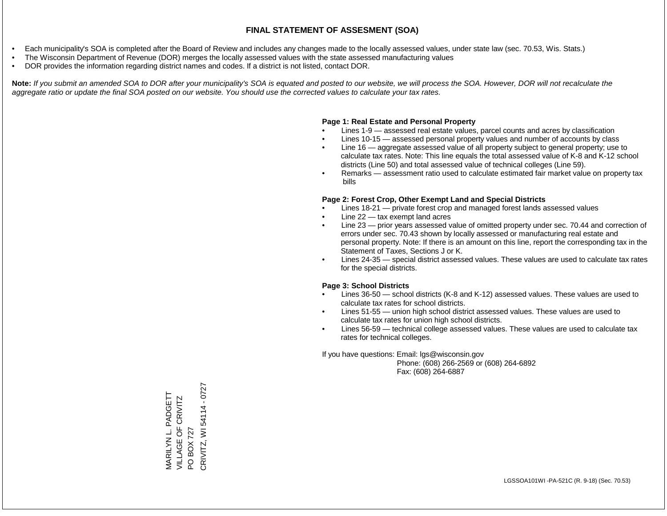- Each municipality's SOA is completed after the Board of Review and includes any changes made to the locally assessed values, under state law (sec. 70.53, Wis. Stats.)
- The Wisconsin Department of Revenue (DOR) merges the locally assessed values with the state assessed manufacturing values
- DOR provides the information regarding district names and codes. If a district is not listed, contact DOR.

Note: If you submit an amended SOA to DOR after your municipality's SOA is equated and posted to our website, we will process the SOA. However, DOR will not recalculate the *aggregate ratio or update the final SOA posted on our website. You should use the corrected values to calculate your tax rates.*

### **Page 1: Real Estate and Personal Property**

- Lines 1-9 assessed real estate values, parcel counts and acres by classification
- Lines 10-15 assessed personal property values and number of accounts by class
- Line 16 aggregate assessed value of all property subject to general property; use to calculate tax rates. Note: This line equals the total assessed value of K-8 and K-12 school districts (Line 50) and total assessed value of technical colleges (Line 59).
- Remarks assessment ratio used to calculate estimated fair market value on property tax bills

#### **Page 2: Forest Crop, Other Exempt Land and Special Districts**

- Lines 18-21 private forest crop and managed forest lands assessed values
- Line  $22 -$  tax exempt land acres
- Line 23 prior years assessed value of omitted property under sec. 70.44 and correction of errors under sec. 70.43 shown by locally assessed or manufacturing real estate and personal property. Note: If there is an amount on this line, report the corresponding tax in the Statement of Taxes, Sections J or K.
- Lines 24-35 special district assessed values. These values are used to calculate tax rates for the special districts.

#### **Page 3: School Districts**

- Lines 36-50 school districts (K-8 and K-12) assessed values. These values are used to calculate tax rates for school districts.
- Lines 51-55 union high school district assessed values. These values are used to calculate tax rates for union high school districts.
- Lines 56-59 technical college assessed values. These values are used to calculate tax rates for technical colleges.

If you have questions: Email: lgs@wisconsin.gov

 Phone: (608) 266-2569 or (608) 264-6892 Fax: (608) 264-6887

PO BOX 727<br>CRIVITZ, WI 54114 - 0727 CRIVITZ, WI 54114 - 0727MARILYN L. PADGETT<br>VILLAGE OF CRIVITZ MARILYN L. PADGETT VILLAGE OF CRIVITZ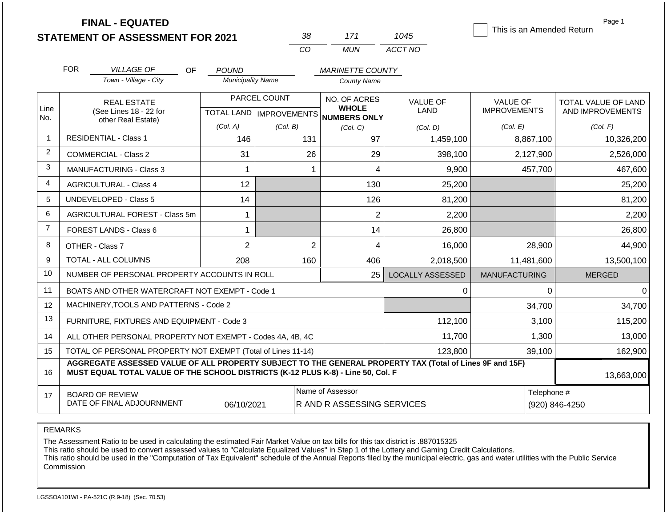**FINAL - EQUATED**

| -38 | 171   | 1045    |
|-----|-------|---------|
| CO. | MI IN | ACCT NO |

This is an Amended Return

Page 1

| <b>FOR</b>                                                                                                                                                                                   | <b>VILLAGE OF</b><br>OF                                      | <b>POUND</b>             |                           | <b>MARINETTE COUNTY</b>         |                                |                                        |                                         |
|----------------------------------------------------------------------------------------------------------------------------------------------------------------------------------------------|--------------------------------------------------------------|--------------------------|---------------------------|---------------------------------|--------------------------------|----------------------------------------|-----------------------------------------|
|                                                                                                                                                                                              | Town - Village - City                                        | <b>Municipality Name</b> |                           | <b>County Name</b>              |                                |                                        |                                         |
|                                                                                                                                                                                              | <b>REAL ESTATE</b><br>(See Lines 18 - 22 for                 |                          | PARCEL COUNT              | NO. OF ACRES<br><b>WHOLE</b>    | <b>VALUE OF</b><br><b>LAND</b> | <b>VALUE OF</b><br><b>IMPROVEMENTS</b> | TOTAL VALUE OF LAND<br>AND IMPROVEMENTS |
|                                                                                                                                                                                              | other Real Estate)                                           |                          | TOTAL LAND   IMPROVEMENTS | NUMBERS ONLY                    |                                |                                        |                                         |
|                                                                                                                                                                                              | <b>RESIDENTIAL - Class 1</b>                                 | (Col. A)<br>146          | (Col. B)<br>131           | (Col. C)<br>97                  | (Col. D)<br>1,459,100          | (Col. E)<br>8,867,100                  | (Col. F)<br>10,326,200                  |
|                                                                                                                                                                                              | <b>COMMERCIAL - Class 2</b>                                  | 31                       | 26                        | 29                              | 398,100                        | 2,127,900                              | 2,526,000                               |
|                                                                                                                                                                                              | <b>MANUFACTURING - Class 3</b>                               | 1                        | 1                         | 4                               | 9,900                          | 457,700                                | 467,600                                 |
|                                                                                                                                                                                              |                                                              |                          |                           |                                 |                                |                                        |                                         |
|                                                                                                                                                                                              | <b>AGRICULTURAL - Class 4</b>                                | 12                       |                           | 130                             | 25,200                         |                                        | 25,200                                  |
|                                                                                                                                                                                              | <b>UNDEVELOPED - Class 5</b>                                 | 14                       |                           | 126                             | 81,200                         |                                        | 81,200                                  |
|                                                                                                                                                                                              | <b>AGRICULTURAL FOREST - Class 5m</b>                        | 1                        |                           | 2                               | 2,200                          |                                        | 2,200                                   |
|                                                                                                                                                                                              | <b>FOREST LANDS - Class 6</b>                                | 1                        |                           | 14                              | 26,800                         |                                        | 26,800                                  |
|                                                                                                                                                                                              | OTHER - Class 7                                              | $\overline{2}$           | $\overline{2}$            | 4                               | 16,000                         | 28,900                                 | 44,900                                  |
|                                                                                                                                                                                              | TOTAL - ALL COLUMNS                                          | 208                      | 160                       | 406                             | 2,018,500                      | 11,481,600                             | 13,500,100                              |
|                                                                                                                                                                                              | NUMBER OF PERSONAL PROPERTY ACCOUNTS IN ROLL                 |                          |                           | 25                              | <b>LOCALLY ASSESSED</b>        | <b>MANUFACTURING</b>                   | <b>MERGED</b>                           |
|                                                                                                                                                                                              | BOATS AND OTHER WATERCRAFT NOT EXEMPT - Code 1               |                          |                           |                                 | 0                              | 0                                      | $\Omega$                                |
|                                                                                                                                                                                              | MACHINERY, TOOLS AND PATTERNS - Code 2                       |                          |                           |                                 |                                | 34,700                                 | 34,700                                  |
|                                                                                                                                                                                              | FURNITURE, FIXTURES AND EQUIPMENT - Code 3                   |                          |                           |                                 | 112,100                        | 3,100                                  | 115,200                                 |
|                                                                                                                                                                                              | ALL OTHER PERSONAL PROPERTY NOT EXEMPT - Codes 4A, 4B, 4C    |                          |                           |                                 | 11,700                         | 1,300                                  | 13,000                                  |
|                                                                                                                                                                                              | TOTAL OF PERSONAL PROPERTY NOT EXEMPT (Total of Lines 11-14) |                          |                           |                                 | 123,800                        | 39,100                                 | 162,900                                 |
| AGGREGATE ASSESSED VALUE OF ALL PROPERTY SUBJECT TO THE GENERAL PROPERTY TAX (Total of Lines 9F and 15F)<br>MUST EQUAL TOTAL VALUE OF THE SCHOOL DISTRICTS (K-12 PLUS K-8) - Line 50, Col. F |                                                              |                          |                           |                                 |                                |                                        | 13,663,000                              |
|                                                                                                                                                                                              | <b>BOARD OF REVIEW</b>                                       |                          |                           | Name of Assessor                |                                | Telephone #                            |                                         |
|                                                                                                                                                                                              | DATE OF FINAL ADJOURNMENT                                    | 06/10/2021               |                           | <b>RAND RASSESSING SERVICES</b> |                                |                                        | (920) 846-4250                          |

REMARKS

Line No.

14 15

16

17

The Assessment Ratio to be used in calculating the estimated Fair Market Value on tax bills for this tax district is .887015325

This ratio should be used to convert assessed values to "Calculate Equalized Values" in Step 1 of the Lottery and Gaming Credit Calculations.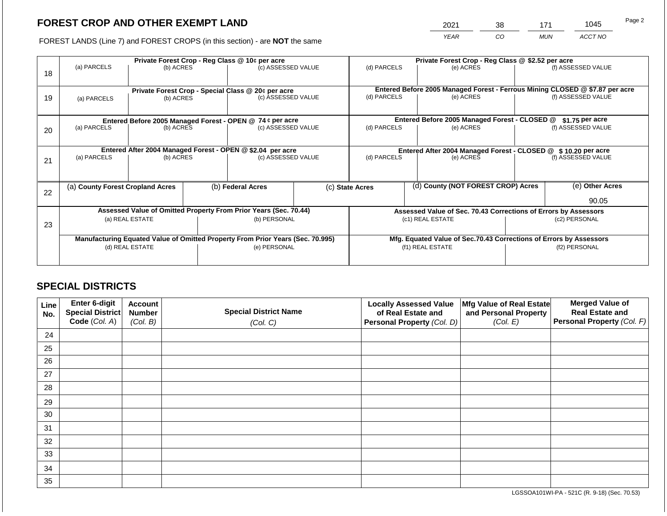2021 38 171 1045

FOREST LANDS (Line 7) and FOREST CROPS (in this section) - are **NOT** the same *YEAR CO MUN ACCT NO*

|    |                                  | Private Forest Crop - Reg Class @ 10¢ per acre                                 |  |                    |                 | Private Forest Crop - Reg Class @ \$2.52 per acre                                                                              |                                    |                                                                    |                 |                    |  |
|----|----------------------------------|--------------------------------------------------------------------------------|--|--------------------|-----------------|--------------------------------------------------------------------------------------------------------------------------------|------------------------------------|--------------------------------------------------------------------|-----------------|--------------------|--|
| 18 | (a) PARCELS                      | (b) ACRES                                                                      |  | (c) ASSESSED VALUE |                 | (d) PARCELS                                                                                                                    |                                    | (e) ACRES                                                          |                 | (f) ASSESSED VALUE |  |
|    |                                  |                                                                                |  |                    |                 |                                                                                                                                |                                    |                                                                    |                 |                    |  |
|    |                                  | Private Forest Crop - Special Class @ 20¢ per acre                             |  | (c) ASSESSED VALUE |                 | Entered Before 2005 Managed Forest - Ferrous Mining CLOSED @ \$7.87 per acre<br>(f) ASSESSED VALUE<br>(d) PARCELS<br>(e) ACRES |                                    |                                                                    |                 |                    |  |
| 19 | (a) PARCELS                      | (b) ACRES                                                                      |  |                    |                 |                                                                                                                                |                                    |                                                                    |                 |                    |  |
|    |                                  |                                                                                |  |                    |                 |                                                                                                                                |                                    |                                                                    |                 |                    |  |
|    |                                  | Entered Before 2005 Managed Forest - OPEN @ 74 ¢ per acre                      |  |                    |                 |                                                                                                                                |                                    | Entered Before 2005 Managed Forest - CLOSED @                      |                 | \$1.75 per acre    |  |
| 20 | (a) PARCELS                      | (b) ACRES                                                                      |  | (c) ASSESSED VALUE |                 | (d) PARCELS                                                                                                                    |                                    | (e) ACRES                                                          |                 | (f) ASSESSED VALUE |  |
|    |                                  |                                                                                |  |                    |                 |                                                                                                                                |                                    |                                                                    |                 |                    |  |
|    |                                  | Entered After 2004 Managed Forest - OPEN @ \$2.04 per acre                     |  |                    |                 | Entered After 2004 Managed Forest - CLOSED @ \$10.20 per acre                                                                  |                                    |                                                                    |                 |                    |  |
| 21 | (a) PARCELS                      | (b) ACRES                                                                      |  | (c) ASSESSED VALUE |                 | (d) PARCELS<br>(e) ACRES                                                                                                       |                                    | (f) ASSESSED VALUE                                                 |                 |                    |  |
|    |                                  |                                                                                |  |                    |                 |                                                                                                                                |                                    |                                                                    |                 |                    |  |
|    | (a) County Forest Cropland Acres |                                                                                |  | (b) Federal Acres  | (c) State Acres |                                                                                                                                | (d) County (NOT FOREST CROP) Acres |                                                                    | (e) Other Acres |                    |  |
| 22 |                                  |                                                                                |  |                    |                 |                                                                                                                                |                                    |                                                                    |                 |                    |  |
|    |                                  |                                                                                |  |                    |                 |                                                                                                                                |                                    |                                                                    |                 | 90.05              |  |
|    |                                  | Assessed Value of Omitted Property From Prior Years (Sec. 70.44)               |  |                    |                 |                                                                                                                                |                                    | Assessed Value of Sec. 70.43 Corrections of Errors by Assessors    |                 |                    |  |
|    |                                  | (a) REAL ESTATE                                                                |  | (b) PERSONAL       |                 |                                                                                                                                |                                    | (c1) REAL ESTATE                                                   |                 | (c2) PERSONAL      |  |
| 23 |                                  |                                                                                |  |                    |                 |                                                                                                                                |                                    |                                                                    |                 |                    |  |
|    |                                  | Manufacturing Equated Value of Omitted Property From Prior Years (Sec. 70.995) |  |                    |                 |                                                                                                                                |                                    | Mfg. Equated Value of Sec.70.43 Corrections of Errors by Assessors |                 |                    |  |
|    |                                  | (d) REAL ESTATE                                                                |  | (e) PERSONAL       |                 | (f1) REAL ESTATE                                                                                                               |                                    |                                                                    | (f2) PERSONAL   |                    |  |
|    |                                  |                                                                                |  |                    |                 |                                                                                                                                |                                    |                                                                    |                 |                    |  |
|    |                                  |                                                                                |  |                    |                 |                                                                                                                                |                                    |                                                                    |                 |                    |  |

## **SPECIAL DISTRICTS**

| Line<br>No. | <b>Enter 6-digit</b><br>Special District | <b>Account</b><br><b>Number</b> | <b>Special District Name</b> | <b>Locally Assessed Value</b><br>of Real Estate and | Mfg Value of Real Estate<br>and Personal Property | <b>Merged Value of</b><br><b>Real Estate and</b> |
|-------------|------------------------------------------|---------------------------------|------------------------------|-----------------------------------------------------|---------------------------------------------------|--------------------------------------------------|
|             | Code (Col. A)                            | (Col. B)                        | (Col. C)                     | Personal Property (Col. D)                          | (Col. E)                                          | Personal Property (Col. F)                       |
| 24          |                                          |                                 |                              |                                                     |                                                   |                                                  |
| 25          |                                          |                                 |                              |                                                     |                                                   |                                                  |
| 26          |                                          |                                 |                              |                                                     |                                                   |                                                  |
| 27          |                                          |                                 |                              |                                                     |                                                   |                                                  |
| 28          |                                          |                                 |                              |                                                     |                                                   |                                                  |
| 29          |                                          |                                 |                              |                                                     |                                                   |                                                  |
| 30          |                                          |                                 |                              |                                                     |                                                   |                                                  |
| 31          |                                          |                                 |                              |                                                     |                                                   |                                                  |
| 32          |                                          |                                 |                              |                                                     |                                                   |                                                  |
| 33          |                                          |                                 |                              |                                                     |                                                   |                                                  |
| 34          |                                          |                                 |                              |                                                     |                                                   |                                                  |
| 35          |                                          |                                 |                              |                                                     |                                                   |                                                  |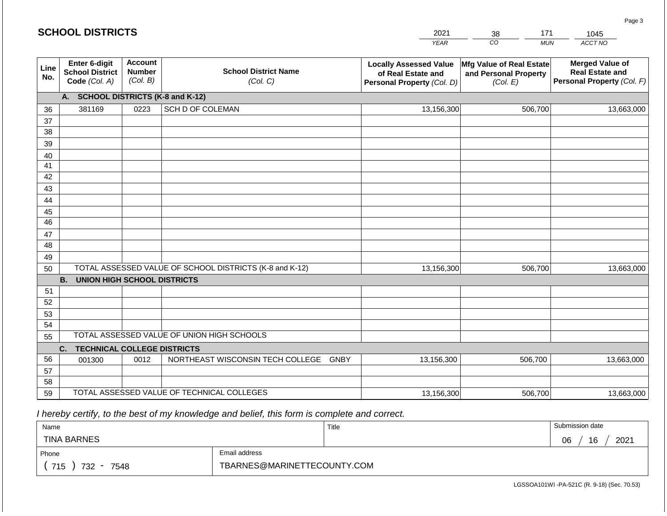|             | <b>SCHOOL DISTRICTS</b>                                  |                                             |                                                         | 2021                                                                              | 171<br>38                                                     | 1045                                                                           |
|-------------|----------------------------------------------------------|---------------------------------------------|---------------------------------------------------------|-----------------------------------------------------------------------------------|---------------------------------------------------------------|--------------------------------------------------------------------------------|
|             |                                                          |                                             |                                                         | <b>YEAR</b>                                                                       | CO<br><b>MUN</b>                                              | ACCT NO                                                                        |
| Line<br>No. | Enter 6-digit<br><b>School District</b><br>Code (Col. A) | <b>Account</b><br><b>Number</b><br>(Col. B) | <b>School District Name</b><br>(Col. C)                 | <b>Locally Assessed Value</b><br>of Real Estate and<br>Personal Property (Col. D) | Mfg Value of Real Estate<br>and Personal Property<br>(Col. E) | <b>Merged Value of</b><br><b>Real Estate and</b><br>Personal Property (Col. F) |
|             | <b>SCHOOL DISTRICTS (K-8 and K-12)</b><br>А.             |                                             |                                                         |                                                                                   |                                                               |                                                                                |
| 36          | 381169                                                   | 0223                                        | SCH D OF COLEMAN                                        | 13,156,300                                                                        | 506,700                                                       | 13,663,000                                                                     |
| 37          |                                                          |                                             |                                                         |                                                                                   |                                                               |                                                                                |
| 38          |                                                          |                                             |                                                         |                                                                                   |                                                               |                                                                                |
| 39          |                                                          |                                             |                                                         |                                                                                   |                                                               |                                                                                |
| 40          |                                                          |                                             |                                                         |                                                                                   |                                                               |                                                                                |
| 41          |                                                          |                                             |                                                         |                                                                                   |                                                               |                                                                                |
| 42          |                                                          |                                             |                                                         |                                                                                   |                                                               |                                                                                |
| 43          |                                                          |                                             |                                                         |                                                                                   |                                                               |                                                                                |
| 44          |                                                          |                                             |                                                         |                                                                                   |                                                               |                                                                                |
| 45<br>46    |                                                          |                                             |                                                         |                                                                                   |                                                               |                                                                                |
| 47          |                                                          |                                             |                                                         |                                                                                   |                                                               |                                                                                |
| 48          |                                                          |                                             |                                                         |                                                                                   |                                                               |                                                                                |
| 49          |                                                          |                                             |                                                         |                                                                                   |                                                               |                                                                                |
| 50          |                                                          |                                             | TOTAL ASSESSED VALUE OF SCHOOL DISTRICTS (K-8 and K-12) | 13,156,300                                                                        | 506,700                                                       | 13,663,000                                                                     |
|             | <b>UNION HIGH SCHOOL DISTRICTS</b><br><b>B.</b>          |                                             |                                                         |                                                                                   |                                                               |                                                                                |
| 51          |                                                          |                                             |                                                         |                                                                                   |                                                               |                                                                                |
| 52          |                                                          |                                             |                                                         |                                                                                   |                                                               |                                                                                |
| 53          |                                                          |                                             |                                                         |                                                                                   |                                                               |                                                                                |
| 54          |                                                          |                                             |                                                         |                                                                                   |                                                               |                                                                                |
| 55          |                                                          |                                             | TOTAL ASSESSED VALUE OF UNION HIGH SCHOOLS              |                                                                                   |                                                               |                                                                                |
|             | <b>TECHNICAL COLLEGE DISTRICTS</b><br>C.                 |                                             |                                                         |                                                                                   |                                                               |                                                                                |
| 56          | 001300                                                   | 0012                                        | NORTHEAST WISCONSIN TECH COLLEGE                        | <b>GNBY</b><br>13,156,300                                                         | 506,700                                                       | 13,663,000                                                                     |
| 57          |                                                          |                                             |                                                         |                                                                                   |                                                               |                                                                                |
| 58          |                                                          |                                             |                                                         |                                                                                   |                                                               |                                                                                |
| 59          |                                                          |                                             | TOTAL ASSESSED VALUE OF TECHNICAL COLLEGES              | 13,156,300                                                                        | 506,700                                                       | 13,663,000                                                                     |

| Name                                           |                             | Title | Submission date  |
|------------------------------------------------|-----------------------------|-------|------------------|
| <b>TINA BARNES</b>                             |                             |       | 2021<br>16<br>06 |
| Phone                                          | Email address               |       |                  |
| 715<br>732<br>7548<br>$\overline{\phantom{0}}$ | TBARNES@MARINETTECOUNTY.COM |       |                  |

LGSSOA101WI -PA-521C (R. 9-18) (Sec. 70.53)

| <b>SCHOOL DISTRICTS</b> |  |  |  |  |  |
|-------------------------|--|--|--|--|--|
|-------------------------|--|--|--|--|--|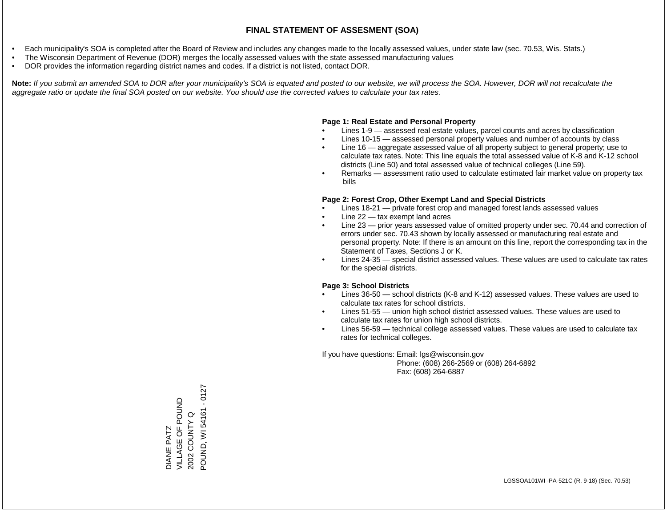- Each municipality's SOA is completed after the Board of Review and includes any changes made to the locally assessed values, under state law (sec. 70.53, Wis. Stats.)
- The Wisconsin Department of Revenue (DOR) merges the locally assessed values with the state assessed manufacturing values
- DOR provides the information regarding district names and codes. If a district is not listed, contact DOR.

Note: If you submit an amended SOA to DOR after your municipality's SOA is equated and posted to our website, we will process the SOA. However, DOR will not recalculate the *aggregate ratio or update the final SOA posted on our website. You should use the corrected values to calculate your tax rates.*

## **Page 1: Real Estate and Personal Property**

- Lines 1-9 assessed real estate values, parcel counts and acres by classification
- Lines 10-15 assessed personal property values and number of accounts by class
- Line 16 aggregate assessed value of all property subject to general property; use to calculate tax rates. Note: This line equals the total assessed value of K-8 and K-12 school districts (Line 50) and total assessed value of technical colleges (Line 59).
- Remarks assessment ratio used to calculate estimated fair market value on property tax bills

## **Page 2: Forest Crop, Other Exempt Land and Special Districts**

- Lines 18-21 private forest crop and managed forest lands assessed values
- Line  $22 -$  tax exempt land acres
- Line 23 prior years assessed value of omitted property under sec. 70.44 and correction of errors under sec. 70.43 shown by locally assessed or manufacturing real estate and personal property. Note: If there is an amount on this line, report the corresponding tax in the Statement of Taxes, Sections J or K.
- Lines 24-35 special district assessed values. These values are used to calculate tax rates for the special districts.

## **Page 3: School Districts**

- Lines 36-50 school districts (K-8 and K-12) assessed values. These values are used to calculate tax rates for school districts.
- Lines 51-55 union high school district assessed values. These values are used to calculate tax rates for union high school districts.
- Lines 56-59 technical college assessed values. These values are used to calculate tax rates for technical colleges.

If you have questions: Email: lgs@wisconsin.gov

 Phone: (608) 266-2569 or (608) 264-6892 Fax: (608) 264-6887

 $-0127$ POUND, WI 54161 - 0127VILLAGE OF POUND DIANE PATZ<br>VILLAGE OF POUND POUND, WI54161 2002 COUNTY Q 2002 COUNTY Q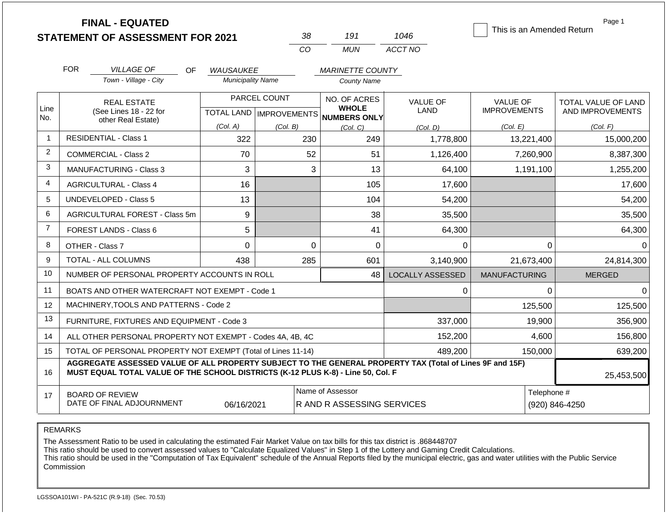|                | <b>FINAL - EQUATED</b><br><b>STATEMENT OF ASSESSMENT FOR 2021</b>                                                                                                                            |                          | 38       | 191                                          | 1046                    | This is an Amended Return       | Page 1                                  |  |
|----------------|----------------------------------------------------------------------------------------------------------------------------------------------------------------------------------------------|--------------------------|----------|----------------------------------------------|-------------------------|---------------------------------|-----------------------------------------|--|
|                |                                                                                                                                                                                              |                          | CO       | <b>MUN</b>                                   | ACCT NO                 |                                 |                                         |  |
|                | <b>FOR</b><br><b>VILLAGE OF</b><br>OF.                                                                                                                                                       | <b>WAUSAUKEE</b>         |          | <b>MARINETTE COUNTY</b>                      |                         |                                 |                                         |  |
|                | Town - Village - City                                                                                                                                                                        | <b>Municipality Name</b> |          | <b>County Name</b>                           |                         |                                 |                                         |  |
| Line<br>No.    | PARCEL COUNT<br><b>REAL ESTATE</b><br>(See Lines 18 - 22 for<br>TOTAL LAND MPROVEMENTS NUMBERS ONLY<br>other Real Estate)                                                                    |                          |          | NO. OF ACRES<br><b>WHOLE</b>                 | VALUE OF<br>LAND        | VALUE OF<br><b>IMPROVEMENTS</b> | TOTAL VALUE OF LAND<br>AND IMPROVEMENTS |  |
|                |                                                                                                                                                                                              | (Col. A)                 | (Col. B) | (Col, C)                                     | (Col. D)                | (Col. E)                        | (Col. F)                                |  |
| $\mathbf{1}$   | <b>RESIDENTIAL - Class 1</b>                                                                                                                                                                 | 322                      | 230      | 249                                          | 1,778,800               | 13,221,400                      | 15,000,200                              |  |
| $\overline{c}$ | <b>COMMERCIAL - Class 2</b>                                                                                                                                                                  | 70                       | 52       | 51                                           | 1,126,400               | 7,260,900                       | 8,387,300                               |  |
| 3              | <b>MANUFACTURING - Class 3</b>                                                                                                                                                               | 3                        |          | 3<br>13                                      | 64,100                  | 1,191,100                       | 1,255,200                               |  |
| 4              | <b>AGRICULTURAL - Class 4</b>                                                                                                                                                                | 16                       |          | 105                                          | 17,600                  |                                 | 17,600                                  |  |
| 5              | <b>UNDEVELOPED - Class 5</b>                                                                                                                                                                 | 13                       |          | 104                                          | 54,200                  |                                 | 54,200                                  |  |
| 6              | AGRICULTURAL FOREST - Class 5m                                                                                                                                                               | 9                        |          | 38                                           | 35,500                  |                                 | 35,500                                  |  |
| $\overline{7}$ | FOREST LANDS - Class 6                                                                                                                                                                       | 5                        |          | 41                                           | 64,300                  |                                 | 64,300                                  |  |
| 8              | OTHER - Class 7                                                                                                                                                                              | $\Omega$                 |          | $\Omega$<br>$\mathbf 0$                      | 0                       | 0                               | $\Omega$                                |  |
| 9              | TOTAL - ALL COLUMNS                                                                                                                                                                          | 438                      | 285      | 601                                          | 3,140,900               | 21,673,400                      | 24,814,300                              |  |
| 10             | NUMBER OF PERSONAL PROPERTY ACCOUNTS IN ROLL                                                                                                                                                 |                          |          | 48                                           | <b>LOCALLY ASSESSED</b> | <b>MANUFACTURING</b>            | <b>MERGED</b>                           |  |
| 11             | BOATS AND OTHER WATERCRAFT NOT EXEMPT - Code 1                                                                                                                                               |                          |          |                                              | $\Omega$                | $\Omega$                        | $\Omega$                                |  |
| 12             | MACHINERY, TOOLS AND PATTERNS - Code 2                                                                                                                                                       |                          |          |                                              |                         | 125,500                         | 125,500                                 |  |
| 13             | FURNITURE, FIXTURES AND EQUIPMENT - Code 3                                                                                                                                                   |                          |          |                                              | 337,000                 | 19,900                          | 356,900                                 |  |
| 14             | ALL OTHER PERSONAL PROPERTY NOT EXEMPT - Codes 4A, 4B, 4C                                                                                                                                    |                          |          |                                              | 152,200                 | 4,600                           | 156,800                                 |  |
| 15             | TOTAL OF PERSONAL PROPERTY NOT EXEMPT (Total of Lines 11-14)                                                                                                                                 |                          |          |                                              | 489,200                 | 150,000                         | 639,200                                 |  |
| 16             | AGGREGATE ASSESSED VALUE OF ALL PROPERTY SUBJECT TO THE GENERAL PROPERTY TAX (Total of Lines 9F and 15F)<br>MUST EQUAL TOTAL VALUE OF THE SCHOOL DISTRICTS (K-12 PLUS K-8) - Line 50, Col. F |                          |          |                                              |                         |                                 | 25,453,500                              |  |
| 17             | <b>BOARD OF REVIEW</b><br>DATE OF FINAL ADJOURNMENT                                                                                                                                          | 06/16/2021               |          | Name of Assessor<br>RAND RASSESSING SERVICES |                         | Telephone #<br>(920) 846-4250   |                                         |  |

REMARKS

The Assessment Ratio to be used in calculating the estimated Fair Market Value on tax bills for this tax district is .868448707

This ratio should be used to convert assessed values to "Calculate Equalized Values" in Step 1 of the Lottery and Gaming Credit Calculations.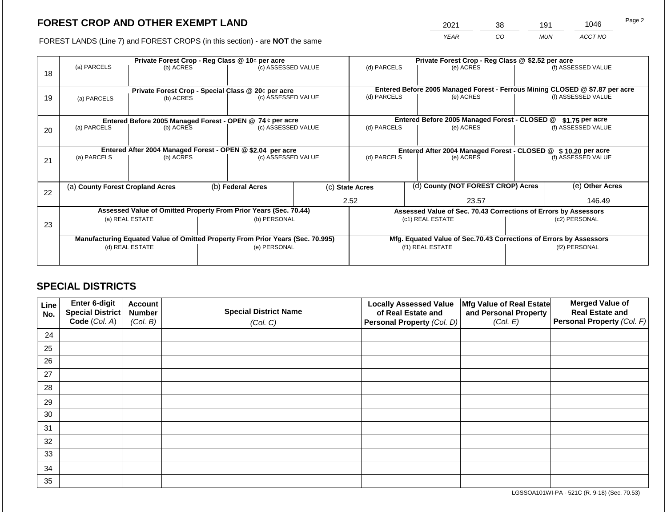2021 38 191 1046

FOREST LANDS (Line 7) and FOREST CROPS (in this section) - are **NOT** the same *YEAR CO MUN ACCT NO*

| 18 | (a) PARCELS<br>(b) ACRES         |                                                                         |  | Private Forest Crop - Reg Class @ 10¢ per acre<br>(c) ASSESSED VALUE           |  | (d) PARCELS              |  | Private Forest Crop - Reg Class @ \$2.52 per acre<br>(e) ACRES                            |                                                                                     | (f) ASSESSED VALUE |
|----|----------------------------------|-------------------------------------------------------------------------|--|--------------------------------------------------------------------------------|--|--------------------------|--|-------------------------------------------------------------------------------------------|-------------------------------------------------------------------------------------|--------------------|
| 19 | (a) PARCELS                      | (b) ACRES                                                               |  | Private Forest Crop - Special Class @ 20¢ per acre<br>(c) ASSESSED VALUE       |  | (d) PARCELS              |  | Entered Before 2005 Managed Forest - Ferrous Mining CLOSED @ \$7.87 per acre<br>(e) ACRES |                                                                                     | (f) ASSESSED VALUE |
|    |                                  |                                                                         |  | Entered Before 2005 Managed Forest - OPEN @ 74 ¢ per acre                      |  |                          |  | Entered Before 2005 Managed Forest - CLOSED @                                             |                                                                                     | $$1.75$ per acre   |
| 20 | (a) PARCELS                      | (b) ACRES                                                               |  | (c) ASSESSED VALUE                                                             |  | (d) PARCELS<br>(e) ACRES |  |                                                                                           |                                                                                     | (f) ASSESSED VALUE |
| 21 | (a) PARCELS                      | Entered After 2004 Managed Forest - OPEN @ \$2.04 per acre<br>(b) ACRES |  | (c) ASSESSED VALUE                                                             |  | (d) PARCELS<br>(e) ACRES |  |                                                                                           | Entered After 2004 Managed Forest - CLOSED @ \$10.20 per acre<br>(f) ASSESSED VALUE |                    |
| 22 | (a) County Forest Cropland Acres |                                                                         |  | (b) Federal Acres                                                              |  | (c) State Acres          |  | (d) County (NOT FOREST CROP) Acres                                                        |                                                                                     | (e) Other Acres    |
|    |                                  |                                                                         |  |                                                                                |  | 2.52<br>23.57            |  |                                                                                           | 146.49                                                                              |                    |
|    |                                  |                                                                         |  | Assessed Value of Omitted Property From Prior Years (Sec. 70.44)               |  |                          |  | Assessed Value of Sec. 70.43 Corrections of Errors by Assessors                           |                                                                                     |                    |
| 23 | (a) REAL ESTATE                  |                                                                         |  | (b) PERSONAL                                                                   |  | (c1) REAL ESTATE         |  |                                                                                           | (c2) PERSONAL                                                                       |                    |
|    |                                  |                                                                         |  | Manufacturing Equated Value of Omitted Property From Prior Years (Sec. 70.995) |  |                          |  | Mfg. Equated Value of Sec.70.43 Corrections of Errors by Assessors                        |                                                                                     |                    |
|    |                                  | (d) REAL ESTATE                                                         |  | (e) PERSONAL                                                                   |  | (f1) REAL ESTATE         |  |                                                                                           | (f2) PERSONAL                                                                       |                    |
|    |                                  |                                                                         |  |                                                                                |  |                          |  |                                                                                           |                                                                                     |                    |

## **SPECIAL DISTRICTS**

| Line<br>No. | <b>Enter 6-digit</b><br>Special District | <b>Account</b><br><b>Number</b> | <b>Special District Name</b> | <b>Locally Assessed Value</b><br>of Real Estate and | Mfg Value of Real Estate<br>and Personal Property | <b>Merged Value of</b><br><b>Real Estate and</b> |
|-------------|------------------------------------------|---------------------------------|------------------------------|-----------------------------------------------------|---------------------------------------------------|--------------------------------------------------|
|             | Code (Col. A)                            | (Col. B)                        | (Col. C)                     | Personal Property (Col. D)                          | (Col. E)                                          | Personal Property (Col. F)                       |
| 24          |                                          |                                 |                              |                                                     |                                                   |                                                  |
| 25          |                                          |                                 |                              |                                                     |                                                   |                                                  |
| 26          |                                          |                                 |                              |                                                     |                                                   |                                                  |
| 27          |                                          |                                 |                              |                                                     |                                                   |                                                  |
| 28          |                                          |                                 |                              |                                                     |                                                   |                                                  |
| 29          |                                          |                                 |                              |                                                     |                                                   |                                                  |
| 30          |                                          |                                 |                              |                                                     |                                                   |                                                  |
| 31          |                                          |                                 |                              |                                                     |                                                   |                                                  |
| 32          |                                          |                                 |                              |                                                     |                                                   |                                                  |
| 33          |                                          |                                 |                              |                                                     |                                                   |                                                  |
| 34          |                                          |                                 |                              |                                                     |                                                   |                                                  |
| 35          |                                          |                                 |                              |                                                     |                                                   |                                                  |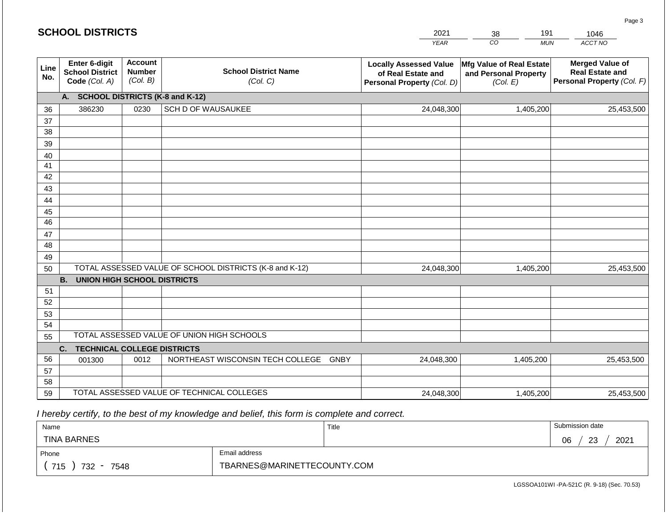|             | <b>SCHOOL DISTRICTS</b>                                  |                                             |                                                         | 2021                                                                              | 191<br>38                                                     | 1046                                                                           |
|-------------|----------------------------------------------------------|---------------------------------------------|---------------------------------------------------------|-----------------------------------------------------------------------------------|---------------------------------------------------------------|--------------------------------------------------------------------------------|
|             |                                                          |                                             |                                                         | <b>YEAR</b>                                                                       | CO <sub>.</sub><br><b>MUN</b>                                 | ACCT NO                                                                        |
| Line<br>No. | Enter 6-digit<br><b>School District</b><br>Code (Col. A) | <b>Account</b><br><b>Number</b><br>(Col. B) | <b>School District Name</b><br>(Col. C)                 | <b>Locally Assessed Value</b><br>of Real Estate and<br>Personal Property (Col. D) | Mfg Value of Real Estate<br>and Personal Property<br>(Col. E) | <b>Merged Value of</b><br><b>Real Estate and</b><br>Personal Property (Col. F) |
|             | A. SCHOOL DISTRICTS (K-8 and K-12)                       |                                             |                                                         |                                                                                   |                                                               |                                                                                |
| 36          | 386230                                                   | 0230                                        | SCH D OF WAUSAUKEE                                      | 24,048,300                                                                        | 1,405,200                                                     | 25,453,500                                                                     |
| 37          |                                                          |                                             |                                                         |                                                                                   |                                                               |                                                                                |
| 38          |                                                          |                                             |                                                         |                                                                                   |                                                               |                                                                                |
| 39          |                                                          |                                             |                                                         |                                                                                   |                                                               |                                                                                |
| 40<br>41    |                                                          |                                             |                                                         |                                                                                   |                                                               |                                                                                |
| 42          |                                                          |                                             |                                                         |                                                                                   |                                                               |                                                                                |
| 43          |                                                          |                                             |                                                         |                                                                                   |                                                               |                                                                                |
| 44          |                                                          |                                             |                                                         |                                                                                   |                                                               |                                                                                |
| 45          |                                                          |                                             |                                                         |                                                                                   |                                                               |                                                                                |
| 46          |                                                          |                                             |                                                         |                                                                                   |                                                               |                                                                                |
| 47          |                                                          |                                             |                                                         |                                                                                   |                                                               |                                                                                |
| 48          |                                                          |                                             |                                                         |                                                                                   |                                                               |                                                                                |
| 49          |                                                          |                                             |                                                         |                                                                                   |                                                               |                                                                                |
| 50          |                                                          |                                             | TOTAL ASSESSED VALUE OF SCHOOL DISTRICTS (K-8 and K-12) | 24,048,300                                                                        | 1,405,200                                                     | 25,453,500                                                                     |
|             | <b>B.</b><br><b>UNION HIGH SCHOOL DISTRICTS</b>          |                                             |                                                         |                                                                                   |                                                               |                                                                                |
| 51<br>52    |                                                          |                                             |                                                         |                                                                                   |                                                               |                                                                                |
| 53          |                                                          |                                             |                                                         |                                                                                   |                                                               |                                                                                |
| 54          |                                                          |                                             |                                                         |                                                                                   |                                                               |                                                                                |
| 55          |                                                          |                                             | TOTAL ASSESSED VALUE OF UNION HIGH SCHOOLS              |                                                                                   |                                                               |                                                                                |
|             | <b>TECHNICAL COLLEGE DISTRICTS</b><br>C.                 |                                             |                                                         |                                                                                   |                                                               |                                                                                |
| 56          | 001300                                                   | 0012                                        | NORTHEAST WISCONSIN TECH COLLEGE GNBY                   | 24,048,300                                                                        | 1,405,200                                                     | 25,453,500                                                                     |
| 57          |                                                          |                                             |                                                         |                                                                                   |                                                               |                                                                                |
| 58          |                                                          |                                             |                                                         |                                                                                   |                                                               |                                                                                |
| 59          |                                                          |                                             | TOTAL ASSESSED VALUE OF TECHNICAL COLLEGES              | 24,048,300                                                                        | 1,405,200                                                     | 25,453,500                                                                     |

| Name                                           |                             | Title | Submission date  |
|------------------------------------------------|-----------------------------|-------|------------------|
| <b>TINA BARNES</b>                             |                             |       | 2021<br>06<br>23 |
| Phone                                          | Email address               |       |                  |
| 715<br>732<br>7548<br>$\overline{\phantom{0}}$ | TBARNES@MARINETTECOUNTY.COM |       |                  |

LGSSOA101WI -PA-521C (R. 9-18) (Sec. 70.53)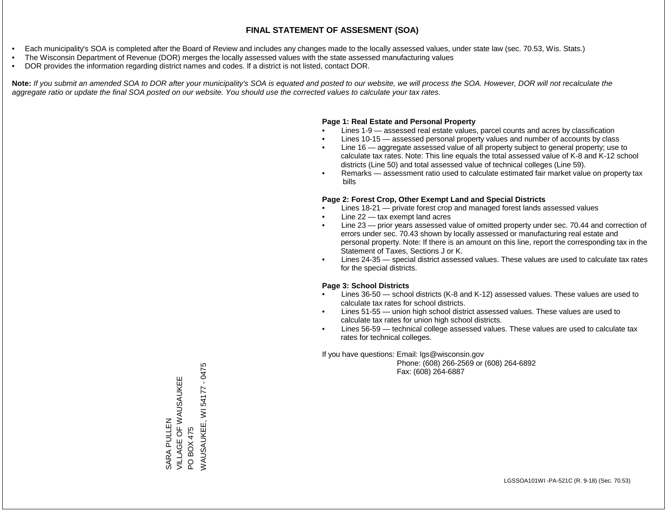- Each municipality's SOA is completed after the Board of Review and includes any changes made to the locally assessed values, under state law (sec. 70.53, Wis. Stats.)
- The Wisconsin Department of Revenue (DOR) merges the locally assessed values with the state assessed manufacturing values
- DOR provides the information regarding district names and codes. If a district is not listed, contact DOR.

Note: If you submit an amended SOA to DOR after your municipality's SOA is equated and posted to our website, we will process the SOA. However, DOR will not recalculate the *aggregate ratio or update the final SOA posted on our website. You should use the corrected values to calculate your tax rates.*

### **Page 1: Real Estate and Personal Property**

- Lines 1-9 assessed real estate values, parcel counts and acres by classification
- Lines 10-15 assessed personal property values and number of accounts by class
- Line 16 aggregate assessed value of all property subject to general property; use to calculate tax rates. Note: This line equals the total assessed value of K-8 and K-12 school districts (Line 50) and total assessed value of technical colleges (Line 59).
- Remarks assessment ratio used to calculate estimated fair market value on property tax bills

#### **Page 2: Forest Crop, Other Exempt Land and Special Districts**

- Lines 18-21 private forest crop and managed forest lands assessed values
- Line  $22 -$  tax exempt land acres
- Line 23 prior years assessed value of omitted property under sec. 70.44 and correction of errors under sec. 70.43 shown by locally assessed or manufacturing real estate and personal property. Note: If there is an amount on this line, report the corresponding tax in the Statement of Taxes, Sections J or K.
- Lines 24-35 special district assessed values. These values are used to calculate tax rates for the special districts.

#### **Page 3: School Districts**

- Lines 36-50 school districts (K-8 and K-12) assessed values. These values are used to calculate tax rates for school districts.
- Lines 51-55 union high school district assessed values. These values are used to calculate tax rates for union high school districts.
- Lines 56-59 technical college assessed values. These values are used to calculate tax rates for technical colleges.

If you have questions: Email: lgs@wisconsin.gov

 Phone: (608) 266-2569 or (608) 264-6892 Fax: (608) 264-6887

 $-0475$ WAUSAUKEE, WI 54177 - 0475VILLAGE OF WAUSAUKEE SARA PULLEN<br>VILLAGE OF WAUSAUKEE PO BOX 475<br>WAUSAUKEE, WI 54177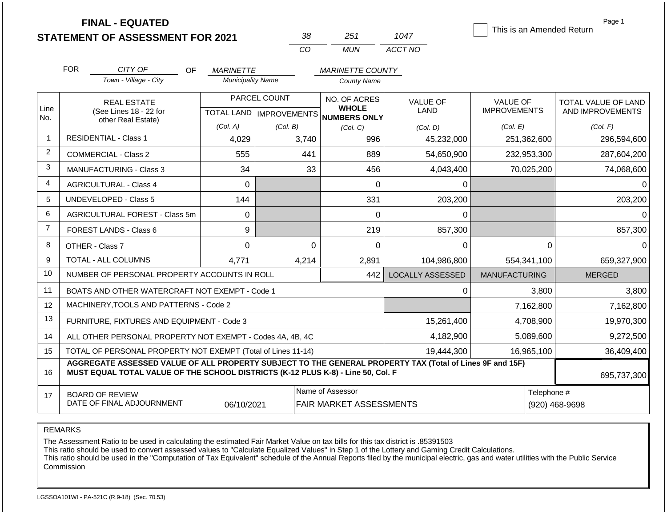|                | <b>FINAL - EQUATED</b><br><b>STATEMENT OF ASSESSMENT FOR 2021</b>                                                                                                                            |                                              | 38                                                    | 251                                                      | 1047                                | This is an Amended Return                          | Page 1                                              |
|----------------|----------------------------------------------------------------------------------------------------------------------------------------------------------------------------------------------|----------------------------------------------|-------------------------------------------------------|----------------------------------------------------------|-------------------------------------|----------------------------------------------------|-----------------------------------------------------|
|                |                                                                                                                                                                                              |                                              | CO                                                    | <b>MUN</b>                                               | ACCT NO                             |                                                    |                                                     |
|                | <b>FOR</b><br>CITY OF<br>OF<br>Town - Village - City                                                                                                                                         | <b>MARINETTE</b><br><b>Municipality Name</b> |                                                       | <b>MARINETTE COUNTY</b><br><b>County Name</b>            |                                     |                                                    |                                                     |
| Line<br>No.    | <b>REAL ESTATE</b><br>(See Lines 18 - 22 for<br>other Real Estate)                                                                                                                           | (Col. A)                                     | PARCEL COUNT<br>TOTAL LAND   IMPROVEMENTS<br>(Col. B) | NO. OF ACRES<br><b>WHOLE</b><br>NUMBERS ONLY<br>(Col, C) | <b>VALUE OF</b><br>LAND<br>(Col, D) | <b>VALUE OF</b><br><b>IMPROVEMENTS</b><br>(Col. E) | TOTAL VALUE OF LAND<br>AND IMPROVEMENTS<br>(Col. F) |
| 1              | <b>RESIDENTIAL - Class 1</b>                                                                                                                                                                 | 4,029                                        | 3,740                                                 | 996                                                      | 45,232,000                          | 251,362,600                                        | 296,594,600                                         |
| 2              | <b>COMMERCIAL - Class 2</b>                                                                                                                                                                  | 555                                          | 441                                                   | 889                                                      | 54,650,900                          | 232,953,300                                        | 287,604,200                                         |
| 3              | <b>MANUFACTURING - Class 3</b>                                                                                                                                                               | 34                                           | 33                                                    | 456                                                      | 4,043,400                           | 70,025,200                                         | 74,068,600                                          |
| 4              | <b>AGRICULTURAL - Class 4</b>                                                                                                                                                                | $\mathbf 0$                                  |                                                       | 0                                                        | $\Omega$                            |                                                    | $\Omega$                                            |
| 5              | <b>UNDEVELOPED - Class 5</b>                                                                                                                                                                 | 144                                          |                                                       | 331                                                      | 203,200                             |                                                    | 203,200                                             |
| 6              | AGRICULTURAL FOREST - Class 5m                                                                                                                                                               | 0                                            |                                                       | 0                                                        | 0                                   |                                                    | $\Omega$                                            |
| $\overline{7}$ | FOREST LANDS - Class 6                                                                                                                                                                       | 9                                            |                                                       | 219                                                      | 857,300                             |                                                    | 857,300                                             |
| 8              | OTHER - Class 7                                                                                                                                                                              | $\Omega$                                     | $\Omega$                                              | 0                                                        | 0                                   | 0                                                  | $\Omega$                                            |
| 9              | TOTAL - ALL COLUMNS                                                                                                                                                                          | 4,771                                        | 4,214                                                 | 2,891                                                    | 104,986,800                         | 554,341,100                                        | 659,327,900                                         |
| 10             | NUMBER OF PERSONAL PROPERTY ACCOUNTS IN ROLL                                                                                                                                                 |                                              |                                                       | 442                                                      | <b>LOCALLY ASSESSED</b>             | <b>MANUFACTURING</b>                               | <b>MERGED</b>                                       |
| 11             | BOATS AND OTHER WATERCRAFT NOT EXEMPT - Code 1                                                                                                                                               |                                              |                                                       |                                                          | $\Omega$                            | 3,800                                              | 3,800                                               |
| 12             | MACHINERY, TOOLS AND PATTERNS - Code 2                                                                                                                                                       |                                              |                                                       |                                                          |                                     | 7,162,800                                          | 7,162,800                                           |
| 13             | FURNITURE, FIXTURES AND EQUIPMENT - Code 3                                                                                                                                                   |                                              |                                                       |                                                          | 15,261,400                          | 4,708,900                                          | 19,970,300                                          |
| 14             | ALL OTHER PERSONAL PROPERTY NOT EXEMPT - Codes 4A, 4B, 4C                                                                                                                                    |                                              |                                                       |                                                          | 4,182,900                           | 5,089,600                                          | 9,272,500                                           |
| 15             | TOTAL OF PERSONAL PROPERTY NOT EXEMPT (Total of Lines 11-14)                                                                                                                                 |                                              |                                                       |                                                          | 19,444,300                          | 16,965,100                                         | 36,409,400                                          |
| 16             | AGGREGATE ASSESSED VALUE OF ALL PROPERTY SUBJECT TO THE GENERAL PROPERTY TAX (Total of Lines 9F and 15F)<br>MUST EQUAL TOTAL VALUE OF THE SCHOOL DISTRICTS (K-12 PLUS K-8) - Line 50, Col. F |                                              |                                                       |                                                          |                                     |                                                    | 695,737,300                                         |
| 17             | <b>BOARD OF REVIEW</b><br>DATE OF FINAL ADJOURNMENT                                                                                                                                          | 06/10/2021                                   |                                                       | Name of Assessor<br>FAIR MARKET ASSESSMENTS              |                                     | Telephone #                                        | (920) 468-9698                                      |

## REMARKS

The Assessment Ratio to be used in calculating the estimated Fair Market Value on tax bills for this tax district is .85391503

This ratio should be used to convert assessed values to "Calculate Equalized Values" in Step 1 of the Lottery and Gaming Credit Calculations.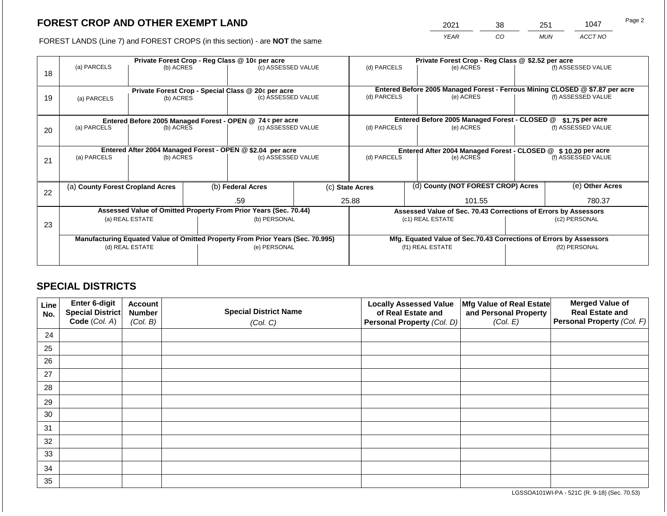2021 38 251 1047

FOREST LANDS (Line 7) and FOREST CROPS (in this section) - are **NOT** the same *YEAR CO MUN ACCT NO*

|    | Private Forest Crop - Reg Class @ 10¢ per acre             |                 |  |                                                                                |  | Private Forest Crop - Reg Class @ \$2.52 per acre |                                    |                                                                    |                 |                                                                                                    |  |  |
|----|------------------------------------------------------------|-----------------|--|--------------------------------------------------------------------------------|--|---------------------------------------------------|------------------------------------|--------------------------------------------------------------------|-----------------|----------------------------------------------------------------------------------------------------|--|--|
|    | (a) PARCELS                                                | (b) ACRES       |  | (c) ASSESSED VALUE                                                             |  | (d) PARCELS                                       |                                    | (e) ACRES                                                          |                 | (f) ASSESSED VALUE                                                                                 |  |  |
| 18 |                                                            |                 |  |                                                                                |  |                                                   |                                    |                                                                    |                 |                                                                                                    |  |  |
|    |                                                            |                 |  |                                                                                |  |                                                   |                                    |                                                                    |                 |                                                                                                    |  |  |
|    |                                                            |                 |  | Private Forest Crop - Special Class @ 20¢ per acre<br>(c) ASSESSED VALUE       |  | (d) PARCELS                                       |                                    | (e) ACRES                                                          |                 | Entered Before 2005 Managed Forest - Ferrous Mining CLOSED @ \$7.87 per acre<br>(f) ASSESSED VALUE |  |  |
| 19 | (a) PARCELS                                                | (b) ACRES       |  |                                                                                |  |                                                   |                                    |                                                                    |                 |                                                                                                    |  |  |
|    |                                                            |                 |  |                                                                                |  |                                                   |                                    |                                                                    |                 |                                                                                                    |  |  |
|    |                                                            |                 |  | Entered Before 2005 Managed Forest - OPEN @ 74 ¢ per acre                      |  |                                                   |                                    | Entered Before 2005 Managed Forest - CLOSED @                      | \$1.75 per acre |                                                                                                    |  |  |
| 20 | (a) PARCELS                                                | (b) ACRES       |  | (c) ASSESSED VALUE                                                             |  | (d) PARCELS                                       |                                    | (e) ACRES                                                          |                 | (f) ASSESSED VALUE                                                                                 |  |  |
|    |                                                            |                 |  |                                                                                |  |                                                   |                                    |                                                                    |                 |                                                                                                    |  |  |
|    |                                                            |                 |  |                                                                                |  |                                                   |                                    |                                                                    |                 |                                                                                                    |  |  |
|    | Entered After 2004 Managed Forest - OPEN @ \$2.04 per acre |                 |  |                                                                                |  |                                                   |                                    | Entered After 2004 Managed Forest - CLOSED @ \$10.20 per acre      |                 |                                                                                                    |  |  |
| 21 | (a) PARCELS                                                | (b) ACRES       |  | (c) ASSESSED VALUE                                                             |  | (d) PARCELS<br>(e) ACRES                          |                                    | (f) ASSESSED VALUE                                                 |                 |                                                                                                    |  |  |
|    |                                                            |                 |  |                                                                                |  |                                                   |                                    |                                                                    |                 |                                                                                                    |  |  |
|    |                                                            |                 |  |                                                                                |  |                                                   |                                    |                                                                    |                 |                                                                                                    |  |  |
|    | (a) County Forest Cropland Acres                           |                 |  | (b) Federal Acres                                                              |  | (c) State Acres                                   | (d) County (NOT FOREST CROP) Acres |                                                                    |                 | (e) Other Acres                                                                                    |  |  |
| 22 |                                                            |                 |  |                                                                                |  |                                                   |                                    |                                                                    |                 |                                                                                                    |  |  |
|    |                                                            |                 |  | .59                                                                            |  | 25.88                                             |                                    | 101.55                                                             |                 | 780.37                                                                                             |  |  |
|    |                                                            |                 |  | Assessed Value of Omitted Property From Prior Years (Sec. 70.44)               |  |                                                   |                                    | Assessed Value of Sec. 70.43 Corrections of Errors by Assessors    |                 |                                                                                                    |  |  |
| 23 |                                                            | (a) REAL ESTATE |  | (b) PERSONAL                                                                   |  |                                                   |                                    | (c1) REAL ESTATE                                                   |                 | (c2) PERSONAL                                                                                      |  |  |
|    |                                                            |                 |  |                                                                                |  |                                                   |                                    |                                                                    |                 |                                                                                                    |  |  |
|    |                                                            |                 |  | Manufacturing Equated Value of Omitted Property From Prior Years (Sec. 70.995) |  |                                                   |                                    | Mfg. Equated Value of Sec.70.43 Corrections of Errors by Assessors |                 |                                                                                                    |  |  |
|    |                                                            | (d) REAL ESTATE |  | (e) PERSONAL                                                                   |  |                                                   |                                    | (f1) REAL ESTATE                                                   | (f2) PERSONAL   |                                                                                                    |  |  |
|    |                                                            |                 |  |                                                                                |  |                                                   |                                    |                                                                    |                 |                                                                                                    |  |  |
|    |                                                            |                 |  |                                                                                |  |                                                   |                                    |                                                                    |                 |                                                                                                    |  |  |

## **SPECIAL DISTRICTS**

| Line<br>No. | <b>Enter 6-digit</b><br>Special District | <b>Account</b><br><b>Number</b> | <b>Special District Name</b> | <b>Locally Assessed Value</b><br>of Real Estate and | Mfg Value of Real Estate<br>and Personal Property | <b>Merged Value of</b><br><b>Real Estate and</b> |
|-------------|------------------------------------------|---------------------------------|------------------------------|-----------------------------------------------------|---------------------------------------------------|--------------------------------------------------|
|             | Code (Col. A)                            | (Col. B)                        | (Col. C)                     | Personal Property (Col. D)                          | (Col. E)                                          | <b>Personal Property (Col. F)</b>                |
| 24          |                                          |                                 |                              |                                                     |                                                   |                                                  |
| 25          |                                          |                                 |                              |                                                     |                                                   |                                                  |
| 26          |                                          |                                 |                              |                                                     |                                                   |                                                  |
| 27          |                                          |                                 |                              |                                                     |                                                   |                                                  |
| 28          |                                          |                                 |                              |                                                     |                                                   |                                                  |
| 29          |                                          |                                 |                              |                                                     |                                                   |                                                  |
| 30          |                                          |                                 |                              |                                                     |                                                   |                                                  |
| 31          |                                          |                                 |                              |                                                     |                                                   |                                                  |
| 32          |                                          |                                 |                              |                                                     |                                                   |                                                  |
| 33          |                                          |                                 |                              |                                                     |                                                   |                                                  |
| 34          |                                          |                                 |                              |                                                     |                                                   |                                                  |
| 35          |                                          |                                 |                              |                                                     |                                                   |                                                  |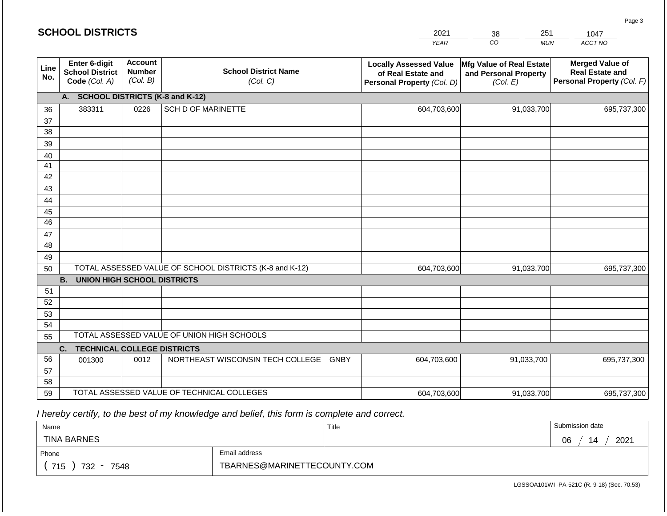|             | <b>SCHOOL DISTRICTS</b>                                  |                                             |                                                         | 2021                                                                              | 251<br>38                                                     | 1047                                                                           |
|-------------|----------------------------------------------------------|---------------------------------------------|---------------------------------------------------------|-----------------------------------------------------------------------------------|---------------------------------------------------------------|--------------------------------------------------------------------------------|
|             |                                                          |                                             |                                                         | <b>YEAR</b>                                                                       | CO<br><b>MUN</b>                                              | ACCT NO                                                                        |
| Line<br>No. | Enter 6-digit<br><b>School District</b><br>Code (Col. A) | <b>Account</b><br><b>Number</b><br>(Col. B) | <b>School District Name</b><br>(Col. C)                 | <b>Locally Assessed Value</b><br>of Real Estate and<br>Personal Property (Col. D) | Mfg Value of Real Estate<br>and Personal Property<br>(Col. E) | <b>Merged Value of</b><br><b>Real Estate and</b><br>Personal Property (Col. F) |
|             | <b>SCHOOL DISTRICTS (K-8 and K-12)</b><br>А.             |                                             |                                                         |                                                                                   |                                                               |                                                                                |
| 36          | 383311                                                   | 0226                                        | <b>SCH D OF MARINETTE</b>                               | 604,703,600                                                                       | 91,033,700                                                    | 695,737,300                                                                    |
| 37          |                                                          |                                             |                                                         |                                                                                   |                                                               |                                                                                |
| 38          |                                                          |                                             |                                                         |                                                                                   |                                                               |                                                                                |
| 39          |                                                          |                                             |                                                         |                                                                                   |                                                               |                                                                                |
| 40          |                                                          |                                             |                                                         |                                                                                   |                                                               |                                                                                |
| 41<br>42    |                                                          |                                             |                                                         |                                                                                   |                                                               |                                                                                |
| 43          |                                                          |                                             |                                                         |                                                                                   |                                                               |                                                                                |
| 44          |                                                          |                                             |                                                         |                                                                                   |                                                               |                                                                                |
| 45          |                                                          |                                             |                                                         |                                                                                   |                                                               |                                                                                |
| 46          |                                                          |                                             |                                                         |                                                                                   |                                                               |                                                                                |
| 47          |                                                          |                                             |                                                         |                                                                                   |                                                               |                                                                                |
| 48          |                                                          |                                             |                                                         |                                                                                   |                                                               |                                                                                |
| 49          |                                                          |                                             |                                                         |                                                                                   |                                                               |                                                                                |
| 50          |                                                          |                                             | TOTAL ASSESSED VALUE OF SCHOOL DISTRICTS (K-8 and K-12) | 604,703,600                                                                       | 91,033,700                                                    | 695,737,300                                                                    |
|             | <b>B.</b><br><b>UNION HIGH SCHOOL DISTRICTS</b>          |                                             |                                                         |                                                                                   |                                                               |                                                                                |
| 51          |                                                          |                                             |                                                         |                                                                                   |                                                               |                                                                                |
| 52          |                                                          |                                             |                                                         |                                                                                   |                                                               |                                                                                |
| 53          |                                                          |                                             |                                                         |                                                                                   |                                                               |                                                                                |
| 54<br>55    |                                                          |                                             | TOTAL ASSESSED VALUE OF UNION HIGH SCHOOLS              |                                                                                   |                                                               |                                                                                |
|             | <b>TECHNICAL COLLEGE DISTRICTS</b><br>C.                 |                                             |                                                         |                                                                                   |                                                               |                                                                                |
| 56          | 001300                                                   | 0012                                        | NORTHEAST WISCONSIN TECH COLLEGE<br>GNBY                | 604,703,600                                                                       | 91,033,700                                                    | 695,737,300                                                                    |
| 57          |                                                          |                                             |                                                         |                                                                                   |                                                               |                                                                                |
| 58          |                                                          |                                             |                                                         |                                                                                   |                                                               |                                                                                |
| 59          |                                                          |                                             | TOTAL ASSESSED VALUE OF TECHNICAL COLLEGES              | 604,703,600                                                                       | 91,033,700                                                    | 695,737,300                                                                    |

| Name                                           |                             | Title | Submission date                        |
|------------------------------------------------|-----------------------------|-------|----------------------------------------|
| <b>TINA BARNES</b>                             |                             |       | 2021<br>06<br>$\overline{\phantom{a}}$ |
| Phone                                          | Email address               |       |                                        |
| 715<br>732<br>7548<br>$\overline{\phantom{0}}$ | TBARNES@MARINETTECOUNTY.COM |       |                                        |

LGSSOA101WI -PA-521C (R. 9-18) (Sec. 70.53)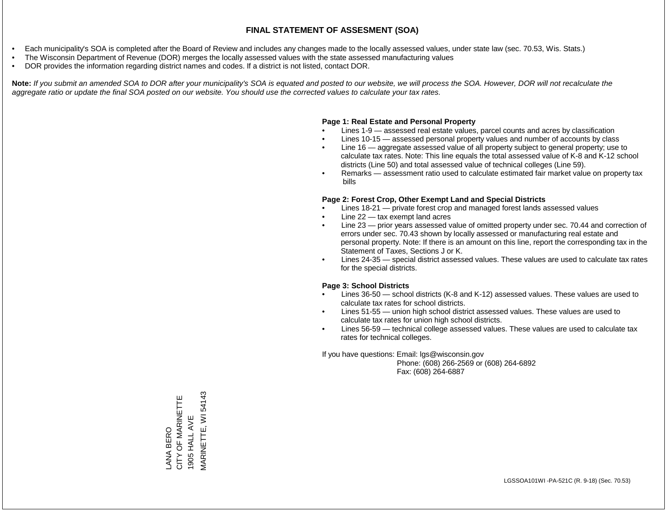- Each municipality's SOA is completed after the Board of Review and includes any changes made to the locally assessed values, under state law (sec. 70.53, Wis. Stats.)
- The Wisconsin Department of Revenue (DOR) merges the locally assessed values with the state assessed manufacturing values
- DOR provides the information regarding district names and codes. If a district is not listed, contact DOR.

Note: If you submit an amended SOA to DOR after your municipality's SOA is equated and posted to our website, we will process the SOA. However, DOR will not recalculate the *aggregate ratio or update the final SOA posted on our website. You should use the corrected values to calculate your tax rates.*

#### **Page 1: Real Estate and Personal Property**

- Lines 1-9 assessed real estate values, parcel counts and acres by classification
- Lines 10-15 assessed personal property values and number of accounts by class
- Line 16 aggregate assessed value of all property subject to general property; use to calculate tax rates. Note: This line equals the total assessed value of K-8 and K-12 school districts (Line 50) and total assessed value of technical colleges (Line 59).
- Remarks assessment ratio used to calculate estimated fair market value on property tax bills

#### **Page 2: Forest Crop, Other Exempt Land and Special Districts**

- Lines 18-21 private forest crop and managed forest lands assessed values
- Line  $22 -$  tax exempt land acres
- Line 23 prior years assessed value of omitted property under sec. 70.44 and correction of errors under sec. 70.43 shown by locally assessed or manufacturing real estate and personal property. Note: If there is an amount on this line, report the corresponding tax in the Statement of Taxes, Sections J or K.
- Lines 24-35 special district assessed values. These values are used to calculate tax rates for the special districts.

#### **Page 3: School Districts**

- Lines 36-50 school districts (K-8 and K-12) assessed values. These values are used to calculate tax rates for school districts.
- Lines 51-55 union high school district assessed values. These values are used to calculate tax rates for union high school districts.
- Lines 56-59 technical college assessed values. These values are used to calculate tax rates for technical colleges.

If you have questions: Email: lgs@wisconsin.gov

 Phone: (608) 266-2569 or (608) 264-6892 Fax: (608) 264-6887

**MARINETTE, WI 54143** MARINETTE, WI 54143LANA BERO<br>CITY OF MARINETTE CITY OF MARINETTE 1905 HALL AVE 1905 HALL AVE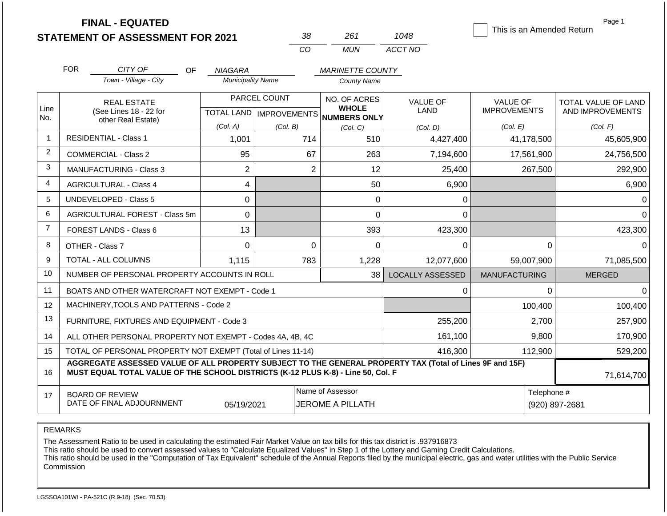|                |                    | <b>FINAL - EQUATED</b>                                                                                   |                          |                           |                |                              |                         |                      |             | Page 1<br>This is an Amended Return |
|----------------|--------------------|----------------------------------------------------------------------------------------------------------|--------------------------|---------------------------|----------------|------------------------------|-------------------------|----------------------|-------------|-------------------------------------|
|                |                    | <b>STATEMENT OF ASSESSMENT FOR 2021</b>                                                                  |                          |                           | 38             | 261                          | 1048                    |                      |             |                                     |
|                |                    |                                                                                                          |                          |                           | CO             | <b>MUN</b>                   | ACCT NO                 |                      |             |                                     |
|                | <b>FOR</b>         | CITY OF<br>OF                                                                                            | NIAGARA                  |                           |                | <b>MARINETTE COUNTY</b>      |                         |                      |             |                                     |
|                |                    | Town - Village - City                                                                                    | <b>Municipality Name</b> |                           |                | <b>County Name</b>           |                         |                      |             |                                     |
|                | <b>REAL ESTATE</b> |                                                                                                          | PARCEL COUNT             |                           |                | NO. OF ACRES                 | <b>VALUE OF</b>         | <b>VALUE OF</b>      |             | TOTAL VALUE OF LAND                 |
| Line<br>No.    |                    | (See Lines 18 - 22 for                                                                                   |                          | TOTAL LAND   IMPROVEMENTS |                | <b>WHOLE</b><br>NUMBERS ONLY | LAND                    | <b>IMPROVEMENTS</b>  |             | AND IMPROVEMENTS                    |
|                |                    | other Real Estate)                                                                                       | (Col. A)                 | (Col. B)                  |                | (Col, C)                     | (Col. D)                | (Col. E)             |             | (Col. F)                            |
| -1             |                    | <b>RESIDENTIAL - Class 1</b>                                                                             | 1,001                    |                           | 714            | 510                          | 4,427,400               |                      | 41,178,500  | 45,605,900                          |
| 2              |                    | <b>COMMERCIAL - Class 2</b>                                                                              | 95                       |                           | 67             | 263                          | 7,194,600               |                      | 17,561,900  | 24,756,500                          |
| 3              |                    | <b>MANUFACTURING - Class 3</b>                                                                           | $\overline{2}$           |                           | $\overline{2}$ | 12                           | 25,400                  |                      | 267,500     | 292,900                             |
| $\overline{4}$ |                    | <b>AGRICULTURAL - Class 4</b>                                                                            | 4                        |                           |                | 50                           | 6,900                   |                      |             | 6,900                               |
| 5              |                    | <b>UNDEVELOPED - Class 5</b>                                                                             | $\mathbf 0$              |                           |                | 0                            | $\Omega$                |                      |             |                                     |
| 6              |                    | AGRICULTURAL FOREST - Class 5m                                                                           | 0                        |                           |                | 0                            | $\Omega$                |                      |             | $\Omega$                            |
| $\overline{7}$ |                    | FOREST LANDS - Class 6                                                                                   | 13                       |                           |                | 393                          | 423,300                 |                      |             | 423,300                             |
| 8              |                    | OTHER - Class 7                                                                                          | $\mathbf 0$              |                           | $\mathbf 0$    | 0                            | $\Omega$                |                      | 0           | $\Omega$                            |
| 9              |                    | TOTAL - ALL COLUMNS                                                                                      | 1,115                    |                           | 783            | 1,228                        | 12,077,600              | 59,007,900           |             | 71,085,500                          |
| 10             |                    | NUMBER OF PERSONAL PROPERTY ACCOUNTS IN ROLL                                                             |                          |                           |                | 38                           | <b>LOCALLY ASSESSED</b> | <b>MANUFACTURING</b> |             | <b>MERGED</b>                       |
| 11             |                    | BOATS AND OTHER WATERCRAFT NOT EXEMPT - Code 1                                                           |                          |                           |                |                              | $\Omega$                |                      | $\Omega$    | $\Omega$                            |
| 12             |                    | MACHINERY, TOOLS AND PATTERNS - Code 2                                                                   |                          |                           |                |                              |                         |                      | 100,400     | 100,400                             |
| 13             |                    | FURNITURE, FIXTURES AND EQUIPMENT - Code 3                                                               |                          |                           |                |                              | 255,200                 |                      | 2,700       | 257,900                             |
| 14             |                    | ALL OTHER PERSONAL PROPERTY NOT EXEMPT - Codes 4A, 4B, 4C                                                |                          |                           |                |                              | 161,100                 |                      | 9,800       | 170,900                             |
| 15             |                    | TOTAL OF PERSONAL PROPERTY NOT EXEMPT (Total of Lines 11-14)                                             |                          |                           |                |                              | 416,300                 |                      | 112,900     | 529,200                             |
|                |                    | AGGREGATE ASSESSED VALUE OF ALL PROPERTY SUBJECT TO THE GENERAL PROPERTY TAX (Total of Lines 9F and 15F) |                          |                           |                |                              |                         |                      |             |                                     |
| 16             |                    | MUST EQUAL TOTAL VALUE OF THE SCHOOL DISTRICTS (K-12 PLUS K-8) - Line 50, Col. F                         |                          |                           |                |                              |                         |                      |             | 71,614,700                          |
| 17             |                    | <b>BOARD OF REVIEW</b>                                                                                   |                          |                           |                | Name of Assessor             |                         |                      | Telephone # |                                     |
|                |                    | DATE OF FINAL ADJOURNMENT                                                                                | 05/19/2021               |                           |                | <b>JEROME A PILLATH</b>      |                         |                      |             | (920) 897-2681                      |

REMARKS

The Assessment Ratio to be used in calculating the estimated Fair Market Value on tax bills for this tax district is .937916873

This ratio should be used to convert assessed values to "Calculate Equalized Values" in Step 1 of the Lottery and Gaming Credit Calculations.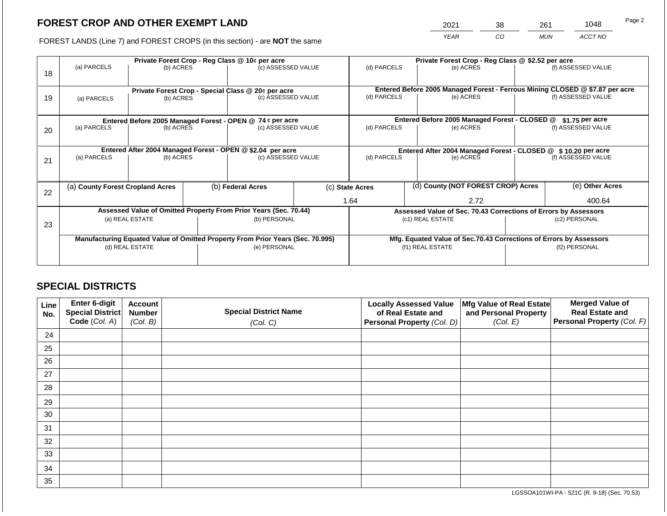2021 38 261 1048

FOREST LANDS (Line 7) and FOREST CROPS (in this section) - are **NOT** the same *YEAR CO MUN ACCT NO*

|    | Private Forest Crop - Reg Class @ 10¢ per acre |                                                                                |  |                                                                          |             |                                                                 | Private Forest Crop - Reg Class @ \$2.52 per acre |                                                                                           |                    |                    |  |  |
|----|------------------------------------------------|--------------------------------------------------------------------------------|--|--------------------------------------------------------------------------|-------------|-----------------------------------------------------------------|---------------------------------------------------|-------------------------------------------------------------------------------------------|--------------------|--------------------|--|--|
| 18 | (a) PARCELS                                    | (b) ACRES                                                                      |  | (c) ASSESSED VALUE                                                       |             | (d) PARCELS                                                     |                                                   | (e) ACRES                                                                                 |                    | (f) ASSESSED VALUE |  |  |
|    |                                                |                                                                                |  |                                                                          |             |                                                                 |                                                   |                                                                                           |                    |                    |  |  |
| 19 |                                                |                                                                                |  | Private Forest Crop - Special Class @ 20¢ per acre<br>(c) ASSESSED VALUE |             | (d) PARCELS                                                     |                                                   | Entered Before 2005 Managed Forest - Ferrous Mining CLOSED @ \$7.87 per acre<br>(e) ACRES |                    | (f) ASSESSED VALUE |  |  |
|    | (a) PARCELS                                    | (b) ACRES                                                                      |  |                                                                          |             |                                                                 |                                                   |                                                                                           |                    |                    |  |  |
|    |                                                |                                                                                |  |                                                                          |             |                                                                 |                                                   |                                                                                           |                    |                    |  |  |
|    |                                                | Entered Before 2005 Managed Forest - OPEN @ 74 ¢ per acre                      |  |                                                                          |             |                                                                 |                                                   | Entered Before 2005 Managed Forest - CLOSED @                                             | \$1.75 per acre    |                    |  |  |
| 20 | (a) PARCELS                                    | (c) ASSESSED VALUE<br>(b) ACRES                                                |  |                                                                          | (d) PARCELS |                                                                 | (e) ACRES                                         |                                                                                           | (f) ASSESSED VALUE |                    |  |  |
|    |                                                |                                                                                |  |                                                                          |             |                                                                 |                                                   |                                                                                           |                    |                    |  |  |
|    |                                                | Entered After 2004 Managed Forest - OPEN @ \$2.04 per acre                     |  |                                                                          |             | Entered After 2004 Managed Forest - CLOSED @ \$10.20 per acre   |                                                   |                                                                                           |                    |                    |  |  |
| 21 | (a) PARCELS                                    | (b) ACRES                                                                      |  | (c) ASSESSED VALUE                                                       |             | (d) PARCELS<br>(e) ACRES                                        |                                                   |                                                                                           | (f) ASSESSED VALUE |                    |  |  |
|    |                                                |                                                                                |  |                                                                          |             |                                                                 |                                                   |                                                                                           |                    |                    |  |  |
|    |                                                |                                                                                |  |                                                                          |             |                                                                 |                                                   |                                                                                           |                    |                    |  |  |
|    | (a) County Forest Cropland Acres               |                                                                                |  | (b) Federal Acres                                                        |             | (c) State Acres                                                 |                                                   | (d) County (NOT FOREST CROP) Acres                                                        |                    | (e) Other Acres    |  |  |
| 22 |                                                |                                                                                |  |                                                                          |             |                                                                 |                                                   |                                                                                           |                    |                    |  |  |
|    |                                                |                                                                                |  |                                                                          |             | 1.64                                                            |                                                   | 2.72                                                                                      |                    | 400.64             |  |  |
|    |                                                | Assessed Value of Omitted Property From Prior Years (Sec. 70.44)               |  |                                                                          |             | Assessed Value of Sec. 70.43 Corrections of Errors by Assessors |                                                   |                                                                                           |                    |                    |  |  |
| 23 |                                                | (a) REAL ESTATE                                                                |  | (b) PERSONAL                                                             |             |                                                                 |                                                   | (c1) REAL ESTATE                                                                          |                    | (c2) PERSONAL      |  |  |
|    |                                                |                                                                                |  |                                                                          |             |                                                                 |                                                   |                                                                                           |                    |                    |  |  |
|    |                                                | Manufacturing Equated Value of Omitted Property From Prior Years (Sec. 70.995) |  |                                                                          |             |                                                                 |                                                   | Mfg. Equated Value of Sec.70.43 Corrections of Errors by Assessors                        |                    |                    |  |  |
|    |                                                | (d) REAL ESTATE                                                                |  | (e) PERSONAL                                                             |             |                                                                 |                                                   | (f1) REAL ESTATE                                                                          | (f2) PERSONAL      |                    |  |  |
|    |                                                |                                                                                |  |                                                                          |             |                                                                 |                                                   |                                                                                           |                    |                    |  |  |
|    |                                                |                                                                                |  |                                                                          |             |                                                                 |                                                   |                                                                                           |                    |                    |  |  |

## **SPECIAL DISTRICTS**

| Line<br>No. | Enter 6-digit<br>Special District<br>Code (Col. A) | <b>Account</b><br><b>Number</b><br>(Col. B) | <b>Special District Name</b><br>(Col. C) | <b>Locally Assessed Value</b><br>of Real Estate and<br><b>Personal Property (Col. D)</b> | Mfg Value of Real Estate<br>and Personal Property<br>(Col. E) | <b>Merged Value of</b><br><b>Real Estate and</b><br>Personal Property (Col. F) |
|-------------|----------------------------------------------------|---------------------------------------------|------------------------------------------|------------------------------------------------------------------------------------------|---------------------------------------------------------------|--------------------------------------------------------------------------------|
| 24          |                                                    |                                             |                                          |                                                                                          |                                                               |                                                                                |
| 25          |                                                    |                                             |                                          |                                                                                          |                                                               |                                                                                |
| 26          |                                                    |                                             |                                          |                                                                                          |                                                               |                                                                                |
| 27          |                                                    |                                             |                                          |                                                                                          |                                                               |                                                                                |
| 28          |                                                    |                                             |                                          |                                                                                          |                                                               |                                                                                |
| 29          |                                                    |                                             |                                          |                                                                                          |                                                               |                                                                                |
| 30          |                                                    |                                             |                                          |                                                                                          |                                                               |                                                                                |
| 31          |                                                    |                                             |                                          |                                                                                          |                                                               |                                                                                |
| 32          |                                                    |                                             |                                          |                                                                                          |                                                               |                                                                                |
| 33          |                                                    |                                             |                                          |                                                                                          |                                                               |                                                                                |
| 34          |                                                    |                                             |                                          |                                                                                          |                                                               |                                                                                |
| 35          |                                                    |                                             |                                          |                                                                                          |                                                               |                                                                                |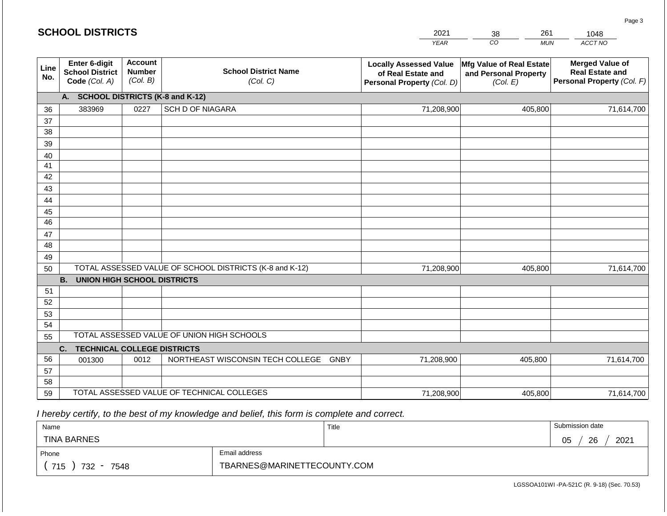| CO<br>ACCT NO<br><b>YEAR</b><br><b>MUN</b><br><b>Account</b><br>Enter 6-digit<br><b>Merged Value of</b><br><b>Locally Assessed Value</b><br><b>Mfg Value of Real Estate</b><br>Line<br><b>School District Name</b><br><b>Number</b><br><b>School District</b><br><b>Real Estate and</b><br>and Personal Property<br>of Real Estate and<br>No.<br>(Col. B)<br>Code (Col. A)<br>(Col. C)<br>Personal Property (Col. F)<br>Personal Property (Col. D)<br>(Col. E)<br><b>SCHOOL DISTRICTS (K-8 and K-12)</b><br>A.<br>383969<br><b>SCH D OF NIAGARA</b><br>71,208,900<br>405,800<br>71,614,700<br>0227<br>36<br>37<br>38<br>39<br>40<br>41<br>42<br>43 |
|----------------------------------------------------------------------------------------------------------------------------------------------------------------------------------------------------------------------------------------------------------------------------------------------------------------------------------------------------------------------------------------------------------------------------------------------------------------------------------------------------------------------------------------------------------------------------------------------------------------------------------------------------|
|                                                                                                                                                                                                                                                                                                                                                                                                                                                                                                                                                                                                                                                    |
|                                                                                                                                                                                                                                                                                                                                                                                                                                                                                                                                                                                                                                                    |
|                                                                                                                                                                                                                                                                                                                                                                                                                                                                                                                                                                                                                                                    |
|                                                                                                                                                                                                                                                                                                                                                                                                                                                                                                                                                                                                                                                    |
|                                                                                                                                                                                                                                                                                                                                                                                                                                                                                                                                                                                                                                                    |
|                                                                                                                                                                                                                                                                                                                                                                                                                                                                                                                                                                                                                                                    |
|                                                                                                                                                                                                                                                                                                                                                                                                                                                                                                                                                                                                                                                    |
|                                                                                                                                                                                                                                                                                                                                                                                                                                                                                                                                                                                                                                                    |
|                                                                                                                                                                                                                                                                                                                                                                                                                                                                                                                                                                                                                                                    |
|                                                                                                                                                                                                                                                                                                                                                                                                                                                                                                                                                                                                                                                    |
| 44                                                                                                                                                                                                                                                                                                                                                                                                                                                                                                                                                                                                                                                 |
| 45                                                                                                                                                                                                                                                                                                                                                                                                                                                                                                                                                                                                                                                 |
| 46                                                                                                                                                                                                                                                                                                                                                                                                                                                                                                                                                                                                                                                 |
| 47                                                                                                                                                                                                                                                                                                                                                                                                                                                                                                                                                                                                                                                 |
| 48                                                                                                                                                                                                                                                                                                                                                                                                                                                                                                                                                                                                                                                 |
| 49                                                                                                                                                                                                                                                                                                                                                                                                                                                                                                                                                                                                                                                 |
| TOTAL ASSESSED VALUE OF SCHOOL DISTRICTS (K-8 and K-12)<br>71,208,900<br>405,800<br>71,614,700<br>50                                                                                                                                                                                                                                                                                                                                                                                                                                                                                                                                               |
| <b>B.</b><br><b>UNION HIGH SCHOOL DISTRICTS</b>                                                                                                                                                                                                                                                                                                                                                                                                                                                                                                                                                                                                    |
| 51                                                                                                                                                                                                                                                                                                                                                                                                                                                                                                                                                                                                                                                 |
| 52                                                                                                                                                                                                                                                                                                                                                                                                                                                                                                                                                                                                                                                 |
| 53                                                                                                                                                                                                                                                                                                                                                                                                                                                                                                                                                                                                                                                 |
| 54<br>TOTAL ASSESSED VALUE OF UNION HIGH SCHOOLS                                                                                                                                                                                                                                                                                                                                                                                                                                                                                                                                                                                                   |
| 55                                                                                                                                                                                                                                                                                                                                                                                                                                                                                                                                                                                                                                                 |
| <b>TECHNICAL COLLEGE DISTRICTS</b><br>C.                                                                                                                                                                                                                                                                                                                                                                                                                                                                                                                                                                                                           |
| 56<br>NORTHEAST WISCONSIN TECH COLLEGE<br>71,208,900<br>0012<br><b>GNBY</b><br>405,800<br>71,614,700<br>001300                                                                                                                                                                                                                                                                                                                                                                                                                                                                                                                                     |
| 57<br>58                                                                                                                                                                                                                                                                                                                                                                                                                                                                                                                                                                                                                                           |
| TOTAL ASSESSED VALUE OF TECHNICAL COLLEGES<br>59<br>71,208,900<br>405,800<br>71,614,700                                                                                                                                                                                                                                                                                                                                                                                                                                                                                                                                                            |

| Name                                           |                             | Title | Submission date       |
|------------------------------------------------|-----------------------------|-------|-----------------------|
| <b>TINA BARNES</b>                             |                             |       | 2021<br>26<br>∩ҕ<br>◡ |
| Phone                                          | Email address               |       |                       |
| 715<br>732<br>7548<br>$\overline{\phantom{0}}$ | TBARNES@MARINETTECOUNTY.COM |       |                       |

LGSSOA101WI -PA-521C (R. 9-18) (Sec. 70.53)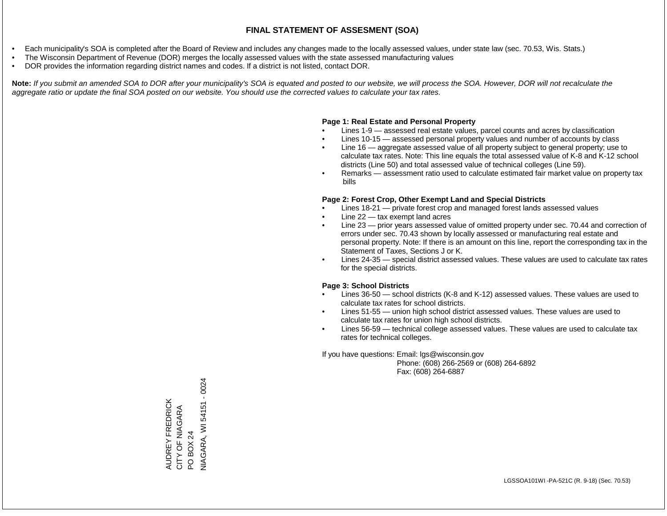- Each municipality's SOA is completed after the Board of Review and includes any changes made to the locally assessed values, under state law (sec. 70.53, Wis. Stats.)
- The Wisconsin Department of Revenue (DOR) merges the locally assessed values with the state assessed manufacturing values
- DOR provides the information regarding district names and codes. If a district is not listed, contact DOR.

Note: If you submit an amended SOA to DOR after your municipality's SOA is equated and posted to our website, we will process the SOA. However, DOR will not recalculate the *aggregate ratio or update the final SOA posted on our website. You should use the corrected values to calculate your tax rates.*

## **Page 1: Real Estate and Personal Property**

- Lines 1-9 assessed real estate values, parcel counts and acres by classification
- Lines 10-15 assessed personal property values and number of accounts by class
- Line 16 aggregate assessed value of all property subject to general property; use to calculate tax rates. Note: This line equals the total assessed value of K-8 and K-12 school districts (Line 50) and total assessed value of technical colleges (Line 59).
- Remarks assessment ratio used to calculate estimated fair market value on property tax bills

## **Page 2: Forest Crop, Other Exempt Land and Special Districts**

- Lines 18-21 private forest crop and managed forest lands assessed values
- Line  $22 -$  tax exempt land acres
- Line 23 prior years assessed value of omitted property under sec. 70.44 and correction of errors under sec. 70.43 shown by locally assessed or manufacturing real estate and personal property. Note: If there is an amount on this line, report the corresponding tax in the Statement of Taxes, Sections J or K.
- Lines 24-35 special district assessed values. These values are used to calculate tax rates for the special districts.

## **Page 3: School Districts**

- Lines 36-50 school districts (K-8 and K-12) assessed values. These values are used to calculate tax rates for school districts.
- Lines 51-55 union high school district assessed values. These values are used to calculate tax rates for union high school districts.
- Lines 56-59 technical college assessed values. These values are used to calculate tax rates for technical colleges.

If you have questions: Email: lgs@wisconsin.gov

 Phone: (608) 266-2569 or (608) 264-6892 Fax: (608) 264-6887

AUDREY FREDRICK CITY OF NIAGARA AUDREY FREDRICK<br>CITY OF NIAGARA<br>PO BOX 24<br>NIAGARA, WI 54151 - 0024 NIAGARA, WI 54151 - 0024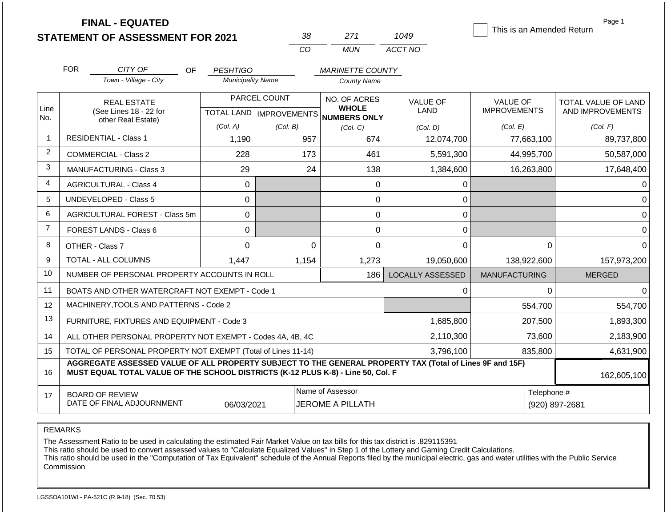|                | <b>FINAL - EQUATED</b>                                                                                                                                                                       |                          |                           |                                             |                         | This is an Amended Return | Page 1              |
|----------------|----------------------------------------------------------------------------------------------------------------------------------------------------------------------------------------------|--------------------------|---------------------------|---------------------------------------------|-------------------------|---------------------------|---------------------|
|                | <b>STATEMENT OF ASSESSMENT FOR 2021</b>                                                                                                                                                      |                          | 38                        | 271                                         | 1049                    |                           |                     |
|                |                                                                                                                                                                                              |                          | CO                        | <b>MUN</b>                                  | ACCT NO                 |                           |                     |
|                | <b>FOR</b><br>CITY OF<br>OF.                                                                                                                                                                 | <b>PESHTIGO</b>          |                           | <b>MARINETTE COUNTY</b>                     |                         |                           |                     |
|                | Town - Village - City                                                                                                                                                                        | <b>Municipality Name</b> |                           | <b>County Name</b>                          |                         |                           |                     |
|                | <b>REAL ESTATE</b>                                                                                                                                                                           |                          | PARCEL COUNT              | NO. OF ACRES                                | <b>VALUE OF</b>         | <b>VALUE OF</b>           | TOTAL VALUE OF LAND |
| Line<br>No.    | (See Lines 18 - 22 for                                                                                                                                                                       |                          | TOTAL LAND   IMPROVEMENTS | <b>WHOLE</b><br><b>NUMBERS ONLY</b>         | LAND                    | <b>IMPROVEMENTS</b>       | AND IMPROVEMENTS    |
|                | other Real Estate)                                                                                                                                                                           | (Col. A)                 | (Col. B)                  | (Col. C)                                    | (Col. D)                | (Col. E)                  | (Col. F)            |
| $\overline{1}$ | <b>RESIDENTIAL - Class 1</b>                                                                                                                                                                 | 1,190                    | 957                       | 674                                         | 12,074,700              | 77,663,100                | 89,737,800          |
| $\overline{2}$ | <b>COMMERCIAL - Class 2</b>                                                                                                                                                                  | 228                      | 173                       | 461                                         | 5,591,300               | 44,995,700                | 50,587,000          |
| 3              | <b>MANUFACTURING - Class 3</b>                                                                                                                                                               | 29                       | 24                        | 138                                         | 1,384,600               | 16,263,800                | 17,648,400          |
| 4              | <b>AGRICULTURAL - Class 4</b>                                                                                                                                                                | $\Omega$                 |                           | 0                                           | 0                       |                           |                     |
| 5              | <b>UNDEVELOPED - Class 5</b>                                                                                                                                                                 | 0                        |                           | 0                                           | $\Omega$                |                           |                     |
| 6              | AGRICULTURAL FOREST - Class 5m                                                                                                                                                               | $\Omega$                 |                           | $\overline{0}$                              | $\mathsf 0$             |                           | $\Omega$            |
| $\overline{7}$ | FOREST LANDS - Class 6                                                                                                                                                                       | 0                        |                           | 0                                           | 0                       |                           | $\Omega$            |
| 8              | OTHER - Class 7                                                                                                                                                                              | $\Omega$                 | $\Omega$                  | 0                                           | $\Omega$                | 0                         | $\Omega$            |
| 9              | TOTAL - ALL COLUMNS                                                                                                                                                                          | 1,447                    | 1,154                     | 1,273                                       | 19,050,600              | 138,922,600               | 157,973,200         |
| 10             | NUMBER OF PERSONAL PROPERTY ACCOUNTS IN ROLL                                                                                                                                                 |                          |                           | 186                                         | <b>LOCALLY ASSESSED</b> | <b>MANUFACTURING</b>      | <b>MERGED</b>       |
| 11             | BOATS AND OTHER WATERCRAFT NOT EXEMPT - Code 1                                                                                                                                               |                          |                           |                                             | 0                       | $\Omega$                  | ∩                   |
| 12             | MACHINERY, TOOLS AND PATTERNS - Code 2                                                                                                                                                       |                          |                           |                                             |                         | 554,700                   | 554,700             |
| 13             | FURNITURE, FIXTURES AND EQUIPMENT - Code 3                                                                                                                                                   |                          |                           |                                             | 1,685,800               | 207,500                   | 1,893,300           |
| 14             | ALL OTHER PERSONAL PROPERTY NOT EXEMPT - Codes 4A, 4B, 4C                                                                                                                                    |                          |                           |                                             | 2,110,300               | 73,600                    | 2,183,900           |
| 15             | TOTAL OF PERSONAL PROPERTY NOT EXEMPT (Total of Lines 11-14)                                                                                                                                 |                          |                           |                                             | 3,796,100               | 835,800                   | 4,631,900           |
| 16             | AGGREGATE ASSESSED VALUE OF ALL PROPERTY SUBJECT TO THE GENERAL PROPERTY TAX (Total of Lines 9F and 15F)<br>MUST EQUAL TOTAL VALUE OF THE SCHOOL DISTRICTS (K-12 PLUS K-8) - Line 50, Col. F |                          |                           |                                             |                         |                           | 162,605,100         |
| 17             | <b>BOARD OF REVIEW</b><br>DATE OF FINAL ADJOURNMENT                                                                                                                                          | 06/03/2021               |                           | Name of Assessor<br><b>JEROME A PILLATH</b> |                         | Telephone #               | (920) 897-2681      |

REMARKS

The Assessment Ratio to be used in calculating the estimated Fair Market Value on tax bills for this tax district is .829115391

This ratio should be used to convert assessed values to "Calculate Equalized Values" in Step 1 of the Lottery and Gaming Credit Calculations.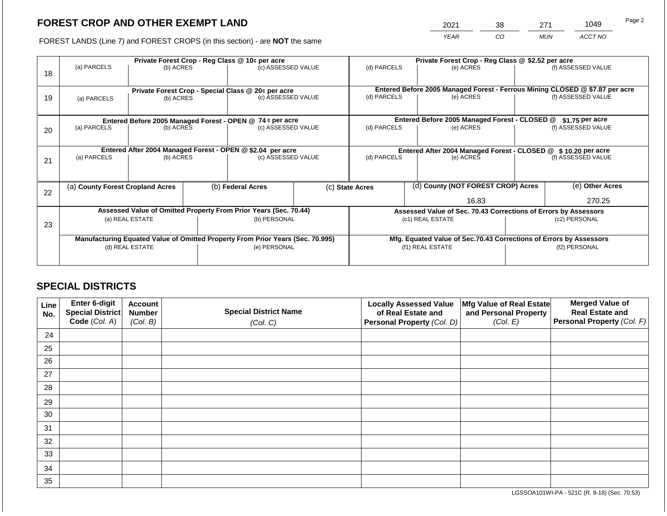2021 38 271 1049

FOREST LANDS (Line 7) and FOREST CROPS (in this section) - are **NOT** the same *YEAR CO MUN ACCT NO*

| 18 | (a) PARCELS                                                                    | (b) ACRES                |                                                                 | Private Forest Crop - Reg Class @ 10¢ per acre<br>(c) ASSESSED VALUE     |             | (d) PARCELS                                                        |                  | Private Forest Crop - Reg Class @ \$2.52 per acre<br>(e) ACRES |                    | (f) ASSESSED VALUE                                                                                 |  |
|----|--------------------------------------------------------------------------------|--------------------------|-----------------------------------------------------------------|--------------------------------------------------------------------------|-------------|--------------------------------------------------------------------|------------------|----------------------------------------------------------------|--------------------|----------------------------------------------------------------------------------------------------|--|
| 19 | (a) PARCELS                                                                    | (b) ACRES                |                                                                 | Private Forest Crop - Special Class @ 20¢ per acre<br>(c) ASSESSED VALUE |             | (d) PARCELS                                                        |                  | (e) ACRES                                                      |                    | Entered Before 2005 Managed Forest - Ferrous Mining CLOSED @ \$7.87 per acre<br>(f) ASSESSED VALUE |  |
|    | Entered Before 2005 Managed Forest - OPEN @ 74 ¢ per acre                      |                          |                                                                 |                                                                          |             | Entered Before 2005 Managed Forest - CLOSED @<br>$$1.75$ per acre  |                  |                                                                |                    |                                                                                                    |  |
| 20 | (a) PARCELS                                                                    | (b) ACRES                |                                                                 | (c) ASSESSED VALUE                                                       | (d) PARCELS |                                                                    | (e) ACRES        | (f) ASSESSED VALUE                                             |                    |                                                                                                    |  |
|    | Entered After 2004 Managed Forest - OPEN @ \$2.04 per acre                     |                          |                                                                 |                                                                          |             | Entered After 2004 Managed Forest - CLOSED @ \$10.20 per acre      |                  |                                                                |                    |                                                                                                    |  |
| 21 |                                                                                | (a) PARCELS<br>(b) ACRES |                                                                 | (c) ASSESSED VALUE                                                       |             | (d) PARCELS                                                        |                  | (e) ACRES                                                      | (f) ASSESSED VALUE |                                                                                                    |  |
|    |                                                                                |                          |                                                                 |                                                                          |             |                                                                    |                  |                                                                |                    |                                                                                                    |  |
| 22 | (a) County Forest Cropland Acres                                               |                          |                                                                 | (b) Federal Acres                                                        |             | (d) County (NOT FOREST CROP) Acres<br>(c) State Acres              |                  |                                                                | (e) Other Acres    |                                                                                                    |  |
|    |                                                                                |                          |                                                                 |                                                                          |             | 16.83                                                              |                  |                                                                | 270.25             |                                                                                                    |  |
|    | Assessed Value of Omitted Property From Prior Years (Sec. 70.44)               |                          | Assessed Value of Sec. 70.43 Corrections of Errors by Assessors |                                                                          |             |                                                                    |                  |                                                                |                    |                                                                                                    |  |
| 23 | (a) REAL ESTATE                                                                |                          |                                                                 | (b) PERSONAL                                                             |             | (c1) REAL ESTATE                                                   |                  | (c2) PERSONAL                                                  |                    |                                                                                                    |  |
|    |                                                                                |                          |                                                                 |                                                                          |             |                                                                    |                  |                                                                |                    |                                                                                                    |  |
|    | Manufacturing Equated Value of Omitted Property From Prior Years (Sec. 70.995) |                          |                                                                 |                                                                          |             | Mfg. Equated Value of Sec.70.43 Corrections of Errors by Assessors |                  |                                                                |                    |                                                                                                    |  |
|    |                                                                                | (d) REAL ESTATE          |                                                                 | (e) PERSONAL                                                             |             |                                                                    | (f1) REAL ESTATE |                                                                |                    | (f2) PERSONAL                                                                                      |  |
|    |                                                                                |                          |                                                                 |                                                                          |             |                                                                    |                  |                                                                |                    |                                                                                                    |  |

## **SPECIAL DISTRICTS**

| Line<br>No. | <b>Enter 6-digit</b><br>Special District | <b>Account</b><br><b>Number</b> | <b>Special District Name</b> | <b>Locally Assessed Value</b><br>of Real Estate and | Mfg Value of Real Estate<br>and Personal Property | <b>Merged Value of</b><br><b>Real Estate and</b> |
|-------------|------------------------------------------|---------------------------------|------------------------------|-----------------------------------------------------|---------------------------------------------------|--------------------------------------------------|
|             | Code (Col. A)                            | (Col. B)                        | (Col. C)                     | Personal Property (Col. D)                          | (Col. E)                                          | <b>Personal Property (Col. F)</b>                |
| 24          |                                          |                                 |                              |                                                     |                                                   |                                                  |
| 25          |                                          |                                 |                              |                                                     |                                                   |                                                  |
| 26          |                                          |                                 |                              |                                                     |                                                   |                                                  |
| 27          |                                          |                                 |                              |                                                     |                                                   |                                                  |
| 28          |                                          |                                 |                              |                                                     |                                                   |                                                  |
| 29          |                                          |                                 |                              |                                                     |                                                   |                                                  |
| 30          |                                          |                                 |                              |                                                     |                                                   |                                                  |
| 31          |                                          |                                 |                              |                                                     |                                                   |                                                  |
| 32          |                                          |                                 |                              |                                                     |                                                   |                                                  |
| 33          |                                          |                                 |                              |                                                     |                                                   |                                                  |
| 34          |                                          |                                 |                              |                                                     |                                                   |                                                  |
| 35          |                                          |                                 |                              |                                                     |                                                   |                                                  |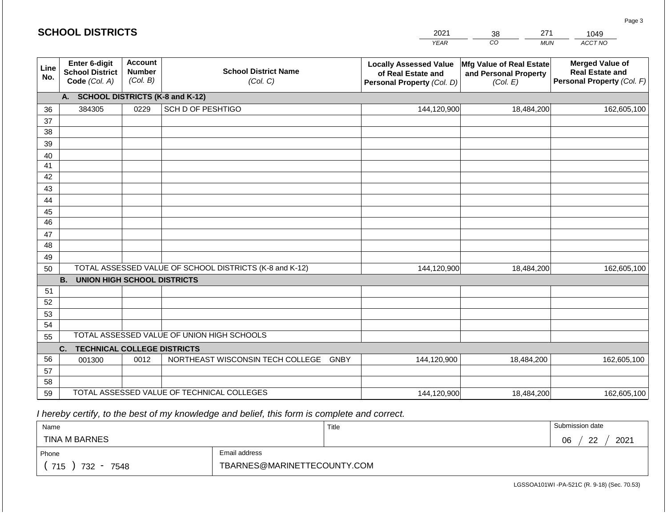#### *YEAR*  2021  $\overline{co}$ 38 *MUN ACCT NO*  1049 **Line No. Enter 6-digit School District Code** *(Col. A)* **Account Number** *(Col. B)* **School District Name** *(Col. C)* **Locally Assessed Value of Real Estate and Personal Property** *(Col. D)* **Mfg Value of Real Estate and Personal Property** *(Col. E)* **Merged Value of Real Estate and Personal Property** *(Col. F)* **A. SCHOOL DISTRICTS (K-8 and K-12)** 36 37 38 39 40 41 42 43 44 45 46 47 48 49 50 TOTAL ASSESSED VALUE OF SCHOOL DISTRICTS (K-8 and K-12) **B. UNION HIGH SCHOOL DISTRICTS** 51 52 53 54 55 **C. TECHNICAL COLLEGE DISTRICTS** 56 57 58 59 TOTAL ASSESSED VALUE OF TECHNICAL COLLEGES TOTAL ASSESSED VALUE OF UNION HIGH SCHOOLS 384305 0229 SCH D OF PESHTIGO 144,120,900 144,120,900 001300 | 0012 | NORTHEAST WISCONSIN TECH COLLEGE GNBY 144,120,900 18,484,200 162,605,100 18,484,200 162,605,100 18,484,200 162,605,100 144,120,900 18,484,200 18,484,200 162,605,100

 *I hereby certify, to the best of my knowledge and belief, this form is complete and correct.*

| Name                                           |                             | Title | Submission date  |  |  |
|------------------------------------------------|-----------------------------|-------|------------------|--|--|
| TINA M BARNES                                  |                             |       | 2021<br>06<br>22 |  |  |
| Email address<br>Phone                         |                             |       |                  |  |  |
| 715<br>732<br>7548<br>$\overline{\phantom{0}}$ | TBARNES@MARINETTECOUNTY.COM |       |                  |  |  |

LGSSOA101WI -PA-521C (R. 9-18) (Sec. 70.53)

Page 3

271